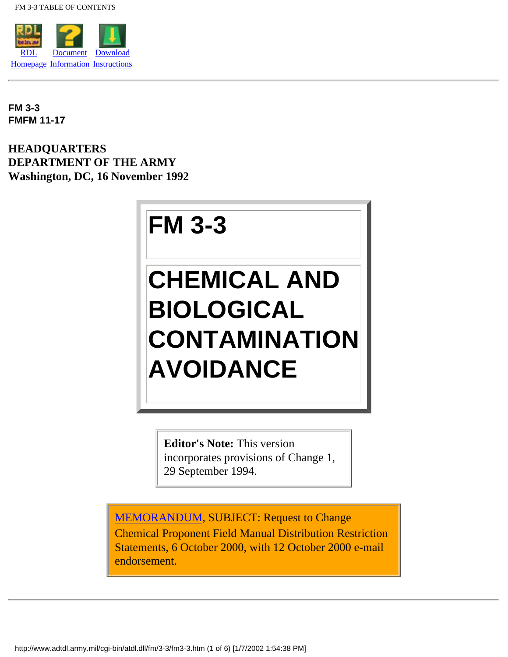<span id="page-0-0"></span>

**FM 3-3 FMFM 11-17**

**HEADQUARTERS DEPARTMENT OF THE ARMY Washington, DC, 16 November 1992**

# **FM 3-3**

# **CHEMICAL AND BIOLOGICAL CONTAMINATION AVOIDANCE**

**Editor's Note:** This version incorporates provisions of Change 1, 29 September 1994.

[MEMORANDUM](#page-6-0), SUBJECT: Request to Change Chemical Proponent Field Manual Distribution Restriction Statements, 6 October 2000, with 12 October 2000 e-mail endorsement.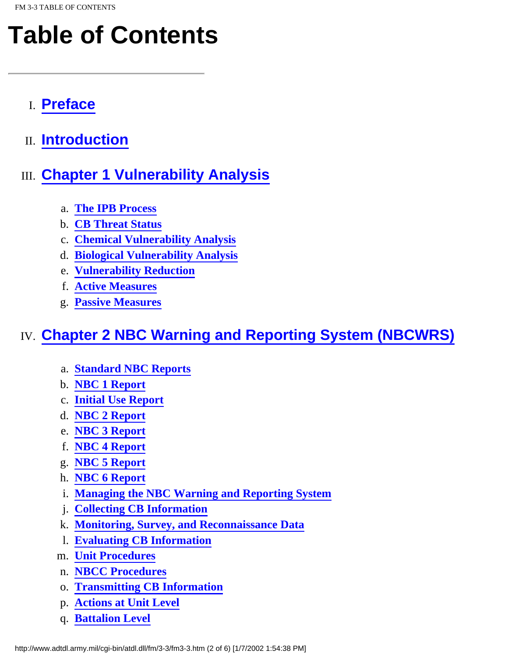# **Table of Contents**

- I. **[Preface](#page-10-0)**
- II. **[Introduction](#page-12-0)**

## III. **Chapter 1 Vulnerability Analysis**

- a. **The IPB Process**
- b. **CB Threat Status**
- c. **Chemical Vulnerability Analysis**
- d. **Biological Vulnerability Analysis**
- e. **Vulnerability Reduction**
- f. **Active Measures**
- g. **Passive Measures**

## IV. **[Chapter 2 NBC Warning and Reporting System \(NBCWRS\)](#page-31-0)**

- a. **[Standard NBC Reports](#page-31-1)**
- b. **[NBC 1 Report](#page-31-2)**
- c. **[Initial Use Report](#page-32-0)**
- d. **[NBC 2 Report](#page-33-0)**
- e. **[NBC 3 Report](#page-33-1)**
- f. **[NBC 4 Report](#page-34-0)**
- g. **[NBC 5 Report](#page-34-1)**
- h. **[NBC 6 Report](#page-35-0)**
- i. **[Managing the NBC Warning and Reporting System](#page-35-1)**
- j. **[Collecting CB Information](#page-35-2)**
- k. **[Monitoring, Survey, and Reconnaissance Data](#page-35-3)**
- l. **[Evaluating CB Information](#page-36-0)**
- m. **[Unit Procedures](#page-36-1)**
- n. **[NBCC Procedures](#page-36-2)**
- o. **[Transmitting CB Information](#page-36-3)**
- p. **[Actions at Unit Level](#page-37-0)**
- q. **[Battalion Level](#page-38-0)**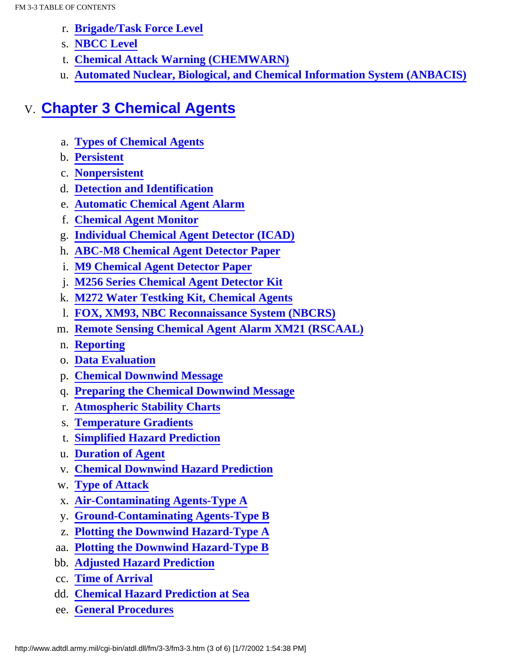- r. **[Brigade/Task Force Level](#page-39-0)**
- s. **[NBCC Level](#page-39-1)**
- t. **[Chemical Attack Warning \(CHEMWARN\)](#page-40-0)**
- u. **[Automated Nuclear, Biological, and Chemical Information System \(ANBACIS\)](#page-40-1)**

### V. **[Chapter 3 Chemical Agents](#page-42-0)**

- a. **[Types of Chemical Agents](#page-42-1)**
- b. **[Persistent](#page-42-2)**
- c. **[Nonpersistent](#page-43-0)**
- d. **[Detection and Identification](#page-44-0)**
- e. **[Automatic Chemical Agent Alarm](#page-45-0)**
- f. **[Chemical Agent Monitor](#page-46-0)**
- g. **[Individual Chemical Agent Detector \(ICAD\)](#page-48-0)**
- h. **[ABC-M8 Chemical Agent Detector Paper](#page-48-1)**
- i. **[M9 Chemical Agent Detector Paper](#page-49-0)**
- j. **[M256 Series Chemical Agent Detector Kit](#page-49-1)**
- k. **[M272 Water Testking Kit, Chemical Agents](#page-50-0)**
- l. **[FOX, XM93, NBC Reconnaissance System \(NBCRS\)](#page-50-1)**
- m. **[Remote Sensing Chemical Agent Alarm XM21 \(RSCAAL\)](#page-51-0)**
- n. **[Reporting](#page-52-0)**
- o. **[Data Evaluation](#page-53-0)**
- p. **[Chemical Downwind Message](#page-53-1)**
- q. **[Preparing the Chemical Downwind Message](#page-54-0)**
- r. **[Atmospheric Stability Charts](#page-55-0)**
- s. **[Temperature Gradients](#page-56-0)**
- t. **[Simplified Hazard Prediction](#page-57-0)**
- u. **[Duration of Agent](#page-57-1)**
- v. **[Chemical Downwind Hazard Prediction](#page-58-0)**
- w. **[Type of Attack](#page-58-1)**
- x. **[Air-Contaminating Agents-Type A](#page-58-2)**
- y. **[Ground-Contaminating Agents-Type B](#page-58-3)**
- z. **[Plotting the Downwind Hazard-Type A](#page-59-0)**
- aa. **[Plotting the Downwind Hazard-Type B](#page-60-0)**
- bb. **[Adjusted Hazard Prediction](#page-62-0)**
- cc. **[Time of Arrival](#page-64-0)**
- dd. **[Chemical Hazard Prediction at Sea](#page-64-1)**
- ee. **[General Procedures](#page-65-0)**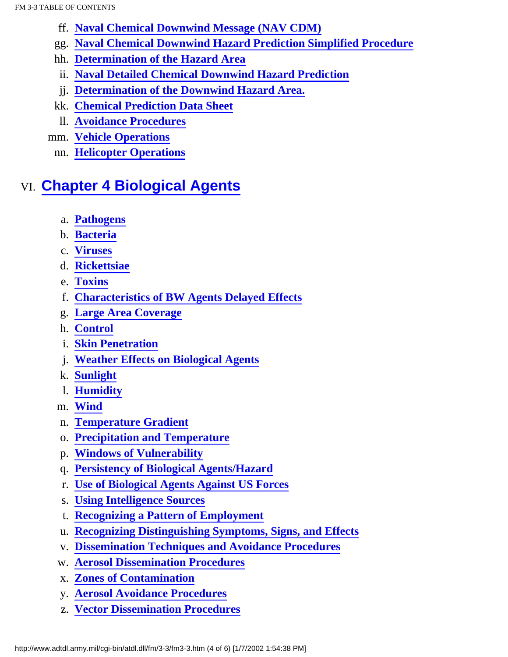- ff. **[Naval Chemical Downwind Message \(NAV CDM\)](#page-67-0)**
- gg. **[Naval Chemical Downwind Hazard Prediction Simplified Procedure](#page-67-1)**
- hh. **[Determination of the Hazard Area](#page-67-2)**
- ii. **[Naval Detailed Chemical Downwind Hazard Prediction](#page-68-0)**
- jj. **[Determination of the Downwind Hazard Area.](#page-69-0)**
- kk. **[Chemical Prediction Data Sheet](#page-73-0)**
- ll. **[Avoidance Procedures](#page-71-0)**
- mm. **[Vehicle Operations](#page-71-1)**
	- nn. **[Helicopter Operations](#page-72-0)**

## VI. **Chapter 4 Biological Agents**

- a. **Pathogens**
- b. **Bacteria**
- c. **Viruses**
- d. **Rickettsiae**
- e. **Toxins**
- f. **Characteristics of BW Agents Delayed Effects**
- g. **Large Area Coverage**
- h. **Control**
- i. **Skin Penetration**
- j. **Weather Effects on Biological Agents**
- k. **Sunlight**
- l. **Humidity**
- m. **Wind**
- n. **Temperature Gradient**
- o. **Precipitation and Temperature**
- p. **Windows of Vulnerability**
- q. **Persistency of Biological Agents/Hazard**
- r. **Use of Biological Agents Against US Forces**
- s. **Using Intelligence Sources**
- t. **Recognizing a Pattern of Employment**
- u. **Recognizing Distinguishing Symptoms, Signs, and Effects**
- v. **Dissemination Techniques and Avoidance Procedures**
- w. **Aerosol Dissemination Procedures**
- x. **Zones of Contamination**
- y. **Aerosol Avoidance Procedures**
- z. **Vector Dissemination Procedures**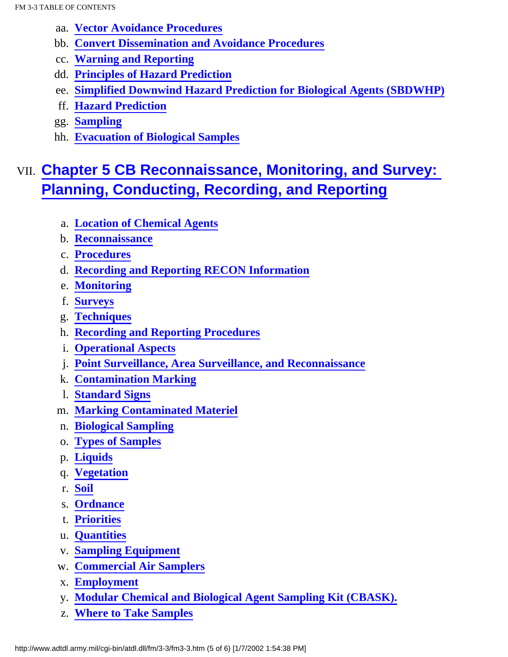- aa. **[Vector Avoidance Procedures](#page-85-0)**
- bb. **Convert Dissemination and Avoidance Procedures**
- cc. **Warning and Reporting**
- dd. **Principles of Hazard Prediction**
- ee. **Simplified Downwind Hazard Prediction for Biological Agents (SBDWHP)**
- ff. **Hazard Prediction**
- gg. **Sampling**
- hh. **Evacuation of Biological Samples**

## VII. **[Chapter 5 CB Reconnaissance, Monitoring, and Survey:](#page-98-0) [Planning, Conducting, Recording, and Reporting](#page-98-0)**

- a. **[Location of Chemical Agents](#page-98-1)**
- b. **[Reconnaissance](#page-98-2)**
- c. **[Procedures](#page-99-0)**
- d. **[Recording and Reporting RECON Information](#page-100-0)**
- e. **[Monitoring](#page-100-1)**
- f. **[Surveys](#page-100-2)**
- g. **[Techniques](#page-101-0)**
- h. **[Recording and Reporting Procedures](#page-102-0)**
- i. **[Operational Aspects](#page-102-1)**
- j. **[Point Surveillance, Area Surveillance, and Reconnaissance](#page-103-0)**
- k. **[Contamination Marking](#page-104-0)**
- l. **[Standard Signs](#page-104-1)**
- m. **[Marking Contaminated Materiel](#page-105-0)**
- n. **[Biological Sampling](#page-105-1)**
- o. **[Types of Samples](#page-107-0)**
- p. **[Liquids](#page-107-1)**
- q. **[Vegetation](#page-107-2)**
- r. **[Soil](#page-107-3)**
- s. **[Ordnance](#page-108-0)**
- t. **[Priorities](#page-108-1)**
- u. **[Quantities](#page-109-0)**
- v. **[Sampling Equipment](#page-109-1)**
- w. **[Commercial Air Samplers](#page-110-0)**
- x. **[Employment](#page-110-1)**
- y. **[Modular Chemical and Biological Agent Sampling Kit \(CBASK\).](#page-111-0)**
- z. **[Where to Take Samples](#page-111-1)**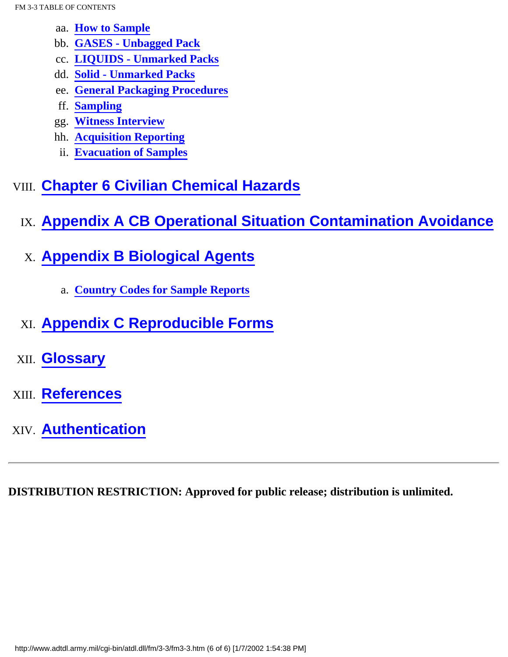- aa. **[How to Sample](#page-111-2)**
- bb. **[GASES Unbagged Pack](#page-111-3)**
- cc. **[LIQUIDS Unmarked Packs](#page-112-0)**
- dd. **[Solid Unmarked Packs](#page-112-1)**
- ee. **[General Packaging Procedures](#page-113-0)**
- ff. **[Sampling](#page-113-1)**
- gg. **[Witness Interview](#page-115-0)**
- hh. **[Acquisition Reporting](#page-115-1)**
- ii. **[Evacuation of Samples](#page-116-0)**

## VIII. **Chapter 6 Civilian Chemical Hazards**

- IX. **Appendix A CB Operational Situation Contamination Avoidance**
- X. **[Appendix B Biological Agents](#page-141-0)**
	- a. **[Country Codes for Sample Reports](#page-141-1)**
- XI. **Appendix C Reproducible Forms**
- XII. **Glossary**
- XIII. **[References](#page-154-0)**
- XIV. **[Authentication](#page-158-0)**

**DISTRIBUTION RESTRICTION: Approved for public release; distribution is unlimited.**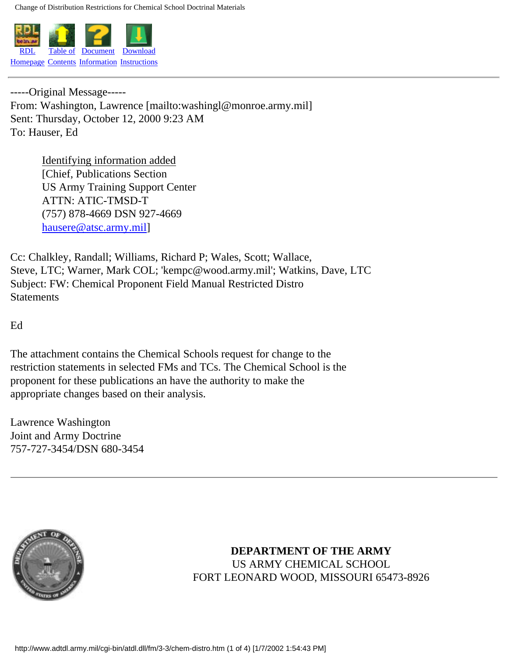<span id="page-6-0"></span>Change of Distribution Restrictions for Chemical School Doctrinal Materials



-----Original Message----- From: Washington, Lawrence [mailto:washingl@monroe.army.mil] Sent: Thursday, October 12, 2000 9:23 AM To: Hauser, Ed

> Identifying information added [Chief, Publications Section] US Army Training Support Center ATTN: ATIC-TMSD-T (757) 878-4669 DSN 927-4669 [hausere@atsc.army.mil\]](mailto:hausere@atsc.army.mil)

Cc: Chalkley, Randall; Williams, Richard P; Wales, Scott; Wallace, Steve, LTC; Warner, Mark COL; 'kempc@wood.army.mil'; Watkins, Dave, LTC Subject: FW: Chemical Proponent Field Manual Restricted Distro **Statements** 

Ed

The attachment contains the Chemical Schools request for change to the restriction statements in selected FMs and TCs. The Chemical School is the proponent for these publications an have the authority to make the appropriate changes based on their analysis.

Lawrence Washington Joint and Army Doctrine 757-727-3454/DSN 680-3454



**DEPARTMENT OF THE ARMY** US ARMY CHEMICAL SCHOOL FORT LEONARD WOOD, MISSOURI 65473-8926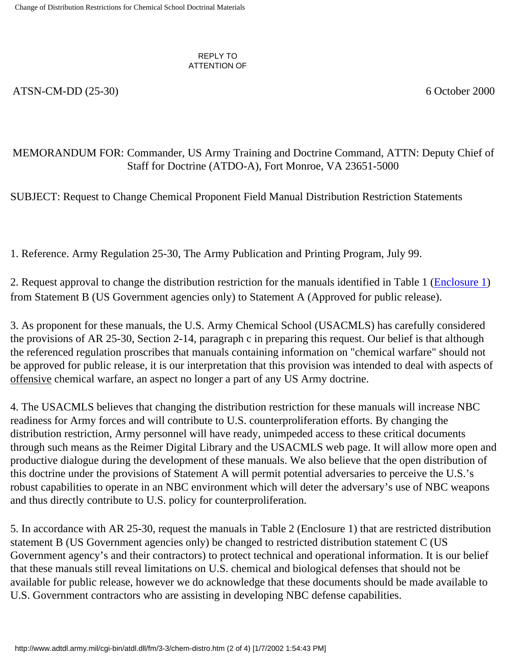#### REPLY TO ATTENTION OF

ATSN-CM-DD (25-30) 6 October 2000

#### MEMORANDUM FOR: Commander, US Army Training and Doctrine Command, ATTN: Deputy Chief of Staff for Doctrine (ATDO-A), Fort Monroe, VA 23651-5000

SUBJECT: Request to Change Chemical Proponent Field Manual Distribution Restriction Statements

1. Reference. Army Regulation 25-30, The Army Publication and Printing Program, July 99.

2. Request approval to change the distribution restriction for the manuals identified in Table 1 (Enclosure 1) from Statement B (US Government agencies only) to Statement A (Approved for public release).

3. As proponent for these manuals, the U.S. Army Chemical School (USACMLS) has carefully considered the provisions of AR 25-30, Section 2-14, paragraph c in preparing this request. Our belief is that although the referenced regulation proscribes that manuals containing information on "chemical warfare" should not be approved for public release, it is our interpretation that this provision was intended to deal with aspects of offensive chemical warfare, an aspect no longer a part of any US Army doctrine.

4. The USACMLS believes that changing the distribution restriction for these manuals will increase NBC readiness for Army forces and will contribute to U.S. counterproliferation efforts. By changing the distribution restriction, Army personnel will have ready, unimpeded access to these critical documents through such means as the Reimer Digital Library and the USACMLS web page. It will allow more open and productive dialogue during the development of these manuals. We also believe that the open distribution of this doctrine under the provisions of Statement A will permit potential adversaries to perceive the U.S.'s robust capabilities to operate in an NBC environment which will deter the adversary's use of NBC weapons and thus directly contribute to U.S. policy for counterproliferation.

5. In accordance with AR 25-30, request the manuals in Table 2 (Enclosure 1) that are restricted distribution statement B (US Government agencies only) be changed to restricted distribution statement C (US Government agency's and their contractors) to protect technical and operational information. It is our belief that these manuals still reveal limitations on U.S. chemical and biological defenses that should not be available for public release, however we do acknowledge that these documents should be made available to U.S. Government contractors who are assisting in developing NBC defense capabilities.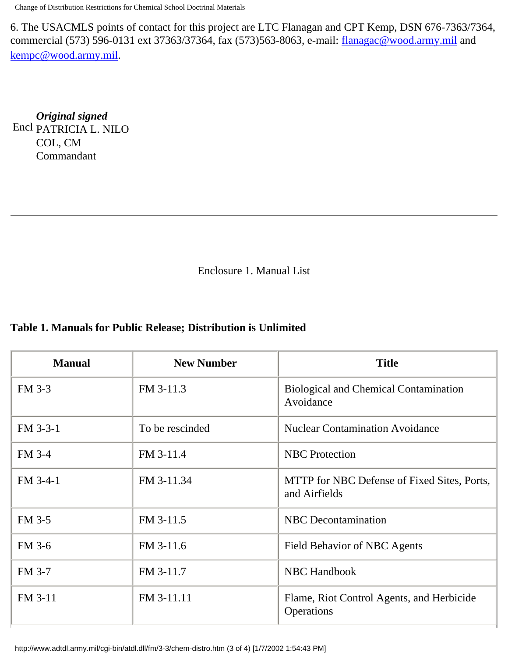Change of Distribution Restrictions for Chemical School Doctrinal Materials

6. The USACMLS points of contact for this project are LTC Flanagan and CPT Kemp, DSN 676-7363/7364, commercial (573) 596-0131 ext 37363/37364, fax (573)563-8063, e-mail: [flanagac@wood.army.mil](mailto:flanagac@wood.army.mil) and [kempc@wood.army.mil](mailto:kempc@wood.army.mil).

Encl PATRICIA L. NILO *Original signed* COL, CM Commandant

Enclosure 1. Manual List

#### **Table 1. Manuals for Public Release; Distribution is Unlimited**

| <b>Manual</b> | <b>New Number</b> | <b>Title</b>                                                 |
|---------------|-------------------|--------------------------------------------------------------|
| FM 3-3        | FM 3-11.3         | <b>Biological and Chemical Contamination</b><br>Avoidance    |
| FM 3-3-1      | To be rescinded   | <b>Nuclear Contamination Avoidance</b>                       |
| FM 3-4        | FM 3-11.4         | <b>NBC</b> Protection                                        |
| FM 3-4-1      | FM 3-11.34        | MTTP for NBC Defense of Fixed Sites, Ports,<br>and Airfields |
| <b>FM 3-5</b> | FM 3-11.5         | <b>NBC</b> Decontamination                                   |
| FM 3-6        | FM 3-11.6         | Field Behavior of NBC Agents                                 |
| FM 3-7        | FM 3-11.7         | <b>NBC Handbook</b>                                          |
| FM 3-11       | FM 3-11.11        | Flame, Riot Control Agents, and Herbicide<br>Operations      |

http://www.adtdl.army.mil/cgi-bin/atdl.dll/fm/3-3/chem-distro.htm (3 of 4) [1/7/2002 1:54:43 PM]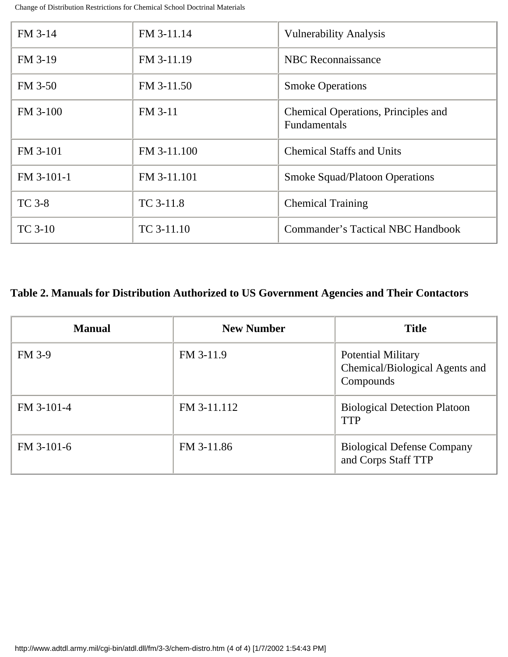Change of Distribution Restrictions for Chemical School Doctrinal Materials

| FM 3-14        | FM 3-11.14  | <b>Vulnerability Analysis</b>                              |  |
|----------------|-------------|------------------------------------------------------------|--|
| FM 3-19        | FM 3-11.19  | <b>NBC</b> Reconnaissance                                  |  |
| FM 3-50        | FM 3-11.50  | <b>Smoke Operations</b>                                    |  |
| FM 3-100       | FM 3-11     | Chemical Operations, Principles and<br><b>Fundamentals</b> |  |
| FM 3-101       | FM 3-11.100 | <b>Chemical Staffs and Units</b>                           |  |
| FM 3-101-1     | FM 3-11.101 | <b>Smoke Squad/Platoon Operations</b>                      |  |
| <b>TC</b> 3-8  | TC 3-11.8   | <b>Chemical Training</b>                                   |  |
| <b>TC</b> 3-10 | TC 3-11.10  | Commander's Tactical NBC Handbook                          |  |

#### **Table 2. Manuals for Distribution Authorized to US Government Agencies and Their Contactors**

| <b>Manual</b> | <b>New Number</b> | <b>Title</b>                                                             |
|---------------|-------------------|--------------------------------------------------------------------------|
| <b>FM 3-9</b> | FM 3-11.9         | <b>Potential Military</b><br>Chemical/Biological Agents and<br>Compounds |
| FM 3-101-4    | FM 3-11.112       | <b>Biological Detection Platoon</b><br><b>TTP</b>                        |
| $FM$ 3-101-6  | FM 3-11.86        | <b>Biological Defense Company</b><br>and Corps Staff TTP                 |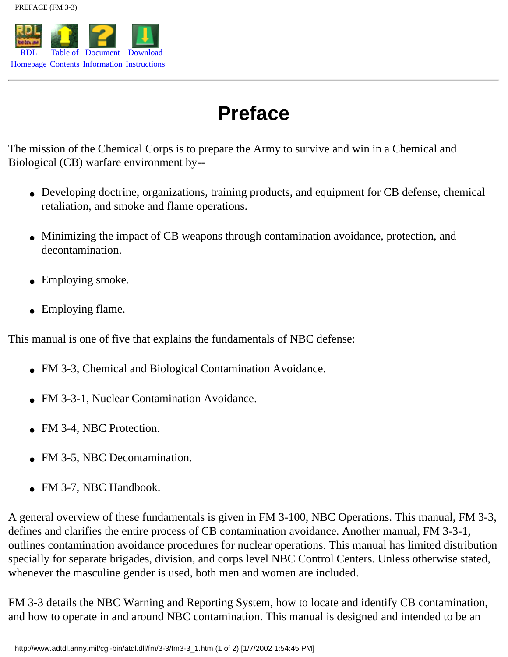<span id="page-10-0"></span>

## **Preface**

The mission of the Chemical Corps is to prepare the Army to survive and win in a Chemical and Biological (CB) warfare environment by--

- Developing doctrine, organizations, training products, and equipment for CB defense, chemical retaliation, and smoke and flame operations.
- Minimizing the impact of CB weapons through contamination avoidance, protection, and decontamination.
- Employing smoke.
- Employing flame.

This manual is one of five that explains the fundamentals of NBC defense:

- FM 3-3, Chemical and Biological Contamination Avoidance.
- FM 3-3-1, Nuclear Contamination Avoidance.
- FM 3-4, NBC Protection.
- FM 3-5, NBC Decontamination.
- FM 3-7, NBC Handbook.

A general overview of these fundamentals is given in FM 3-100, NBC Operations. This manual, FM 3-3, defines and clarifies the entire process of CB contamination avoidance. Another manual, FM 3-3-1, outlines contamination avoidance procedures for nuclear operations. This manual has limited distribution specially for separate brigades, division, and corps level NBC Control Centers. Unless otherwise stated, whenever the masculine gender is used, both men and women are included.

FM 3-3 details the NBC Warning and Reporting System, how to locate and identify CB contamination, and how to operate in and around NBC contamination. This manual is designed and intended to be an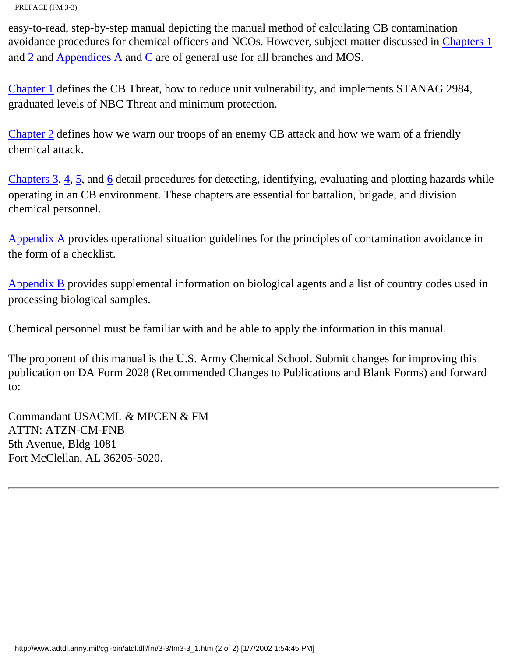PREFACE (FM 3-3)

easy-to-read, step-by-step manual depicting the manual method of calculating CB contamination avoidance procedures for chemical officers and NCOs. However, subject matter discussed in Chapters 1 and [2](#page-31-0) and Appendices A and C are of general use for all branches and MOS.

Chapter 1 defines the CB Threat, how to reduce unit vulnerability, and implements STANAG 2984, graduated levels of NBC Threat and minimum protection.

[Chapter 2](#page-31-0) defines how we warn our troops of an enemy CB attack and how we warn of a friendly chemical attack.

Chapters  $3, 4, 5$  $3, 4, 5$ , and  $6$  detail procedures for detecting, identifying, evaluating and plotting hazards while operating in an CB environment. These chapters are essential for battalion, brigade, and division chemical personnel.

Appendix A provides operational situation guidelines for the principles of contamination avoidance in the form of a checklist.

[Appendix B](#page-141-0) provides supplemental information on biological agents and a list of country codes used in processing biological samples.

Chemical personnel must be familiar with and be able to apply the information in this manual.

The proponent of this manual is the U.S. Army Chemical School. Submit changes for improving this publication on DA Form 2028 (Recommended Changes to Publications and Blank Forms) and forward to:

Commandant USACML & MPCEN & FM ATTN: ATZN-CM-FNB 5th Avenue, Bldg 1081 Fort McClellan, AL 36205-5020.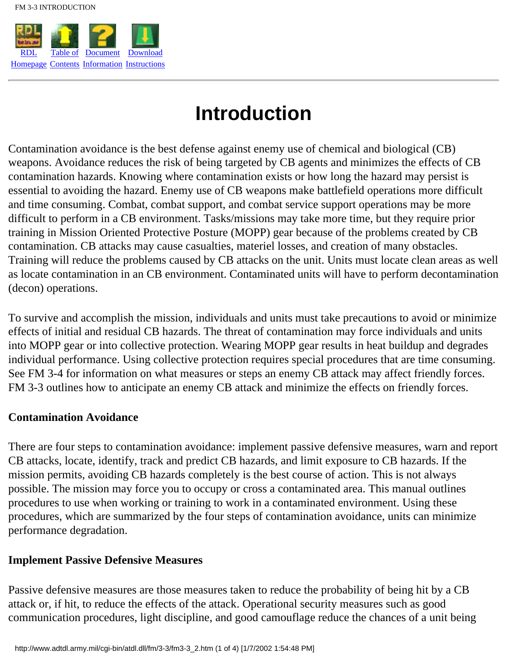<span id="page-12-0"></span>

## **Introduction**

Contamination avoidance is the best defense against enemy use of chemical and biological (CB) weapons. Avoidance reduces the risk of being targeted by CB agents and minimizes the effects of CB contamination hazards. Knowing where contamination exists or how long the hazard may persist is essential to avoiding the hazard. Enemy use of CB weapons make battlefield operations more difficult and time consuming. Combat, combat support, and combat service support operations may be more difficult to perform in a CB environment. Tasks/missions may take more time, but they require prior training in Mission Oriented Protective Posture (MOPP) gear because of the problems created by CB contamination. CB attacks may cause casualties, materiel losses, and creation of many obstacles. Training will reduce the problems caused by CB attacks on the unit. Units must locate clean areas as well as locate contamination in an CB environment. Contaminated units will have to perform decontamination (decon) operations.

To survive and accomplish the mission, individuals and units must take precautions to avoid or minimize effects of initial and residual CB hazards. The threat of contamination may force individuals and units into MOPP gear or into collective protection. Wearing MOPP gear results in heat buildup and degrades individual performance. Using collective protection requires special procedures that are time consuming. See FM 3-4 for information on what measures or steps an enemy CB attack may affect friendly forces. FM 3-3 outlines how to anticipate an enemy CB attack and minimize the effects on friendly forces.

#### **Contamination Avoidance**

There are four steps to contamination avoidance: implement passive defensive measures, warn and report CB attacks, locate, identify, track and predict CB hazards, and limit exposure to CB hazards. If the mission permits, avoiding CB hazards completely is the best course of action. This is not always possible. The mission may force you to occupy or cross a contaminated area. This manual outlines procedures to use when working or training to work in a contaminated environment. Using these procedures, which are summarized by the four steps of contamination avoidance, units can minimize performance degradation.

#### **Implement Passive Defensive Measures**

Passive defensive measures are those measures taken to reduce the probability of being hit by a CB attack or, if hit, to reduce the effects of the attack. Operational security measures such as good communication procedures, light discipline, and good camouflage reduce the chances of a unit being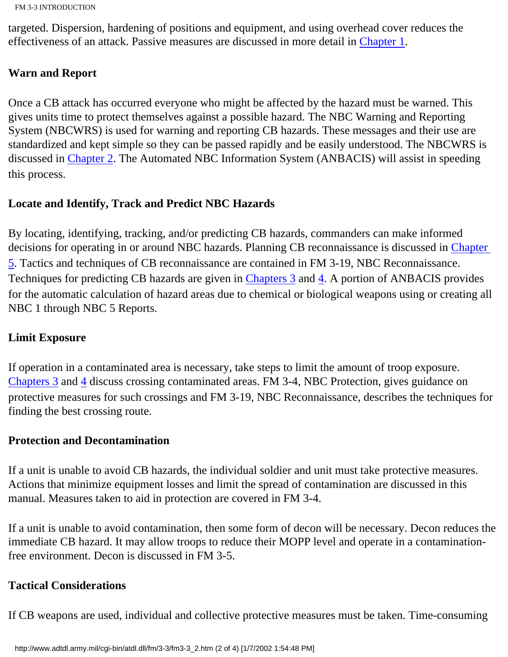```
FM 3-3 INTRODUCTION
```
targeted. Dispersion, hardening of positions and equipment, and using overhead cover reduces the effectiveness of an attack. Passive measures are discussed in more detail in Chapter 1.

#### **Warn and Report**

Once a CB attack has occurred everyone who might be affected by the hazard must be warned. This gives units time to protect themselves against a possible hazard. The NBC Warning and Reporting System (NBCWRS) is used for warning and reporting CB hazards. These messages and their use are standardized and kept simple so they can be passed rapidly and be easily understood. The NBCWRS is discussed in [Chapter 2](#page-31-0). The Automated NBC Information System (ANBACIS) will assist in speeding this process.

#### **Locate and Identify, Track and Predict NBC Hazards**

By locating, identifying, tracking, and/or predicting CB hazards, commanders can make informed decisions for operating in or around NBC hazards. Planning CB reconnaissance is discussed in [Chapter](#page-98-0) [5](#page-98-0). Tactics and techniques of CB reconnaissance are contained in FM 3-19, NBC Reconnaissance. Techniques for predicting CB hazards are given in [Chapters 3](#page-42-0) and 4. A portion of ANBACIS provides for the automatic calculation of hazard areas due to chemical or biological weapons using or creating all NBC 1 through NBC 5 Reports.

#### **Limit Exposure**

If operation in a contaminated area is necessary, take steps to limit the amount of troop exposure. [Chapters 3](#page-42-0) and 4 discuss crossing contaminated areas. FM 3-4, NBC Protection, gives guidance on protective measures for such crossings and FM 3-19, NBC Reconnaissance, describes the techniques for finding the best crossing route.

#### **Protection and Decontamination**

If a unit is unable to avoid CB hazards, the individual soldier and unit must take protective measures. Actions that minimize equipment losses and limit the spread of contamination are discussed in this manual. Measures taken to aid in protection are covered in FM 3-4.

If a unit is unable to avoid contamination, then some form of decon will be necessary. Decon reduces the immediate CB hazard. It may allow troops to reduce their MOPP level and operate in a contaminationfree environment. Decon is discussed in FM 3-5.

#### **Tactical Considerations**

If CB weapons are used, individual and collective protective measures must be taken. Time-consuming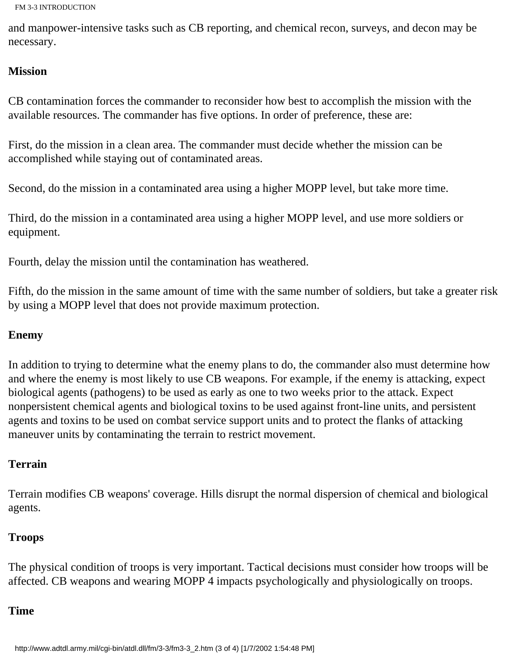```
FM 3-3 INTRODUCTION
```
and manpower-intensive tasks such as CB reporting, and chemical recon, surveys, and decon may be necessary.

#### **Mission**

CB contamination forces the commander to reconsider how best to accomplish the mission with the available resources. The commander has five options. In order of preference, these are:

First, do the mission in a clean area. The commander must decide whether the mission can be accomplished while staying out of contaminated areas.

Second, do the mission in a contaminated area using a higher MOPP level, but take more time.

Third, do the mission in a contaminated area using a higher MOPP level, and use more soldiers or equipment.

Fourth, delay the mission until the contamination has weathered.

Fifth, do the mission in the same amount of time with the same number of soldiers, but take a greater risk by using a MOPP level that does not provide maximum protection.

#### **Enemy**

In addition to trying to determine what the enemy plans to do, the commander also must determine how and where the enemy is most likely to use CB weapons. For example, if the enemy is attacking, expect biological agents (pathogens) to be used as early as one to two weeks prior to the attack. Expect nonpersistent chemical agents and biological toxins to be used against front-line units, and persistent agents and toxins to be used on combat service support units and to protect the flanks of attacking maneuver units by contaminating the terrain to restrict movement.

#### **Terrain**

Terrain modifies CB weapons' coverage. Hills disrupt the normal dispersion of chemical and biological agents.

#### **Troops**

The physical condition of troops is very important. Tactical decisions must consider how troops will be affected. CB weapons and wearing MOPP 4 impacts psychologically and physiologically on troops.

#### **Time**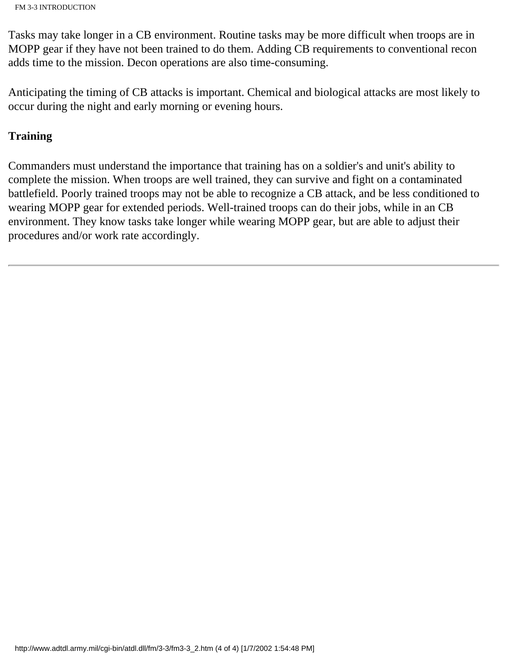FM 3-3 INTRODUCTION

Tasks may take longer in a CB environment. Routine tasks may be more difficult when troops are in MOPP gear if they have not been trained to do them. Adding CB requirements to conventional recon adds time to the mission. Decon operations are also time-consuming.

Anticipating the timing of CB attacks is important. Chemical and biological attacks are most likely to occur during the night and early morning or evening hours.

#### **Training**

Commanders must understand the importance that training has on a soldier's and unit's ability to complete the mission. When troops are well trained, they can survive and fight on a contaminated battlefield. Poorly trained troops may not be able to recognize a CB attack, and be less conditioned to wearing MOPP gear for extended periods. Well-trained troops can do their jobs, while in an CB environment. They know tasks take longer while wearing MOPP gear, but are able to adjust their procedures and/or work rate accordingly.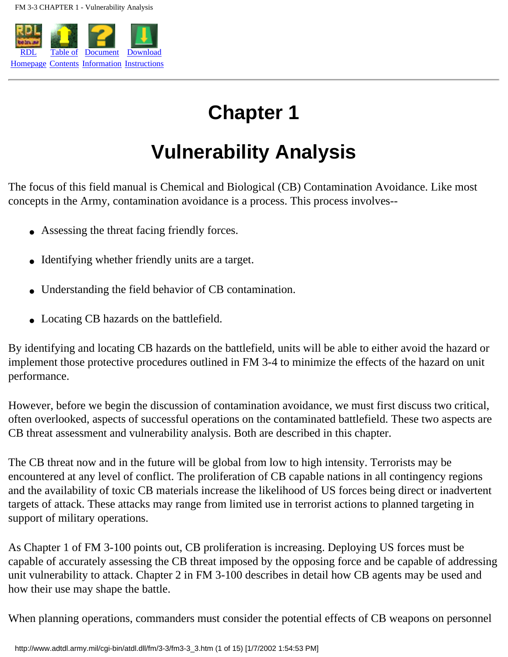

## **Chapter 1**

## **Vulnerability Analysis**

The focus of this field manual is Chemical and Biological (CB) Contamination Avoidance. Like most concepts in the Army, contamination avoidance is a process. This process involves--

- Assessing the threat facing friendly forces.
- Identifying whether friendly units are a target.
- Understanding the field behavior of CB contamination.
- Locating CB hazards on the battlefield.

By identifying and locating CB hazards on the battlefield, units will be able to either avoid the hazard or implement those protective procedures outlined in FM 3-4 to minimize the effects of the hazard on unit performance.

However, before we begin the discussion of contamination avoidance, we must first discuss two critical, often overlooked, aspects of successful operations on the contaminated battlefield. These two aspects are CB threat assessment and vulnerability analysis. Both are described in this chapter.

The CB threat now and in the future will be global from low to high intensity. Terrorists may be encountered at any level of conflict. The proliferation of CB capable nations in all contingency regions and the availability of toxic CB materials increase the likelihood of US forces being direct or inadvertent targets of attack. These attacks may range from limited use in terrorist actions to planned targeting in support of military operations.

As Chapter 1 of FM 3-100 points out, CB proliferation is increasing. Deploying US forces must be capable of accurately assessing the CB threat imposed by the opposing force and be capable of addressing unit vulnerability to attack. Chapter 2 in FM 3-100 describes in detail how CB agents may be used and how their use may shape the battle.

When planning operations, commanders must consider the potential effects of CB weapons on personnel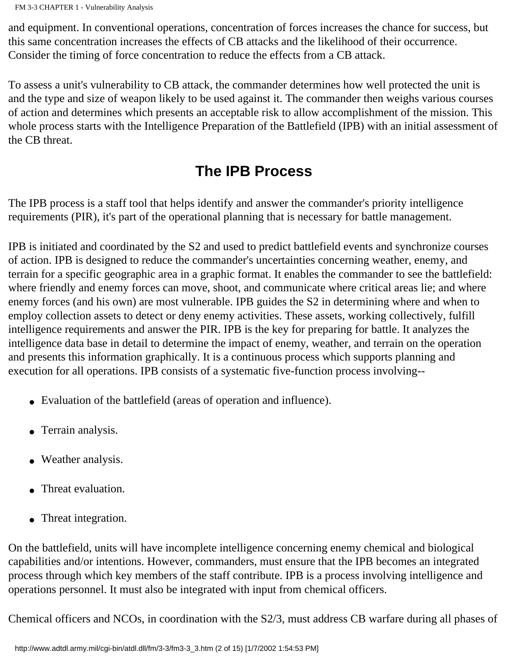and equipment. In conventional operations, concentration of forces increases the chance for success, but this same concentration increases the effects of CB attacks and the likelihood of their occurrence. Consider the timing of force concentration to reduce the effects from a CB attack.

To assess a unit's vulnerability to CB attack, the commander determines how well protected the unit is and the type and size of weapon likely to be used against it. The commander then weighs various courses of action and determines which presents an acceptable risk to allow accomplishment of the mission. This whole process starts with the Intelligence Preparation of the Battlefield (IPB) with an initial assessment of the CB threat.

## **The IPB Process**

The IPB process is a staff tool that helps identify and answer the commander's priority intelligence requirements (PIR), it's part of the operational planning that is necessary for battle management.

IPB is initiated and coordinated by the S2 and used to predict battlefield events and synchronize courses of action. IPB is designed to reduce the commander's uncertainties concerning weather, enemy, and terrain for a specific geographic area in a graphic format. It enables the commander to see the battlefield: where friendly and enemy forces can move, shoot, and communicate where critical areas lie; and where enemy forces (and his own) are most vulnerable. IPB guides the S2 in determining where and when to employ collection assets to detect or deny enemy activities. These assets, working collectively, fulfill intelligence requirements and answer the PIR. IPB is the key for preparing for battle. It analyzes the intelligence data base in detail to determine the impact of enemy, weather, and terrain on the operation and presents this information graphically. It is a continuous process which supports planning and execution for all operations. IPB consists of a systematic five-function process involving--

- Evaluation of the battlefield (areas of operation and influence).
- Terrain analysis.
- Weather analysis.
- Threat evaluation.
- Threat integration.

On the battlefield, units will have incomplete intelligence concerning enemy chemical and biological capabilities and/or intentions. However, commanders, must ensure that the IPB becomes an integrated process through which key members of the staff contribute. IPB is a process involving intelligence and operations personnel. It must also be integrated with input from chemical officers.

Chemical officers and NCOs, in coordination with the S2/3, must address CB warfare during all phases of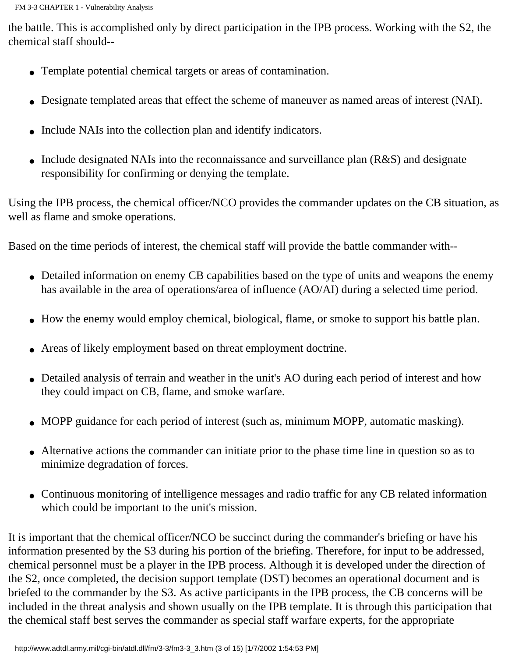the battle. This is accomplished only by direct participation in the IPB process. Working with the S2, the chemical staff should--

- Template potential chemical targets or areas of contamination.
- Designate templated areas that effect the scheme of maneuver as named areas of interest (NAI).
- Include NAIs into the collection plan and identify indicators.
- Include designated NAIs into the reconnaissance and surveillance plan (R&S) and designate responsibility for confirming or denying the template.

Using the IPB process, the chemical officer/NCO provides the commander updates on the CB situation, as well as flame and smoke operations.

Based on the time periods of interest, the chemical staff will provide the battle commander with--

- Detailed information on enemy CB capabilities based on the type of units and weapons the enemy has available in the area of operations/area of influence (AO/AI) during a selected time period.
- How the enemy would employ chemical, biological, flame, or smoke to support his battle plan.
- Areas of likely employment based on threat employment doctrine.
- Detailed analysis of terrain and weather in the unit's AO during each period of interest and how they could impact on CB, flame, and smoke warfare.
- MOPP guidance for each period of interest (such as, minimum MOPP, automatic masking).
- Alternative actions the commander can initiate prior to the phase time line in question so as to minimize degradation of forces.
- Continuous monitoring of intelligence messages and radio traffic for any CB related information which could be important to the unit's mission.

It is important that the chemical officer/NCO be succinct during the commander's briefing or have his information presented by the S3 during his portion of the briefing. Therefore, for input to be addressed, chemical personnel must be a player in the IPB process. Although it is developed under the direction of the S2, once completed, the decision support template (DST) becomes an operational document and is briefed to the commander by the S3. As active participants in the IPB process, the CB concerns will be included in the threat analysis and shown usually on the IPB template. It is through this participation that the chemical staff best serves the commander as special staff warfare experts, for the appropriate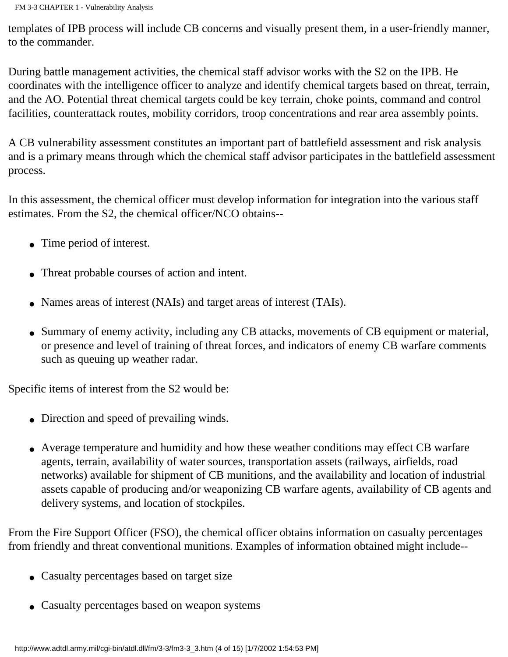templates of IPB process will include CB concerns and visually present them, in a user-friendly manner, to the commander.

During battle management activities, the chemical staff advisor works with the S2 on the IPB. He coordinates with the intelligence officer to analyze and identify chemical targets based on threat, terrain, and the AO. Potential threat chemical targets could be key terrain, choke points, command and control facilities, counterattack routes, mobility corridors, troop concentrations and rear area assembly points.

A CB vulnerability assessment constitutes an important part of battlefield assessment and risk analysis and is a primary means through which the chemical staff advisor participates in the battlefield assessment process.

In this assessment, the chemical officer must develop information for integration into the various staff estimates. From the S2, the chemical officer/NCO obtains--

- Time period of interest.
- Threat probable courses of action and intent.
- Names areas of interest (NAIs) and target areas of interest (TAIs).
- Summary of enemy activity, including any CB attacks, movements of CB equipment or material, or presence and level of training of threat forces, and indicators of enemy CB warfare comments such as queuing up weather radar.

Specific items of interest from the S2 would be:

- Direction and speed of prevailing winds.
- Average temperature and humidity and how these weather conditions may effect CB warfare agents, terrain, availability of water sources, transportation assets (railways, airfields, road networks) available for shipment of CB munitions, and the availability and location of industrial assets capable of producing and/or weaponizing CB warfare agents, availability of CB agents and delivery systems, and location of stockpiles.

From the Fire Support Officer (FSO), the chemical officer obtains information on casualty percentages from friendly and threat conventional munitions. Examples of information obtained might include--

- Casualty percentages based on target size
- Casualty percentages based on weapon systems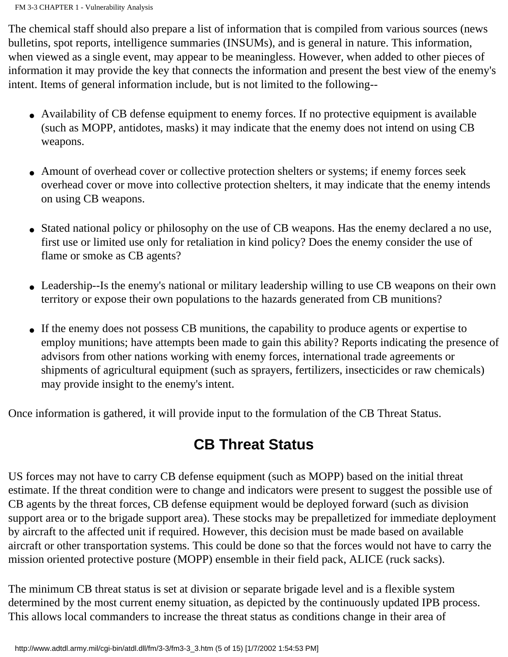The chemical staff should also prepare a list of information that is compiled from various sources (news bulletins, spot reports, intelligence summaries (INSUMs), and is general in nature. This information, when viewed as a single event, may appear to be meaningless. However, when added to other pieces of information it may provide the key that connects the information and present the best view of the enemy's intent. Items of general information include, but is not limited to the following--

- Availability of CB defense equipment to enemy forces. If no protective equipment is available (such as MOPP, antidotes, masks) it may indicate that the enemy does not intend on using CB weapons.
- Amount of overhead cover or collective protection shelters or systems; if enemy forces seek overhead cover or move into collective protection shelters, it may indicate that the enemy intends on using CB weapons.
- Stated national policy or philosophy on the use of CB weapons. Has the enemy declared a no use, first use or limited use only for retaliation in kind policy? Does the enemy consider the use of flame or smoke as CB agents?
- Leadership--Is the enemy's national or military leadership willing to use CB weapons on their own territory or expose their own populations to the hazards generated from CB munitions?
- If the enemy does not possess CB munitions, the capability to produce agents or expertise to employ munitions; have attempts been made to gain this ability? Reports indicating the presence of advisors from other nations working with enemy forces, international trade agreements or shipments of agricultural equipment (such as sprayers, fertilizers, insecticides or raw chemicals) may provide insight to the enemy's intent.

Once information is gathered, it will provide input to the formulation of the CB Threat Status.

### **CB Threat Status**

US forces may not have to carry CB defense equipment (such as MOPP) based on the initial threat estimate. If the threat condition were to change and indicators were present to suggest the possible use of CB agents by the threat forces, CB defense equipment would be deployed forward (such as division support area or to the brigade support area). These stocks may be prepalletized for immediate deployment by aircraft to the affected unit if required. However, this decision must be made based on available aircraft or other transportation systems. This could be done so that the forces would not have to carry the mission oriented protective posture (MOPP) ensemble in their field pack, ALICE (ruck sacks).

The minimum CB threat status is set at division or separate brigade level and is a flexible system determined by the most current enemy situation, as depicted by the continuously updated IPB process. This allows local commanders to increase the threat status as conditions change in their area of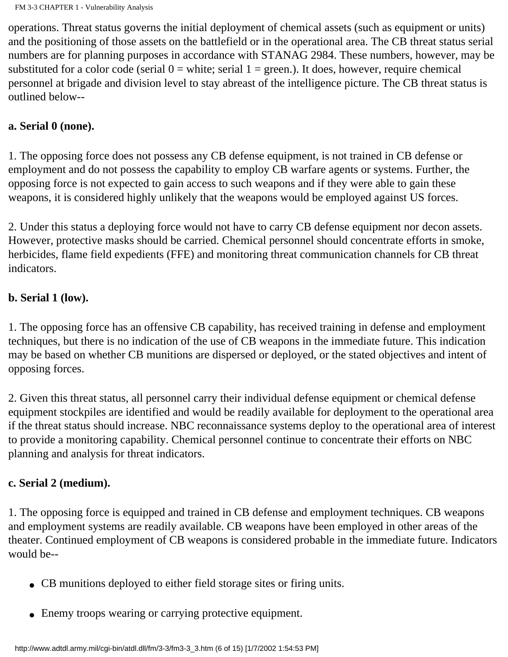operations. Threat status governs the initial deployment of chemical assets (such as equipment or units) and the positioning of those assets on the battlefield or in the operational area. The CB threat status serial numbers are for planning purposes in accordance with STANAG 2984. These numbers, however, may be substituted for a color code (serial  $0 =$  white; serial  $1 =$  green.). It does, however, require chemical personnel at brigade and division level to stay abreast of the intelligence picture. The CB threat status is outlined below--

#### **a. Serial 0 (none).**

1. The opposing force does not possess any CB defense equipment, is not trained in CB defense or employment and do not possess the capability to employ CB warfare agents or systems. Further, the opposing force is not expected to gain access to such weapons and if they were able to gain these weapons, it is considered highly unlikely that the weapons would be employed against US forces.

2. Under this status a deploying force would not have to carry CB defense equipment nor decon assets. However, protective masks should be carried. Chemical personnel should concentrate efforts in smoke, herbicides, flame field expedients (FFE) and monitoring threat communication channels for CB threat indicators.

#### **b. Serial 1 (low).**

1. The opposing force has an offensive CB capability, has received training in defense and employment techniques, but there is no indication of the use of CB weapons in the immediate future. This indication may be based on whether CB munitions are dispersed or deployed, or the stated objectives and intent of opposing forces.

2. Given this threat status, all personnel carry their individual defense equipment or chemical defense equipment stockpiles are identified and would be readily available for deployment to the operational area if the threat status should increase. NBC reconnaissance systems deploy to the operational area of interest to provide a monitoring capability. Chemical personnel continue to concentrate their efforts on NBC planning and analysis for threat indicators.

#### **c. Serial 2 (medium).**

1. The opposing force is equipped and trained in CB defense and employment techniques. CB weapons and employment systems are readily available. CB weapons have been employed in other areas of the theater. Continued employment of CB weapons is considered probable in the immediate future. Indicators would be--

- CB munitions deployed to either field storage sites or firing units.
- Enemy troops wearing or carrying protective equipment.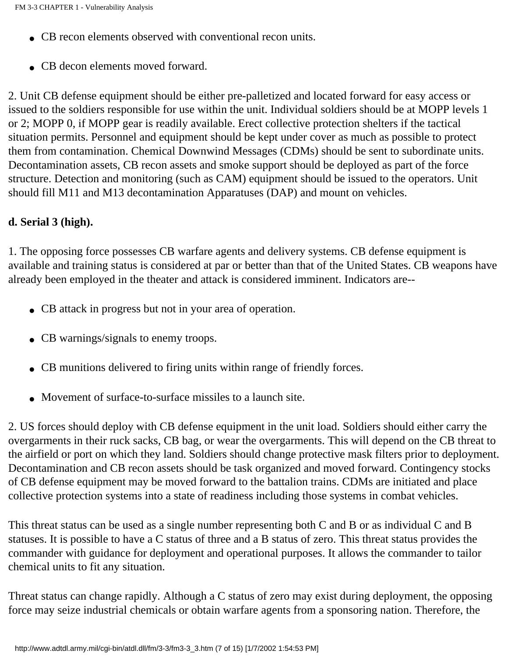- CB recon elements observed with conventional recon units.
- CB decon elements moved forward.

2. Unit CB defense equipment should be either pre-palletized and located forward for easy access or issued to the soldiers responsible for use within the unit. Individual soldiers should be at MOPP levels 1 or 2; MOPP 0, if MOPP gear is readily available. Erect collective protection shelters if the tactical situation permits. Personnel and equipment should be kept under cover as much as possible to protect them from contamination. Chemical Downwind Messages (CDMs) should be sent to subordinate units. Decontamination assets, CB recon assets and smoke support should be deployed as part of the force structure. Detection and monitoring (such as CAM) equipment should be issued to the operators. Unit should fill M11 and M13 decontamination Apparatuses (DAP) and mount on vehicles.

#### **d. Serial 3 (high).**

1. The opposing force possesses CB warfare agents and delivery systems. CB defense equipment is available and training status is considered at par or better than that of the United States. CB weapons have already been employed in the theater and attack is considered imminent. Indicators are--

- CB attack in progress but not in your area of operation.
- CB warnings/signals to enemy troops.
- CB munitions delivered to firing units within range of friendly forces.
- Movement of surface-to-surface missiles to a launch site.

2. US forces should deploy with CB defense equipment in the unit load. Soldiers should either carry the overgarments in their ruck sacks, CB bag, or wear the overgarments. This will depend on the CB threat to the airfield or port on which they land. Soldiers should change protective mask filters prior to deployment. Decontamination and CB recon assets should be task organized and moved forward. Contingency stocks of CB defense equipment may be moved forward to the battalion trains. CDMs are initiated and place collective protection systems into a state of readiness including those systems in combat vehicles.

This threat status can be used as a single number representing both C and B or as individual C and B statuses. It is possible to have a C status of three and a B status of zero. This threat status provides the commander with guidance for deployment and operational purposes. It allows the commander to tailor chemical units to fit any situation.

Threat status can change rapidly. Although a C status of zero may exist during deployment, the opposing force may seize industrial chemicals or obtain warfare agents from a sponsoring nation. Therefore, the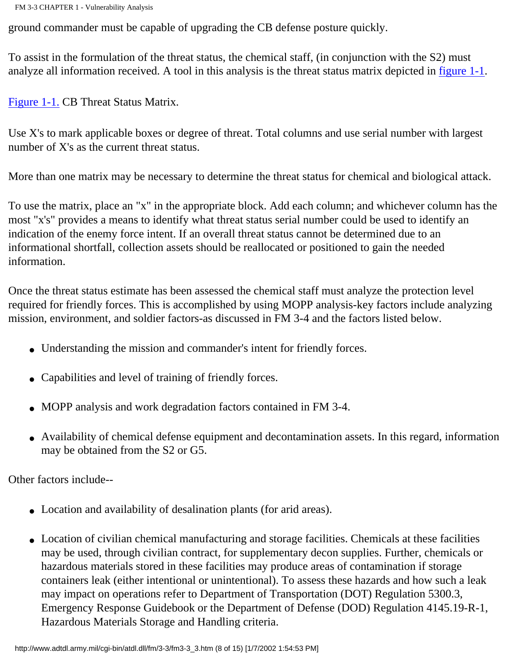ground commander must be capable of upgrading the CB defense posture quickly.

To assist in the formulation of the threat status, the chemical staff, (in conjunction with the S2) must analyze all information received. A tool in this analysis is the threat status matrix depicted in [figure 1-1](http://www.adtdl.army.mil/cgi-bin/atdl.dll/fm/3-3/fm330001.gif).

[Figure 1-1.](http://www.adtdl.army.mil/cgi-bin/atdl.dll/fm/3-3/fm330001.gif) CB Threat Status Matrix.

Use X's to mark applicable boxes or degree of threat. Total columns and use serial number with largest number of X's as the current threat status.

More than one matrix may be necessary to determine the threat status for chemical and biological attack.

To use the matrix, place an "x" in the appropriate block. Add each column; and whichever column has the most "x's" provides a means to identify what threat status serial number could be used to identify an indication of the enemy force intent. If an overall threat status cannot be determined due to an informational shortfall, collection assets should be reallocated or positioned to gain the needed information.

Once the threat status estimate has been assessed the chemical staff must analyze the protection level required for friendly forces. This is accomplished by using MOPP analysis-key factors include analyzing mission, environment, and soldier factors-as discussed in FM 3-4 and the factors listed below.

- Understanding the mission and commander's intent for friendly forces.
- Capabilities and level of training of friendly forces.
- MOPP analysis and work degradation factors contained in FM 3-4.
- Availability of chemical defense equipment and decontamination assets. In this regard, information may be obtained from the S2 or G5.

Other factors include--

- Location and availability of desalination plants (for arid areas).
- Location of civilian chemical manufacturing and storage facilities. Chemicals at these facilities may be used, through civilian contract, for supplementary decon supplies. Further, chemicals or hazardous materials stored in these facilities may produce areas of contamination if storage containers leak (either intentional or unintentional). To assess these hazards and how such a leak may impact on operations refer to Department of Transportation (DOT) Regulation 5300.3, Emergency Response Guidebook or the Department of Defense (DOD) Regulation 4145.19-R-1, Hazardous Materials Storage and Handling criteria.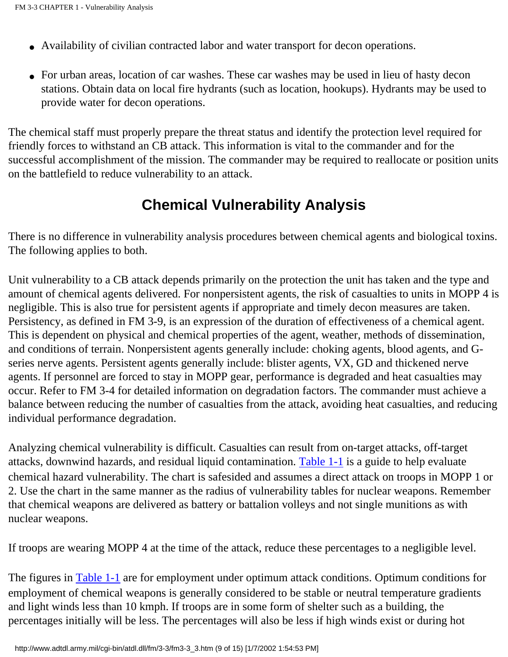- Availability of civilian contracted labor and water transport for decon operations.
- For urban areas, location of car washes. These car washes may be used in lieu of hasty decon stations. Obtain data on local fire hydrants (such as location, hookups). Hydrants may be used to provide water for decon operations.

The chemical staff must properly prepare the threat status and identify the protection level required for friendly forces to withstand an CB attack. This information is vital to the commander and for the successful accomplishment of the mission. The commander may be required to reallocate or position units on the battlefield to reduce vulnerability to an attack.

### **Chemical Vulnerability Analysis**

There is no difference in vulnerability analysis procedures between chemical agents and biological toxins. The following applies to both.

Unit vulnerability to a CB attack depends primarily on the protection the unit has taken and the type and amount of chemical agents delivered. For nonpersistent agents, the risk of casualties to units in MOPP 4 is negligible. This is also true for persistent agents if appropriate and timely decon measures are taken. Persistency, as defined in FM 3-9, is an expression of the duration of effectiveness of a chemical agent. This is dependent on physical and chemical properties of the agent, weather, methods of dissemination, and conditions of terrain. Nonpersistent agents generally include: choking agents, blood agents, and Gseries nerve agents. Persistent agents generally include: blister agents, VX, GD and thickened nerve agents. If personnel are forced to stay in MOPP gear, performance is degraded and heat casualties may occur. Refer to FM 3-4 for detailed information on degradation factors. The commander must achieve a balance between reducing the number of casualties from the attack, avoiding heat casualties, and reducing individual performance degradation.

Analyzing chemical vulnerability is difficult. Casualties can result from on-target attacks, off-target attacks, downwind hazards, and residual liquid contamination. [Table 1-1](http://www.adtdl.army.mil/cgi-bin/atdl.dll/fm/3-3/fm330002.gif) is a guide to help evaluate chemical hazard vulnerability. The chart is safesided and assumes a direct attack on troops in MOPP 1 or 2. Use the chart in the same manner as the radius of vulnerability tables for nuclear weapons. Remember that chemical weapons are delivered as battery or battalion volleys and not single munitions as with nuclear weapons.

If troops are wearing MOPP 4 at the time of the attack, reduce these percentages to a negligible level.

The figures in [Table 1-1](http://www.adtdl.army.mil/cgi-bin/atdl.dll/fm/3-3/fm330002.gif) are for employment under optimum attack conditions. Optimum conditions for employment of chemical weapons is generally considered to be stable or neutral temperature gradients and light winds less than 10 kmph. If troops are in some form of shelter such as a building, the percentages initially will be less. The percentages will also be less if high winds exist or during hot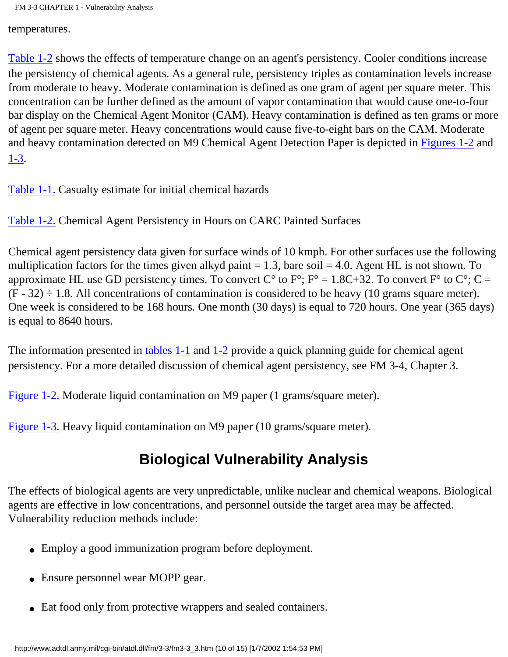temperatures.

[Table 1-2](http://www.adtdl.army.mil/cgi-bin/atdl.dll/fm/3-3/fm330003.gif) shows the effects of temperature change on an agent's persistency. Cooler conditions increase the persistency of chemical agents. As a general rule, persistency triples as contamination levels increase from moderate to heavy. Moderate contamination is defined as one gram of agent per square meter. This concentration can be further defined as the amount of vapor contamination that would cause one-to-four bar display on the Chemical Agent Monitor (CAM). Heavy contamination is defined as ten grams or more of agent per square meter. Heavy concentrations would cause five-to-eight bars on the CAM. Moderate and heavy contamination detected on M9 Chemical Agent Detection Paper is depicted in [Figures 1-2](http://www.adtdl.army.mil/cgi-bin/atdl.dll/fm/3-3/fm330004.gif) and [1-3](http://www.adtdl.army.mil/cgi-bin/atdl.dll/fm/3-3/fm330005.gif).

[Table 1-1.](http://www.adtdl.army.mil/cgi-bin/atdl.dll/fm/3-3/fm330002.gif) Casualty estimate for initial chemical hazards

[Table 1-2.](http://www.adtdl.army.mil/cgi-bin/atdl.dll/fm/3-3/fm330003.gif) Chemical Agent Persistency in Hours on CARC Painted Surfaces

Chemical agent persistency data given for surface winds of 10 kmph. For other surfaces use the following multiplication factors for the times given alkyd paint  $= 1.3$ , bare soil  $= 4.0$ . Agent HL is not shown. To approximate HL use GD persistency times. To convert  $C^{\circ}$  to  $F^{\circ}$ ;  $F^{\circ} = 1.8C + 32$ . To convert  $F^{\circ}$  to  $C^{\circ}$ ;  $C =$  $(F - 32) \div 1.8$ . All concentrations of contamination is considered to be heavy (10 grams square meter). One week is considered to be 168 hours. One month (30 days) is equal to 720 hours. One year (365 days) is equal to 8640 hours.

The information presented in [tables 1-1](http://www.adtdl.army.mil/cgi-bin/atdl.dll/fm/3-3/fm330002.gif) and [1-2](http://www.adtdl.army.mil/cgi-bin/atdl.dll/fm/3-3/fm330003.gif) provide a quick planning guide for chemical agent persistency. For a more detailed discussion of chemical agent persistency, see FM 3-4, Chapter 3.

[Figure 1-2.](http://www.adtdl.army.mil/cgi-bin/atdl.dll/fm/3-3/fm330004.gif) Moderate liquid contamination on M9 paper (1 grams/square meter).

[Figure 1-3.](http://www.adtdl.army.mil/cgi-bin/atdl.dll/fm/3-3/fm330005.gif) Heavy liquid contamination on M9 paper (10 grams/square meter).

## **Biological Vulnerability Analysis**

The effects of biological agents are very unpredictable, unlike nuclear and chemical weapons. Biological agents are effective in low concentrations, and personnel outside the target area may be affected. Vulnerability reduction methods include:

- Employ a good immunization program before deployment.
- Ensure personnel wear MOPP gear.
- Eat food only from protective wrappers and sealed containers.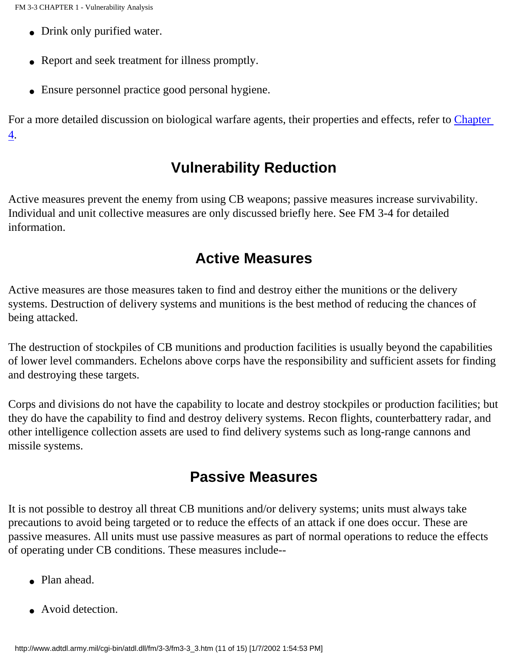- Drink only purified water.
- Report and seek treatment for illness promptly.
- Ensure personnel practice good personal hygiene.

For a more detailed discussion on biological warfare agents, their properties and effects, refer to Chapter 4.

### **Vulnerability Reduction**

Active measures prevent the enemy from using CB weapons; passive measures increase survivability. Individual and unit collective measures are only discussed briefly here. See FM 3-4 for detailed information.

### **Active Measures**

Active measures are those measures taken to find and destroy either the munitions or the delivery systems. Destruction of delivery systems and munitions is the best method of reducing the chances of being attacked.

The destruction of stockpiles of CB munitions and production facilities is usually beyond the capabilities of lower level commanders. Echelons above corps have the responsibility and sufficient assets for finding and destroying these targets.

Corps and divisions do not have the capability to locate and destroy stockpiles or production facilities; but they do have the capability to find and destroy delivery systems. Recon flights, counterbattery radar, and other intelligence collection assets are used to find delivery systems such as long-range cannons and missile systems.

## **Passive Measures**

It is not possible to destroy all threat CB munitions and/or delivery systems; units must always take precautions to avoid being targeted or to reduce the effects of an attack if one does occur. These are passive measures. All units must use passive measures as part of normal operations to reduce the effects of operating under CB conditions. These measures include--

- Plan ahead.
- Avoid detection.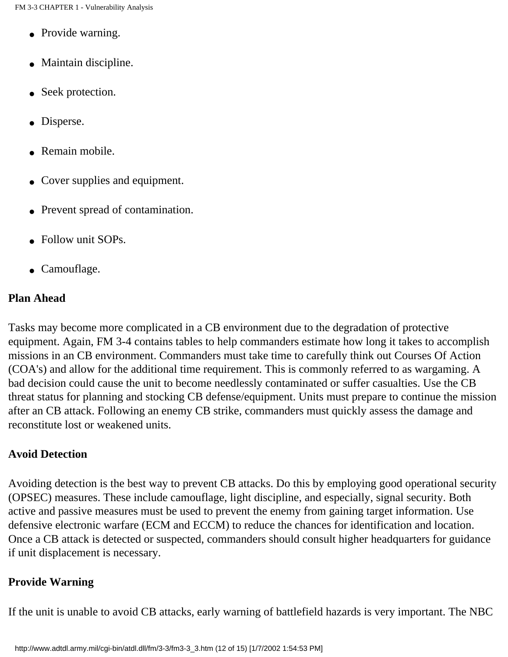- Provide warning.
- Maintain discipline.
- Seek protection.
- Disperse.
- Remain mobile.
- Cover supplies and equipment.
- Prevent spread of contamination.
- Follow unit SOPs.
- Camouflage.

#### **Plan Ahead**

Tasks may become more complicated in a CB environment due to the degradation of protective equipment. Again, FM 3-4 contains tables to help commanders estimate how long it takes to accomplish missions in an CB environment. Commanders must take time to carefully think out Courses Of Action (COA's) and allow for the additional time requirement. This is commonly referred to as wargaming. A bad decision could cause the unit to become needlessly contaminated or suffer casualties. Use the CB threat status for planning and stocking CB defense/equipment. Units must prepare to continue the mission after an CB attack. Following an enemy CB strike, commanders must quickly assess the damage and reconstitute lost or weakened units.

#### **Avoid Detection**

Avoiding detection is the best way to prevent CB attacks. Do this by employing good operational security (OPSEC) measures. These include camouflage, light discipline, and especially, signal security. Both active and passive measures must be used to prevent the enemy from gaining target information. Use defensive electronic warfare (ECM and ECCM) to reduce the chances for identification and location. Once a CB attack is detected or suspected, commanders should consult higher headquarters for guidance if unit displacement is necessary.

#### **Provide Warning**

If the unit is unable to avoid CB attacks, early warning of battlefield hazards is very important. The NBC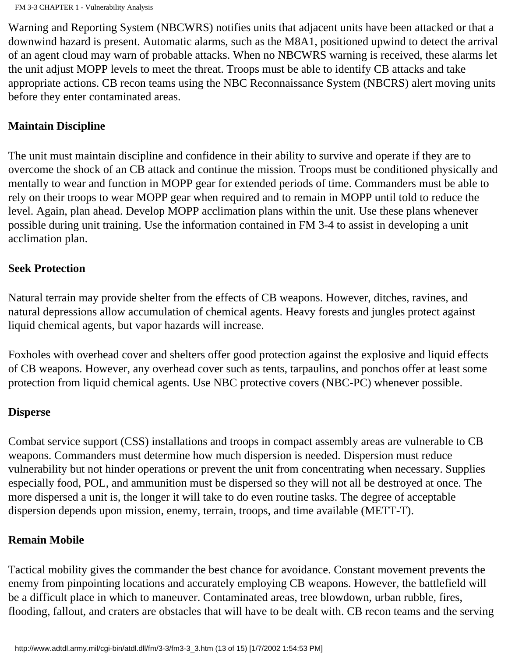Warning and Reporting System (NBCWRS) notifies units that adjacent units have been attacked or that a downwind hazard is present. Automatic alarms, such as the M8A1, positioned upwind to detect the arrival of an agent cloud may warn of probable attacks. When no NBCWRS warning is received, these alarms let the unit adjust MOPP levels to meet the threat. Troops must be able to identify CB attacks and take appropriate actions. CB recon teams using the NBC Reconnaissance System (NBCRS) alert moving units before they enter contaminated areas.

#### **Maintain Discipline**

The unit must maintain discipline and confidence in their ability to survive and operate if they are to overcome the shock of an CB attack and continue the mission. Troops must be conditioned physically and mentally to wear and function in MOPP gear for extended periods of time. Commanders must be able to rely on their troops to wear MOPP gear when required and to remain in MOPP until told to reduce the level. Again, plan ahead. Develop MOPP acclimation plans within the unit. Use these plans whenever possible during unit training. Use the information contained in FM 3-4 to assist in developing a unit acclimation plan.

#### **Seek Protection**

Natural terrain may provide shelter from the effects of CB weapons. However, ditches, ravines, and natural depressions allow accumulation of chemical agents. Heavy forests and jungles protect against liquid chemical agents, but vapor hazards will increase.

Foxholes with overhead cover and shelters offer good protection against the explosive and liquid effects of CB weapons. However, any overhead cover such as tents, tarpaulins, and ponchos offer at least some protection from liquid chemical agents. Use NBC protective covers (NBC-PC) whenever possible.

#### **Disperse**

Combat service support (CSS) installations and troops in compact assembly areas are vulnerable to CB weapons. Commanders must determine how much dispersion is needed. Dispersion must reduce vulnerability but not hinder operations or prevent the unit from concentrating when necessary. Supplies especially food, POL, and ammunition must be dispersed so they will not all be destroyed at once. The more dispersed a unit is, the longer it will take to do even routine tasks. The degree of acceptable dispersion depends upon mission, enemy, terrain, troops, and time available (METT-T).

#### **Remain Mobile**

Tactical mobility gives the commander the best chance for avoidance. Constant movement prevents the enemy from pinpointing locations and accurately employing CB weapons. However, the battlefield will be a difficult place in which to maneuver. Contaminated areas, tree blowdown, urban rubble, fires, flooding, fallout, and craters are obstacles that will have to be dealt with. CB recon teams and the serving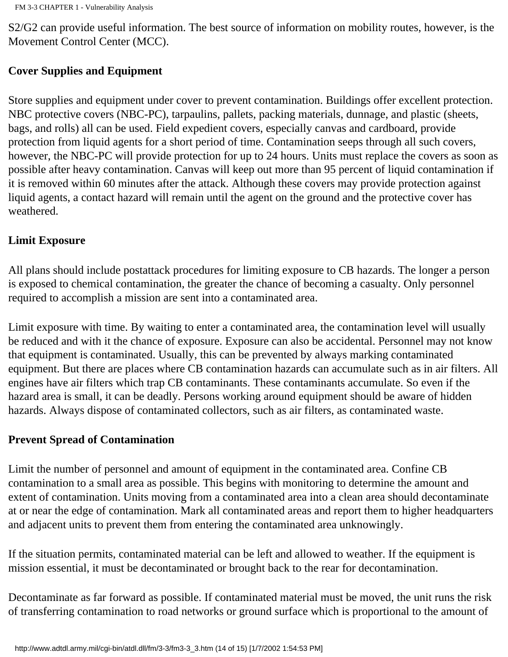S2/G2 can provide useful information. The best source of information on mobility routes, however, is the Movement Control Center (MCC).

#### **Cover Supplies and Equipment**

Store supplies and equipment under cover to prevent contamination. Buildings offer excellent protection. NBC protective covers (NBC-PC), tarpaulins, pallets, packing materials, dunnage, and plastic (sheets, bags, and rolls) all can be used. Field expedient covers, especially canvas and cardboard, provide protection from liquid agents for a short period of time. Contamination seeps through all such covers, however, the NBC-PC will provide protection for up to 24 hours. Units must replace the covers as soon as possible after heavy contamination. Canvas will keep out more than 95 percent of liquid contamination if it is removed within 60 minutes after the attack. Although these covers may provide protection against liquid agents, a contact hazard will remain until the agent on the ground and the protective cover has weathered.

#### **Limit Exposure**

All plans should include postattack procedures for limiting exposure to CB hazards. The longer a person is exposed to chemical contamination, the greater the chance of becoming a casualty. Only personnel required to accomplish a mission are sent into a contaminated area.

Limit exposure with time. By waiting to enter a contaminated area, the contamination level will usually be reduced and with it the chance of exposure. Exposure can also be accidental. Personnel may not know that equipment is contaminated. Usually, this can be prevented by always marking contaminated equipment. But there are places where CB contamination hazards can accumulate such as in air filters. All engines have air filters which trap CB contaminants. These contaminants accumulate. So even if the hazard area is small, it can be deadly. Persons working around equipment should be aware of hidden hazards. Always dispose of contaminated collectors, such as air filters, as contaminated waste.

#### **Prevent Spread of Contamination**

Limit the number of personnel and amount of equipment in the contaminated area. Confine CB contamination to a small area as possible. This begins with monitoring to determine the amount and extent of contamination. Units moving from a contaminated area into a clean area should decontaminate at or near the edge of contamination. Mark all contaminated areas and report them to higher headquarters and adjacent units to prevent them from entering the contaminated area unknowingly.

If the situation permits, contaminated material can be left and allowed to weather. If the equipment is mission essential, it must be decontaminated or brought back to the rear for decontamination.

Decontaminate as far forward as possible. If contaminated material must be moved, the unit runs the risk of transferring contamination to road networks or ground surface which is proportional to the amount of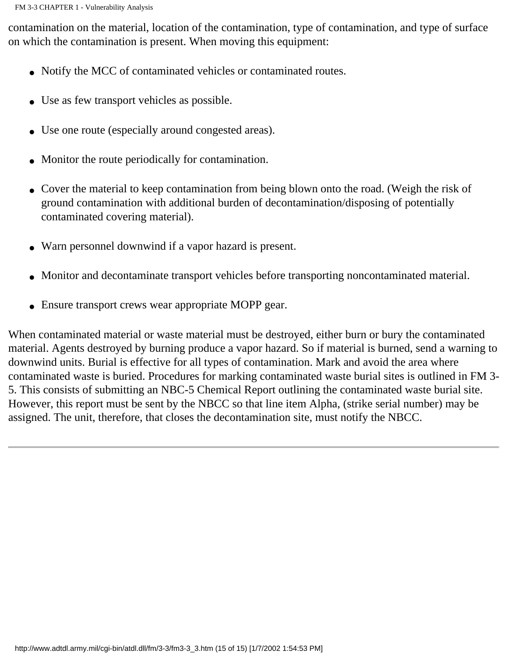contamination on the material, location of the contamination, type of contamination, and type of surface on which the contamination is present. When moving this equipment:

- Notify the MCC of contaminated vehicles or contaminated routes.
- Use as few transport vehicles as possible.
- Use one route (especially around congested areas).
- Monitor the route periodically for contamination.
- Cover the material to keep contamination from being blown onto the road. (Weigh the risk of ground contamination with additional burden of decontamination/disposing of potentially contaminated covering material).
- Warn personnel downwind if a vapor hazard is present.
- Monitor and decontaminate transport vehicles before transporting noncontaminated material.
- Ensure transport crews wear appropriate MOPP gear.

When contaminated material or waste material must be destroyed, either burn or bury the contaminated material. Agents destroyed by burning produce a vapor hazard. So if material is burned, send a warning to downwind units. Burial is effective for all types of contamination. Mark and avoid the area where contaminated waste is buried. Procedures for marking contaminated waste burial sites is outlined in FM 3- 5. This consists of submitting an NBC-5 Chemical Report outlining the contaminated waste burial site. However, this report must be sent by the NBCC so that line item Alpha, (strike serial number) may be assigned. The unit, therefore, that closes the decontamination site, must notify the NBCC.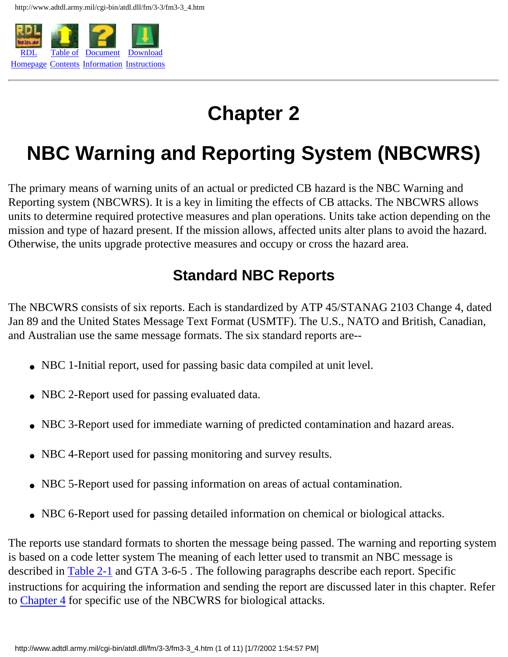

## **Chapter 2**

## <span id="page-31-0"></span>**NBC Warning and Reporting System (NBCWRS)**

The primary means of warning units of an actual or predicted CB hazard is the NBC Warning and Reporting system (NBCWRS). It is a key in limiting the effects of CB attacks. The NBCWRS allows units to determine required protective measures and plan operations. Units take action depending on the mission and type of hazard present. If the mission allows, affected units alter plans to avoid the hazard. Otherwise, the units upgrade protective measures and occupy or cross the hazard area.

## **Standard NBC Reports**

<span id="page-31-1"></span>The NBCWRS consists of six reports. Each is standardized by ATP 45/STANAG 2103 Change 4, dated Jan 89 and the United States Message Text Format (USMTF). The U.S., NATO and British, Canadian, and Australian use the same message formats. The six standard reports are--

- NBC 1-Initial report, used for passing basic data compiled at unit level.
- NBC 2-Report used for passing evaluated data.
- NBC 3-Report used for immediate warning of predicted contamination and hazard areas.
- NBC 4-Report used for passing monitoring and survey results.
- NBC 5-Report used for passing information on areas of actual contamination.
- NBC 6-Report used for passing detailed information on chemical or biological attacks.

<span id="page-31-2"></span>The reports use standard formats to shorten the message being passed. The warning and reporting system is based on a code letter system The meaning of each letter used to transmit an NBC message is described in [Table 2-1](http://www.adtdl.army.mil/cgi-bin/atdl.dll/fm/3-3/fm330006.gif) and GTA 3-6-5 . The following paragraphs describe each report. Specific instructions for acquiring the information and sending the report are discussed later in this chapter. Refer to Chapter 4 for specific use of the NBCWRS for biological attacks.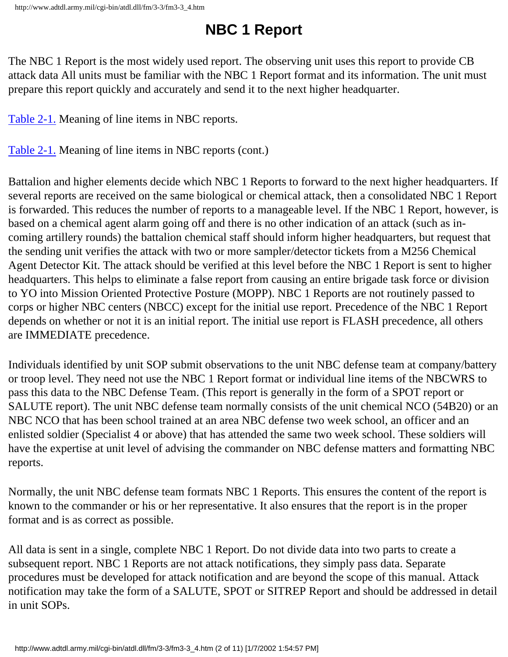## **NBC 1 Report**

The NBC 1 Report is the most widely used report. The observing unit uses this report to provide CB attack data All units must be familiar with the NBC 1 Report format and its information. The unit must prepare this report quickly and accurately and send it to the next higher headquarter.

[Table 2-1.](http://www.adtdl.army.mil/cgi-bin/atdl.dll/fm/3-3/fm330006.gif) Meaning of line items in NBC reports.

[Table 2-1.](http://www.adtdl.army.mil/cgi-bin/atdl.dll/fm/3-3/fm330007.gif) Meaning of line items in NBC reports (cont.)

Battalion and higher elements decide which NBC 1 Reports to forward to the next higher headquarters. If several reports are received on the same biological or chemical attack, then a consolidated NBC 1 Report is forwarded. This reduces the number of reports to a manageable level. If the NBC 1 Report, however, is based on a chemical agent alarm going off and there is no other indication of an attack (such as incoming artillery rounds) the battalion chemical staff should inform higher headquarters, but request that the sending unit verifies the attack with two or more sampler/detector tickets from a M256 Chemical Agent Detector Kit. The attack should be verified at this level before the NBC 1 Report is sent to higher headquarters. This helps to eliminate a false report from causing an entire brigade task force or division to YO into Mission Oriented Protective Posture (MOPP). NBC 1 Reports are not routinely passed to corps or higher NBC centers (NBCC) except for the initial use report. Precedence of the NBC 1 Report depends on whether or not it is an initial report. The initial use report is FLASH precedence, all others are IMMEDIATE precedence.

Individuals identified by unit SOP submit observations to the unit NBC defense team at company/battery or troop level. They need not use the NBC 1 Report format or individual line items of the NBCWRS to pass this data to the NBC Defense Team. (This report is generally in the form of a SPOT report or SALUTE report). The unit NBC defense team normally consists of the unit chemical NCO (54B20) or an NBC NCO that has been school trained at an area NBC defense two week school, an officer and an enlisted soldier (Specialist 4 or above) that has attended the same two week school. These soldiers will have the expertise at unit level of advising the commander on NBC defense matters and formatting NBC reports.

Normally, the unit NBC defense team formats NBC 1 Reports. This ensures the content of the report is known to the commander or his or her representative. It also ensures that the report is in the proper format and is as correct as possible.

<span id="page-32-0"></span>All data is sent in a single, complete NBC 1 Report. Do not divide data into two parts to create a subsequent report. NBC 1 Reports are not attack notifications, they simply pass data. Separate procedures must be developed for attack notification and are beyond the scope of this manual. Attack notification may take the form of a SALUTE, SPOT or SITREP Report and should be addressed in detail in unit SOPs.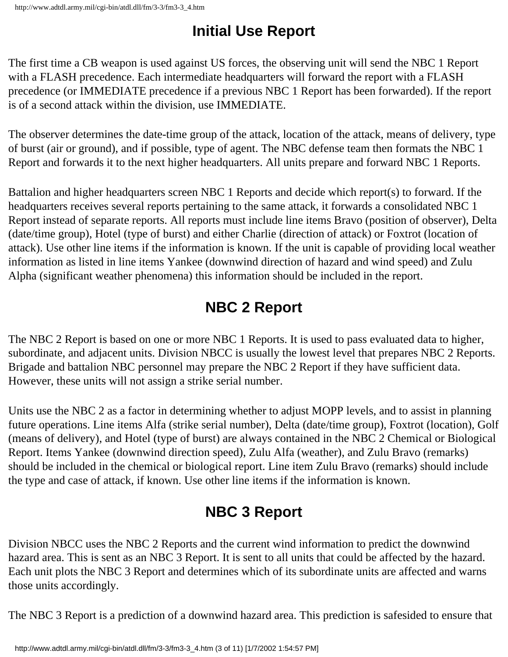## **Initial Use Report**

The first time a CB weapon is used against US forces, the observing unit will send the NBC 1 Report with a FLASH precedence. Each intermediate headquarters will forward the report with a FLASH precedence (or IMMEDIATE precedence if a previous NBC 1 Report has been forwarded). If the report is of a second attack within the division, use IMMEDIATE.

The observer determines the date-time group of the attack, location of the attack, means of delivery, type of burst (air or ground), and if possible, type of agent. The NBC defense team then formats the NBC 1 Report and forwards it to the next higher headquarters. All units prepare and forward NBC 1 Reports.

Battalion and higher headquarters screen NBC 1 Reports and decide which report(s) to forward. If the headquarters receives several reports pertaining to the same attack, it forwards a consolidated NBC 1 Report instead of separate reports. All reports must include line items Bravo (position of observer), Delta (date/time group), Hotel (type of burst) and either Charlie (direction of attack) or Foxtrot (location of attack). Use other line items if the information is known. If the unit is capable of providing local weather information as listed in line items Yankee (downwind direction of hazard and wind speed) and Zulu Alpha (significant weather phenomena) this information should be included in the report.

## **NBC 2 Report**

<span id="page-33-0"></span>The NBC 2 Report is based on one or more NBC 1 Reports. It is used to pass evaluated data to higher, subordinate, and adjacent units. Division NBCC is usually the lowest level that prepares NBC 2 Reports. Brigade and battalion NBC personnel may prepare the NBC 2 Report if they have sufficient data. However, these units will not assign a strike serial number.

Units use the NBC 2 as a factor in determining whether to adjust MOPP levels, and to assist in planning future operations. Line items Alfa (strike serial number), Delta (date/time group), Foxtrot (location), Golf (means of delivery), and Hotel (type of burst) are always contained in the NBC 2 Chemical or Biological Report. Items Yankee (downwind direction speed), Zulu Alfa (weather), and Zulu Bravo (remarks) should be included in the chemical or biological report. Line item Zulu Bravo (remarks) should include the type and case of attack, if known. Use other line items if the information is known.

## **NBC 3 Report**

<span id="page-33-1"></span>Division NBCC uses the NBC 2 Reports and the current wind information to predict the downwind hazard area. This is sent as an NBC 3 Report. It is sent to all units that could be affected by the hazard. Each unit plots the NBC 3 Report and determines which of its subordinate units are affected and warns those units accordingly.

The NBC 3 Report is a prediction of a downwind hazard area. This prediction is safesided to ensure that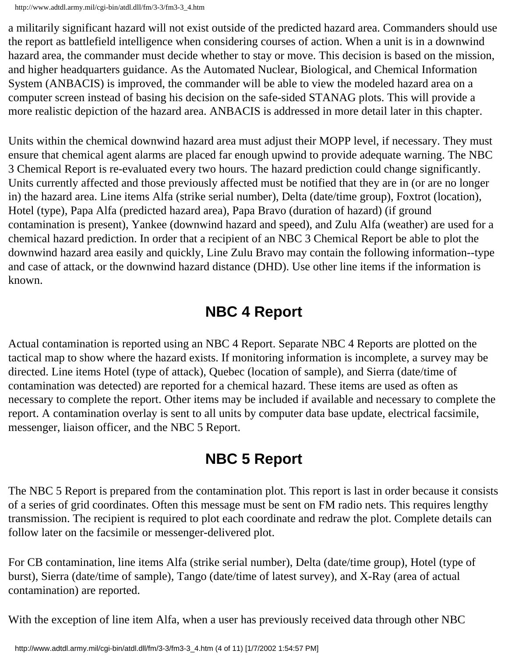http://www.adtdl.army.mil/cgi-bin/atdl.dll/fm/3-3/fm3-3\_4.htm

a militarily significant hazard will not exist outside of the predicted hazard area. Commanders should use the report as battlefield intelligence when considering courses of action. When a unit is in a downwind hazard area, the commander must decide whether to stay or move. This decision is based on the mission, and higher headquarters guidance. As the Automated Nuclear, Biological, and Chemical Information System (ANBACIS) is improved, the commander will be able to view the modeled hazard area on a computer screen instead of basing his decision on the safe-sided STANAG plots. This will provide a more realistic depiction of the hazard area. ANBACIS is addressed in more detail later in this chapter.

Units within the chemical downwind hazard area must adjust their MOPP level, if necessary. They must ensure that chemical agent alarms are placed far enough upwind to provide adequate warning. The NBC 3 Chemical Report is re-evaluated every two hours. The hazard prediction could change significantly. Units currently affected and those previously affected must be notified that they are in (or are no longer in) the hazard area. Line items Alfa (strike serial number), Delta (date/time group), Foxtrot (location), Hotel (type), Papa Alfa (predicted hazard area), Papa Bravo (duration of hazard) (if ground contamination is present), Yankee (downwind hazard and speed), and Zulu Alfa (weather) are used for a chemical hazard prediction. In order that a recipient of an NBC 3 Chemical Report be able to plot the downwind hazard area easily and quickly, Line Zulu Bravo may contain the following information--type and case of attack, or the downwind hazard distance (DHD). Use other line items if the information is known.

## **NBC 4 Report**

<span id="page-34-0"></span>Actual contamination is reported using an NBC 4 Report. Separate NBC 4 Reports are plotted on the tactical map to show where the hazard exists. If monitoring information is incomplete, a survey may be directed. Line items Hotel (type of attack), Quebec (location of sample), and Sierra (date/time of contamination was detected) are reported for a chemical hazard. These items are used as often as necessary to complete the report. Other items may be included if available and necessary to complete the report. A contamination overlay is sent to all units by computer data base update, electrical facsimile, messenger, liaison officer, and the NBC 5 Report.

## **NBC 5 Report**

<span id="page-34-1"></span>The NBC 5 Report is prepared from the contamination plot. This report is last in order because it consists of a series of grid coordinates. Often this message must be sent on FM radio nets. This requires lengthy transmission. The recipient is required to plot each coordinate and redraw the plot. Complete details can follow later on the facsimile or messenger-delivered plot.

For CB contamination, line items Alfa (strike serial number), Delta (date/time group), Hotel (type of burst), Sierra (date/time of sample), Tango (date/time of latest survey), and X-Ray (area of actual contamination) are reported.

With the exception of line item Alfa, when a user has previously received data through other NBC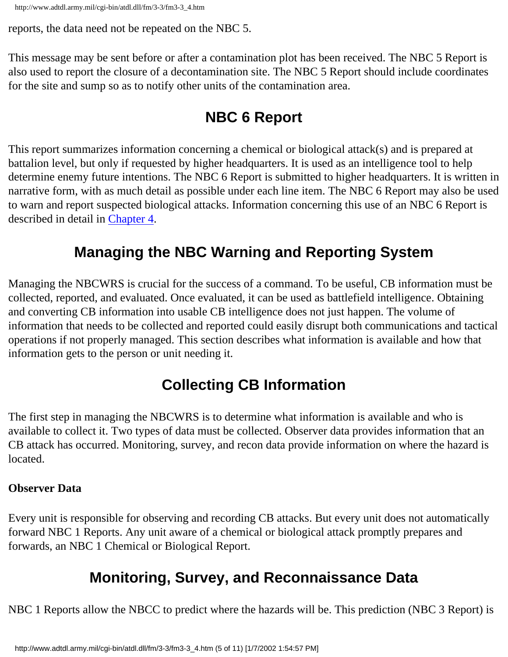```
http://www.adtdl.army.mil/cgi-bin/atdl.dll/fm/3-3/fm3-3_4.htm
```
reports, the data need not be repeated on the NBC 5.

<span id="page-35-0"></span>This message may be sent before or after a contamination plot has been received. The NBC 5 Report is also used to report the closure of a decontamination site. The NBC 5 Report should include coordinates for the site and sump so as to notify other units of the contamination area.

## **NBC 6 Report**

This report summarizes information concerning a chemical or biological attack(s) and is prepared at battalion level, but only if requested by higher headquarters. It is used as an intelligence tool to help determine enemy future intentions. The NBC 6 Report is submitted to higher headquarters. It is written in narrative form, with as much detail as possible under each line item. The NBC 6 Report may also be used to warn and report suspected biological attacks. Information concerning this use of an NBC 6 Report is described in detail in Chapter 4.

## **Managing the NBC Warning and Reporting System**

<span id="page-35-1"></span>Managing the NBCWRS is crucial for the success of a command. To be useful, CB information must be collected, reported, and evaluated. Once evaluated, it can be used as battlefield intelligence. Obtaining and converting CB information into usable CB intelligence does not just happen. The volume of information that needs to be collected and reported could easily disrupt both communications and tactical operations if not properly managed. This section describes what information is available and how that information gets to the person or unit needing it.

## **Collecting CB Information**

<span id="page-35-2"></span>The first step in managing the NBCWRS is to determine what information is available and who is available to collect it. Two types of data must be collected. Observer data provides information that an CB attack has occurred. Monitoring, survey, and recon data provide information on where the hazard is located.

#### **Observer Data**

<span id="page-35-3"></span>Every unit is responsible for observing and recording CB attacks. But every unit does not automatically forward NBC 1 Reports. Any unit aware of a chemical or biological attack promptly prepares and forwards, an NBC 1 Chemical or Biological Report.

## **Monitoring, Survey, and Reconnaissance Data**

NBC 1 Reports allow the NBCC to predict where the hazards will be. This prediction (NBC 3 Report) is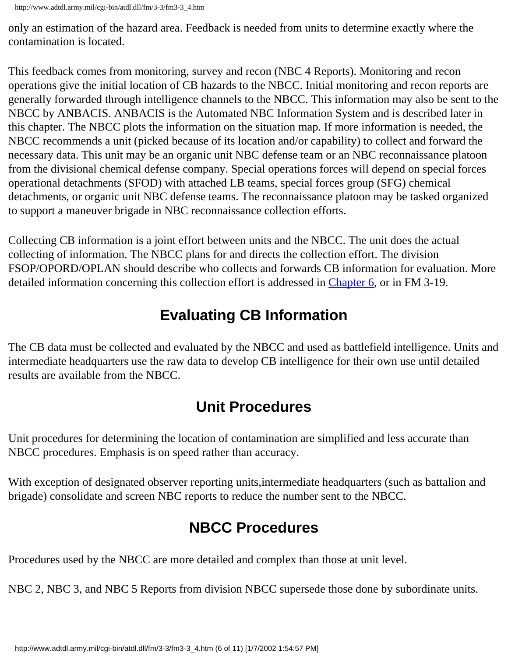only an estimation of the hazard area. Feedback is needed from units to determine exactly where the contamination is located.

This feedback comes from monitoring, survey and recon (NBC 4 Reports). Monitoring and recon operations give the initial location of CB hazards to the NBCC. Initial monitoring and recon reports are generally forwarded through intelligence channels to the NBCC. This information may also be sent to the NBCC by ANBACIS. ANBACIS is the Automated NBC Information System and is described later in this chapter. The NBCC plots the information on the situation map. If more information is needed, the NBCC recommends a unit (picked because of its location and/or capability) to collect and forward the necessary data. This unit may be an organic unit NBC defense team or an NBC reconnaissance platoon from the divisional chemical defense company. Special operations forces will depend on special forces operational detachments (SFOD) with attached LB teams, special forces group (SFG) chemical detachments, or organic unit NBC defense teams. The reconnaissance platoon may be tasked organized to support a maneuver brigade in NBC reconnaissance collection efforts.

Collecting CB information is a joint effort between units and the NBCC. The unit does the actual collecting of information. The NBCC plans for and directs the collection effort. The division FSOP/OPORD/OPLAN should describe who collects and forwards CB information for evaluation. More detailed information concerning this collection effort is addressed in Chapter 6, or in FM 3-19.

# **Evaluating CB Information**

The CB data must be collected and evaluated by the NBCC and used as battlefield intelligence. Units and intermediate headquarters use the raw data to develop CB intelligence for their own use until detailed results are available from the NBCC.

# **Unit Procedures**

Unit procedures for determining the location of contamination are simplified and less accurate than NBCC procedures. Emphasis is on speed rather than accuracy.

With exception of designated observer reporting units,intermediate headquarters (such as battalion and brigade) consolidate and screen NBC reports to reduce the number sent to the NBCC.

# **NBCC Procedures**

Procedures used by the NBCC are more detailed and complex than those at unit level.

NBC 2, NBC 3, and NBC 5 Reports from division NBCC supersede those done by subordinate units.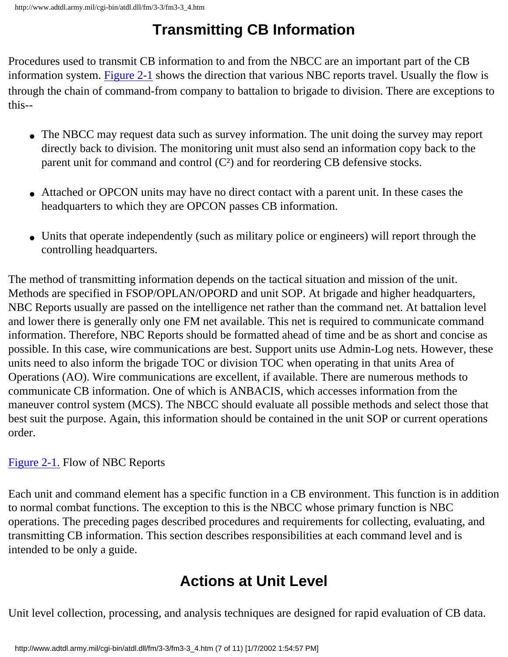# **Transmitting CB Information**

Procedures used to transmit CB information to and from the NBCC are an important part of the CB information system. [Figure 2-1](http://www.adtdl.army.mil/cgi-bin/atdl.dll/fm/3-3/fm330008.gif) shows the direction that various NBC reports travel. Usually the flow is through the chain of command-from company to battalion to brigade to division. There are exceptions to this--

- The NBCC may request data such as survey information. The unit doing the survey may report directly back to division. The monitoring unit must also send an information copy back to the parent unit for command and control  $(C<sup>2</sup>)$  and for reordering CB defensive stocks.
- Attached or OPCON units may have no direct contact with a parent unit. In these cases the headquarters to which they are OPCON passes CB information.
- Units that operate independently (such as military police or engineers) will report through the controlling headquarters.

The method of transmitting information depends on the tactical situation and mission of the unit. Methods are specified in FSOP/OPLAN/OPORD and unit SOP. At brigade and higher headquarters, NBC Reports usually are passed on the intelligence net rather than the command net. At battalion level and lower there is generally only one FM net available. This net is required to communicate command information. Therefore, NBC Reports should be formatted ahead of time and be as short and concise as possible. In this case, wire communications are best. Support units use Admin-Log nets. However, these units need to also inform the brigade TOC or division TOC when operating in that units Area of Operations (AO). Wire communications are excellent, if available. There are numerous methods to communicate CB information. One of which is ANBACIS, which accesses information from the maneuver control system (MCS). The NBCC should evaluate all possible methods and select those that best suit the purpose. Again, this information should be contained in the unit SOP or current operations order.

#### [Figure 2-1.](http://www.adtdl.army.mil/cgi-bin/atdl.dll/fm/3-3/fm330008.gif) Flow of NBC Reports

Each unit and command element has a specific function in a CB environment. This function is in addition to normal combat functions. The exception to this is the NBCC whose primary function is NBC operations. The preceding pages described procedures and requirements for collecting, evaluating, and transmitting CB information. This section describes responsibilities at each command level and is intended to be only a guide.

# **Actions at Unit Level**

Unit level collection, processing, and analysis techniques are designed for rapid evaluation of CB data.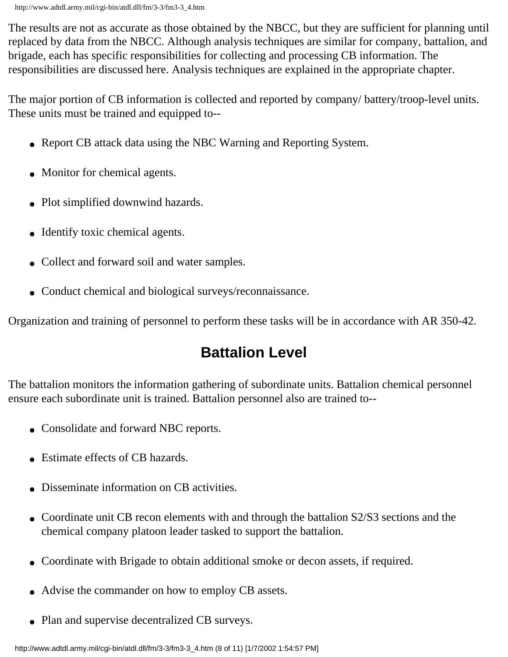The results are not as accurate as those obtained by the NBCC, but they are sufficient for planning until replaced by data from the NBCC. Although analysis techniques are similar for company, battalion, and brigade, each has specific responsibilities for collecting and processing CB information. The responsibilities are discussed here. Analysis techniques are explained in the appropriate chapter.

The major portion of CB information is collected and reported by company/ battery/troop-level units. These units must be trained and equipped to--

- Report CB attack data using the NBC Warning and Reporting System.
- Monitor for chemical agents.
- Plot simplified downwind hazards.
- Identify toxic chemical agents.
- Collect and forward soil and water samples.
- Conduct chemical and biological surveys/reconnaissance.

Organization and training of personnel to perform these tasks will be in accordance with AR 350-42.

# **Battalion Level**

The battalion monitors the information gathering of subordinate units. Battalion chemical personnel ensure each subordinate unit is trained. Battalion personnel also are trained to--

- Consolidate and forward NBC reports.
- Estimate effects of CB hazards.
- Disseminate information on CB activities.
- Coordinate unit CB recon elements with and through the battalion S2/S3 sections and the chemical company platoon leader tasked to support the battalion.
- Coordinate with Brigade to obtain additional smoke or decon assets, if required.
- Advise the commander on how to employ CB assets.
- Plan and supervise decentralized CB surveys.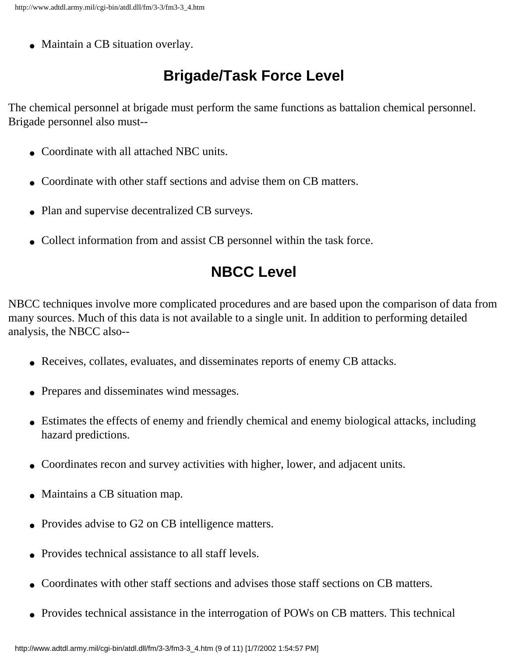• Maintain a CB situation overlay.

# **Brigade/Task Force Level**

The chemical personnel at brigade must perform the same functions as battalion chemical personnel. Brigade personnel also must--

- Coordinate with all attached NBC units.
- Coordinate with other staff sections and advise them on CB matters.
- Plan and supervise decentralized CB surveys.
- Collect information from and assist CB personnel within the task force.

# **NBCC Level**

NBCC techniques involve more complicated procedures and are based upon the comparison of data from many sources. Much of this data is not available to a single unit. In addition to performing detailed analysis, the NBCC also--

- Receives, collates, evaluates, and disseminates reports of enemy CB attacks.
- Prepares and disseminates wind messages.
- Estimates the effects of enemy and friendly chemical and enemy biological attacks, including hazard predictions.
- Coordinates recon and survey activities with higher, lower, and adjacent units.
- Maintains a CB situation map.
- Provides advise to G2 on CB intelligence matters.
- Provides technical assistance to all staff levels.
- Coordinates with other staff sections and advises those staff sections on CB matters.
- Provides technical assistance in the interrogation of POWs on CB matters. This technical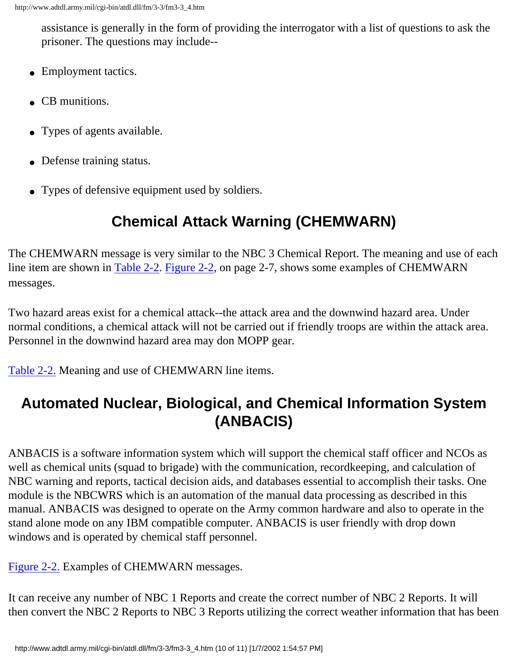assistance is generally in the form of providing the interrogator with a list of questions to ask the prisoner. The questions may include--

- Employment tactics.
- CB munitions.
- Types of agents available.
- Defense training status.
- Types of defensive equipment used by soldiers.

# **Chemical Attack Warning (CHEMWARN)**

The CHEMWARN message is very similar to the NBC 3 Chemical Report. The meaning and use of each line item are shown in [Table 2-2.](http://www.adtdl.army.mil/cgi-bin/atdl.dll/fm/3-3/fm330009.gif) [Figure 2-2,](http://www.adtdl.army.mil/cgi-bin/atdl.dll/fm/3-3/fm330010.gif) on page 2-7, shows some examples of CHEMWARN messages.

Two hazard areas exist for a chemical attack--the attack area and the downwind hazard area. Under normal conditions, a chemical attack will not be carried out if friendly troops are within the attack area. Personnel in the downwind hazard area may don MOPP gear.

[Table 2-2.](http://www.adtdl.army.mil/cgi-bin/atdl.dll/fm/3-3/fm330009.gif) Meaning and use of CHEMWARN line items.

# **Automated Nuclear, Biological, and Chemical Information System (ANBACIS)**

ANBACIS is a software information system which will support the chemical staff officer and NCOs as well as chemical units (squad to brigade) with the communication, recordkeeping, and calculation of NBC warning and reports, tactical decision aids, and databases essential to accomplish their tasks. One module is the NBCWRS which is an automation of the manual data processing as described in this manual. ANBACIS was designed to operate on the Army common hardware and also to operate in the stand alone mode on any IBM compatible computer. ANBACIS is user friendly with drop down windows and is operated by chemical staff personnel.

[Figure 2-2.](http://www.adtdl.army.mil/cgi-bin/atdl.dll/fm/3-3/fm330010.gif) Examples of CHEMWARN messages.

It can receive any number of NBC 1 Reports and create the correct number of NBC 2 Reports. It will then convert the NBC 2 Reports to NBC 3 Reports utilizing the correct weather information that has been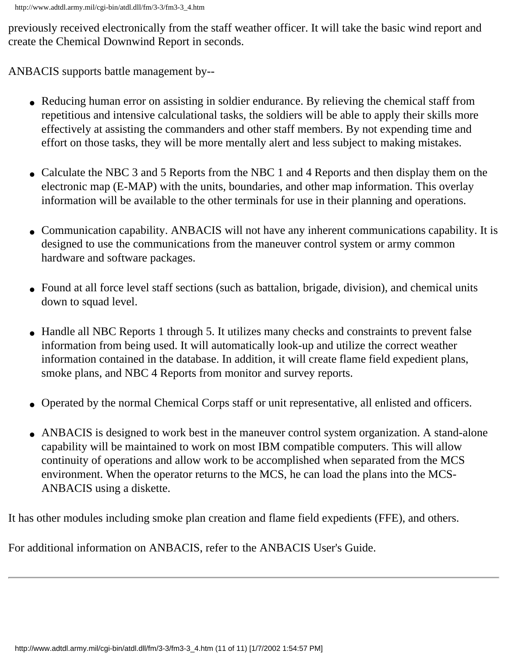previously received electronically from the staff weather officer. It will take the basic wind report and create the Chemical Downwind Report in seconds.

ANBACIS supports battle management by--

- Reducing human error on assisting in soldier endurance. By relieving the chemical staff from repetitious and intensive calculational tasks, the soldiers will be able to apply their skills more effectively at assisting the commanders and other staff members. By not expending time and effort on those tasks, they will be more mentally alert and less subject to making mistakes.
- Calculate the NBC 3 and 5 Reports from the NBC 1 and 4 Reports and then display them on the electronic map (E-MAP) with the units, boundaries, and other map information. This overlay information will be available to the other terminals for use in their planning and operations.
- Communication capability. ANBACIS will not have any inherent communications capability. It is designed to use the communications from the maneuver control system or army common hardware and software packages.
- Found at all force level staff sections (such as battalion, brigade, division), and chemical units down to squad level.
- Handle all NBC Reports 1 through 5. It utilizes many checks and constraints to prevent false information from being used. It will automatically look-up and utilize the correct weather information contained in the database. In addition, it will create flame field expedient plans, smoke plans, and NBC 4 Reports from monitor and survey reports.
- Operated by the normal Chemical Corps staff or unit representative, all enlisted and officers.
- ANBACIS is designed to work best in the maneuver control system organization. A stand-alone capability will be maintained to work on most IBM compatible computers. This will allow continuity of operations and allow work to be accomplished when separated from the MCS environment. When the operator returns to the MCS, he can load the plans into the MCS-ANBACIS using a diskette.

It has other modules including smoke plan creation and flame field expedients (FFE), and others.

For additional information on ANBACIS, refer to the ANBACIS User's Guide.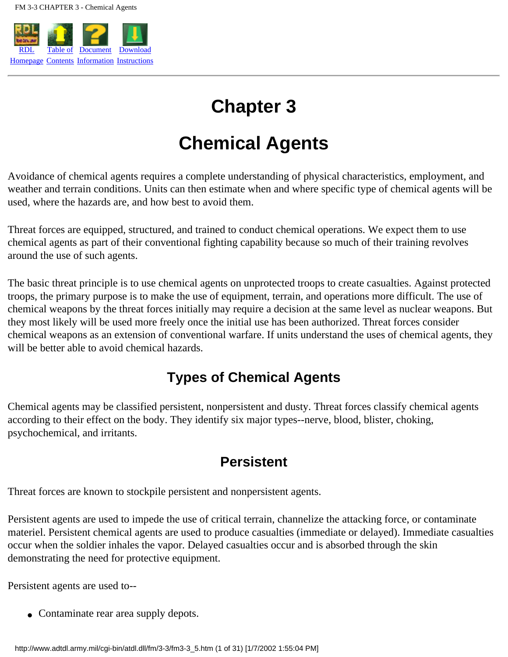

# **Chapter 3**

# **Chemical Agents**

Avoidance of chemical agents requires a complete understanding of physical characteristics, employment, and weather and terrain conditions. Units can then estimate when and where specific type of chemical agents will be used, where the hazards are, and how best to avoid them.

Threat forces are equipped, structured, and trained to conduct chemical operations. We expect them to use chemical agents as part of their conventional fighting capability because so much of their training revolves around the use of such agents.

The basic threat principle is to use chemical agents on unprotected troops to create casualties. Against protected troops, the primary purpose is to make the use of equipment, terrain, and operations more difficult. The use of chemical weapons by the threat forces initially may require a decision at the same level as nuclear weapons. But they most likely will be used more freely once the initial use has been authorized. Threat forces consider chemical weapons as an extension of conventional warfare. If units understand the uses of chemical agents, they will be better able to avoid chemical hazards.

### **Types of Chemical Agents**

Chemical agents may be classified persistent, nonpersistent and dusty. Threat forces classify chemical agents according to their effect on the body. They identify six major types--nerve, blood, blister, choking, psychochemical, and irritants.

### **Persistent**

Threat forces are known to stockpile persistent and nonpersistent agents.

Persistent agents are used to impede the use of critical terrain, channelize the attacking force, or contaminate materiel. Persistent chemical agents are used to produce casualties (immediate or delayed). Immediate casualties occur when the soldier inhales the vapor. Delayed casualties occur and is absorbed through the skin demonstrating the need for protective equipment.

Persistent agents are used to--

• Contaminate rear area supply depots.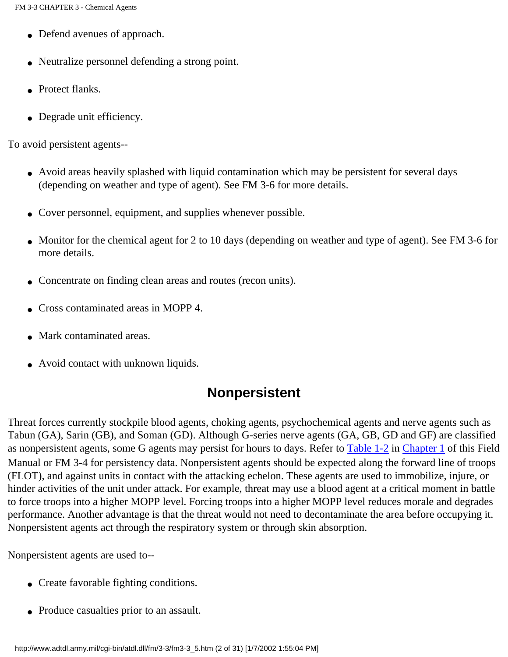- Defend avenues of approach.
- Neutralize personnel defending a strong point.
- Protect flanks.
- Degrade unit efficiency.

To avoid persistent agents--

- Avoid areas heavily splashed with liquid contamination which may be persistent for several days (depending on weather and type of agent). See FM 3-6 for more details.
- Cover personnel, equipment, and supplies whenever possible.
- Monitor for the chemical agent for 2 to 10 days (depending on weather and type of agent). See FM 3-6 for more details.
- Concentrate on finding clean areas and routes (recon units).
- Cross contaminated areas in MOPP 4.
- Mark contaminated areas.
- Avoid contact with unknown liquids.

### **Nonpersistent**

Threat forces currently stockpile blood agents, choking agents, psychochemical agents and nerve agents such as Tabun (GA), Sarin (GB), and Soman (GD). Although G-series nerve agents (GA, GB, GD and GF) are classified as nonpersistent agents, some G agents may persist for hours to days. Refer to [Table 1-2](http://www.adtdl.army.mil/cgi-bin/atdl.dll/fm/3-3/fm330003.gif) in Chapter 1 of this Field Manual or FM 3-4 for persistency data. Nonpersistent agents should be expected along the forward line of troops (FLOT), and against units in contact with the attacking echelon. These agents are used to immobilize, injure, or hinder activities of the unit under attack. For example, threat may use a blood agent at a critical moment in battle to force troops into a higher MOPP level. Forcing troops into a higher MOPP level reduces morale and degrades performance. Another advantage is that the threat would not need to decontaminate the area before occupying it. Nonpersistent agents act through the respiratory system or through skin absorption.

Nonpersistent agents are used to--

- Create favorable fighting conditions.
- Produce casualties prior to an assault.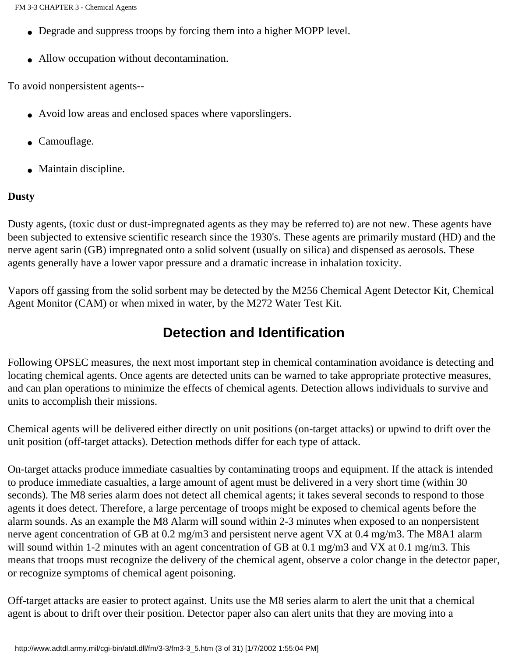- Degrade and suppress troops by forcing them into a higher MOPP level.
- Allow occupation without decontamination.

To avoid nonpersistent agents--

- Avoid low areas and enclosed spaces where vaporslingers.
- Camouflage.
- Maintain discipline.

#### **Dusty**

Dusty agents, (toxic dust or dust-impregnated agents as they may be referred to) are not new. These agents have been subjected to extensive scientific research since the 1930's. These agents are primarily mustard (HD) and the nerve agent sarin (GB) impregnated onto a solid solvent (usually on silica) and dispensed as aerosols. These agents generally have a lower vapor pressure and a dramatic increase in inhalation toxicity.

Vapors off gassing from the solid sorbent may be detected by the M256 Chemical Agent Detector Kit, Chemical Agent Monitor (CAM) or when mixed in water, by the M272 Water Test Kit.

### **Detection and Identification**

Following OPSEC measures, the next most important step in chemical contamination avoidance is detecting and locating chemical agents. Once agents are detected units can be warned to take appropriate protective measures, and can plan operations to minimize the effects of chemical agents. Detection allows individuals to survive and units to accomplish their missions.

Chemical agents will be delivered either directly on unit positions (on-target attacks) or upwind to drift over the unit position (off-target attacks). Detection methods differ for each type of attack.

On-target attacks produce immediate casualties by contaminating troops and equipment. If the attack is intended to produce immediate casualties, a large amount of agent must be delivered in a very short time (within 30 seconds). The M8 series alarm does not detect all chemical agents; it takes several seconds to respond to those agents it does detect. Therefore, a large percentage of troops might be exposed to chemical agents before the alarm sounds. As an example the M8 Alarm will sound within 2-3 minutes when exposed to an nonpersistent nerve agent concentration of GB at 0.2 mg/m3 and persistent nerve agent VX at 0.4 mg/m3. The M8A1 alarm will sound within 1-2 minutes with an agent concentration of GB at 0.1 mg/m3 and VX at 0.1 mg/m3. This means that troops must recognize the delivery of the chemical agent, observe a color change in the detector paper, or recognize symptoms of chemical agent poisoning.

Off-target attacks are easier to protect against. Units use the M8 series alarm to alert the unit that a chemical agent is about to drift over their position. Detector paper also can alert units that they are moving into a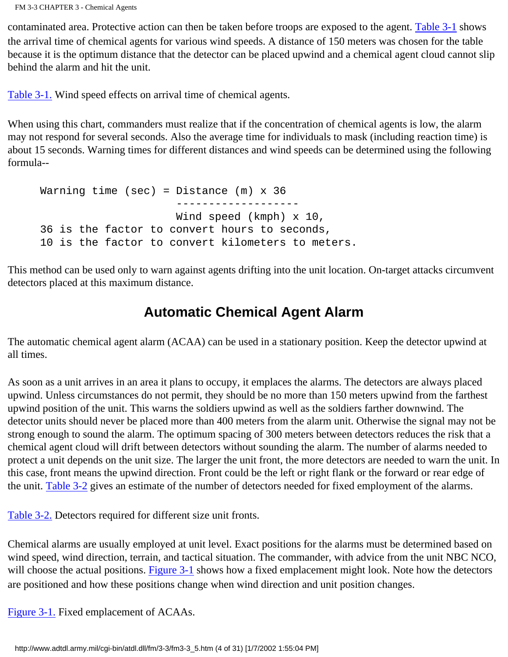FM 3-3 CHAPTER 3 - Chemical Agents

contaminated area. Protective action can then be taken before troops are exposed to the agent. [Table 3-1](http://www.adtdl.army.mil/cgi-bin/atdl.dll/fm/3-3/fm330011.gif) shows the arrival time of chemical agents for various wind speeds. A distance of 150 meters was chosen for the table because it is the optimum distance that the detector can be placed upwind and a chemical agent cloud cannot slip behind the alarm and hit the unit.

[Table 3-1.](http://www.adtdl.army.mil/cgi-bin/atdl.dll/fm/3-3/fm330011.gif) Wind speed effects on arrival time of chemical agents.

When using this chart, commanders must realize that if the concentration of chemical agents is low, the alarm may not respond for several seconds. Also the average time for individuals to mask (including reaction time) is about 15 seconds. Warning times for different distances and wind speeds can be determined using the following formula--

```
Warning time (sec) = Distance (m) \times 36 -------------------
                      Wind speed (kmph) x 10,
36 is the factor to convert hours to seconds,
10 is the factor to convert kilometers to meters.
```
This method can be used only to warn against agents drifting into the unit location. On-target attacks circumvent detectors placed at this maximum distance.

### **Automatic Chemical Agent Alarm**

The automatic chemical agent alarm (ACAA) can be used in a stationary position. Keep the detector upwind at all times.

As soon as a unit arrives in an area it plans to occupy, it emplaces the alarms. The detectors are always placed upwind. Unless circumstances do not permit, they should be no more than 150 meters upwind from the farthest upwind position of the unit. This warns the soldiers upwind as well as the soldiers farther downwind. The detector units should never be placed more than 400 meters from the alarm unit. Otherwise the signal may not be strong enough to sound the alarm. The optimum spacing of 300 meters between detectors reduces the risk that a chemical agent cloud will drift between detectors without sounding the alarm. The number of alarms needed to protect a unit depends on the unit size. The larger the unit front, the more detectors are needed to warn the unit. In this case, front means the upwind direction. Front could be the left or right flank or the forward or rear edge of the unit. [Table 3-2](http://www.adtdl.army.mil/cgi-bin/atdl.dll/fm/3-3/fm330012.gif) gives an estimate of the number of detectors needed for fixed employment of the alarms.

[Table 3-2.](http://www.adtdl.army.mil/cgi-bin/atdl.dll/fm/3-3/fm330012.gif) Detectors required for different size unit fronts.

Chemical alarms are usually employed at unit level. Exact positions for the alarms must be determined based on wind speed, wind direction, terrain, and tactical situation. The commander, with advice from the unit NBC NCO, will choose the actual positions. [Figure 3-1](http://www.adtdl.army.mil/cgi-bin/atdl.dll/fm/3-3/fm330013.gif) shows how a fixed emplacement might look. Note how the detectors are positioned and how these positions change when wind direction and unit position changes.

[Figure 3-1.](http://www.adtdl.army.mil/cgi-bin/atdl.dll/fm/3-3/fm330013.gif) Fixed emplacement of ACAAs.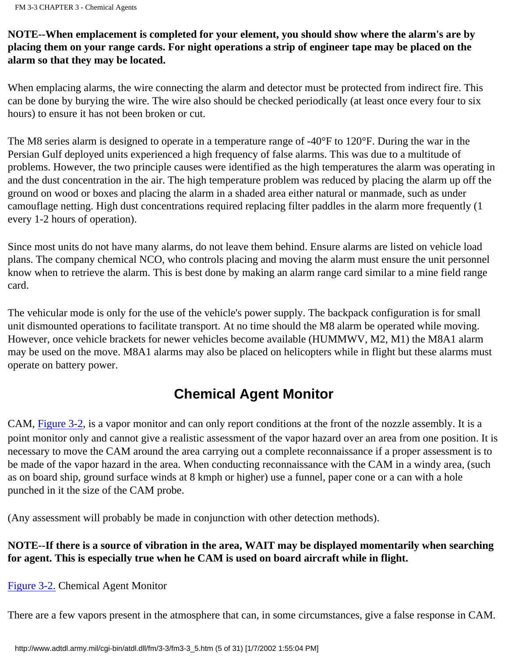#### **NOTE--When emplacement is completed for your element, you should show where the alarm's are by placing them on your range cards. For night operations a strip of engineer tape may be placed on the alarm so that they may be located.**

When emplacing alarms, the wire connecting the alarm and detector must be protected from indirect fire. This can be done by burying the wire. The wire also should be checked periodically (at least once every four to six hours) to ensure it has not been broken or cut.

The M8 series alarm is designed to operate in a temperature range of -40°F to 120°F. During the war in the Persian Gulf deployed units experienced a high frequency of false alarms. This was due to a multitude of problems. However, the two principle causes were identified as the high temperatures the alarm was operating in and the dust concentration in the air. The high temperature problem was reduced by placing the alarm up off the ground on wood or boxes and placing the alarm in a shaded area either natural or manmade, such as under camouflage netting. High dust concentrations required replacing filter paddles in the alarm more frequently (1 every 1-2 hours of operation).

Since most units do not have many alarms, do not leave them behind. Ensure alarms are listed on vehicle load plans. The company chemical NCO, who controls placing and moving the alarm must ensure the unit personnel know when to retrieve the alarm. This is best done by making an alarm range card similar to a mine field range card.

The vehicular mode is only for the use of the vehicle's power supply. The backpack configuration is for small unit dismounted operations to facilitate transport. At no time should the M8 alarm be operated while moving. However, once vehicle brackets for newer vehicles become available (HUMMWV, M2, M1) the M8A1 alarm may be used on the move. M8A1 alarms may also be placed on helicopters while in flight but these alarms must operate on battery power.

### **Chemical Agent Monitor**

CAM, [Figure 3-2](http://www.adtdl.army.mil/cgi-bin/atdl.dll/fm/3-3/fm330014.gif), is a vapor monitor and can only report conditions at the front of the nozzle assembly. It is a point monitor only and cannot give a realistic assessment of the vapor hazard over an area from one position. It is necessary to move the CAM around the area carrying out a complete reconnaissance if a proper assessment is to be made of the vapor hazard in the area. When conducting reconnaissance with the CAM in a windy area, (such as on board ship, ground surface winds at 8 kmph or higher) use a funnel, paper cone or a can with a hole punched in it the size of the CAM probe.

(Any assessment will probably be made in conjunction with other detection methods).

**NOTE--If there is a source of vibration in the area, WAIT may be displayed momentarily when searching for agent. This is especially true when he CAM is used on board aircraft while in flight.**

[Figure 3-2.](http://www.adtdl.army.mil/cgi-bin/atdl.dll/fm/3-3/fm330014.gif) Chemical Agent Monitor

There are a few vapors present in the atmosphere that can, in some circumstances, give a false response in CAM.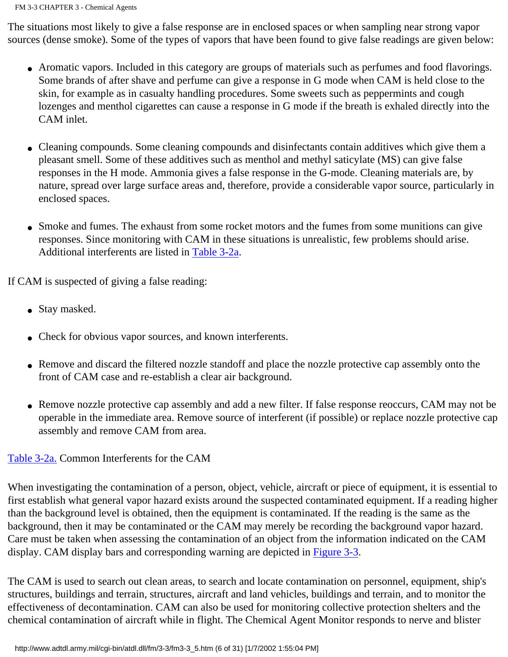The situations most likely to give a false response are in enclosed spaces or when sampling near strong vapor sources (dense smoke). Some of the types of vapors that have been found to give false readings are given below:

- Aromatic vapors. Included in this category are groups of materials such as perfumes and food flavorings. Some brands of after shave and perfume can give a response in G mode when CAM is held close to the skin, for example as in casualty handling procedures. Some sweets such as peppermints and cough lozenges and menthol cigarettes can cause a response in G mode if the breath is exhaled directly into the CAM inlet.
- Cleaning compounds. Some cleaning compounds and disinfectants contain additives which give them a pleasant smell. Some of these additives such as menthol and methyl saticylate (MS) can give false responses in the H mode. Ammonia gives a false response in the G-mode. Cleaning materials are, by nature, spread over large surface areas and, therefore, provide a considerable vapor source, particularly in enclosed spaces.
- Smoke and fumes. The exhaust from some rocket motors and the fumes from some munitions can give responses. Since monitoring with CAM in these situations is unrealistic, few problems should arise. Additional interferents are listed in [Table 3-2a.](http://www.adtdl.army.mil/cgi-bin/atdl.dll/fm/3-3/fm330015.gif)

If CAM is suspected of giving a false reading:

- Stay masked.
- Check for obvious vapor sources, and known interferents.
- Remove and discard the filtered nozzle standoff and place the nozzle protective cap assembly onto the front of CAM case and re-establish a clear air background.
- Remove nozzle protective cap assembly and add a new filter. If false response reoccurs, CAM may not be operable in the immediate area. Remove source of interferent (if possible) or replace nozzle protective cap assembly and remove CAM from area.

#### [Table 3-2a.](http://www.adtdl.army.mil/cgi-bin/atdl.dll/fm/3-3/fm330015.gif) Common Interferents for the CAM

When investigating the contamination of a person, object, vehicle, aircraft or piece of equipment, it is essential to first establish what general vapor hazard exists around the suspected contaminated equipment. If a reading higher than the background level is obtained, then the equipment is contaminated. If the reading is the same as the background, then it may be contaminated or the CAM may merely be recording the background vapor hazard. Care must be taken when assessing the contamination of an object from the information indicated on the CAM display. CAM display bars and corresponding warning are depicted in [Figure 3-3](http://www.adtdl.army.mil/cgi-bin/atdl.dll/fm/3-3/fm330016.gif).

The CAM is used to search out clean areas, to search and locate contamination on personnel, equipment, ship's structures, buildings and terrain, structures, aircraft and land vehicles, buildings and terrain, and to monitor the effectiveness of decontamination. CAM can also be used for monitoring collective protection shelters and the chemical contamination of aircraft while in flight. The Chemical Agent Monitor responds to nerve and blister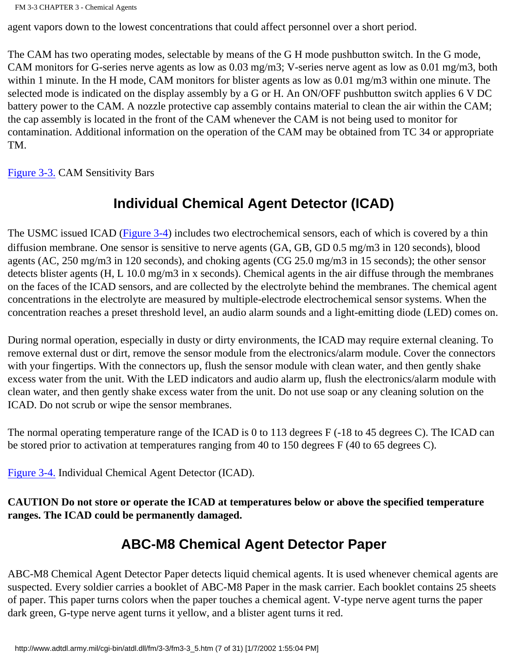agent vapors down to the lowest concentrations that could affect personnel over a short period.

The CAM has two operating modes, selectable by means of the G H mode pushbutton switch. In the G mode, CAM monitors for G-series nerve agents as low as 0.03 mg/m3; V-series nerve agent as low as 0.01 mg/m3, both within 1 minute. In the H mode, CAM monitors for blister agents as low as 0.01 mg/m3 within one minute. The selected mode is indicated on the display assembly by a G or H. An ON/OFF pushbutton switch applies 6 V DC battery power to the CAM. A nozzle protective cap assembly contains material to clean the air within the CAM; the cap assembly is located in the front of the CAM whenever the CAM is not being used to monitor for contamination. Additional information on the operation of the CAM may be obtained from TC 34 or appropriate TM.

[Figure 3-3.](http://www.adtdl.army.mil/cgi-bin/atdl.dll/fm/3-3/fm330016.gif) CAM Sensitivity Bars

### **Individual Chemical Agent Detector (ICAD)**

The USMC issued ICAD [\(Figure 3-4\)](http://www.adtdl.army.mil/cgi-bin/atdl.dll/fm/3-3/fm330017.gif) includes two electrochemical sensors, each of which is covered by a thin diffusion membrane. One sensor is sensitive to nerve agents (GA, GB, GD 0.5 mg/m3 in 120 seconds), blood agents (AC, 250 mg/m3 in 120 seconds), and choking agents (CG 25.0 mg/m3 in 15 seconds); the other sensor detects blister agents (H, L 10.0 mg/m3 in x seconds). Chemical agents in the air diffuse through the membranes on the faces of the ICAD sensors, and are collected by the electrolyte behind the membranes. The chemical agent concentrations in the electrolyte are measured by multiple-electrode electrochemical sensor systems. When the concentration reaches a preset threshold level, an audio alarm sounds and a light-emitting diode (LED) comes on.

During normal operation, especially in dusty or dirty environments, the ICAD may require external cleaning. To remove external dust or dirt, remove the sensor module from the electronics/alarm module. Cover the connectors with your fingertips. With the connectors up, flush the sensor module with clean water, and then gently shake excess water from the unit. With the LED indicators and audio alarm up, flush the electronics/alarm module with clean water, and then gently shake excess water from the unit. Do not use soap or any cleaning solution on the ICAD. Do not scrub or wipe the sensor membranes.

The normal operating temperature range of the ICAD is 0 to 113 degrees F (-18 to 45 degrees C). The ICAD can be stored prior to activation at temperatures ranging from 40 to 150 degrees F (40 to 65 degrees C).

[Figure 3-4.](http://www.adtdl.army.mil/cgi-bin/atdl.dll/fm/3-3/fm330017.gif) Individual Chemical Agent Detector (ICAD).

**CAUTION Do not store or operate the ICAD at temperatures below or above the specified temperature ranges. The ICAD could be permanently damaged.**

### **ABC-M8 Chemical Agent Detector Paper**

ABC-M8 Chemical Agent Detector Paper detects liquid chemical agents. It is used whenever chemical agents are suspected. Every soldier carries a booklet of ABC-M8 Paper in the mask carrier. Each booklet contains 25 sheets of paper. This paper turns colors when the paper touches a chemical agent. V-type nerve agent turns the paper dark green, G-type nerve agent turns it yellow, and a blister agent turns it red.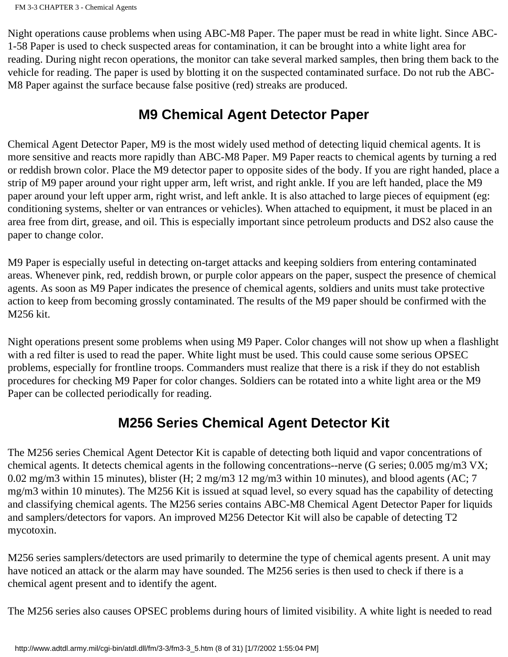Night operations cause problems when using ABC-M8 Paper. The paper must be read in white light. Since ABC-1-58 Paper is used to check suspected areas for contamination, it can be brought into a white light area for reading. During night recon operations, the monitor can take several marked samples, then bring them back to the vehicle for reading. The paper is used by blotting it on the suspected contaminated surface. Do not rub the ABC-M8 Paper against the surface because false positive (red) streaks are produced.

### **M9 Chemical Agent Detector Paper**

Chemical Agent Detector Paper, M9 is the most widely used method of detecting liquid chemical agents. It is more sensitive and reacts more rapidly than ABC-M8 Paper. M9 Paper reacts to chemical agents by turning a red or reddish brown color. Place the M9 detector paper to opposite sides of the body. If you are right handed, place a strip of M9 paper around your right upper arm, left wrist, and right ankle. If you are left handed, place the M9 paper around your left upper arm, right wrist, and left ankle. It is also attached to large pieces of equipment (eg: conditioning systems, shelter or van entrances or vehicles). When attached to equipment, it must be placed in an area free from dirt, grease, and oil. This is especially important since petroleum products and DS2 also cause the paper to change color.

M9 Paper is especially useful in detecting on-target attacks and keeping soldiers from entering contaminated areas. Whenever pink, red, reddish brown, or purple color appears on the paper, suspect the presence of chemical agents. As soon as M9 Paper indicates the presence of chemical agents, soldiers and units must take protective action to keep from becoming grossly contaminated. The results of the M9 paper should be confirmed with the M256 kit.

Night operations present some problems when using M9 Paper. Color changes will not show up when a flashlight with a red filter is used to read the paper. White light must be used. This could cause some serious OPSEC problems, especially for frontline troops. Commanders must realize that there is a risk if they do not establish procedures for checking M9 Paper for color changes. Soldiers can be rotated into a white light area or the M9 Paper can be collected periodically for reading.

### **M256 Series Chemical Agent Detector Kit**

The M256 series Chemical Agent Detector Kit is capable of detecting both liquid and vapor concentrations of chemical agents. It detects chemical agents in the following concentrations--nerve (G series; 0.005 mg/m3 VX; 0.02 mg/m3 within 15 minutes), blister (H; 2 mg/m3 12 mg/m3 within 10 minutes), and blood agents (AC; 7 mg/m3 within 10 minutes). The M256 Kit is issued at squad level, so every squad has the capability of detecting and classifying chemical agents. The M256 series contains ABC-M8 Chemical Agent Detector Paper for liquids and samplers/detectors for vapors. An improved M256 Detector Kit will also be capable of detecting T2 mycotoxin.

M256 series samplers/detectors are used primarily to determine the type of chemical agents present. A unit may have noticed an attack or the alarm may have sounded. The M256 series is then used to check if there is a chemical agent present and to identify the agent.

The M256 series also causes OPSEC problems during hours of limited visibility. A white light is needed to read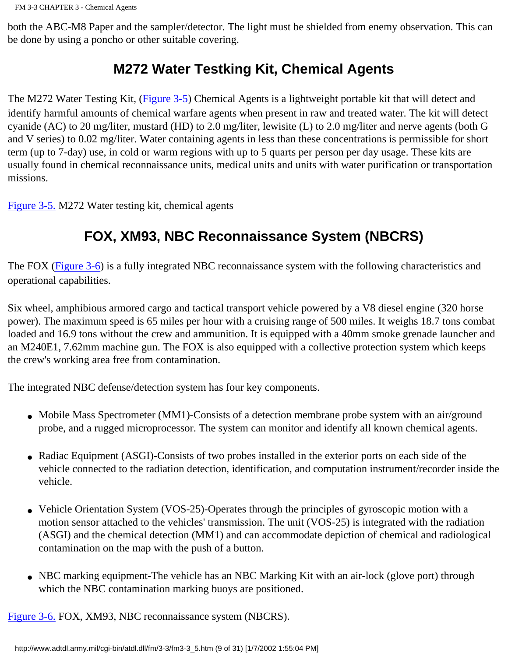both the ABC-M8 Paper and the sampler/detector. The light must be shielded from enemy observation. This can be done by using a poncho or other suitable covering.

### **M272 Water Testking Kit, Chemical Agents**

The M272 Water Testing Kit, ([Figure 3-5\)](http://www.adtdl.army.mil/cgi-bin/atdl.dll/fm/3-3/fm330018.gif) Chemical Agents is a lightweight portable kit that will detect and identify harmful amounts of chemical warfare agents when present in raw and treated water. The kit will detect cyanide (AC) to 20 mg/liter, mustard (HD) to 2.0 mg/liter, lewisite (L) to 2.0 mg/liter and nerve agents (both G and V series) to 0.02 mg/liter. Water containing agents in less than these concentrations is permissible for short term (up to 7-day) use, in cold or warm regions with up to 5 quarts per person per day usage. These kits are usually found in chemical reconnaissance units, medical units and units with water purification or transportation missions.

[Figure 3-5.](http://www.adtdl.army.mil/cgi-bin/atdl.dll/fm/3-3/fm330018.gif) M272 Water testing kit, chemical agents

# **FOX, XM93, NBC Reconnaissance System (NBCRS)**

The FOX [\(Figure 3-6\)](http://www.adtdl.army.mil/cgi-bin/atdl.dll/fm/3-3/fm330019.gif) is a fully integrated NBC reconnaissance system with the following characteristics and operational capabilities.

Six wheel, amphibious armored cargo and tactical transport vehicle powered by a V8 diesel engine (320 horse power). The maximum speed is 65 miles per hour with a cruising range of 500 miles. It weighs 18.7 tons combat loaded and 16.9 tons without the crew and ammunition. It is equipped with a 40mm smoke grenade launcher and an M240E1, 7.62mm machine gun. The FOX is also equipped with a collective protection system which keeps the crew's working area free from contamination.

The integrated NBC defense/detection system has four key components.

- Mobile Mass Spectrometer (MM1)-Consists of a detection membrane probe system with an air/ground probe, and a rugged microprocessor. The system can monitor and identify all known chemical agents.
- Radiac Equipment (ASGI)-Consists of two probes installed in the exterior ports on each side of the vehicle connected to the radiation detection, identification, and computation instrument/recorder inside the vehicle.
- Vehicle Orientation System (VOS-25)-Operates through the principles of gyroscopic motion with a motion sensor attached to the vehicles' transmission. The unit (VOS-25) is integrated with the radiation (ASGI) and the chemical detection (MM1) and can accommodate depiction of chemical and radiological contamination on the map with the push of a button.
- NBC marking equipment-The vehicle has an NBC Marking Kit with an air-lock (glove port) through which the NBC contamination marking buoys are positioned.

[Figure 3-6.](http://www.adtdl.army.mil/cgi-bin/atdl.dll/fm/3-3/fm330019.gif) FOX, XM93, NBC reconnaissance system (NBCRS).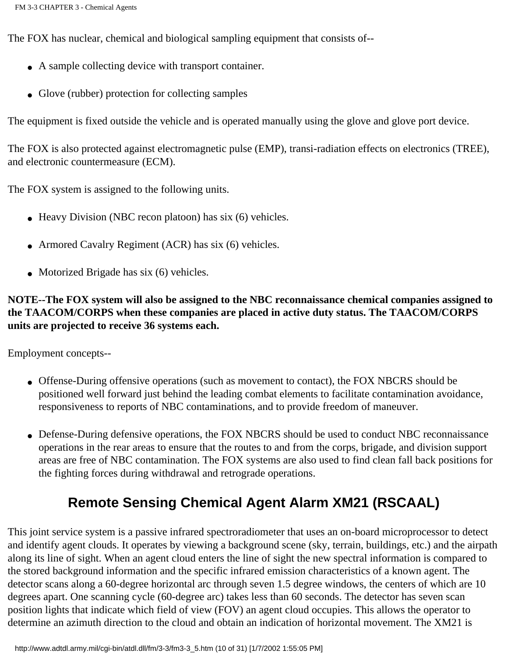The FOX has nuclear, chemical and biological sampling equipment that consists of--

- A sample collecting device with transport container.
- Glove (rubber) protection for collecting samples

The equipment is fixed outside the vehicle and is operated manually using the glove and glove port device.

The FOX is also protected against electromagnetic pulse (EMP), transi-radiation effects on electronics (TREE), and electronic countermeasure (ECM).

The FOX system is assigned to the following units.

- Heavy Division (NBC recon platoon) has six (6) vehicles.
- Armored Cavalry Regiment (ACR) has six (6) vehicles.
- Motorized Brigade has six (6) vehicles.

**NOTE--The FOX system will also be assigned to the NBC reconnaissance chemical companies assigned to the TAACOM/CORPS when these companies are placed in active duty status. The TAACOM/CORPS units are projected to receive 36 systems each.**

Employment concepts--

- Offense-During offensive operations (such as movement to contact), the FOX NBCRS should be positioned well forward just behind the leading combat elements to facilitate contamination avoidance, responsiveness to reports of NBC contaminations, and to provide freedom of maneuver.
- Defense-During defensive operations, the FOX NBCRS should be used to conduct NBC reconnaissance operations in the rear areas to ensure that the routes to and from the corps, brigade, and division support areas are free of NBC contamination. The FOX systems are also used to find clean fall back positions for the fighting forces during withdrawal and retrograde operations.

## **Remote Sensing Chemical Agent Alarm XM21 (RSCAAL)**

This joint service system is a passive infrared spectroradiometer that uses an on-board microprocessor to detect and identify agent clouds. It operates by viewing a background scene (sky, terrain, buildings, etc.) and the airpath along its line of sight. When an agent cloud enters the line of sight the new spectral information is compared to the stored background information and the specific infrared emission characteristics of a known agent. The detector scans along a 60-degree horizontal arc through seven 1.5 degree windows, the centers of which are 10 degrees apart. One scanning cycle (60-degree arc) takes less than 60 seconds. The detector has seven scan position lights that indicate which field of view (FOV) an agent cloud occupies. This allows the operator to determine an azimuth direction to the cloud and obtain an indication of horizontal movement. The XM21 is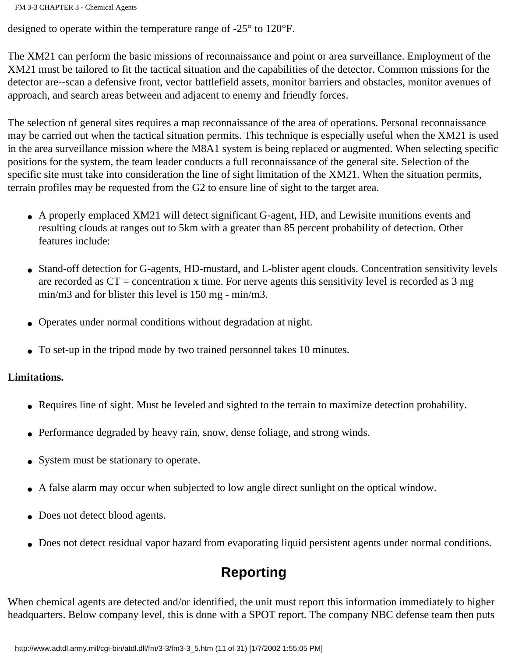FM 3-3 CHAPTER 3 - Chemical Agents

designed to operate within the temperature range of -25° to 120°F.

The XM21 can perform the basic missions of reconnaissance and point or area surveillance. Employment of the XM21 must be tailored to fit the tactical situation and the capabilities of the detector. Common missions for the detector are--scan a defensive front, vector battlefield assets, monitor barriers and obstacles, monitor avenues of approach, and search areas between and adjacent to enemy and friendly forces.

The selection of general sites requires a map reconnaissance of the area of operations. Personal reconnaissance may be carried out when the tactical situation permits. This technique is especially useful when the XM21 is used in the area surveillance mission where the M8A1 system is being replaced or augmented. When selecting specific positions for the system, the team leader conducts a full reconnaissance of the general site. Selection of the specific site must take into consideration the line of sight limitation of the XM21. When the situation permits, terrain profiles may be requested from the G2 to ensure line of sight to the target area.

- A properly emplaced XM21 will detect significant G-agent, HD, and Lewisite munitions events and resulting clouds at ranges out to 5km with a greater than 85 percent probability of detection. Other features include:
- Stand-off detection for G-agents, HD-mustard, and L-blister agent clouds. Concentration sensitivity levels are recorded as  $CT =$  concentration x time. For nerve agents this sensitivity level is recorded as 3 mg min/m3 and for blister this level is 150 mg - min/m3.
- Operates under normal conditions without degradation at night.
- To set-up in the tripod mode by two trained personnel takes 10 minutes.

#### **Limitations.**

- Requires line of sight. Must be leveled and sighted to the terrain to maximize detection probability.
- Performance degraded by heavy rain, snow, dense foliage, and strong winds.
- System must be stationary to operate.
- A false alarm may occur when subjected to low angle direct sunlight on the optical window.
- Does not detect blood agents.
- Does not detect residual vapor hazard from evaporating liquid persistent agents under normal conditions.

### **Reporting**

When chemical agents are detected and/or identified, the unit must report this information immediately to higher headquarters. Below company level, this is done with a SPOT report. The company NBC defense team then puts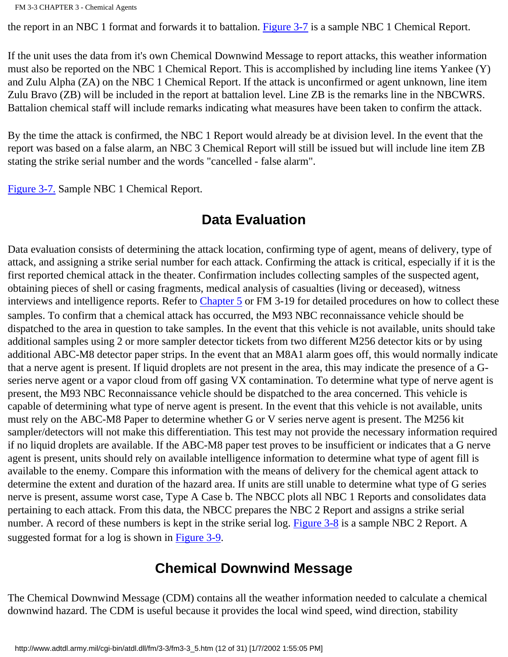the report in an NBC 1 format and forwards it to battalion. [Figure 3-7](http://www.adtdl.army.mil/cgi-bin/atdl.dll/fm/3-3/fm330020.gif) is a sample NBC 1 Chemical Report.

If the unit uses the data from it's own Chemical Downwind Message to report attacks, this weather information must also be reported on the NBC 1 Chemical Report. This is accomplished by including line items Yankee (Y) and Zulu Alpha (ZA) on the NBC 1 Chemical Report. If the attack is unconfirmed or agent unknown, line item Zulu Bravo (ZB) will be included in the report at battalion level. Line ZB is the remarks line in the NBCWRS. Battalion chemical staff will include remarks indicating what measures have been taken to confirm the attack.

By the time the attack is confirmed, the NBC 1 Report would already be at division level. In the event that the report was based on a false alarm, an NBC 3 Chemical Report will still be issued but will include line item ZB stating the strike serial number and the words "cancelled - false alarm".

[Figure 3-7.](http://www.adtdl.army.mil/cgi-bin/atdl.dll/fm/3-3/fm330020.gif) Sample NBC 1 Chemical Report.

### **Data Evaluation**

Data evaluation consists of determining the attack location, confirming type of agent, means of delivery, type of attack, and assigning a strike serial number for each attack. Confirming the attack is critical, especially if it is the first reported chemical attack in the theater. Confirmation includes collecting samples of the suspected agent, obtaining pieces of shell or casing fragments, medical analysis of casualties (living or deceased), witness interviews and intelligence reports. Refer to [Chapter 5](#page-98-0) or FM 3-19 for detailed procedures on how to collect these samples. To confirm that a chemical attack has occurred, the M93 NBC reconnaissance vehicle should be dispatched to the area in question to take samples. In the event that this vehicle is not available, units should take additional samples using 2 or more sampler detector tickets from two different M256 detector kits or by using additional ABC-M8 detector paper strips. In the event that an M8A1 alarm goes off, this would normally indicate that a nerve agent is present. If liquid droplets are not present in the area, this may indicate the presence of a Gseries nerve agent or a vapor cloud from off gasing VX contamination. To determine what type of nerve agent is present, the M93 NBC Reconnaissance vehicle should be dispatched to the area concerned. This vehicle is capable of determining what type of nerve agent is present. In the event that this vehicle is not available, units must rely on the ABC-M8 Paper to determine whether G or V series nerve agent is present. The M256 kit sampler/detectors will not make this differentiation. This test may not provide the necessary information required if no liquid droplets are available. If the ABC-M8 paper test proves to be insufficient or indicates that a G nerve agent is present, units should rely on available intelligence information to determine what type of agent fill is available to the enemy. Compare this information with the means of delivery for the chemical agent attack to determine the extent and duration of the hazard area. If units are still unable to determine what type of G series nerve is present, assume worst case, Type A Case b. The NBCC plots all NBC 1 Reports and consolidates data pertaining to each attack. From this data, the NBCC prepares the NBC 2 Report and assigns a strike serial number. A record of these numbers is kept in the strike serial log. [Figure 3-8](http://www.adtdl.army.mil/cgi-bin/atdl.dll/fm/3-3/fm330021.gif) is a sample NBC 2 Report. A suggested format for a log is shown in [Figure 3-9](http://www.adtdl.army.mil/cgi-bin/atdl.dll/fm/3-3/fm330022.gif).

### **Chemical Downwind Message**

The Chemical Downwind Message (CDM) contains all the weather information needed to calculate a chemical downwind hazard. The CDM is useful because it provides the local wind speed, wind direction, stability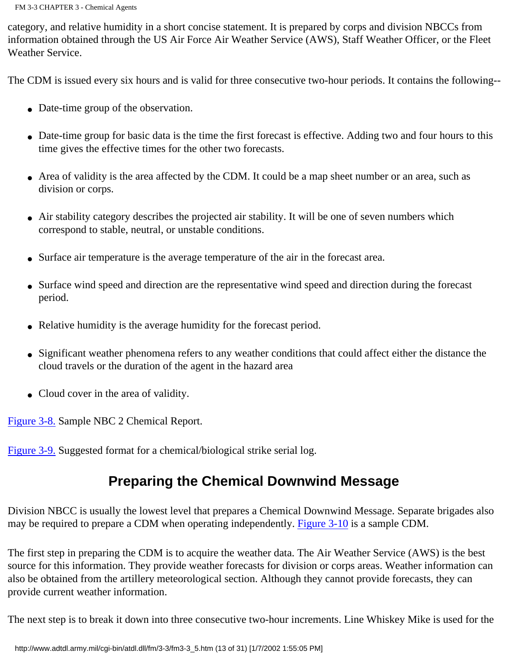category, and relative humidity in a short concise statement. It is prepared by corps and division NBCCs from information obtained through the US Air Force Air Weather Service (AWS), Staff Weather Officer, or the Fleet Weather Service.

The CDM is issued every six hours and is valid for three consecutive two-hour periods. It contains the following--

- Date-time group of the observation.
- Date-time group for basic data is the time the first forecast is effective. Adding two and four hours to this time gives the effective times for the other two forecasts.
- Area of validity is the area affected by the CDM. It could be a map sheet number or an area, such as division or corps.
- Air stability category describes the projected air stability. It will be one of seven numbers which correspond to stable, neutral, or unstable conditions.
- Surface air temperature is the average temperature of the air in the forecast area.
- Surface wind speed and direction are the representative wind speed and direction during the forecast period.
- Relative humidity is the average humidity for the forecast period.
- Significant weather phenomena refers to any weather conditions that could affect either the distance the cloud travels or the duration of the agent in the hazard area
- Cloud cover in the area of validity.

[Figure 3-8.](http://www.adtdl.army.mil/cgi-bin/atdl.dll/fm/3-3/fm330021.gif) Sample NBC 2 Chemical Report.

[Figure 3-9.](http://www.adtdl.army.mil/cgi-bin/atdl.dll/fm/3-3/fm330022.gif) Suggested format for a chemical/biological strike serial log.

### **Preparing the Chemical Downwind Message**

Division NBCC is usually the lowest level that prepares a Chemical Downwind Message. Separate brigades also may be required to prepare a CDM when operating independently. [Figure 3-10](http://www.adtdl.army.mil/cgi-bin/atdl.dll/fm/3-3/fm330023.gif) is a sample CDM.

The first step in preparing the CDM is to acquire the weather data. The Air Weather Service (AWS) is the best source for this information. They provide weather forecasts for division or corps areas. Weather information can also be obtained from the artillery meteorological section. Although they cannot provide forecasts, they can provide current weather information.

The next step is to break it down into three consecutive two-hour increments. Line Whiskey Mike is used for the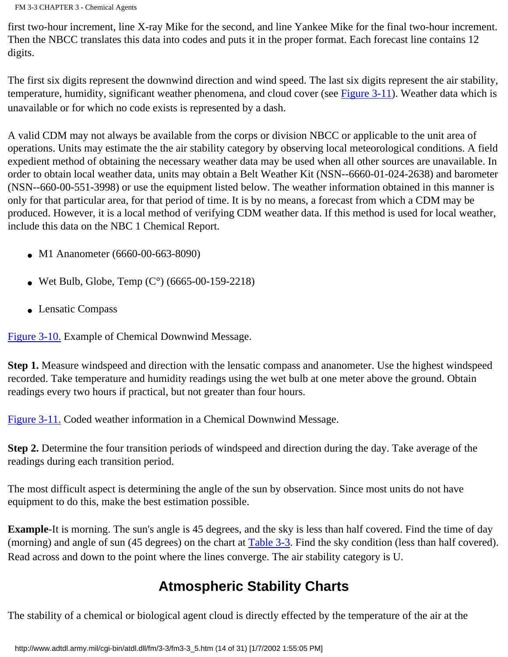FM 3-3 CHAPTER 3 - Chemical Agents

first two-hour increment, line X-ray Mike for the second, and line Yankee Mike for the final two-hour increment. Then the NBCC translates this data into codes and puts it in the proper format. Each forecast line contains 12 digits.

The first six digits represent the downwind direction and wind speed. The last six digits represent the air stability, temperature, humidity, significant weather phenomena, and cloud cover (see [Figure 3-11](http://www.adtdl.army.mil/cgi-bin/atdl.dll/fm/3-3/fm330024.gif)). Weather data which is unavailable or for which no code exists is represented by a dash.

A valid CDM may not always be available from the corps or division NBCC or applicable to the unit area of operations. Units may estimate the the air stability category by observing local meteorological conditions. A field expedient method of obtaining the necessary weather data may be used when all other sources are unavailable. In order to obtain local weather data, units may obtain a Belt Weather Kit (NSN--6660-01-024-2638) and barometer (NSN--660-00-551-3998) or use the equipment listed below. The weather information obtained in this manner is only for that particular area, for that period of time. It is by no means, a forecast from which a CDM may be produced. However, it is a local method of verifying CDM weather data. If this method is used for local weather, include this data on the NBC 1 Chemical Report.

- M1 Ananometer (6660-00-663-8090)
- Wet Bulb, Globe, Temp  $(C^{\circ})$  (6665-00-159-2218)
- Lensatic Compass

[Figure 3-10.](http://www.adtdl.army.mil/cgi-bin/atdl.dll/fm/3-3/fm330023.gif) Example of Chemical Downwind Message.

**Step 1.** Measure windspeed and direction with the lensatic compass and ananometer. Use the highest windspeed recorded. Take temperature and humidity readings using the wet bulb at one meter above the ground. Obtain readings every two hours if practical, but not greater than four hours.

[Figure 3-11.](http://www.adtdl.army.mil/cgi-bin/atdl.dll/fm/3-3/fm330024.gif) Coded weather information in a Chemical Downwind Message.

**Step 2.** Determine the four transition periods of windspeed and direction during the day. Take average of the readings during each transition period.

The most difficult aspect is determining the angle of the sun by observation. Since most units do not have equipment to do this, make the best estimation possible.

**Example**-It is morning. The sun's angle is 45 degrees, and the sky is less than half covered. Find the time of day (morning) and angle of sun (45 degrees) on the chart at [Table 3-3.](http://www.adtdl.army.mil/cgi-bin/atdl.dll/fm/3-3/fm330025.gif) Find the sky condition (less than half covered). Read across and down to the point where the lines converge. The air stability category is U.

### **Atmospheric Stability Charts**

The stability of a chemical or biological agent cloud is directly effected by the temperature of the air at the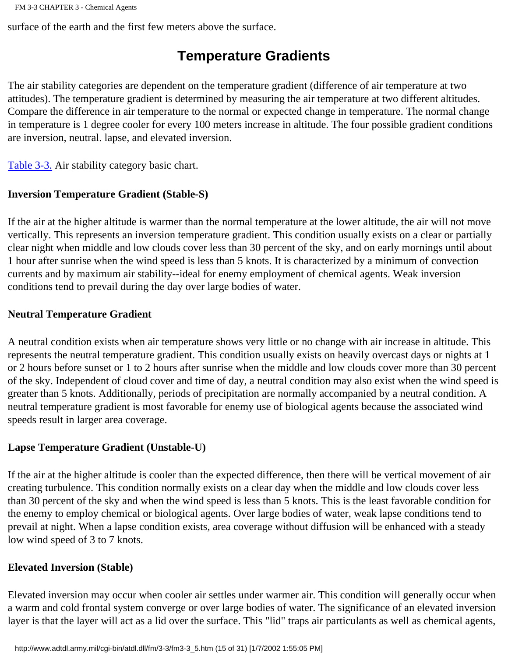surface of the earth and the first few meters above the surface.

### **Temperature Gradients**

The air stability categories are dependent on the temperature gradient (difference of air temperature at two attitudes). The temperature gradient is determined by measuring the air temperature at two different altitudes. Compare the difference in air temperature to the normal or expected change in temperature. The normal change in temperature is 1 degree cooler for every 100 meters increase in altitude. The four possible gradient conditions are inversion, neutral. lapse, and elevated inversion.

[Table 3-3.](http://www.adtdl.army.mil/cgi-bin/atdl.dll/fm/3-3/fm330025.gif) Air stability category basic chart.

#### **Inversion Temperature Gradient (Stable-S)**

If the air at the higher altitude is warmer than the normal temperature at the lower altitude, the air will not move vertically. This represents an inversion temperature gradient. This condition usually exists on a clear or partially clear night when middle and low clouds cover less than 30 percent of the sky, and on early mornings until about 1 hour after sunrise when the wind speed is less than 5 knots. It is characterized by a minimum of convection currents and by maximum air stability--ideal for enemy employment of chemical agents. Weak inversion conditions tend to prevail during the day over large bodies of water.

#### **Neutral Temperature Gradient**

A neutral condition exists when air temperature shows very little or no change with air increase in altitude. This represents the neutral temperature gradient. This condition usually exists on heavily overcast days or nights at 1 or 2 hours before sunset or 1 to 2 hours after sunrise when the middle and low clouds cover more than 30 percent of the sky. Independent of cloud cover and time of day, a neutral condition may also exist when the wind speed is greater than 5 knots. Additionally, periods of precipitation are normally accompanied by a neutral condition. A neutral temperature gradient is most favorable for enemy use of biological agents because the associated wind speeds result in larger area coverage.

#### **Lapse Temperature Gradient (Unstable-U)**

If the air at the higher altitude is cooler than the expected difference, then there will be vertical movement of air creating turbulence. This condition normally exists on a clear day when the middle and low clouds cover less than 30 percent of the sky and when the wind speed is less than 5 knots. This is the least favorable condition for the enemy to employ chemical or biological agents. Over large bodies of water, weak lapse conditions tend to prevail at night. When a lapse condition exists, area coverage without diffusion will be enhanced with a steady low wind speed of 3 to 7 knots.

#### **Elevated Inversion (Stable)**

Elevated inversion may occur when cooler air settles under warmer air. This condition will generally occur when a warm and cold frontal system converge or over large bodies of water. The significance of an elevated inversion layer is that the layer will act as a lid over the surface. This "lid" traps air particulants as well as chemical agents,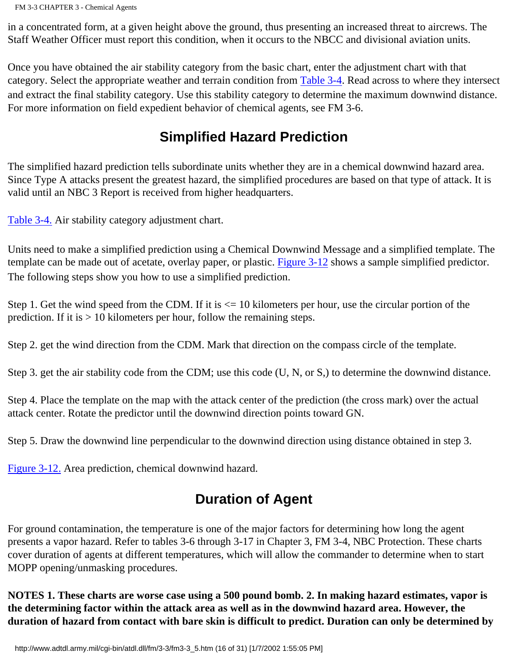in a concentrated form, at a given height above the ground, thus presenting an increased threat to aircrews. The Staff Weather Officer must report this condition, when it occurs to the NBCC and divisional aviation units.

Once you have obtained the air stability category from the basic chart, enter the adjustment chart with that category. Select the appropriate weather and terrain condition from [Table 3-4](http://www.adtdl.army.mil/cgi-bin/atdl.dll/fm/3-3/fm330026.gif). Read across to where they intersect and extract the final stability category. Use this stability category to determine the maximum downwind distance. For more information on field expedient behavior of chemical agents, see FM 3-6.

### **Simplified Hazard Prediction**

The simplified hazard prediction tells subordinate units whether they are in a chemical downwind hazard area. Since Type A attacks present the greatest hazard, the simplified procedures are based on that type of attack. It is valid until an NBC 3 Report is received from higher headquarters.

[Table 3-4.](http://www.adtdl.army.mil/cgi-bin/atdl.dll/fm/3-3/fm330026.gif) Air stability category adjustment chart.

Units need to make a simplified prediction using a Chemical Downwind Message and a simplified template. The template can be made out of acetate, overlay paper, or plastic. [Figure 3-12](http://www.adtdl.army.mil/cgi-bin/atdl.dll/fm/3-3/fm330027.gif) shows a sample simplified predictor. The following steps show you how to use a simplified prediction.

Step 1. Get the wind speed from the CDM. If it is  $\leq 10$  kilometers per hour, use the circular portion of the prediction. If it is  $> 10$  kilometers per hour, follow the remaining steps.

Step 2. get the wind direction from the CDM. Mark that direction on the compass circle of the template.

Step 3. get the air stability code from the CDM; use this code (U, N, or S,) to determine the downwind distance.

Step 4. Place the template on the map with the attack center of the prediction (the cross mark) over the actual attack center. Rotate the predictor until the downwind direction points toward GN.

Step 5. Draw the downwind line perpendicular to the downwind direction using distance obtained in step 3.

[Figure 3-12.](http://www.adtdl.army.mil/cgi-bin/atdl.dll/fm/3-3/fm330027.gif) Area prediction, chemical downwind hazard.

### **Duration of Agent**

For ground contamination, the temperature is one of the major factors for determining how long the agent presents a vapor hazard. Refer to tables 3-6 through 3-17 in Chapter 3, FM 3-4, NBC Protection. These charts cover duration of agents at different temperatures, which will allow the commander to determine when to start MOPP opening/unmasking procedures.

**NOTES 1. These charts are worse case using a 500 pound bomb. 2. In making hazard estimates, vapor is the determining factor within the attack area as well as in the downwind hazard area. However, the duration of hazard from contact with bare skin is difficult to predict. Duration can only be determined by**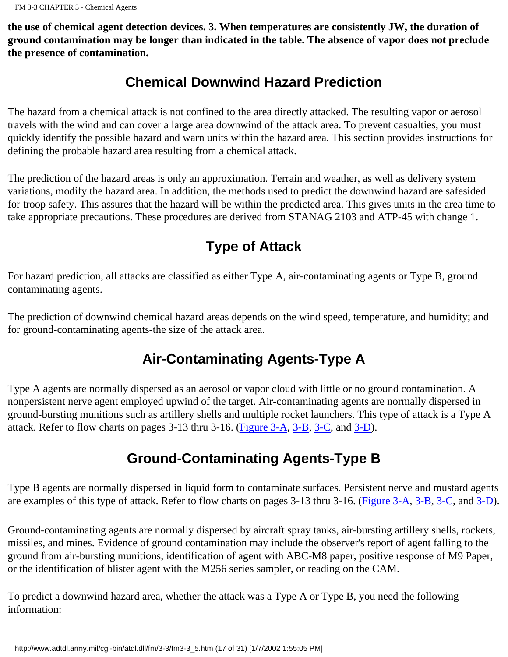**the use of chemical agent detection devices. 3. When temperatures are consistently JW, the duration of ground contamination may be longer than indicated in the table. The absence of vapor does not preclude the presence of contamination.**

### **Chemical Downwind Hazard Prediction**

The hazard from a chemical attack is not confined to the area directly attacked. The resulting vapor or aerosol travels with the wind and can cover a large area downwind of the attack area. To prevent casualties, you must quickly identify the possible hazard and warn units within the hazard area. This section provides instructions for defining the probable hazard area resulting from a chemical attack.

The prediction of the hazard areas is only an approximation. Terrain and weather, as well as delivery system variations, modify the hazard area. In addition, the methods used to predict the downwind hazard are safesided for troop safety. This assures that the hazard will be within the predicted area. This gives units in the area time to take appropriate precautions. These procedures are derived from STANAG 2103 and ATP-45 with change 1.

# **Type of Attack**

For hazard prediction, all attacks are classified as either Type A, air-contaminating agents or Type B, ground contaminating agents.

The prediction of downwind chemical hazard areas depends on the wind speed, temperature, and humidity; and for ground-contaminating agents-the size of the attack area.

## **Air-Contaminating Agents-Type A**

Type A agents are normally dispersed as an aerosol or vapor cloud with little or no ground contamination. A nonpersistent nerve agent employed upwind of the target. Air-contaminating agents are normally dispersed in ground-bursting munitions such as artillery shells and multiple rocket launchers. This type of attack is a Type A attack. Refer to flow charts on pages 3-13 thru 3-16. [\(Figure 3-A](http://www.adtdl.army.mil/cgi-bin/atdl.dll/fm/3-3/fm330028.gif), [3-B,](http://www.adtdl.army.mil/cgi-bin/atdl.dll/fm/3-3/fm330029.gif) [3-C,](http://www.adtdl.army.mil/cgi-bin/atdl.dll/fm/3-3/fm330030.gif) and [3-D](http://www.adtdl.army.mil/cgi-bin/atdl.dll/fm/3-3/fm330031.gif)).

### **Ground-Contaminating Agents-Type B**

Type B agents are normally dispersed in liquid form to contaminate surfaces. Persistent nerve and mustard agents are examples of this type of attack. Refer to flow charts on pages 3-13 thru 3-16. [\(Figure 3-A,](http://www.adtdl.army.mil/cgi-bin/atdl.dll/fm/3-3/fm330028.gif) [3-B,](http://www.adtdl.army.mil/cgi-bin/atdl.dll/fm/3-3/fm330029.gif) [3-C,](http://www.adtdl.army.mil/cgi-bin/atdl.dll/fm/3-3/fm330030.gif) and [3-D\)](http://www.adtdl.army.mil/cgi-bin/atdl.dll/fm/3-3/fm330031.gif).

Ground-contaminating agents are normally dispersed by aircraft spray tanks, air-bursting artillery shells, rockets, missiles, and mines. Evidence of ground contamination may include the observer's report of agent falling to the ground from air-bursting munitions, identification of agent with ABC-M8 paper, positive response of M9 Paper, or the identification of blister agent with the M256 series sampler, or reading on the CAM.

To predict a downwind hazard area, whether the attack was a Type A or Type B, you need the following information: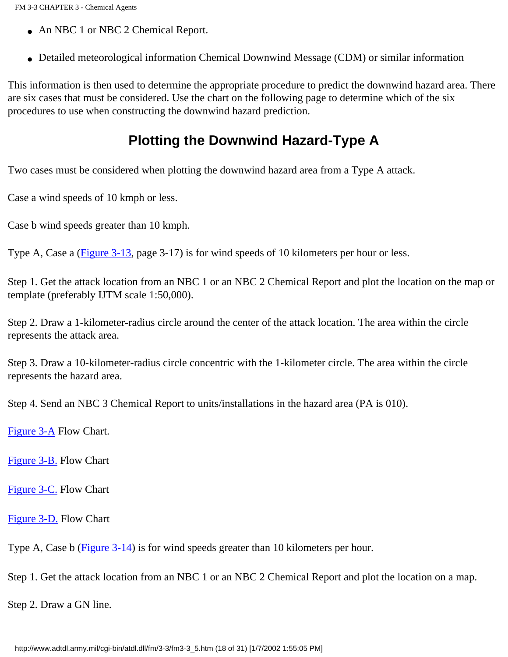- An NBC 1 or NBC 2 Chemical Report.
- Detailed meteorological information Chemical Downwind Message (CDM) or similar information

This information is then used to determine the appropriate procedure to predict the downwind hazard area. There are six cases that must be considered. Use the chart on the following page to determine which of the six procedures to use when constructing the downwind hazard prediction.

### **Plotting the Downwind Hazard-Type A**

Two cases must be considered when plotting the downwind hazard area from a Type A attack.

Case a wind speeds of 10 kmph or less.

Case b wind speeds greater than 10 kmph.

Type A, Case a [\(Figure 3-13](http://www.adtdl.army.mil/cgi-bin/atdl.dll/fm/3-3/fm330032.gif), page 3-17) is for wind speeds of 10 kilometers per hour or less.

Step 1. Get the attack location from an NBC 1 or an NBC 2 Chemical Report and plot the location on the map or template (preferably IJTM scale 1:50,000).

Step 2. Draw a 1-kilometer-radius circle around the center of the attack location. The area within the circle represents the attack area.

Step 3. Draw a 10-kilometer-radius circle concentric with the 1-kilometer circle. The area within the circle represents the hazard area.

Step 4. Send an NBC 3 Chemical Report to units/installations in the hazard area (PA is 010).

[Figure 3-A](http://www.adtdl.army.mil/cgi-bin/atdl.dll/fm/3-3/fm330028.gif) Flow Chart.

[Figure 3-B.](http://www.adtdl.army.mil/cgi-bin/atdl.dll/fm/3-3/fm330029.gif) Flow Chart

[Figure 3-C.](http://www.adtdl.army.mil/cgi-bin/atdl.dll/fm/3-3/fm330030.gif) Flow Chart

[Figure 3-D.](http://www.adtdl.army.mil/cgi-bin/atdl.dll/fm/3-3/fm330031.gif) Flow Chart

Type A, Case b ([Figure 3-14\)](http://www.adtdl.army.mil/cgi-bin/atdl.dll/fm/3-3/fm330033.gif) is for wind speeds greater than 10 kilometers per hour.

Step 1. Get the attack location from an NBC 1 or an NBC 2 Chemical Report and plot the location on a map.

Step 2. Draw a GN line.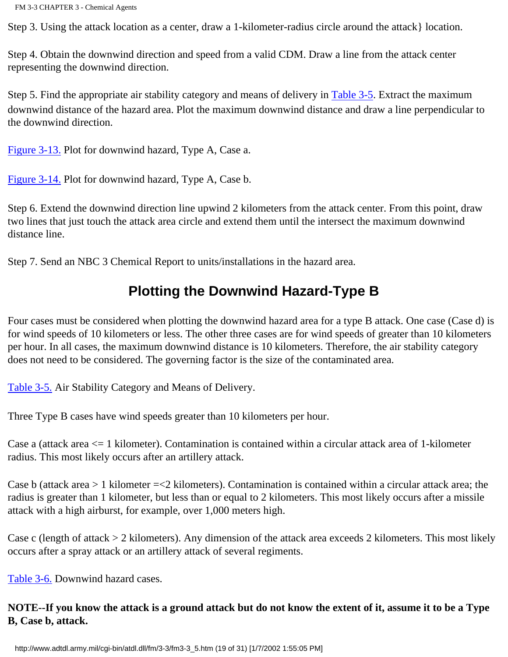Step 3. Using the attack location as a center, draw a 1-kilometer-radius circle around the attack} location.

Step 4. Obtain the downwind direction and speed from a valid CDM. Draw a line from the attack center representing the downwind direction.

Step 5. Find the appropriate air stability category and means of delivery in [Table 3-5.](http://www.adtdl.army.mil/cgi-bin/atdl.dll/fm/3-3/fm330034.gif) Extract the maximum downwind distance of the hazard area. Plot the maximum downwind distance and draw a line perpendicular to the downwind direction.

[Figure 3-13.](http://www.adtdl.army.mil/cgi-bin/atdl.dll/fm/3-3/fm330032.gif) Plot for downwind hazard, Type A, Case a.

[Figure 3-14.](http://www.adtdl.army.mil/cgi-bin/atdl.dll/fm/3-3/fm330033.gif) Plot for downwind hazard, Type A, Case b.

Step 6. Extend the downwind direction line upwind 2 kilometers from the attack center. From this point, draw two lines that just touch the attack area circle and extend them until the intersect the maximum downwind distance line.

Step 7. Send an NBC 3 Chemical Report to units/installations in the hazard area.

### **Plotting the Downwind Hazard-Type B**

Four cases must be considered when plotting the downwind hazard area for a type B attack. One case (Case d) is for wind speeds of 10 kilometers or less. The other three cases are for wind speeds of greater than 10 kilometers per hour. In all cases, the maximum downwind distance is 10 kilometers. Therefore, the air stability category does not need to be considered. The governing factor is the size of the contaminated area.

[Table 3-5.](http://www.adtdl.army.mil/cgi-bin/atdl.dll/fm/3-3/fm330034.gif) Air Stability Category and Means of Delivery.

Three Type B cases have wind speeds greater than 10 kilometers per hour.

Case a (attack area <= 1 kilometer). Contamination is contained within a circular attack area of 1-kilometer radius. This most likely occurs after an artillery attack.

Case b (attack area  $> 1$  kilometer  $=< 2$  kilometers). Contamination is contained within a circular attack area; the radius is greater than 1 kilometer, but less than or equal to 2 kilometers. This most likely occurs after a missile attack with a high airburst, for example, over 1,000 meters high.

Case c (length of attack > 2 kilometers). Any dimension of the attack area exceeds 2 kilometers. This most likely occurs after a spray attack or an artillery attack of several regiments.

[Table 3-6.](http://www.adtdl.army.mil/cgi-bin/atdl.dll/fm/3-3/fm330035.gif) Downwind hazard cases.

**NOTE--If you know the attack is a ground attack but do not know the extent of it, assume it to be a Type B, Case b, attack.**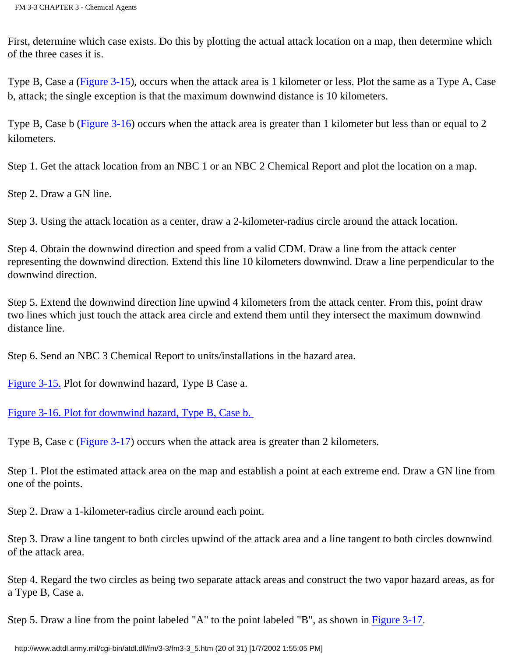First, determine which case exists. Do this by plotting the actual attack location on a map, then determine which of the three cases it is.

Type B, Case a [\(Figure 3-15](http://www.adtdl.army.mil/cgi-bin/atdl.dll/fm/3-3/fm330036.gif)), occurs when the attack area is 1 kilometer or less. Plot the same as a Type A, Case b, attack; the single exception is that the maximum downwind distance is 10 kilometers.

Type B, Case b [\(Figure 3-16](http://www.adtdl.army.mil/cgi-bin/atdl.dll/fm/3-3/fm330037.gif)) occurs when the attack area is greater than 1 kilometer but less than or equal to 2 kilometers.

Step 1. Get the attack location from an NBC 1 or an NBC 2 Chemical Report and plot the location on a map.

Step 2. Draw a GN line.

Step 3. Using the attack location as a center, draw a 2-kilometer-radius circle around the attack location.

Step 4. Obtain the downwind direction and speed from a valid CDM. Draw a line from the attack center representing the downwind direction. Extend this line 10 kilometers downwind. Draw a line perpendicular to the downwind direction.

Step 5. Extend the downwind direction line upwind 4 kilometers from the attack center. From this, point draw two lines which just touch the attack area circle and extend them until they intersect the maximum downwind distance line.

Step 6. Send an NBC 3 Chemical Report to units/installations in the hazard area.

[Figure 3-15.](http://www.adtdl.army.mil/cgi-bin/atdl.dll/fm/3-3/fm330036.gif) Plot for downwind hazard, Type B Case a.

[Figure 3-16. Plot for downwind hazard, Type B, Case b.](http://www.adtdl.army.mil/cgi-bin/atdl.dll/fm/3-3/fm330037.gif)

Type B, Case c [\(Figure 3-17](http://www.adtdl.army.mil/cgi-bin/atdl.dll/fm/3-3/fm330038.gif)) occurs when the attack area is greater than 2 kilometers.

Step 1. Plot the estimated attack area on the map and establish a point at each extreme end. Draw a GN line from one of the points.

Step 2. Draw a 1-kilometer-radius circle around each point.

Step 3. Draw a line tangent to both circles upwind of the attack area and a line tangent to both circles downwind of the attack area.

Step 4. Regard the two circles as being two separate attack areas and construct the two vapor hazard areas, as for a Type B, Case a.

Step 5. Draw a line from the point labeled "A" to the point labeled "B", as shown in [Figure 3-17](http://www.adtdl.army.mil/cgi-bin/atdl.dll/fm/3-3/fm330038.gif).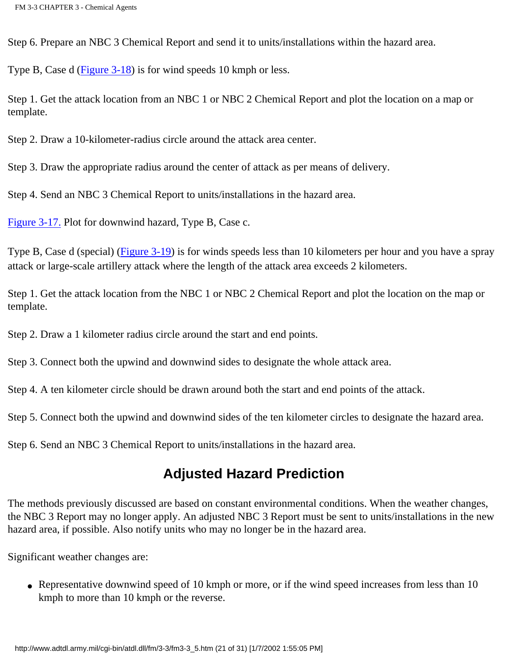Step 6. Prepare an NBC 3 Chemical Report and send it to units/installations within the hazard area.

Type B, Case d [\(Figure 3-18](http://www.adtdl.army.mil/cgi-bin/atdl.dll/fm/3-3/fm330039.gif)) is for wind speeds 10 kmph or less.

Step 1. Get the attack location from an NBC 1 or NBC 2 Chemical Report and plot the location on a map or template.

Step 2. Draw a 10-kilometer-radius circle around the attack area center.

Step 3. Draw the appropriate radius around the center of attack as per means of delivery.

Step 4. Send an NBC 3 Chemical Report to units/installations in the hazard area.

[Figure 3-17.](http://www.adtdl.army.mil/cgi-bin/atdl.dll/fm/3-3/fm330038.gif) Plot for downwind hazard, Type B, Case c.

Type B, Case d (special) [\(Figure 3-19](http://www.adtdl.army.mil/cgi-bin/atdl.dll/fm/3-3/fm330040.gif)) is for winds speeds less than 10 kilometers per hour and you have a spray attack or large-scale artillery attack where the length of the attack area exceeds 2 kilometers.

Step 1. Get the attack location from the NBC 1 or NBC 2 Chemical Report and plot the location on the map or template.

Step 2. Draw a 1 kilometer radius circle around the start and end points.

Step 3. Connect both the upwind and downwind sides to designate the whole attack area.

Step 4. A ten kilometer circle should be drawn around both the start and end points of the attack.

Step 5. Connect both the upwind and downwind sides of the ten kilometer circles to designate the hazard area.

Step 6. Send an NBC 3 Chemical Report to units/installations in the hazard area.

### **Adjusted Hazard Prediction**

The methods previously discussed are based on constant environmental conditions. When the weather changes, the NBC 3 Report may no longer apply. An adjusted NBC 3 Report must be sent to units/installations in the new hazard area, if possible. Also notify units who may no longer be in the hazard area.

Significant weather changes are:

• Representative downwind speed of 10 kmph or more, or if the wind speed increases from less than 10 kmph to more than 10 kmph or the reverse.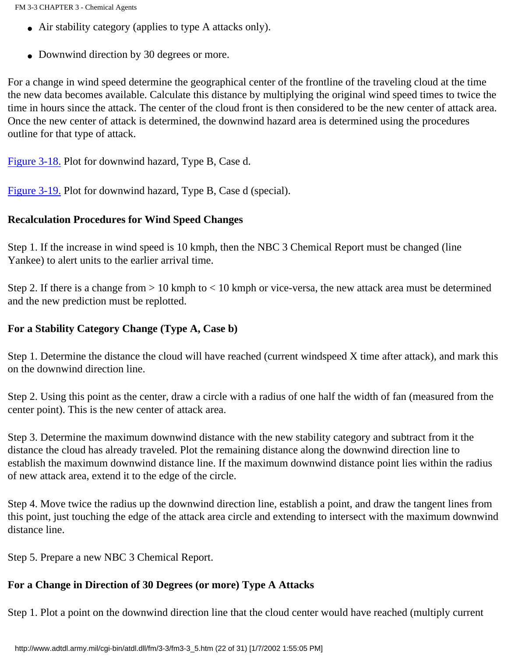- Air stability category (applies to type A attacks only).
- Downwind direction by 30 degrees or more.

For a change in wind speed determine the geographical center of the frontline of the traveling cloud at the time the new data becomes available. Calculate this distance by multiplying the original wind speed times to twice the time in hours since the attack. The center of the cloud front is then considered to be the new center of attack area. Once the new center of attack is determined, the downwind hazard area is determined using the procedures outline for that type of attack.

[Figure 3-18.](http://www.adtdl.army.mil/cgi-bin/atdl.dll/fm/3-3/fm330039.gif) Plot for downwind hazard, Type B, Case d.

[Figure 3-19.](http://www.adtdl.army.mil/cgi-bin/atdl.dll/fm/3-3/fm330040.gif) Plot for downwind hazard, Type B, Case d (special).

#### **Recalculation Procedures for Wind Speed Changes**

Step 1. If the increase in wind speed is 10 kmph, then the NBC 3 Chemical Report must be changed (line Yankee) to alert units to the earlier arrival time.

Step 2. If there is a change from > 10 kmph to < 10 kmph or vice-versa, the new attack area must be determined and the new prediction must be replotted.

#### **For a Stability Category Change (Type A, Case b)**

Step 1. Determine the distance the cloud will have reached (current windspeed X time after attack), and mark this on the downwind direction line.

Step 2. Using this point as the center, draw a circle with a radius of one half the width of fan (measured from the center point). This is the new center of attack area.

Step 3. Determine the maximum downwind distance with the new stability category and subtract from it the distance the cloud has already traveled. Plot the remaining distance along the downwind direction line to establish the maximum downwind distance line. If the maximum downwind distance point lies within the radius of new attack area, extend it to the edge of the circle.

Step 4. Move twice the radius up the downwind direction line, establish a point, and draw the tangent lines from this point, just touching the edge of the attack area circle and extending to intersect with the maximum downwind distance line.

Step 5. Prepare a new NBC 3 Chemical Report.

#### **For a Change in Direction of 30 Degrees (or more) Type A Attacks**

Step 1. Plot a point on the downwind direction line that the cloud center would have reached (multiply current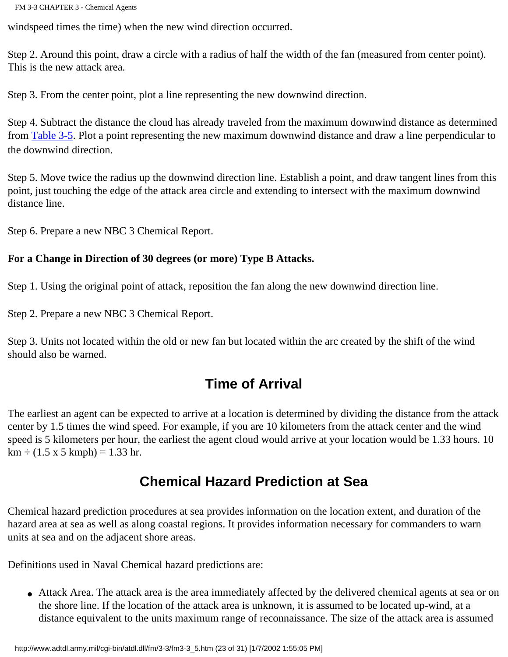windspeed times the time) when the new wind direction occurred.

Step 2. Around this point, draw a circle with a radius of half the width of the fan (measured from center point). This is the new attack area.

Step 3. From the center point, plot a line representing the new downwind direction.

Step 4. Subtract the distance the cloud has already traveled from the maximum downwind distance as determined from [Table 3-5](http://www.adtdl.army.mil/cgi-bin/atdl.dll/fm/3-3/fm330034.gif). Plot a point representing the new maximum downwind distance and draw a line perpendicular to the downwind direction.

Step 5. Move twice the radius up the downwind direction line. Establish a point, and draw tangent lines from this point, just touching the edge of the attack area circle and extending to intersect with the maximum downwind distance line.

Step 6. Prepare a new NBC 3 Chemical Report.

#### **For a Change in Direction of 30 degrees (or more) Type B Attacks.**

Step 1. Using the original point of attack, reposition the fan along the new downwind direction line.

Step 2. Prepare a new NBC 3 Chemical Report.

Step 3. Units not located within the old or new fan but located within the arc created by the shift of the wind should also be warned.

### **Time of Arrival**

The earliest an agent can be expected to arrive at a location is determined by dividing the distance from the attack center by 1.5 times the wind speed. For example, if you are 10 kilometers from the attack center and the wind speed is 5 kilometers per hour, the earliest the agent cloud would arrive at your location would be 1.33 hours. 10  $km \div (1.5 \times 5 \text{ kmph}) = 1.33 \text{ hr}.$ 

### **Chemical Hazard Prediction at Sea**

Chemical hazard prediction procedures at sea provides information on the location extent, and duration of the hazard area at sea as well as along coastal regions. It provides information necessary for commanders to warn units at sea and on the adjacent shore areas.

Definitions used in Naval Chemical hazard predictions are:

• Attack Area. The attack area is the area immediately affected by the delivered chemical agents at sea or on the shore line. If the location of the attack area is unknown, it is assumed to be located up-wind, at a distance equivalent to the units maximum range of reconnaissance. The size of the attack area is assumed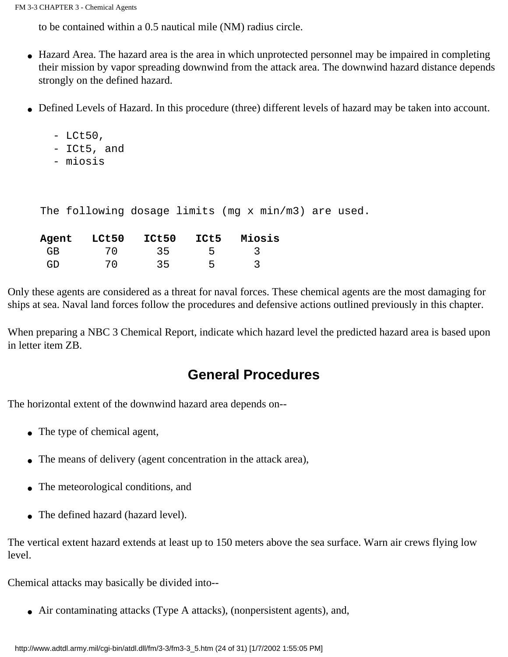to be contained within a 0.5 nautical mile (NM) radius circle.

- Hazard Area. The hazard area is the area in which unprotected personnel may be impaired in completing their mission by vapor spreading downwind from the attack area. The downwind hazard distance depends strongly on the defined hazard.
- Defined Levels of Hazard. In this procedure (three) different levels of hazard may be taken into account.
	- $-LCt50,$
	- ICt5, and
	- miosis

The following dosage limits (mg x min/m3) are used.

| Agent | LCt50   | <b>ICt50</b>    | ICt5 | Miosis |
|-------|---------|-----------------|------|--------|
| GR    |         | $\overline{35}$ |      |        |
| GD.   | $'$ /() | 35              | ↳    |        |

Only these agents are considered as a threat for naval forces. These chemical agents are the most damaging for ships at sea. Naval land forces follow the procedures and defensive actions outlined previously in this chapter.

When preparing a NBC 3 Chemical Report, indicate which hazard level the predicted hazard area is based upon in letter item ZB.

### **General Procedures**

The horizontal extent of the downwind hazard area depends on--

- The type of chemical agent,
- The means of delivery (agent concentration in the attack area),
- The meteorological conditions, and
- The defined hazard (hazard level).

The vertical extent hazard extends at least up to 150 meters above the sea surface. Warn air crews flying low level.

Chemical attacks may basically be divided into--

• Air contaminating attacks (Type A attacks), (nonpersistent agents), and,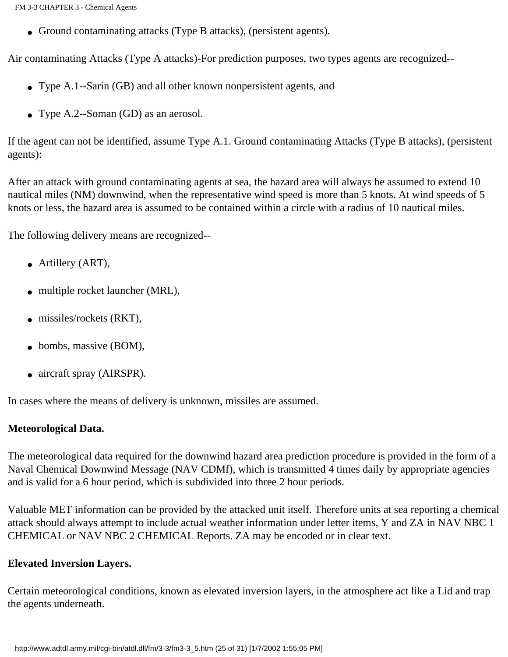FM 3-3 CHAPTER 3 - Chemical Agents

• Ground contaminating attacks (Type B attacks), (persistent agents).

Air contaminating Attacks (Type A attacks)-For prediction purposes, two types agents are recognized--

- Type A.1--Sarin (GB) and all other known nonpersistent agents, and
- Type A.2--Soman (GD) as an aerosol.

If the agent can not be identified, assume Type A.1. Ground contaminating Attacks (Type B attacks), (persistent agents):

After an attack with ground contaminating agents at sea, the hazard area will always be assumed to extend 10 nautical miles (NM) downwind, when the representative wind speed is more than 5 knots. At wind speeds of 5 knots or less, the hazard area is assumed to be contained within a circle with a radius of 10 nautical miles.

The following delivery means are recognized--

- Artillery (ART),
- multiple rocket launcher (MRL),
- missiles/rockets (RKT),
- bombs, massive (BOM),
- aircraft spray (AIRSPR).

In cases where the means of delivery is unknown, missiles are assumed.

#### **Meteorological Data.**

The meteorological data required for the downwind hazard area prediction procedure is provided in the form of a Naval Chemical Downwind Message (NAV CDMf), which is transmitted 4 times daily by appropriate agencies and is valid for a 6 hour period, which is subdivided into three 2 hour periods.

Valuable MET information can be provided by the attacked unit itself. Therefore units at sea reporting a chemical attack should always attempt to include actual weather information under letter items, Y and ZA in NAV NBC 1 CHEMICAL or NAV NBC 2 CHEMICAL Reports. ZA may be encoded or in clear text.

#### **Elevated Inversion Layers.**

Certain meteorological conditions, known as elevated inversion layers, in the atmosphere act like a Lid and trap the agents underneath.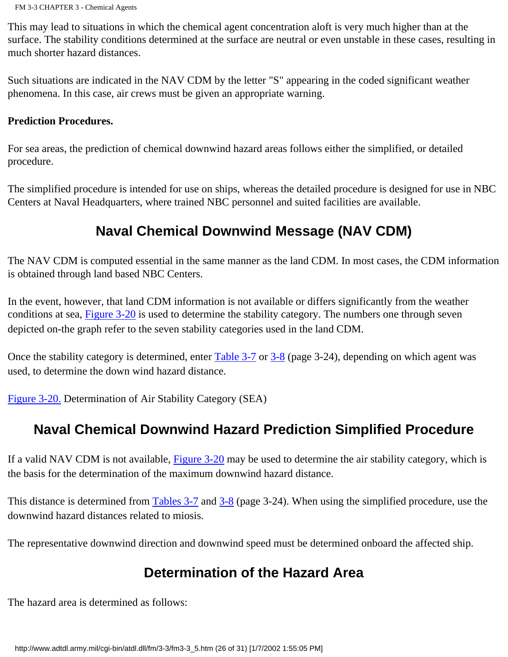This may lead to situations in which the chemical agent concentration aloft is very much higher than at the surface. The stability conditions determined at the surface are neutral or even unstable in these cases, resulting in much shorter hazard distances.

Such situations are indicated in the NAV CDM by the letter "S" appearing in the coded significant weather phenomena. In this case, air crews must be given an appropriate warning.

#### **Prediction Procedures.**

For sea areas, the prediction of chemical downwind hazard areas follows either the simplified, or detailed procedure.

The simplified procedure is intended for use on ships, whereas the detailed procedure is designed for use in NBC Centers at Naval Headquarters, where trained NBC personnel and suited facilities are available.

### **Naval Chemical Downwind Message (NAV CDM)**

The NAV CDM is computed essential in the same manner as the land CDM. In most cases, the CDM information is obtained through land based NBC Centers.

In the event, however, that land CDM information is not available or differs significantly from the weather conditions at sea, [Figure 3-20](http://www.adtdl.army.mil/cgi-bin/atdl.dll/fm/3-3/fm330041.gif) is used to determine the stability category. The numbers one through seven depicted on-the graph refer to the seven stability categories used in the land CDM.

Once the stability category is determined, enter [Table 3-7](http://www.adtdl.army.mil/cgi-bin/atdl.dll/fm/3-3/fm330042.gif) or [3-8](http://www.adtdl.army.mil/cgi-bin/atdl.dll/fm/3-3/fm330043.gif) (page 3-24), depending on which agent was used, to determine the down wind hazard distance.

[Figure 3-20.](http://www.adtdl.army.mil/cgi-bin/atdl.dll/fm/3-3/fm330041.gif) Determination of Air Stability Category (SEA)

### **Naval Chemical Downwind Hazard Prediction Simplified Procedure**

If a valid NAV CDM is not available, [Figure 3-20](http://www.adtdl.army.mil/cgi-bin/atdl.dll/fm/3-3/fm330041.gif) may be used to determine the air stability category, which is the basis for the determination of the maximum downwind hazard distance.

This distance is determined from [Tables 3-7](http://www.adtdl.army.mil/cgi-bin/atdl.dll/fm/3-3/fm330042.gif) and [3-8](http://www.adtdl.army.mil/cgi-bin/atdl.dll/fm/3-3/fm330043.gif) (page 3-24). When using the simplified procedure, use the downwind hazard distances related to miosis.

The representative downwind direction and downwind speed must be determined onboard the affected ship.

### **Determination of the Hazard Area**

The hazard area is determined as follows: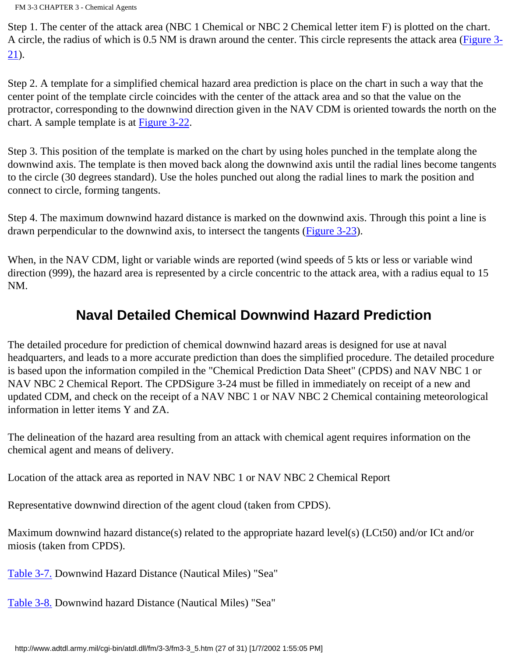Step 1. The center of the attack area (NBC 1 Chemical or NBC 2 Chemical letter item F) is plotted on the chart. A circle, the radius of which is 0.5 NM is drawn around the center. This circle represents the attack area [\(Figure 3-](http://www.adtdl.army.mil/cgi-bin/atdl.dll/fm/3-3/fm330044.gif) [21](http://www.adtdl.army.mil/cgi-bin/atdl.dll/fm/3-3/fm330044.gif)).

Step 2. A template for a simplified chemical hazard area prediction is place on the chart in such a way that the center point of the template circle coincides with the center of the attack area and so that the value on the protractor, corresponding to the downwind direction given in the NAV CDM is oriented towards the north on the chart. A sample template is at [Figure 3-22](http://www.adtdl.army.mil/cgi-bin/atdl.dll/fm/3-3/fm330045.gif).

Step 3. This position of the template is marked on the chart by using holes punched in the template along the downwind axis. The template is then moved back along the downwind axis until the radial lines become tangents to the circle (30 degrees standard). Use the holes punched out along the radial lines to mark the position and connect to circle, forming tangents.

Step 4. The maximum downwind hazard distance is marked on the downwind axis. Through this point a line is drawn perpendicular to the downwind axis, to intersect the tangents ([Figure 3-23\)](http://www.adtdl.army.mil/cgi-bin/atdl.dll/fm/3-3/fm330046.gif).

When, in the NAV CDM, light or variable winds are reported (wind speeds of 5 kts or less or variable wind direction (999), the hazard area is represented by a circle concentric to the attack area, with a radius equal to 15 NM.

### **Naval Detailed Chemical Downwind Hazard Prediction**

The detailed procedure for prediction of chemical downwind hazard areas is designed for use at naval headquarters, and leads to a more accurate prediction than does the simplified procedure. The detailed procedure is based upon the information compiled in the "Chemical Prediction Data Sheet" (CPDS) and NAV NBC 1 or NAV NBC 2 Chemical Report. The CPDSigure 3-24 must be filled in immediately on receipt of a new and updated CDM, and check on the receipt of a NAV NBC 1 or NAV NBC 2 Chemical containing meteorological information in letter items Y and ZA.

The delineation of the hazard area resulting from an attack with chemical agent requires information on the chemical agent and means of delivery.

Location of the attack area as reported in NAV NBC 1 or NAV NBC 2 Chemical Report

Representative downwind direction of the agent cloud (taken from CPDS).

Maximum downwind hazard distance(s) related to the appropriate hazard level(s) (LCt50) and/or ICt and/or miosis (taken from CPDS).

[Table 3-7.](http://www.adtdl.army.mil/cgi-bin/atdl.dll/fm/3-3/fm330042.gif) Downwind Hazard Distance (Nautical Miles) "Sea"

[Table 3-8.](http://www.adtdl.army.mil/cgi-bin/atdl.dll/fm/3-3/fm330043.gif) Downwind hazard Distance (Nautical Miles) "Sea"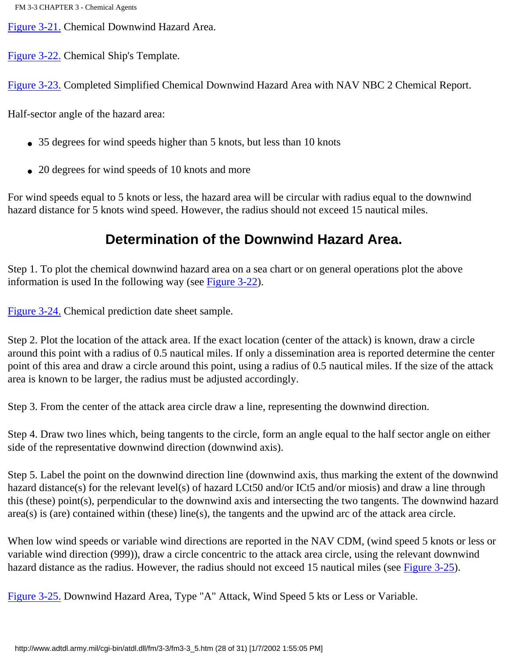[Figure 3-21.](http://www.adtdl.army.mil/cgi-bin/atdl.dll/fm/3-3/fm330044.gif) Chemical Downwind Hazard Area.

[Figure 3-22.](http://www.adtdl.army.mil/cgi-bin/atdl.dll/fm/3-3/fm330045.gif) Chemical Ship's Template.

[Figure 3-23.](http://www.adtdl.army.mil/cgi-bin/atdl.dll/fm/3-3/fm330046.gif) Completed Simplified Chemical Downwind Hazard Area with NAV NBC 2 Chemical Report.

Half-sector angle of the hazard area:

- 35 degrees for wind speeds higher than 5 knots, but less than 10 knots
- 20 degrees for wind speeds of 10 knots and more

For wind speeds equal to 5 knots or less, the hazard area will be circular with radius equal to the downwind hazard distance for 5 knots wind speed. However, the radius should not exceed 15 nautical miles.

### **Determination of the Downwind Hazard Area.**

Step 1. To plot the chemical downwind hazard area on a sea chart or on general operations plot the above information is used In the following way (see [Figure 3-22](http://www.adtdl.army.mil/cgi-bin/atdl.dll/fm/3-3/fm330045.gif)).

[Figure 3-24.](#page-73-0) Chemical prediction date sheet sample.

Step 2. Plot the location of the attack area. If the exact location (center of the attack) is known, draw a circle around this point with a radius of 0.5 nautical miles. If only a dissemination area is reported determine the center point of this area and draw a circle around this point, using a radius of 0.5 nautical miles. If the size of the attack area is known to be larger, the radius must be adjusted accordingly.

Step 3. From the center of the attack area circle draw a line, representing the downwind direction.

Step 4. Draw two lines which, being tangents to the circle, form an angle equal to the half sector angle on either side of the representative downwind direction (downwind axis).

Step 5. Label the point on the downwind direction line (downwind axis, thus marking the extent of the downwind hazard distance(s) for the relevant level(s) of hazard LCt50 and/or ICt5 and/or miosis) and draw a line through this (these) point(s), perpendicular to the downwind axis and intersecting the two tangents. The downwind hazard area(s) is (are) contained within (these) line(s), the tangents and the upwind arc of the attack area circle.

When low wind speeds or variable wind directions are reported in the NAV CDM, (wind speed 5 knots or less or variable wind direction (999)), draw a circle concentric to the attack area circle, using the relevant downwind hazard distance as the radius. However, the radius should not exceed 15 nautical miles (see [Figure 3-25\)](http://www.adtdl.army.mil/cgi-bin/atdl.dll/fm/3-3/fm330048.gif).

[Figure 3-25.](http://www.adtdl.army.mil/cgi-bin/atdl.dll/fm/3-3/fm330048.gif) Downwind Hazard Area, Type "A" Attack, Wind Speed 5 kts or Less or Variable.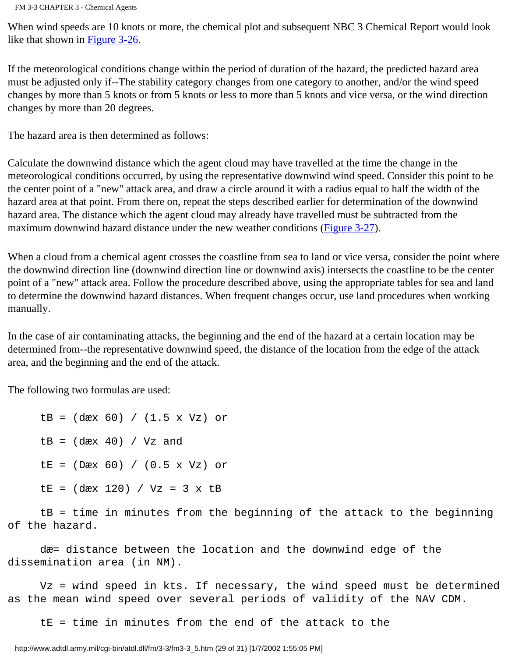When wind speeds are 10 knots or more, the chemical plot and subsequent NBC 3 Chemical Report would look like that shown in [Figure 3-26.](http://www.adtdl.army.mil/cgi-bin/atdl.dll/fm/3-3/fm330049.gif)

If the meteorological conditions change within the period of duration of the hazard, the predicted hazard area must be adjusted only if--The stability category changes from one category to another, and/or the wind speed changes by more than 5 knots or from 5 knots or less to more than 5 knots and vice versa, or the wind direction changes by more than 20 degrees.

The hazard area is then determined as follows:

Calculate the downwind distance which the agent cloud may have travelled at the time the change in the meteorological conditions occurred, by using the representative downwind wind speed. Consider this point to be the center point of a "new" attack area, and draw a circle around it with a radius equal to half the width of the hazard area at that point. From there on, repeat the steps described earlier for determination of the downwind hazard area. The distance which the agent cloud may already have travelled must be subtracted from the maximum downwind hazard distance under the new weather conditions ([Figure 3-27\)](http://www.adtdl.army.mil/cgi-bin/atdl.dll/fm/3-3/fm330051.gif).

When a cloud from a chemical agent crosses the coastline from sea to land or vice versa, consider the point where the downwind direction line (downwind direction line or downwind axis) intersects the coastline to be the center point of a "new" attack area. Follow the procedure described above, using the appropriate tables for sea and land to determine the downwind hazard distances. When frequent changes occur, use land procedures when working manually.

In the case of air contaminating attacks, the beginning and the end of the hazard at a certain location may be determined from--the representative downwind speed, the distance of the location from the edge of the attack area, and the beginning and the end of the attack.

The following two formulas are used:

 tB = (dæx 60) / (1.5 x Vz) or  $tB = (dax 40) / Vz$  and  $LE = (Dax 60) / (0.5 x Vz) or$  $LE = (dxx 120) / Vz = 3 x LB$ 

 tB = time in minutes from the beginning of the attack to the beginning of the hazard.

 dæ= distance between the location and the downwind edge of the dissemination area (in NM).

 Vz = wind speed in kts. If necessary, the wind speed must be determined as the mean wind speed over several periods of validity of the NAV CDM.

tE = time in minutes from the end of the attack to the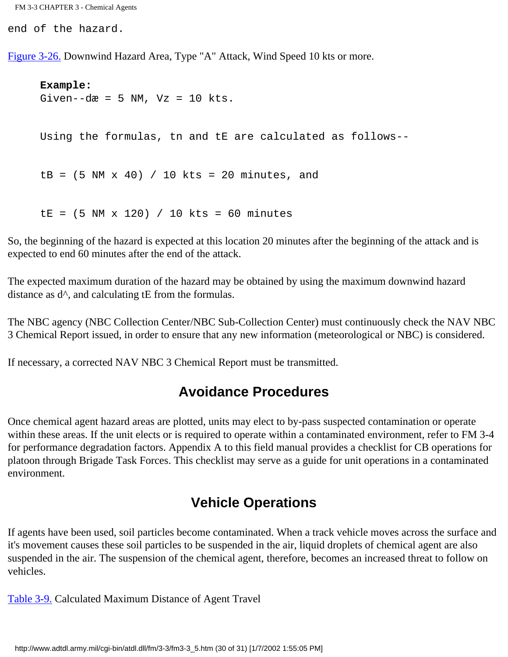FM 3-3 CHAPTER 3 - Chemical Agents

end of the hazard.

[Figure 3-26.](http://www.adtdl.army.mil/cgi-bin/atdl.dll/fm/3-3/fm330049.gif) Downwind Hazard Area, Type "A" Attack, Wind Speed 10 kts or more.

 **Example:** Given--dæ = 5 NM,  $Vz = 10$  kts. Using the formulas, tn and tE are calculated as follows-  $tB = (5 NM x 40) / 10 kts = 20 minutes, and$  $LE = (5 NM x 120) / 10 kts = 60 minutes$ 

So, the beginning of the hazard is expected at this location 20 minutes after the beginning of the attack and is expected to end 60 minutes after the end of the attack.

The expected maximum duration of the hazard may be obtained by using the maximum downwind hazard distance as  $d^{\wedge}$ , and calculating tE from the formulas.

The NBC agency (NBC Collection Center/NBC Sub-Collection Center) must continuously check the NAV NBC 3 Chemical Report issued, in order to ensure that any new information (meteorological or NBC) is considered.

If necessary, a corrected NAV NBC 3 Chemical Report must be transmitted.

#### **Avoidance Procedures**

Once chemical agent hazard areas are plotted, units may elect to by-pass suspected contamination or operate within these areas. If the unit elects or is required to operate within a contaminated environment, refer to FM 3-4 for performance degradation factors. Appendix A to this field manual provides a checklist for CB operations for platoon through Brigade Task Forces. This checklist may serve as a guide for unit operations in a contaminated environment.

#### **Vehicle Operations**

If agents have been used, soil particles become contaminated. When a track vehicle moves across the surface and it's movement causes these soil particles to be suspended in the air, liquid droplets of chemical agent are also suspended in the air. The suspension of the chemical agent, therefore, becomes an increased threat to follow on vehicles.

[Table 3-9.](http://www.adtdl.army.mil/cgi-bin/atdl.dll/fm/3-3/fm330050.gif) Calculated Maximum Distance of Agent Travel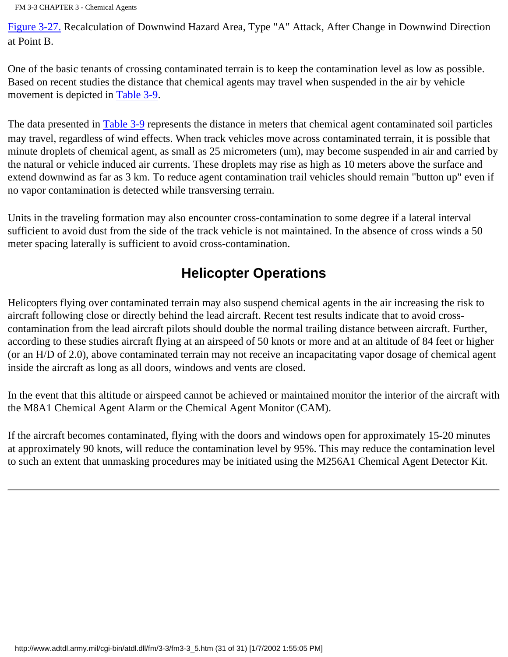FM 3-3 CHAPTER 3 - Chemical Agents

[Figure 3-27.](http://www.adtdl.army.mil/cgi-bin/atdl.dll/fm/3-3/fm330051.gif) Recalculation of Downwind Hazard Area, Type "A" Attack, After Change in Downwind Direction at Point B.

One of the basic tenants of crossing contaminated terrain is to keep the contamination level as low as possible. Based on recent studies the distance that chemical agents may travel when suspended in the air by vehicle movement is depicted in [Table 3-9](http://www.adtdl.army.mil/cgi-bin/atdl.dll/fm/3-3/fm330050.gif).

The data presented in [Table 3-9](http://www.adtdl.army.mil/cgi-bin/atdl.dll/fm/3-3/fm330050.gif) represents the distance in meters that chemical agent contaminated soil particles may travel, regardless of wind effects. When track vehicles move across contaminated terrain, it is possible that minute droplets of chemical agent, as small as 25 micrometers (um), may become suspended in air and carried by the natural or vehicle induced air currents. These droplets may rise as high as 10 meters above the surface and extend downwind as far as 3 km. To reduce agent contamination trail vehicles should remain "button up" even if no vapor contamination is detected while transversing terrain.

Units in the traveling formation may also encounter cross-contamination to some degree if a lateral interval sufficient to avoid dust from the side of the track vehicle is not maintained. In the absence of cross winds a 50 meter spacing laterally is sufficient to avoid cross-contamination.

# **Helicopter Operations**

Helicopters flying over contaminated terrain may also suspend chemical agents in the air increasing the risk to aircraft following close or directly behind the lead aircraft. Recent test results indicate that to avoid crosscontamination from the lead aircraft pilots should double the normal trailing distance between aircraft. Further, according to these studies aircraft flying at an airspeed of 50 knots or more and at an altitude of 84 feet or higher (or an H/D of 2.0), above contaminated terrain may not receive an incapacitating vapor dosage of chemical agent inside the aircraft as long as all doors, windows and vents are closed.

In the event that this altitude or airspeed cannot be achieved or maintained monitor the interior of the aircraft with the M8A1 Chemical Agent Alarm or the Chemical Agent Monitor (CAM).

If the aircraft becomes contaminated, flying with the doors and windows open for approximately 15-20 minutes at approximately 90 knots, will reduce the contamination level by 95%. This may reduce the contamination level to such an extent that unmasking procedures may be initiated using the M256A1 Chemical Agent Detector Kit.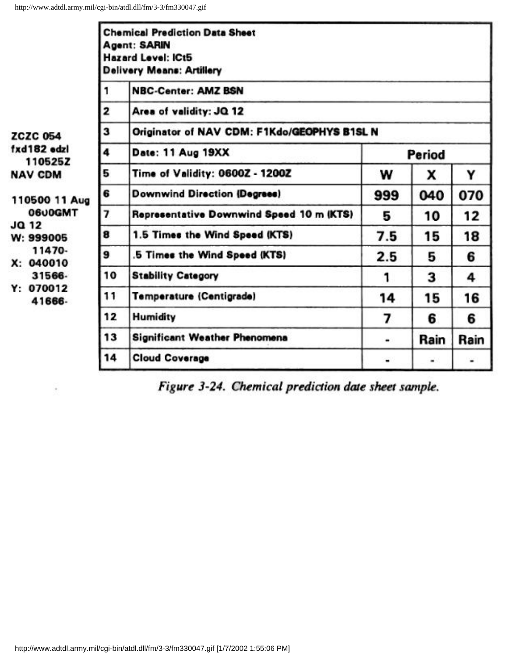|                                                                                                                                                                       |    | <b>Chemical Prediction Data Sheet</b><br><b>Agent: SARIN</b><br>Hazard Level: ICt5<br><b>Delivery Means: Artillery</b> |        |      |      |
|-----------------------------------------------------------------------------------------------------------------------------------------------------------------------|----|------------------------------------------------------------------------------------------------------------------------|--------|------|------|
| <b>ZCZC 054</b><br>fxd182 edzi<br>110525Z<br><b>NAV CDM</b><br>110500 11 Aug<br>0600GMT<br>JQ 12<br>W: 999005<br>11470-<br>X: 040010<br>31566-<br>Y: 070012<br>41666- | 1  | <b>NBC-Center: AMZ BSN</b>                                                                                             |        |      |      |
|                                                                                                                                                                       | 2  | Area of validity: JQ 12                                                                                                |        |      |      |
|                                                                                                                                                                       | 3  | Originator of NAV CDM: F1Kdo/GEOPHYS B1SL N                                                                            |        |      |      |
|                                                                                                                                                                       | 4  | Date: 11 Aug 19XX                                                                                                      | Period |      |      |
|                                                                                                                                                                       | 5  | Time of Validity: 0600Z - 1200Z                                                                                        | w      | x    | Y    |
|                                                                                                                                                                       | 6  | <b>Downwind Direction (Degrees)</b>                                                                                    | 999    | 040  | 070  |
|                                                                                                                                                                       | 7  | Representative Downwind Speed 10 m (KTS)                                                                               | 5      | 10   | 12   |
|                                                                                                                                                                       | 8  | 1.5 Times the Wind Speed (KTS)                                                                                         | 7.5    | 15   | 18   |
|                                                                                                                                                                       | 9  | 5 Times the Wind Speed (KTS)                                                                                           | 2.5    | 5    | 6    |
|                                                                                                                                                                       | 10 | <b>Stability Category</b>                                                                                              | 1      | 3    | 4    |
|                                                                                                                                                                       | 11 | <b>Temperature (Centigrade)</b>                                                                                        | 14     | 15   | 16   |
|                                                                                                                                                                       | 12 | Humidity                                                                                                               | 7      | 6    | 6    |
|                                                                                                                                                                       | 13 | <b>Significant Weather Phenomena</b>                                                                                   | ۰      | Rain | Rain |
|                                                                                                                                                                       | 14 | <b>Cloud Coverage</b>                                                                                                  | ٠      |      | ٠    |

Figure 3-24. Chemical prediction date sheet sample.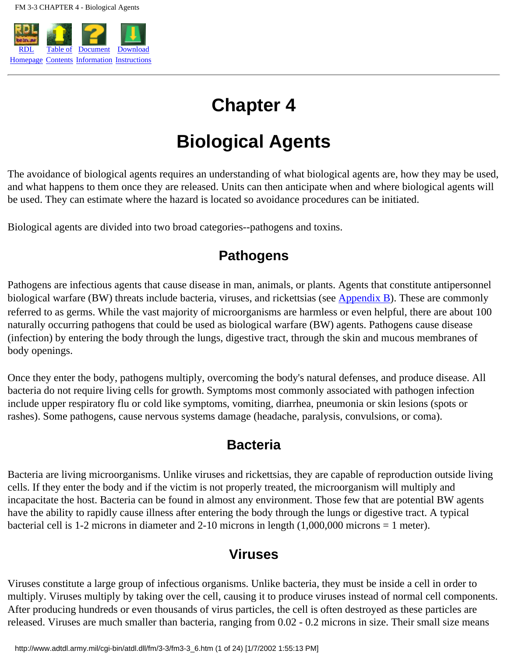

# **Chapter 4**

# **Biological Agents**

The avoidance of biological agents requires an understanding of what biological agents are, how they may be used, and what happens to them once they are released. Units can then anticipate when and where biological agents will be used. They can estimate where the hazard is located so avoidance procedures can be initiated.

Biological agents are divided into two broad categories--pathogens and toxins.

## **Pathogens**

Pathogens are infectious agents that cause disease in man, animals, or plants. Agents that constitute antipersonnel biological warfare (BW) threats include bacteria, viruses, and rickettsias (see [Appendix B\)](#page-141-0). These are commonly referred to as germs. While the vast majority of microorganisms are harmless or even helpful, there are about 100 naturally occurring pathogens that could be used as biological warfare (BW) agents. Pathogens cause disease (infection) by entering the body through the lungs, digestive tract, through the skin and mucous membranes of body openings.

Once they enter the body, pathogens multiply, overcoming the body's natural defenses, and produce disease. All bacteria do not require living cells for growth. Symptoms most commonly associated with pathogen infection include upper respiratory flu or cold like symptoms, vomiting, diarrhea, pneumonia or skin lesions (spots or rashes). Some pathogens, cause nervous systems damage (headache, paralysis, convulsions, or coma).

### **Bacteria**

Bacteria are living microorganisms. Unlike viruses and rickettsias, they are capable of reproduction outside living cells. If they enter the body and if the victim is not properly treated, the microorganism will multiply and incapacitate the host. Bacteria can be found in almost any environment. Those few that are potential BW agents have the ability to rapidly cause illness after entering the body through the lungs or digestive tract. A typical bacterial cell is 1-2 microns in diameter and 2-10 microns in length (1,000,000 microns = 1 meter).

## **Viruses**

Viruses constitute a large group of infectious organisms. Unlike bacteria, they must be inside a cell in order to multiply. Viruses multiply by taking over the cell, causing it to produce viruses instead of normal cell components. After producing hundreds or even thousands of virus particles, the cell is often destroyed as these particles are released. Viruses are much smaller than bacteria, ranging from 0.02 - 0.2 microns in size. Their small size means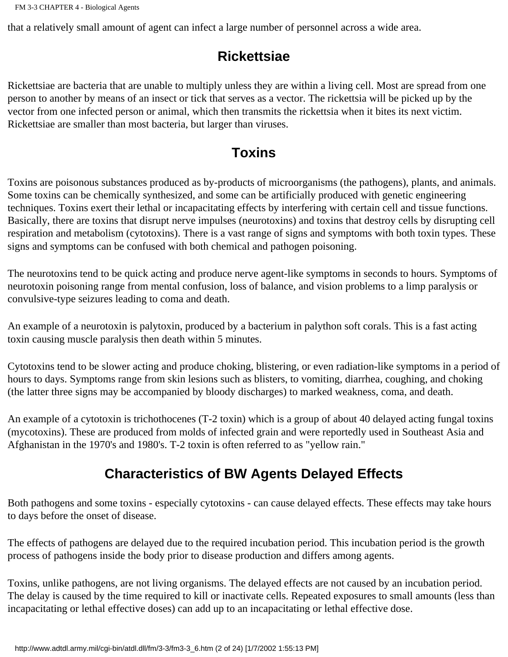that a relatively small amount of agent can infect a large number of personnel across a wide area.

# **Rickettsiae**

Rickettsiae are bacteria that are unable to multiply unless they are within a living cell. Most are spread from one person to another by means of an insect or tick that serves as a vector. The rickettsia will be picked up by the vector from one infected person or animal, which then transmits the rickettsia when it bites its next victim. Rickettsiae are smaller than most bacteria, but larger than viruses.

# **Toxins**

Toxins are poisonous substances produced as by-products of microorganisms (the pathogens), plants, and animals. Some toxins can be chemically synthesized, and some can be artificially produced with genetic engineering techniques. Toxins exert their lethal or incapacitating effects by interfering with certain cell and tissue functions. Basically, there are toxins that disrupt nerve impulses (neurotoxins) and toxins that destroy cells by disrupting cell respiration and metabolism (cytotoxins). There is a vast range of signs and symptoms with both toxin types. These signs and symptoms can be confused with both chemical and pathogen poisoning.

The neurotoxins tend to be quick acting and produce nerve agent-like symptoms in seconds to hours. Symptoms of neurotoxin poisoning range from mental confusion, loss of balance, and vision problems to a limp paralysis or convulsive-type seizures leading to coma and death.

An example of a neurotoxin is palytoxin, produced by a bacterium in palython soft corals. This is a fast acting toxin causing muscle paralysis then death within 5 minutes.

Cytotoxins tend to be slower acting and produce choking, blistering, or even radiation-like symptoms in a period of hours to days. Symptoms range from skin lesions such as blisters, to vomiting, diarrhea, coughing, and choking (the latter three signs may be accompanied by bloody discharges) to marked weakness, coma, and death.

An example of a cytotoxin is trichothocenes (T-2 toxin) which is a group of about 40 delayed acting fungal toxins (mycotoxins). These are produced from molds of infected grain and were reportedly used in Southeast Asia and Afghanistan in the 1970's and 1980's. T-2 toxin is often referred to as "yellow rain."

# **Characteristics of BW Agents Delayed Effects**

Both pathogens and some toxins - especially cytotoxins - can cause delayed effects. These effects may take hours to days before the onset of disease.

The effects of pathogens are delayed due to the required incubation period. This incubation period is the growth process of pathogens inside the body prior to disease production and differs among agents.

Toxins, unlike pathogens, are not living organisms. The delayed effects are not caused by an incubation period. The delay is caused by the time required to kill or inactivate cells. Repeated exposures to small amounts (less than incapacitating or lethal effective doses) can add up to an incapacitating or lethal effective dose.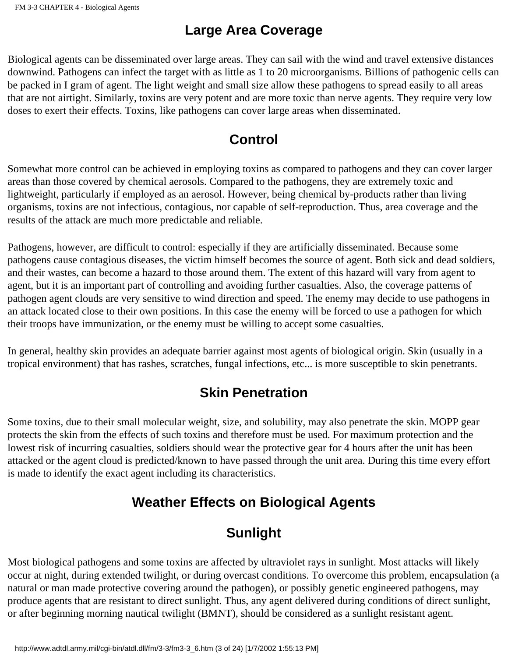# **Large Area Coverage**

Biological agents can be disseminated over large areas. They can sail with the wind and travel extensive distances downwind. Pathogens can infect the target with as little as 1 to 20 microorganisms. Billions of pathogenic cells can be packed in I gram of agent. The light weight and small size allow these pathogens to spread easily to all areas that are not airtight. Similarly, toxins are very potent and are more toxic than nerve agents. They require very low doses to exert their effects. Toxins, like pathogens can cover large areas when disseminated.

# **Control**

Somewhat more control can be achieved in employing toxins as compared to pathogens and they can cover larger areas than those covered by chemical aerosols. Compared to the pathogens, they are extremely toxic and lightweight, particularly if employed as an aerosol. However, being chemical by-products rather than living organisms, toxins are not infectious, contagious, nor capable of self-reproduction. Thus, area coverage and the results of the attack are much more predictable and reliable.

Pathogens, however, are difficult to control: especially if they are artificially disseminated. Because some pathogens cause contagious diseases, the victim himself becomes the source of agent. Both sick and dead soldiers, and their wastes, can become a hazard to those around them. The extent of this hazard will vary from agent to agent, but it is an important part of controlling and avoiding further casualties. Also, the coverage patterns of pathogen agent clouds are very sensitive to wind direction and speed. The enemy may decide to use pathogens in an attack located close to their own positions. In this case the enemy will be forced to use a pathogen for which their troops have immunization, or the enemy must be willing to accept some casualties.

In general, healthy skin provides an adequate barrier against most agents of biological origin. Skin (usually in a tropical environment) that has rashes, scratches, fungal infections, etc... is more susceptible to skin penetrants.

# **Skin Penetration**

Some toxins, due to their small molecular weight, size, and solubility, may also penetrate the skin. MOPP gear protects the skin from the effects of such toxins and therefore must be used. For maximum protection and the lowest risk of incurring casualties, soldiers should wear the protective gear for 4 hours after the unit has been attacked or the agent cloud is predicted/known to have passed through the unit area. During this time every effort is made to identify the exact agent including its characteristics.

# **Weather Effects on Biological Agents**

# **Sunlight**

Most biological pathogens and some toxins are affected by ultraviolet rays in sunlight. Most attacks will likely occur at night, during extended twilight, or during overcast conditions. To overcome this problem, encapsulation (a natural or man made protective covering around the pathogen), or possibly genetic engineered pathogens, may produce agents that are resistant to direct sunlight. Thus, any agent delivered during conditions of direct sunlight, or after beginning morning nautical twilight (BMNT), should be considered as a sunlight resistant agent.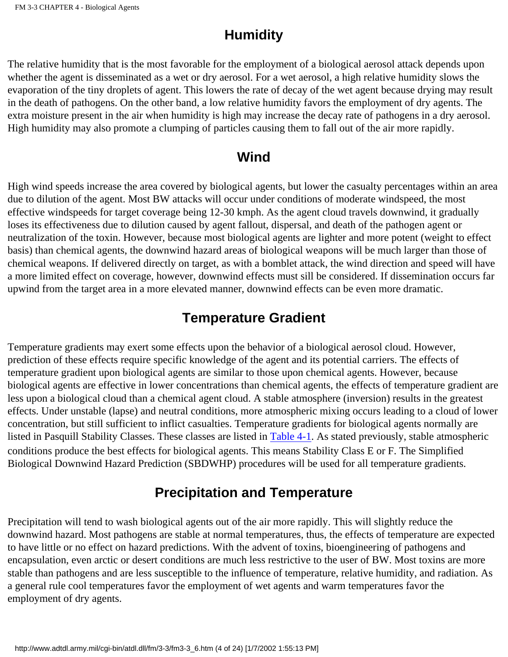# **Humidity**

The relative humidity that is the most favorable for the employment of a biological aerosol attack depends upon whether the agent is disseminated as a wet or dry aerosol. For a wet aerosol, a high relative humidity slows the evaporation of the tiny droplets of agent. This lowers the rate of decay of the wet agent because drying may result in the death of pathogens. On the other band, a low relative humidity favors the employment of dry agents. The extra moisture present in the air when humidity is high may increase the decay rate of pathogens in a dry aerosol. High humidity may also promote a clumping of particles causing them to fall out of the air more rapidly.

### **Wind**

High wind speeds increase the area covered by biological agents, but lower the casualty percentages within an area due to dilution of the agent. Most BW attacks will occur under conditions of moderate windspeed, the most effective windspeeds for target coverage being 12-30 kmph. As the agent cloud travels downwind, it gradually loses its effectiveness due to dilution caused by agent fallout, dispersal, and death of the pathogen agent or neutralization of the toxin. However, because most biological agents are lighter and more potent (weight to effect basis) than chemical agents, the downwind hazard areas of biological weapons will be much larger than those of chemical weapons. If delivered directly on target, as with a bomblet attack, the wind direction and speed will have a more limited effect on coverage, however, downwind effects must sill be considered. If dissemination occurs far upwind from the target area in a more elevated manner, downwind effects can be even more dramatic.

## **Temperature Gradient**

Temperature gradients may exert some effects upon the behavior of a biological aerosol cloud. However, prediction of these effects require specific knowledge of the agent and its potential carriers. The effects of temperature gradient upon biological agents are similar to those upon chemical agents. However, because biological agents are effective in lower concentrations than chemical agents, the effects of temperature gradient are less upon a biological cloud than a chemical agent cloud. A stable atmosphere (inversion) results in the greatest effects. Under unstable (lapse) and neutral conditions, more atmospheric mixing occurs leading to a cloud of lower concentration, but still sufficient to inflict casualties. Temperature gradients for biological agents normally are listed in Pasquill Stability Classes. These classes are listed in [Table 4-1](http://www.adtdl.army.mil/cgi-bin/atdl.dll/fm/3-3/fm330052.gif). As stated previously, stable atmospheric conditions produce the best effects for biological agents. This means Stability Class E or F. The Simplified Biological Downwind Hazard Prediction (SBDWHP) procedures will be used for all temperature gradients.

## **Precipitation and Temperature**

Precipitation will tend to wash biological agents out of the air more rapidly. This will slightly reduce the downwind hazard. Most pathogens are stable at normal temperatures, thus, the effects of temperature are expected to have little or no effect on hazard predictions. With the advent of toxins, bioengineering of pathogens and encapsulation, even arctic or desert conditions are much less restrictive to the user of BW. Most toxins are more stable than pathogens and are less susceptible to the influence of temperature, relative humidity, and radiation. As a general rule cool temperatures favor the employment of wet agents and warm temperatures favor the employment of dry agents.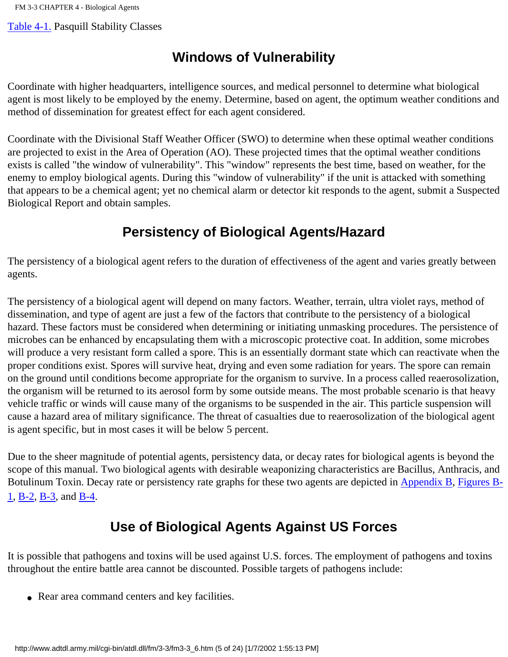[Table 4-1.](http://www.adtdl.army.mil/cgi-bin/atdl.dll/fm/3-3/fm330052.gif) Pasquill Stability Classes

## **Windows of Vulnerability**

Coordinate with higher headquarters, intelligence sources, and medical personnel to determine what biological agent is most likely to be employed by the enemy. Determine, based on agent, the optimum weather conditions and method of dissemination for greatest effect for each agent considered.

Coordinate with the Divisional Staff Weather Officer (SWO) to determine when these optimal weather conditions are projected to exist in the Area of Operation (AO). These projected times that the optimal weather conditions exists is called "the window of vulnerability". This "window" represents the best time, based on weather, for the enemy to employ biological agents. During this "window of vulnerability" if the unit is attacked with something that appears to be a chemical agent; yet no chemical alarm or detector kit responds to the agent, submit a Suspected Biological Report and obtain samples.

## **Persistency of Biological Agents/Hazard**

The persistency of a biological agent refers to the duration of effectiveness of the agent and varies greatly between agents.

The persistency of a biological agent will depend on many factors. Weather, terrain, ultra violet rays, method of dissemination, and type of agent are just a few of the factors that contribute to the persistency of a biological hazard. These factors must be considered when determining or initiating unmasking procedures. The persistence of microbes can be enhanced by encapsulating them with a microscopic protective coat. In addition, some microbes will produce a very resistant form called a spore. This is an essentially dormant state which can reactivate when the proper conditions exist. Spores will survive heat, drying and even some radiation for years. The spore can remain on the ground until conditions become appropriate for the organism to survive. In a process called reaerosolization, the organism will be returned to its aerosol form by some outside means. The most probable scenario is that heavy vehicle traffic or winds will cause many of the organisms to be suspended in the air. This particle suspension will cause a hazard area of military significance. The threat of casualties due to reaerosolization of the biological agent is agent specific, but in most cases it will be below 5 percent.

Due to the sheer magnitude of potential agents, persistency data, or decay rates for biological agents is beyond the scope of this manual. Two biological agents with desirable weaponizing characteristics are Bacillus, Anthracis, and Botulinum Toxin. Decay rate or persistency rate graphs for these two agents are depicted in [Appendix B,](#page-141-0) [Figures B-](http://www.adtdl.army.mil/cgi-bin/atdl.dll/fm/3-3/fm330090.gif)[1,](http://www.adtdl.army.mil/cgi-bin/atdl.dll/fm/3-3/fm330090.gif) [B-2](http://www.adtdl.army.mil/cgi-bin/atdl.dll/fm/3-3/fm330091.gif), [B-3](http://www.adtdl.army.mil/cgi-bin/atdl.dll/fm/3-3/fm330092.gif), and [B-4](http://www.adtdl.army.mil/cgi-bin/atdl.dll/fm/3-3/fm330093.gif).

## **Use of Biological Agents Against US Forces**

It is possible that pathogens and toxins will be used against U.S. forces. The employment of pathogens and toxins throughout the entire battle area cannot be discounted. Possible targets of pathogens include:

• Rear area command centers and key facilities.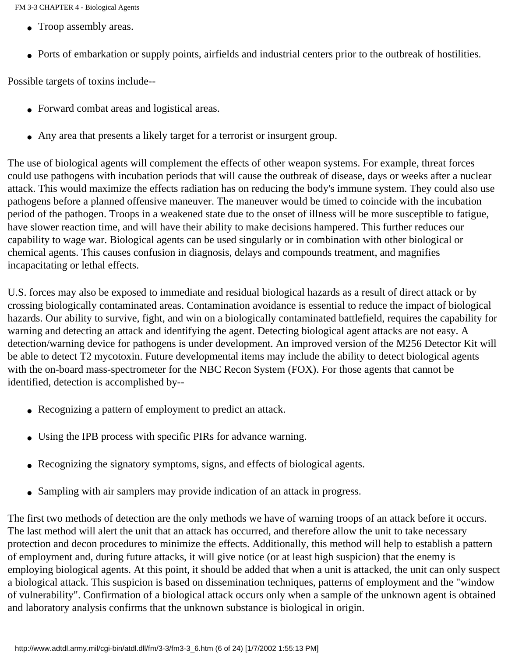- Troop assembly areas.
- Ports of embarkation or supply points, airfields and industrial centers prior to the outbreak of hostilities.

Possible targets of toxins include--

- Forward combat areas and logistical areas.
- Any area that presents a likely target for a terrorist or insurgent group.

The use of biological agents will complement the effects of other weapon systems. For example, threat forces could use pathogens with incubation periods that will cause the outbreak of disease, days or weeks after a nuclear attack. This would maximize the effects radiation has on reducing the body's immune system. They could also use pathogens before a planned offensive maneuver. The maneuver would be timed to coincide with the incubation period of the pathogen. Troops in a weakened state due to the onset of illness will be more susceptible to fatigue, have slower reaction time, and will have their ability to make decisions hampered. This further reduces our capability to wage war. Biological agents can be used singularly or in combination with other biological or chemical agents. This causes confusion in diagnosis, delays and compounds treatment, and magnifies incapacitating or lethal effects.

U.S. forces may also be exposed to immediate and residual biological hazards as a result of direct attack or by crossing biologically contaminated areas. Contamination avoidance is essential to reduce the impact of biological hazards. Our ability to survive, fight, and win on a biologically contaminated battlefield, requires the capability for warning and detecting an attack and identifying the agent. Detecting biological agent attacks are not easy. A detection/warning device for pathogens is under development. An improved version of the M256 Detector Kit will be able to detect T2 mycotoxin. Future developmental items may include the ability to detect biological agents with the on-board mass-spectrometer for the NBC Recon System (FOX). For those agents that cannot be identified, detection is accomplished by--

- Recognizing a pattern of employment to predict an attack.
- Using the IPB process with specific PIRs for advance warning.
- Recognizing the signatory symptoms, signs, and effects of biological agents.
- Sampling with air samplers may provide indication of an attack in progress.

The first two methods of detection are the only methods we have of warning troops of an attack before it occurs. The last method will alert the unit that an attack has occurred, and therefore allow the unit to take necessary protection and decon procedures to minimize the effects. Additionally, this method will help to establish a pattern of employment and, during future attacks, it will give notice (or at least high suspicion) that the enemy is employing biological agents. At this point, it should be added that when a unit is attacked, the unit can only suspect a biological attack. This suspicion is based on dissemination techniques, patterns of employment and the "window of vulnerability". Confirmation of a biological attack occurs only when a sample of the unknown agent is obtained and laboratory analysis confirms that the unknown substance is biological in origin.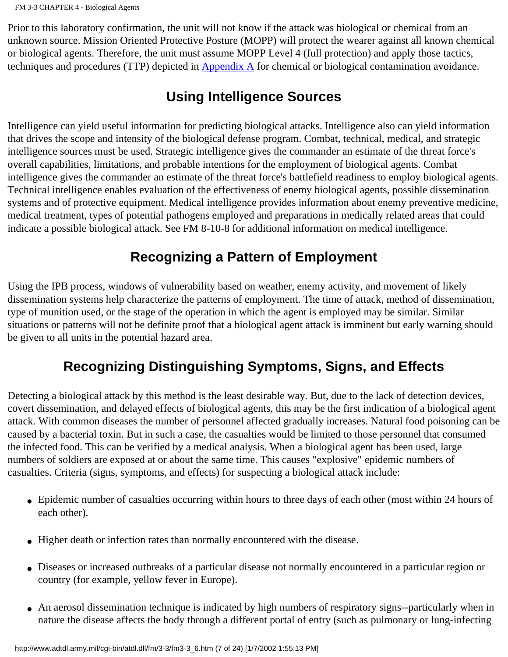Prior to this laboratory confirmation, the unit will not know if the attack was biological or chemical from an unknown source. Mission Oriented Protective Posture (MOPP) will protect the wearer against all known chemical or biological agents. Therefore, the unit must assume MOPP Level 4 (full protection) and apply those tactics, techniques and procedures (TTP) depicted in Appendix A for chemical or biological contamination avoidance.

## **Using Intelligence Sources**

Intelligence can yield useful information for predicting biological attacks. Intelligence also can yield information that drives the scope and intensity of the biological defense program. Combat, technical, medical, and strategic intelligence sources must be used. Strategic intelligence gives the commander an estimate of the threat force's overall capabilities, limitations, and probable intentions for the employment of biological agents. Combat intelligence gives the commander an estimate of the threat force's battlefield readiness to employ biological agents. Technical intelligence enables evaluation of the effectiveness of enemy biological agents, possible dissemination systems and of protective equipment. Medical intelligence provides information about enemy preventive medicine, medical treatment, types of potential pathogens employed and preparations in medically related areas that could indicate a possible biological attack. See FM 8-10-8 for additional information on medical intelligence.

# **Recognizing a Pattern of Employment**

Using the IPB process, windows of vulnerability based on weather, enemy activity, and movement of likely dissemination systems help characterize the patterns of employment. The time of attack, method of dissemination, type of munition used, or the stage of the operation in which the agent is employed may be similar. Similar situations or patterns will not be definite proof that a biological agent attack is imminent but early warning should be given to all units in the potential hazard area.

# **Recognizing Distinguishing Symptoms, Signs, and Effects**

Detecting a biological attack by this method is the least desirable way. But, due to the lack of detection devices, covert dissemination, and delayed effects of biological agents, this may be the first indication of a biological agent attack. With common diseases the number of personnel affected gradually increases. Natural food poisoning can be caused by a bacterial toxin. But in such a case, the casualties would be limited to those personnel that consumed the infected food. This can be verified by a medical analysis. When a biological agent has been used, large numbers of soldiers are exposed at or about the same time. This causes "explosive" epidemic numbers of casualties. Criteria (signs, symptoms, and effects) for suspecting a biological attack include:

- Epidemic number of casualties occurring within hours to three days of each other (most within 24 hours of each other).
- Higher death or infection rates than normally encountered with the disease.
- Diseases or increased outbreaks of a particular disease not normally encountered in a particular region or country (for example, yellow fever in Europe).
- An aerosol dissemination technique is indicated by high numbers of respiratory signs--particularly when in nature the disease affects the body through a different portal of entry (such as pulmonary or lung-infecting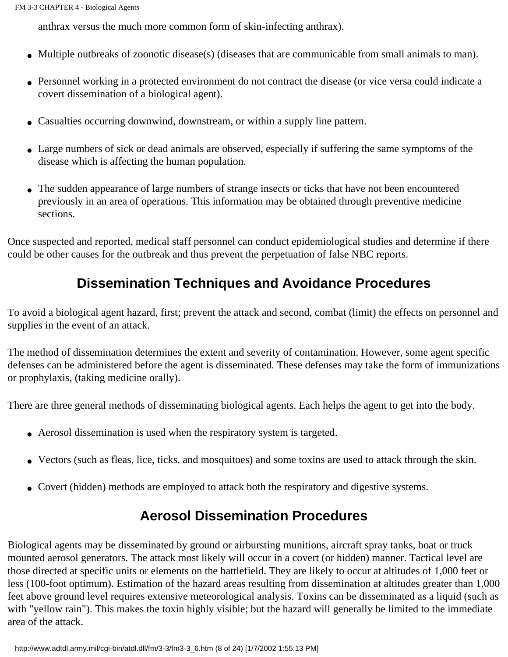anthrax versus the much more common form of skin-infecting anthrax).

- Multiple outbreaks of zoonotic disease(s) (diseases that are communicable from small animals to man).
- Personnel working in a protected environment do not contract the disease (or vice versa could indicate a covert dissemination of a biological agent).
- Casualties occurring downwind, downstream, or within a supply line pattern.
- Large numbers of sick or dead animals are observed, especially if suffering the same symptoms of the disease which is affecting the human population.
- The sudden appearance of large numbers of strange insects or ticks that have not been encountered previously in an area of operations. This information may be obtained through preventive medicine sections.

Once suspected and reported, medical staff personnel can conduct epidemiological studies and determine if there could be other causes for the outbreak and thus prevent the perpetuation of false NBC reports.

# **Dissemination Techniques and Avoidance Procedures**

To avoid a biological agent hazard, first; prevent the attack and second, combat (limit) the effects on personnel and supplies in the event of an attack.

The method of dissemination determines the extent and severity of contamination. However, some agent specific defenses can be administered before the agent is disseminated. These defenses may take the form of immunizations or prophylaxis, (taking medicine orally).

There are three general methods of disseminating biological agents. Each helps the agent to get into the body.

- Aerosol dissemination is used when the respiratory system is targeted.
- Vectors (such as fleas, lice, ticks, and mosquitoes) and some toxins are used to attack through the skin.
- Covert (hidden) methods are employed to attack both the respiratory and digestive systems.

## **Aerosol Dissemination Procedures**

Biological agents may be disseminated by ground or airbursting munitions, aircraft spray tanks, boat or truck mounted aerosol generators. The attack most likely will occur in a covert (or hidden) manner. Tactical level are those directed at specific units or elements on the battlefield. They are likely to occur at altitudes of 1,000 feet or less (100-foot optimum). Estimation of the hazard areas resulting from dissemination at altitudes greater than 1,000 feet above ground level requires extensive meteorological analysis. Toxins can be disseminated as a liquid (such as with "yellow rain"). This makes the toxin highly visible; but the hazard will generally be limited to the immediate area of the attack.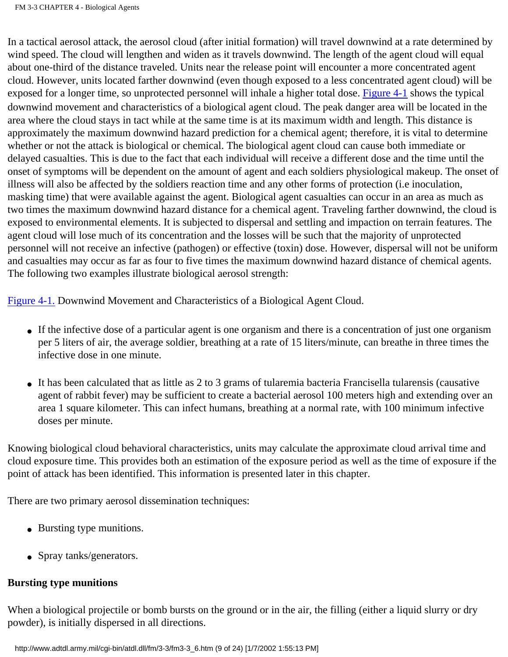In a tactical aerosol attack, the aerosol cloud (after initial formation) will travel downwind at a rate determined by wind speed. The cloud will lengthen and widen as it travels downwind. The length of the agent cloud will equal about one-third of the distance traveled. Units near the release point will encounter a more concentrated agent cloud. However, units located farther downwind (even though exposed to a less concentrated agent cloud) will be exposed for a longer time, so unprotected personnel will inhale a higher total dose. [Figure 4-1](http://www.adtdl.army.mil/cgi-bin/atdl.dll/fm/3-3/fm330053.gif) shows the typical downwind movement and characteristics of a biological agent cloud. The peak danger area will be located in the area where the cloud stays in tact while at the same time is at its maximum width and length. This distance is approximately the maximum downwind hazard prediction for a chemical agent; therefore, it is vital to determine whether or not the attack is biological or chemical. The biological agent cloud can cause both immediate or delayed casualties. This is due to the fact that each individual will receive a different dose and the time until the onset of symptoms will be dependent on the amount of agent and each soldiers physiological makeup. The onset of illness will also be affected by the soldiers reaction time and any other forms of protection (i.e inoculation, masking time) that were available against the agent. Biological agent casualties can occur in an area as much as two times the maximum downwind hazard distance for a chemical agent. Traveling farther downwind, the cloud is exposed to environmental elements. It is subjected to dispersal and settling and impaction on terrain features. The agent cloud will lose much of its concentration and the losses will be such that the majority of unprotected personnel will not receive an infective (pathogen) or effective (toxin) dose. However, dispersal will not be uniform and casualties may occur as far as four to five times the maximum downwind hazard distance of chemical agents. The following two examples illustrate biological aerosol strength:

[Figure 4-1.](http://www.adtdl.army.mil/cgi-bin/atdl.dll/fm/3-3/fm330053.gif) Downwind Movement and Characteristics of a Biological Agent Cloud.

- If the infective dose of a particular agent is one organism and there is a concentration of just one organism per 5 liters of air, the average soldier, breathing at a rate of 15 liters/minute, can breathe in three times the infective dose in one minute.
- It has been calculated that as little as 2 to 3 grams of tularemia bacteria Francisella tularensis (causative agent of rabbit fever) may be sufficient to create a bacterial aerosol 100 meters high and extending over an area 1 square kilometer. This can infect humans, breathing at a normal rate, with 100 minimum infective doses per minute.

Knowing biological cloud behavioral characteristics, units may calculate the approximate cloud arrival time and cloud exposure time. This provides both an estimation of the exposure period as well as the time of exposure if the point of attack has been identified. This information is presented later in this chapter.

There are two primary aerosol dissemination techniques:

- Bursting type munitions.
- Spray tanks/generators.

#### **Bursting type munitions**

When a biological projectile or bomb bursts on the ground or in the air, the filling (either a liquid slurry or dry powder), is initially dispersed in all directions.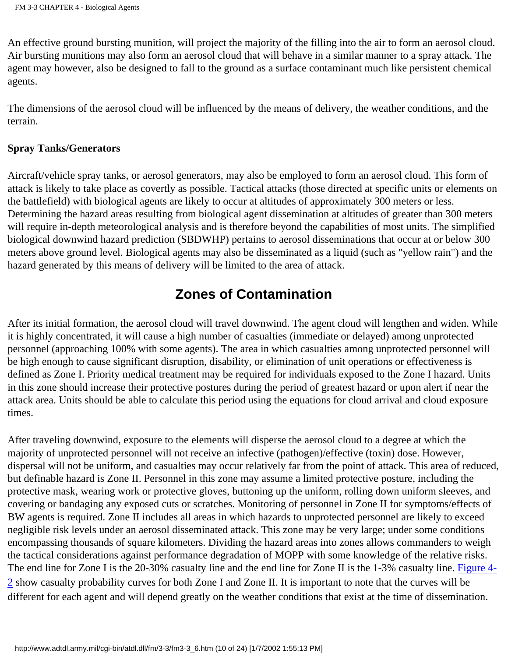An effective ground bursting munition, will project the majority of the filling into the air to form an aerosol cloud. Air bursting munitions may also form an aerosol cloud that will behave in a similar manner to a spray attack. The agent may however, also be designed to fall to the ground as a surface contaminant much like persistent chemical agents.

The dimensions of the aerosol cloud will be influenced by the means of delivery, the weather conditions, and the terrain.

#### **Spray Tanks/Generators**

Aircraft/vehicle spray tanks, or aerosol generators, may also be employed to form an aerosol cloud. This form of attack is likely to take place as covertly as possible. Tactical attacks (those directed at specific units or elements on the battlefield) with biological agents are likely to occur at altitudes of approximately 300 meters or less. Determining the hazard areas resulting from biological agent dissemination at altitudes of greater than 300 meters will require in-depth meteorological analysis and is therefore beyond the capabilities of most units. The simplified biological downwind hazard prediction (SBDWHP) pertains to aerosol disseminations that occur at or below 300 meters above ground level. Biological agents may also be disseminated as a liquid (such as "yellow rain") and the hazard generated by this means of delivery will be limited to the area of attack.

### **Zones of Contamination**

After its initial formation, the aerosol cloud will travel downwind. The agent cloud will lengthen and widen. While it is highly concentrated, it will cause a high number of casualties (immediate or delayed) among unprotected personnel (approaching 100% with some agents). The area in which casualties among unprotected personnel will be high enough to cause significant disruption, disability, or elimination of unit operations or effectiveness is defined as Zone I. Priority medical treatment may be required for individuals exposed to the Zone I hazard. Units in this zone should increase their protective postures during the period of greatest hazard or upon alert if near the attack area. Units should be able to calculate this period using the equations for cloud arrival and cloud exposure times.

After traveling downwind, exposure to the elements will disperse the aerosol cloud to a degree at which the majority of unprotected personnel will not receive an infective (pathogen)/effective (toxin) dose. However, dispersal will not be uniform, and casualties may occur relatively far from the point of attack. This area of reduced, but definable hazard is Zone II. Personnel in this zone may assume a limited protective posture, including the protective mask, wearing work or protective gloves, buttoning up the uniform, rolling down uniform sleeves, and covering or bandaging any exposed cuts or scratches. Monitoring of personnel in Zone II for symptoms/effects of BW agents is required. Zone II includes all areas in which hazards to unprotected personnel are likely to exceed negligible risk levels under an aerosol disseminated attack. This zone may be very large; under some conditions encompassing thousands of square kilometers. Dividing the hazard areas into zones allows commanders to weigh the tactical considerations against performance degradation of MOPP with some knowledge of the relative risks. The end line for Zone I is the 20-30% casualty line and the end line for Zone II is the 1-3% casualty line. [Figure 4-](http://www.adtdl.army.mil/cgi-bin/atdl.dll/fm/3-3/fm330054.gif) [2](http://www.adtdl.army.mil/cgi-bin/atdl.dll/fm/3-3/fm330054.gif) show casualty probability curves for both Zone I and Zone II. It is important to note that the curves will be different for each agent and will depend greatly on the weather conditions that exist at the time of dissemination.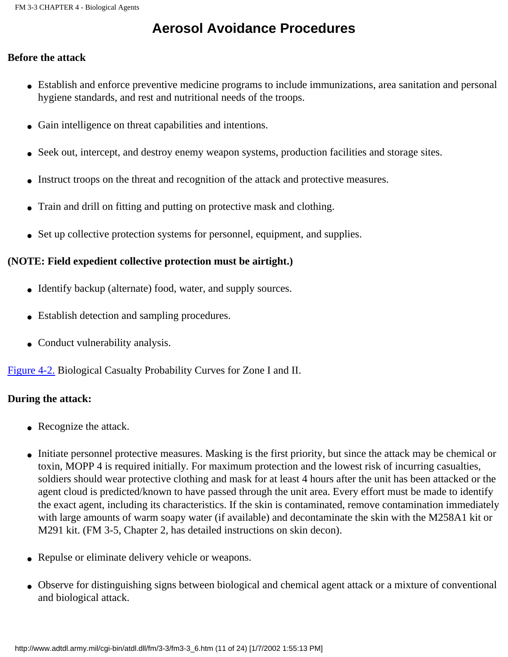## **Aerosol Avoidance Procedures**

#### **Before the attack**

- Establish and enforce preventive medicine programs to include immunizations, area sanitation and personal hygiene standards, and rest and nutritional needs of the troops.
- Gain intelligence on threat capabilities and intentions.
- Seek out, intercept, and destroy enemy weapon systems, production facilities and storage sites.
- Instruct troops on the threat and recognition of the attack and protective measures.
- Train and drill on fitting and putting on protective mask and clothing.
- Set up collective protection systems for personnel, equipment, and supplies.

#### **(NOTE: Field expedient collective protection must be airtight.)**

- Identify backup (alternate) food, water, and supply sources.
- Establish detection and sampling procedures.
- Conduct vulnerability analysis.

[Figure 4-2.](http://www.adtdl.army.mil/cgi-bin/atdl.dll/fm/3-3/fm330054.gif) Biological Casualty Probability Curves for Zone I and II.

#### **During the attack:**

- Recognize the attack.
- Initiate personnel protective measures. Masking is the first priority, but since the attack may be chemical or toxin, MOPP 4 is required initially. For maximum protection and the lowest risk of incurring casualties, soldiers should wear protective clothing and mask for at least 4 hours after the unit has been attacked or the agent cloud is predicted/known to have passed through the unit area. Every effort must be made to identify the exact agent, including its characteristics. If the skin is contaminated, remove contamination immediately with large amounts of warm soapy water (if available) and decontaminate the skin with the M258A1 kit or M291 kit. (FM 3-5, Chapter 2, has detailed instructions on skin decon).
- Repulse or eliminate delivery vehicle or weapons.
- Observe for distinguishing signs between biological and chemical agent attack or a mixture of conventional and biological attack.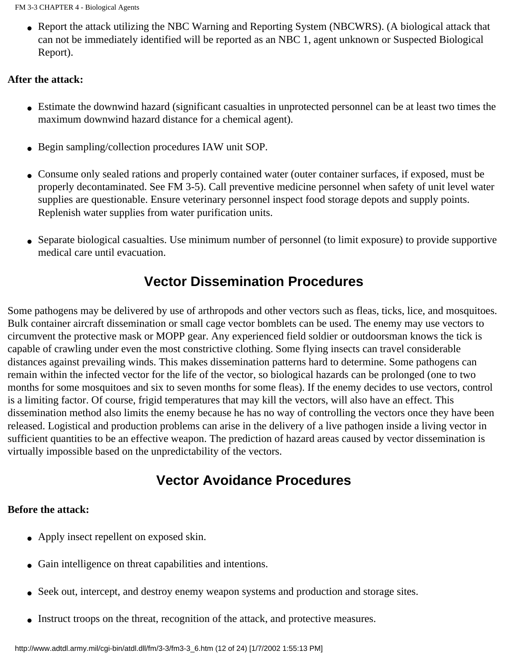• Report the attack utilizing the NBC Warning and Reporting System (NBCWRS). (A biological attack that can not be immediately identified will be reported as an NBC 1, agent unknown or Suspected Biological Report).

#### **After the attack:**

- Estimate the downwind hazard (significant casualties in unprotected personnel can be at least two times the maximum downwind hazard distance for a chemical agent).
- Begin sampling/collection procedures IAW unit SOP.
- Consume only sealed rations and properly contained water (outer container surfaces, if exposed, must be properly decontaminated. See FM 3-5). Call preventive medicine personnel when safety of unit level water supplies are questionable. Ensure veterinary personnel inspect food storage depots and supply points. Replenish water supplies from water purification units.
- Separate biological casualties. Use minimum number of personnel (to limit exposure) to provide supportive medical care until evacuation.

### **Vector Dissemination Procedures**

Some pathogens may be delivered by use of arthropods and other vectors such as fleas, ticks, lice, and mosquitoes. Bulk container aircraft dissemination or small cage vector bomblets can be used. The enemy may use vectors to circumvent the protective mask or MOPP gear. Any experienced field soldier or outdoorsman knows the tick is capable of crawling under even the most constrictive clothing. Some flying insects can travel considerable distances against prevailing winds. This makes dissemination patterns hard to determine. Some pathogens can remain within the infected vector for the life of the vector, so biological hazards can be prolonged (one to two months for some mosquitoes and six to seven months for some fleas). If the enemy decides to use vectors, control is a limiting factor. Of course, frigid temperatures that may kill the vectors, will also have an effect. This dissemination method also limits the enemy because he has no way of controlling the vectors once they have been released. Logistical and production problems can arise in the delivery of a live pathogen inside a living vector in sufficient quantities to be an effective weapon. The prediction of hazard areas caused by vector dissemination is virtually impossible based on the unpredictability of the vectors.

### **Vector Avoidance Procedures**

#### **Before the attack:**

- Apply insect repellent on exposed skin.
- Gain intelligence on threat capabilities and intentions.
- Seek out, intercept, and destroy enemy weapon systems and production and storage sites.
- Instruct troops on the threat, recognition of the attack, and protective measures.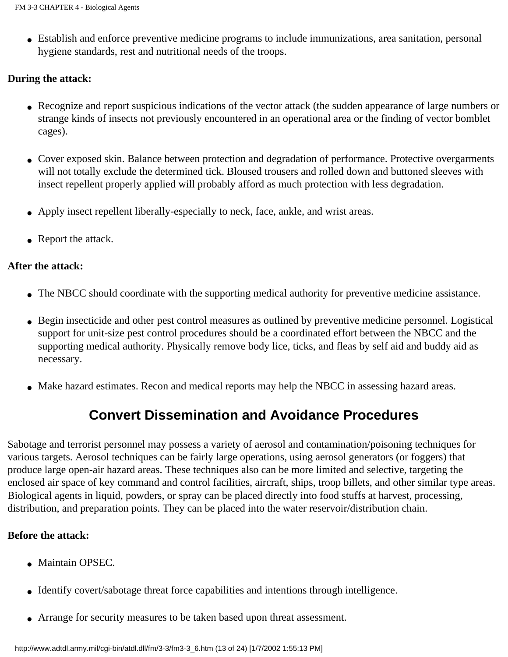• Establish and enforce preventive medicine programs to include immunizations, area sanitation, personal hygiene standards, rest and nutritional needs of the troops.

#### **During the attack:**

- Recognize and report suspicious indications of the vector attack (the sudden appearance of large numbers or strange kinds of insects not previously encountered in an operational area or the finding of vector bomblet cages).
- Cover exposed skin. Balance between protection and degradation of performance. Protective overgarments will not totally exclude the determined tick. Bloused trousers and rolled down and buttoned sleeves with insect repellent properly applied will probably afford as much protection with less degradation.
- Apply insect repellent liberally-especially to neck, face, ankle, and wrist areas.
- Report the attack.

#### **After the attack:**

- The NBCC should coordinate with the supporting medical authority for preventive medicine assistance.
- Begin insecticide and other pest control measures as outlined by preventive medicine personnel. Logistical support for unit-size pest control procedures should be a coordinated effort between the NBCC and the supporting medical authority. Physically remove body lice, ticks, and fleas by self aid and buddy aid as necessary.
- Make hazard estimates. Recon and medical reports may help the NBCC in assessing hazard areas.

## **Convert Dissemination and Avoidance Procedures**

Sabotage and terrorist personnel may possess a variety of aerosol and contamination/poisoning techniques for various targets. Aerosol techniques can be fairly large operations, using aerosol generators (or foggers) that produce large open-air hazard areas. These techniques also can be more limited and selective, targeting the enclosed air space of key command and control facilities, aircraft, ships, troop billets, and other similar type areas. Biological agents in liquid, powders, or spray can be placed directly into food stuffs at harvest, processing, distribution, and preparation points. They can be placed into the water reservoir/distribution chain.

#### **Before the attack:**

- Maintain OPSEC.
- Identify covert/sabotage threat force capabilities and intentions through intelligence.
- Arrange for security measures to be taken based upon threat assessment.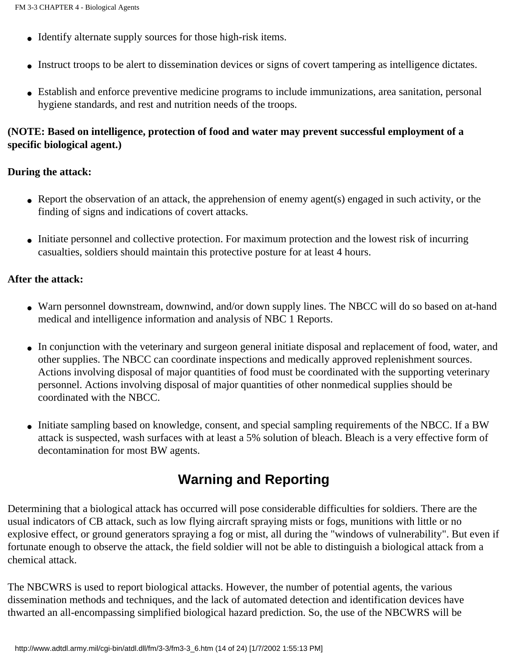- Identify alternate supply sources for those high-risk items.
- Instruct troops to be alert to dissemination devices or signs of covert tampering as intelligence dictates.
- Establish and enforce preventive medicine programs to include immunizations, area sanitation, personal hygiene standards, and rest and nutrition needs of the troops.

#### **(NOTE: Based on intelligence, protection of food and water may prevent successful employment of a specific biological agent.)**

#### **During the attack:**

- Report the observation of an attack, the apprehension of enemy agent(s) engaged in such activity, or the finding of signs and indications of covert attacks.
- Initiate personnel and collective protection. For maximum protection and the lowest risk of incurring casualties, soldiers should maintain this protective posture for at least 4 hours.

#### **After the attack:**

- Warn personnel downstream, downwind, and/or down supply lines. The NBCC will do so based on at-hand medical and intelligence information and analysis of NBC 1 Reports.
- In conjunction with the veterinary and surgeon general initiate disposal and replacement of food, water, and other supplies. The NBCC can coordinate inspections and medically approved replenishment sources. Actions involving disposal of major quantities of food must be coordinated with the supporting veterinary personnel. Actions involving disposal of major quantities of other nonmedical supplies should be coordinated with the NBCC.
- Initiate sampling based on knowledge, consent, and special sampling requirements of the NBCC. If a BW attack is suspected, wash surfaces with at least a 5% solution of bleach. Bleach is a very effective form of decontamination for most BW agents.

## **Warning and Reporting**

Determining that a biological attack has occurred will pose considerable difficulties for soldiers. There are the usual indicators of CB attack, such as low flying aircraft spraying mists or fogs, munitions with little or no explosive effect, or ground generators spraying a fog or mist, all during the "windows of vulnerability". But even if fortunate enough to observe the attack, the field soldier will not be able to distinguish a biological attack from a chemical attack.

The NBCWRS is used to report biological attacks. However, the number of potential agents, the various dissemination methods and techniques, and the lack of automated detection and identification devices have thwarted an all-encompassing simplified biological hazard prediction. So, the use of the NBCWRS will be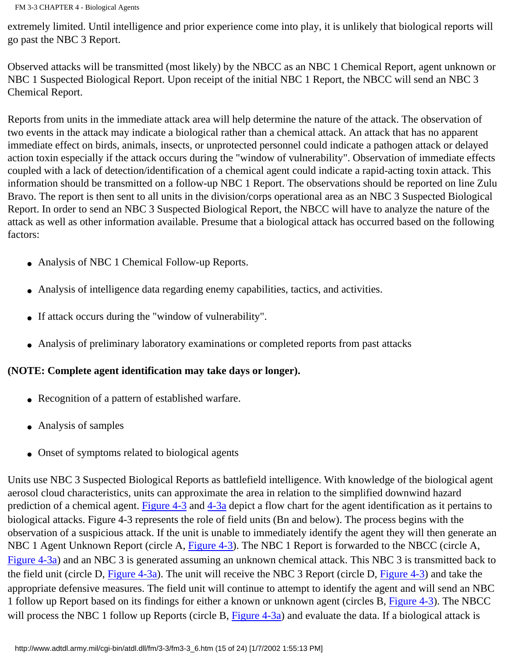extremely limited. Until intelligence and prior experience come into play, it is unlikely that biological reports will go past the NBC 3 Report.

Observed attacks will be transmitted (most likely) by the NBCC as an NBC 1 Chemical Report, agent unknown or NBC 1 Suspected Biological Report. Upon receipt of the initial NBC 1 Report, the NBCC will send an NBC 3 Chemical Report.

Reports from units in the immediate attack area will help determine the nature of the attack. The observation of two events in the attack may indicate a biological rather than a chemical attack. An attack that has no apparent immediate effect on birds, animals, insects, or unprotected personnel could indicate a pathogen attack or delayed action toxin especially if the attack occurs during the "window of vulnerability". Observation of immediate effects coupled with a lack of detection/identification of a chemical agent could indicate a rapid-acting toxin attack. This information should be transmitted on a follow-up NBC 1 Report. The observations should be reported on line Zulu Bravo. The report is then sent to all units in the division/corps operational area as an NBC 3 Suspected Biological Report. In order to send an NBC 3 Suspected Biological Report, the NBCC will have to analyze the nature of the attack as well as other information available. Presume that a biological attack has occurred based on the following factors:

- Analysis of NBC 1 Chemical Follow-up Reports.
- Analysis of intelligence data regarding enemy capabilities, tactics, and activities.
- If attack occurs during the "window of vulnerability".
- Analysis of preliminary laboratory examinations or completed reports from past attacks

#### **(NOTE: Complete agent identification may take days or longer).**

- Recognition of a pattern of established warfare.
- Analysis of samples
- Onset of symptoms related to biological agents

Units use NBC 3 Suspected Biological Reports as battlefield intelligence. With knowledge of the biological agent aerosol cloud characteristics, units can approximate the area in relation to the simplified downwind hazard prediction of a chemical agent. [Figure 4-3](http://www.adtdl.army.mil/cgi-bin/atdl.dll/fm/3-3/fm330055.gif) and [4-3a](http://www.adtdl.army.mil/cgi-bin/atdl.dll/fm/3-3/fm330056.gif) depict a flow chart for the agent identification as it pertains to biological attacks. Figure 4-3 represents the role of field units (Bn and below). The process begins with the observation of a suspicious attack. If the unit is unable to immediately identify the agent they will then generate an NBC 1 Agent Unknown Report (circle A, [Figure 4-3\)](http://www.adtdl.army.mil/cgi-bin/atdl.dll/fm/3-3/fm330055.gif). The NBC 1 Report is forwarded to the NBCC (circle A, [Figure 4-3a\)](http://www.adtdl.army.mil/cgi-bin/atdl.dll/fm/3-3/fm330056.gif) and an NBC 3 is generated assuming an unknown chemical attack. This NBC 3 is transmitted back to the field unit (circle D, Figure  $4-3a$ ). The unit will receive the NBC 3 Report (circle D, Figure  $4-3$ ) and take the appropriate defensive measures. The field unit will continue to attempt to identify the agent and will send an NBC 1 follow up Report based on its findings for either a known or unknown agent (circles B, [Figure 4-3\)](http://www.adtdl.army.mil/cgi-bin/atdl.dll/fm/3-3/fm330055.gif). The NBCC will process the NBC 1 follow up Reports (circle B, [Figure 4-3a\)](http://www.adtdl.army.mil/cgi-bin/atdl.dll/fm/3-3/fm330056.gif) and evaluate the data. If a biological attack is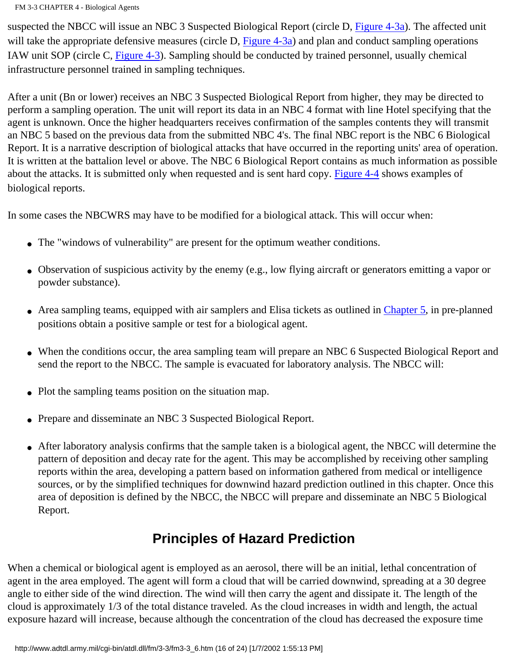FM 3-3 CHAPTER 4 - Biological Agents

suspected the NBCC will issue an NBC 3 Suspected Biological Report (circle D, [Figure 4-3a\)](http://www.adtdl.army.mil/cgi-bin/atdl.dll/fm/3-3/fm330056.gif). The affected unit will take the appropriate defensive measures (circle D,  $Figure 4-3a$ ) and plan and conduct sampling operations IAW unit SOP (circle C, [Figure 4-3\)](http://www.adtdl.army.mil/cgi-bin/atdl.dll/fm/3-3/fm330055.gif). Sampling should be conducted by trained personnel, usually chemical infrastructure personnel trained in sampling techniques.

After a unit (Bn or lower) receives an NBC 3 Suspected Biological Report from higher, they may be directed to perform a sampling operation. The unit will report its data in an NBC 4 format with line Hotel specifying that the agent is unknown. Once the higher headquarters receives confirmation of the samples contents they will transmit an NBC 5 based on the previous data from the submitted NBC 4's. The final NBC report is the NBC 6 Biological Report. It is a narrative description of biological attacks that have occurred in the reporting units' area of operation. It is written at the battalion level or above. The NBC 6 Biological Report contains as much information as possible about the attacks. It is submitted only when requested and is sent hard copy. [Figure 4-4](http://www.adtdl.army.mil/cgi-bin/atdl.dll/fm/3-3/fm330057.gif) shows examples of biological reports.

In some cases the NBCWRS may have to be modified for a biological attack. This will occur when:

- The "windows of vulnerability" are present for the optimum weather conditions.
- Observation of suspicious activity by the enemy (e.g., low flying aircraft or generators emitting a vapor or powder substance).
- Area sampling teams, equipped with air samplers and Elisa tickets as outlined in [Chapter 5](#page-98-0), in pre-planned positions obtain a positive sample or test for a biological agent.
- When the conditions occur, the area sampling team will prepare an NBC 6 Suspected Biological Report and send the report to the NBCC. The sample is evacuated for laboratory analysis. The NBCC will:
- Plot the sampling teams position on the situation map.
- Prepare and disseminate an NBC 3 Suspected Biological Report.
- After laboratory analysis confirms that the sample taken is a biological agent, the NBCC will determine the pattern of deposition and decay rate for the agent. This may be accomplished by receiving other sampling reports within the area, developing a pattern based on information gathered from medical or intelligence sources, or by the simplified techniques for downwind hazard prediction outlined in this chapter. Once this area of deposition is defined by the NBCC, the NBCC will prepare and disseminate an NBC 5 Biological Report.

# **Principles of Hazard Prediction**

When a chemical or biological agent is employed as an aerosol, there will be an initial, lethal concentration of agent in the area employed. The agent will form a cloud that will be carried downwind, spreading at a 30 degree angle to either side of the wind direction. The wind will then carry the agent and dissipate it. The length of the cloud is approximately 1/3 of the total distance traveled. As the cloud increases in width and length, the actual exposure hazard will increase, because although the concentration of the cloud has decreased the exposure time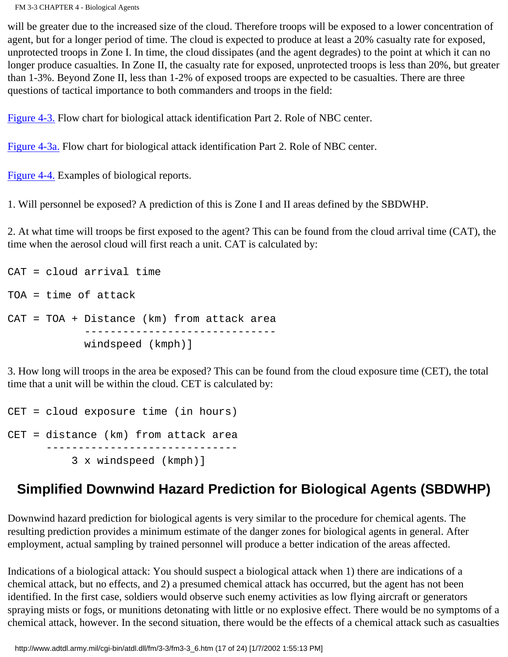FM 3-3 CHAPTER 4 - Biological Agents

will be greater due to the increased size of the cloud. Therefore troops will be exposed to a lower concentration of agent, but for a longer period of time. The cloud is expected to produce at least a 20% casualty rate for exposed, unprotected troops in Zone I. In time, the cloud dissipates (and the agent degrades) to the point at which it can no longer produce casualties. In Zone II, the casualty rate for exposed, unprotected troops is less than 20%, but greater than 1-3%. Beyond Zone II, less than 1-2% of exposed troops are expected to be casualties. There are three questions of tactical importance to both commanders and troops in the field:

[Figure 4-3.](http://www.adtdl.army.mil/cgi-bin/atdl.dll/fm/3-3/fm330055.gif) Flow chart for biological attack identification Part 2. Role of NBC center.

[Figure 4-3a.](http://www.adtdl.army.mil/cgi-bin/atdl.dll/fm/3-3/fm330056.gif) Flow chart for biological attack identification Part 2. Role of NBC center.

[Figure 4-4.](http://www.adtdl.army.mil/cgi-bin/atdl.dll/fm/3-3/fm330057.gif) Examples of biological reports.

1. Will personnel be exposed? A prediction of this is Zone I and II areas defined by the SBDWHP.

2. At what time will troops be first exposed to the agent? This can be found from the cloud arrival time (CAT), the time when the aerosol cloud will first reach a unit. CAT is calculated by:

```
CAT = cloud arrival time
TOA = time of attack
CAT = TOA + Distance (km) from attack area 
             ------------------------------
             windspeed (kmph)]
```
3. How long will troops in the area be exposed? This can be found from the cloud exposure time (CET), the total time that a unit will be within the cloud. CET is calculated by:

CET = cloud exposure time (in hours) CET = distance (km) from attack area ------------------------------ 3 x windspeed (kmph)]

# **Simplified Downwind Hazard Prediction for Biological Agents (SBDWHP)**

Downwind hazard prediction for biological agents is very similar to the procedure for chemical agents. The resulting prediction provides a minimum estimate of the danger zones for biological agents in general. After employment, actual sampling by trained personnel will produce a better indication of the areas affected.

Indications of a biological attack: You should suspect a biological attack when 1) there are indications of a chemical attack, but no effects, and 2) a presumed chemical attack has occurred, but the agent has not been identified. In the first case, soldiers would observe such enemy activities as low flying aircraft or generators spraying mists or fogs, or munitions detonating with little or no explosive effect. There would be no symptoms of a chemical attack, however. In the second situation, there would be the effects of a chemical attack such as casualties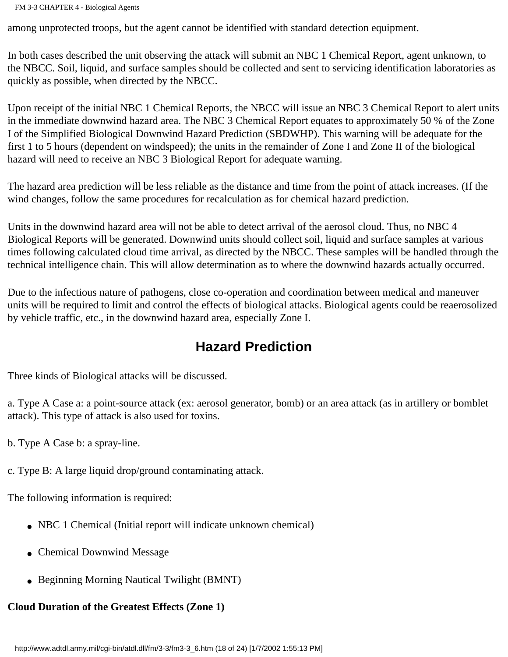among unprotected troops, but the agent cannot be identified with standard detection equipment.

In both cases described the unit observing the attack will submit an NBC 1 Chemical Report, agent unknown, to the NBCC. Soil, liquid, and surface samples should be collected and sent to servicing identification laboratories as quickly as possible, when directed by the NBCC.

Upon receipt of the initial NBC 1 Chemical Reports, the NBCC will issue an NBC 3 Chemical Report to alert units in the immediate downwind hazard area. The NBC 3 Chemical Report equates to approximately 50 % of the Zone I of the Simplified Biological Downwind Hazard Prediction (SBDWHP). This warning will be adequate for the first 1 to 5 hours (dependent on windspeed); the units in the remainder of Zone I and Zone II of the biological hazard will need to receive an NBC 3 Biological Report for adequate warning.

The hazard area prediction will be less reliable as the distance and time from the point of attack increases. (If the wind changes, follow the same procedures for recalculation as for chemical hazard prediction.

Units in the downwind hazard area will not be able to detect arrival of the aerosol cloud. Thus, no NBC 4 Biological Reports will be generated. Downwind units should collect soil, liquid and surface samples at various times following calculated cloud time arrival, as directed by the NBCC. These samples will be handled through the technical intelligence chain. This will allow determination as to where the downwind hazards actually occurred.

Due to the infectious nature of pathogens, close co-operation and coordination between medical and maneuver units will be required to limit and control the effects of biological attacks. Biological agents could be reaerosolized by vehicle traffic, etc., in the downwind hazard area, especially Zone I.

### **Hazard Prediction**

Three kinds of Biological attacks will be discussed.

a. Type A Case a: a point-source attack (ex: aerosol generator, bomb) or an area attack (as in artillery or bomblet attack). This type of attack is also used for toxins.

b. Type A Case b: a spray-line.

c. Type B: A large liquid drop/ground contaminating attack.

The following information is required:

- NBC 1 Chemical (Initial report will indicate unknown chemical)
- Chemical Downwind Message
- Beginning Morning Nautical Twilight (BMNT)

#### **Cloud Duration of the Greatest Effects (Zone 1)**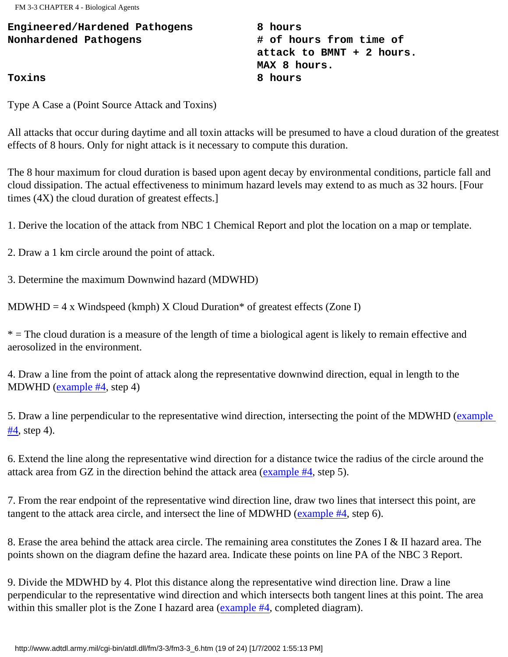FM 3-3 CHAPTER 4 - Biological Agents

**Engineered/Hardened Pathogens 8 hours** Nonhardened Pathogens **# of hours from time of attack to BMNT + 2 hours. MAX 8 hours. Toxins 8 hours**

Type A Case a (Point Source Attack and Toxins)

All attacks that occur during daytime and all toxin attacks will be presumed to have a cloud duration of the greatest effects of 8 hours. Only for night attack is it necessary to compute this duration.

The 8 hour maximum for cloud duration is based upon agent decay by environmental conditions, particle fall and cloud dissipation. The actual effectiveness to minimum hazard levels may extend to as much as 32 hours. [Four times (4X) the cloud duration of greatest effects.]

1. Derive the location of the attack from NBC 1 Chemical Report and plot the location on a map or template.

2. Draw a 1 km circle around the point of attack.

3. Determine the maximum Downwind hazard (MDWHD)

MDWHD = 4 x Windspeed (kmph) X Cloud Duration\* of greatest effects (Zone I)

\* = The cloud duration is a measure of the length of time a biological agent is likely to remain effective and aerosolized in the environment.

4. Draw a line from the point of attack along the representative downwind direction, equal in length to the MDWHD [\(example #4,](http://www.adtdl.army.mil/cgi-bin/atdl.dll/fm/3-3/fm330058.gif) step 4)

5. Draw a line perpendicular to the representative wind direction, intersecting the point of the MDWHD ([example](http://www.adtdl.army.mil/cgi-bin/atdl.dll/fm/3-3/fm330058.gif) [#4](http://www.adtdl.army.mil/cgi-bin/atdl.dll/fm/3-3/fm330058.gif), step 4).

6. Extend the line along the representative wind direction for a distance twice the radius of the circle around the attack area from GZ in the direction behind the attack area [\(example #4,](http://www.adtdl.army.mil/cgi-bin/atdl.dll/fm/3-3/fm330058.gif) step 5).

7. From the rear endpoint of the representative wind direction line, draw two lines that intersect this point, are tangent to the attack area circle, and intersect the line of MDWHD ([example #4](http://www.adtdl.army.mil/cgi-bin/atdl.dll/fm/3-3/fm330059.gif), step 6).

8. Erase the area behind the attack area circle. The remaining area constitutes the Zones I & II hazard area. The points shown on the diagram define the hazard area. Indicate these points on line PA of the NBC 3 Report.

9. Divide the MDWHD by 4. Plot this distance along the representative wind direction line. Draw a line perpendicular to the representative wind direction and which intersects both tangent lines at this point. The area within this smaller plot is the Zone I hazard area [\(example #4](http://www.adtdl.army.mil/cgi-bin/atdl.dll/fm/3-3/fm330058.gif), completed diagram).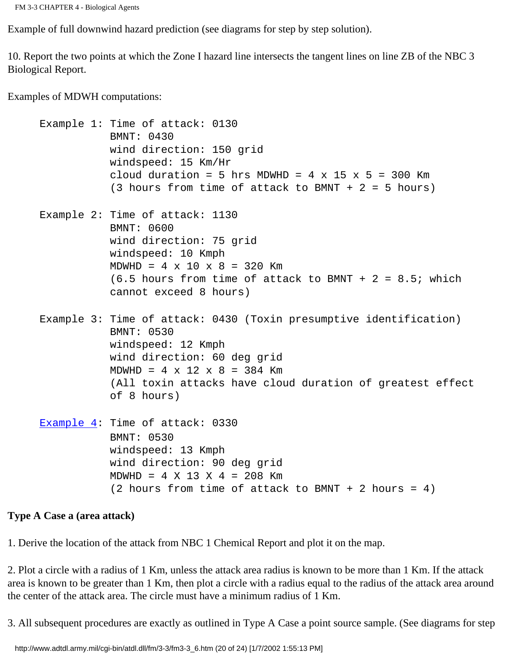```
FM 3-3 CHAPTER 4 - Biological Agents
```
Example of full downwind hazard prediction (see diagrams for step by step solution).

10. Report the two points at which the Zone I hazard line intersects the tangent lines on line ZB of the NBC 3 Biological Report.

Examples of MDWH computations:

```
 Example 1: Time of attack: 0130
             BMNT: 0430
             wind direction: 150 grid
             windspeed: 15 Km/Hr
            cloud duration = 5 hrs MDWHD = 4 \times 15 \times 5 = 300 Km
            (3 hours from time of attack to BMNT + 2 = 5 hours)
 Example 2: Time of attack: 1130
             BMNT: 0600
             wind direction: 75 grid
             windspeed: 10 Kmph
            MDWHD = 4 \times 10 \times 8 = 320 Km
            (6.5 hours from time of attack to BMNT + 2 = 8.5; which
             cannot exceed 8 hours)
 Example 3: Time of attack: 0430 (Toxin presumptive identification)
             BMNT: 0530
             windspeed: 12 Kmph
             wind direction: 60 deg grid
            MDWHD = 4 \times 12 \times 8 = 384 Km
             (All toxin attacks have cloud duration of greatest effect
             of 8 hours)
Example 4: Time of attack: 0330
             BMNT: 0530
             windspeed: 13 Kmph
             wind direction: 90 deg grid
            MDWHD = 4 \times 13 \times 4 = 208 Km
            (2 hours from time of attack to BMNT + 2 hours = 4)
```
#### **Type A Case a (area attack)**

1. Derive the location of the attack from NBC 1 Chemical Report and plot it on the map.

2. Plot a circle with a radius of 1 Km, unless the attack area radius is known to be more than 1 Km. If the attack area is known to be greater than 1 Km, then plot a circle with a radius equal to the radius of the attack area around the center of the attack area. The circle must have a minimum radius of 1 Km.

3. All subsequent procedures are exactly as outlined in Type A Case a point source sample. (See diagrams for step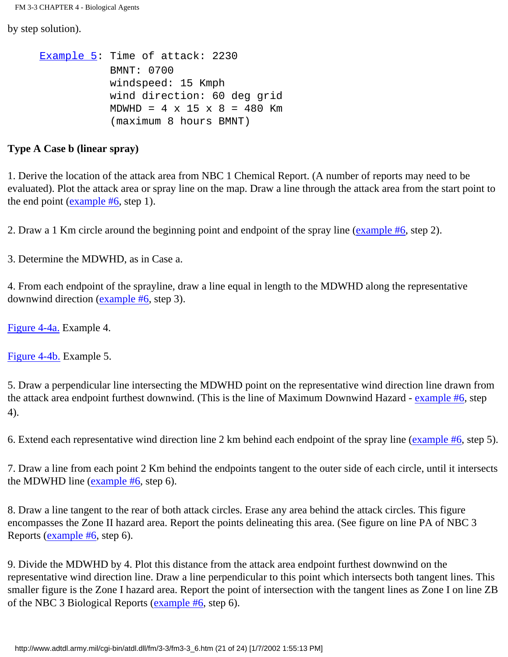FM 3-3 CHAPTER 4 - Biological Agents

by step solution).

```
 Example 5: Time of attack: 2230
             BMNT: 0700
             windspeed: 15 Kmph
             wind direction: 60 deg grid
            MDWHD = 4 \times 15 \times 8 = 480 Km
              (maximum 8 hours BMNT)
```
#### **Type A Case b (linear spray)**

1. Derive the location of the attack area from NBC 1 Chemical Report. (A number of reports may need to be evaluated). Plot the attack area or spray line on the map. Draw a line through the attack area from the start point to the end point (example  $#6$ , step 1).

2. Draw a 1 Km circle around the beginning point and endpoint of the spray line [\(example #6,](http://www.adtdl.army.mil/cgi-bin/atdl.dll/fm/3-3/fm330063.gif) step 2).

3. Determine the MDWHD, as in Case a.

4. From each endpoint of the sprayline, draw a line equal in length to the MDWHD along the representative downwind direction ([example #6](http://www.adtdl.army.mil/cgi-bin/atdl.dll/fm/3-3/fm330064.gif), step 3).

[Figure 4-4a.](http://www.adtdl.army.mil/cgi-bin/atdl.dll/fm/3-3/fm330058.gif) Example 4.

[Figure 4-4b.](http://www.adtdl.army.mil/cgi-bin/atdl.dll/fm/3-3/fm330059.gif) Example 5.

5. Draw a perpendicular line intersecting the MDWHD point on the representative wind direction line drawn from the attack area endpoint furthest downwind. (This is the line of Maximum Downwind Hazard - [example #6,](http://www.adtdl.army.mil/cgi-bin/atdl.dll/fm/3-3/fm330064.gif) step 4).

6. Extend each representative wind direction line 2 km behind each endpoint of the spray line [\(example #6,](http://www.adtdl.army.mil/cgi-bin/atdl.dll/fm/3-3/fm330065.gif) step 5).

7. Draw a line from each point 2 Km behind the endpoints tangent to the outer side of each circle, until it intersects the MDWHD line (example  $#6$ , step 6).

8. Draw a line tangent to the rear of both attack circles. Erase any area behind the attack circles. This figure encompasses the Zone II hazard area. Report the points delineating this area. (See figure on line PA of NBC 3 Reports ([example #6](http://www.adtdl.army.mil/cgi-bin/atdl.dll/fm/3-3/fm330065.gif), step 6).

9. Divide the MDWHD by 4. Plot this distance from the attack area endpoint furthest downwind on the representative wind direction line. Draw a line perpendicular to this point which intersects both tangent lines. This smaller figure is the Zone I hazard area. Report the point of intersection with the tangent lines as Zone I on line ZB of the NBC 3 Biological Reports [\(example #6](http://www.adtdl.army.mil/cgi-bin/atdl.dll/fm/3-3/fm330065.gif), step 6).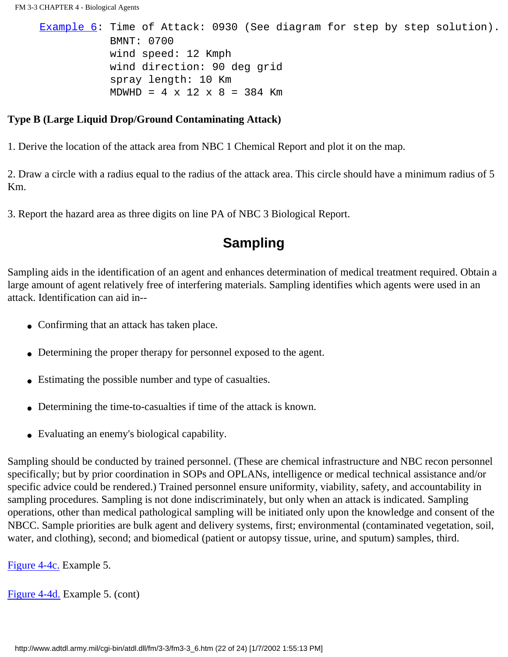```
Example 6: Time of Attack: 0930 (See diagram for step by step solution).
             BMNT: 0700
             wind speed: 12 Kmph
             wind direction: 90 deg grid
             spray length: 10 Km
            MDWHD = 4 \times 12 \times 8 = 384 Km
```
#### **Type B (Large Liquid Drop/Ground Contaminating Attack)**

1. Derive the location of the attack area from NBC 1 Chemical Report and plot it on the map.

2. Draw a circle with a radius equal to the radius of the attack area. This circle should have a minimum radius of 5 Km.

3. Report the hazard area as three digits on line PA of NBC 3 Biological Report.

### **Sampling**

Sampling aids in the identification of an agent and enhances determination of medical treatment required. Obtain a large amount of agent relatively free of interfering materials. Sampling identifies which agents were used in an attack. Identification can aid in--

- Confirming that an attack has taken place.
- Determining the proper therapy for personnel exposed to the agent.
- Estimating the possible number and type of casualties.
- Determining the time-to-casualties if time of the attack is known.
- Evaluating an enemy's biological capability.

Sampling should be conducted by trained personnel. (These are chemical infrastructure and NBC recon personnel specifically; but by prior coordination in SOPs and OPLANs, intelligence or medical technical assistance and/or specific advice could be rendered.) Trained personnel ensure uniformity, viability, safety, and accountability in sampling procedures. Sampling is not done indiscriminately, but only when an attack is indicated. Sampling operations, other than medical pathological sampling will be initiated only upon the knowledge and consent of the NBCC. Sample priorities are bulk agent and delivery systems, first; environmental (contaminated vegetation, soil, water, and clothing), second; and biomedical (patient or autopsy tissue, urine, and sputum) samples, third.

[Figure 4-4c.](http://www.adtdl.army.mil/cgi-bin/atdl.dll/fm/3-3/fm330060.gif) Example 5.

[Figure 4-4d.](http://www.adtdl.army.mil/cgi-bin/atdl.dll/fm/3-3/fm330061.gif) Example 5. (cont)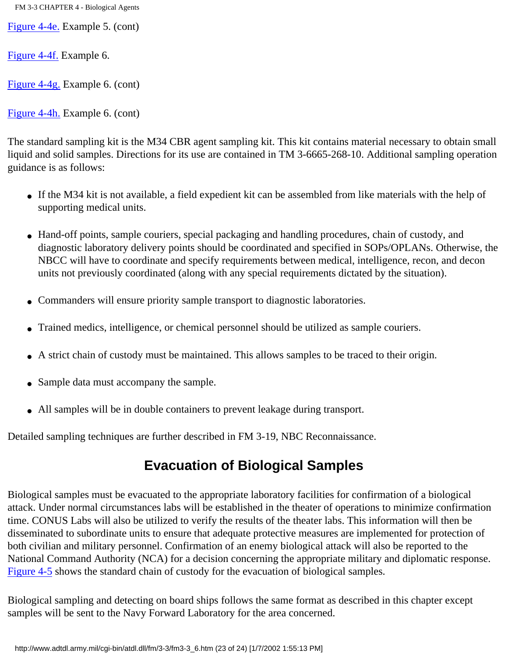FM 3-3 CHAPTER 4 - Biological Agents

[Figure 4-4e.](http://www.adtdl.army.mil/cgi-bin/atdl.dll/fm/3-3/fm330062.gif) Example 5. (cont)

[Figure 4-4f.](http://www.adtdl.army.mil/cgi-bin/atdl.dll/fm/3-3/fm330063.gif) Example 6.

[Figure 4-4g.](http://www.adtdl.army.mil/cgi-bin/atdl.dll/fm/3-3/fm330064.gif) Example 6. (cont)

[Figure 4-4h.](http://www.adtdl.army.mil/cgi-bin/atdl.dll/fm/3-3/fm330065.gif) Example 6. (cont)

The standard sampling kit is the M34 CBR agent sampling kit. This kit contains material necessary to obtain small liquid and solid samples. Directions for its use are contained in TM 3-6665-268-10. Additional sampling operation guidance is as follows:

- If the M34 kit is not available, a field expedient kit can be assembled from like materials with the help of supporting medical units.
- Hand-off points, sample couriers, special packaging and handling procedures, chain of custody, and diagnostic laboratory delivery points should be coordinated and specified in SOPs/OPLANs. Otherwise, the NBCC will have to coordinate and specify requirements between medical, intelligence, recon, and decon units not previously coordinated (along with any special requirements dictated by the situation).
- Commanders will ensure priority sample transport to diagnostic laboratories.
- Trained medics, intelligence, or chemical personnel should be utilized as sample couriers.
- A strict chain of custody must be maintained. This allows samples to be traced to their origin.
- Sample data must accompany the sample.
- All samples will be in double containers to prevent leakage during transport.

Detailed sampling techniques are further described in FM 3-19, NBC Reconnaissance.

# **Evacuation of Biological Samples**

Biological samples must be evacuated to the appropriate laboratory facilities for confirmation of a biological attack. Under normal circumstances labs will be established in the theater of operations to minimize confirmation time. CONUS Labs will also be utilized to verify the results of the theater labs. This information will then be disseminated to subordinate units to ensure that adequate protective measures are implemented for protection of both civilian and military personnel. Confirmation of an enemy biological attack will also be reported to the National Command Authority (NCA) for a decision concerning the appropriate military and diplomatic response. [Figure 4-5](http://www.adtdl.army.mil/cgi-bin/atdl.dll/fm/3-3/fm330066.gif) shows the standard chain of custody for the evacuation of biological samples.

Biological sampling and detecting on board ships follows the same format as described in this chapter except samples will be sent to the Navy Forward Laboratory for the area concerned.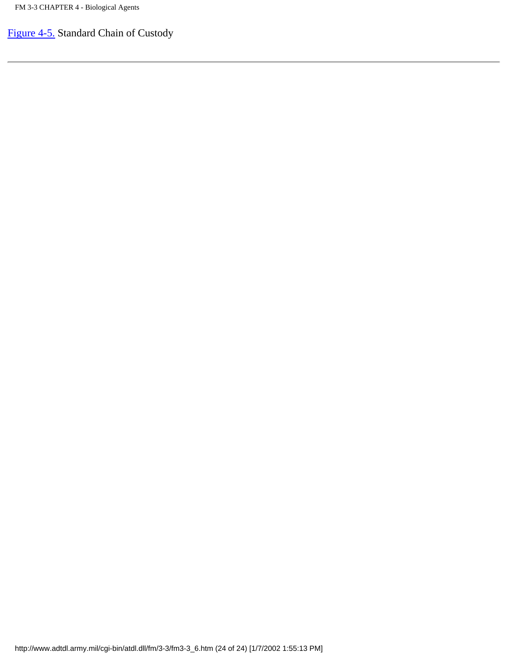[Figure 4-5.](http://www.adtdl.army.mil/cgi-bin/atdl.dll/fm/3-3/fm330066.gif) Standard Chain of Custody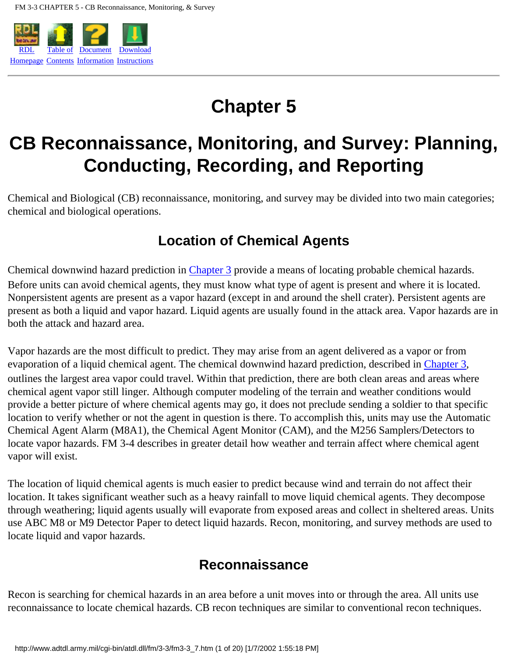

# **Chapter 5**

# <span id="page-98-0"></span>**CB Reconnaissance, Monitoring, and Survey: Planning, Conducting, Recording, and Reporting**

Chemical and Biological (CB) reconnaissance, monitoring, and survey may be divided into two main categories; chemical and biological operations.

# **Location of Chemical Agents**

Chemical downwind hazard prediction in [Chapter 3](#page-42-0) provide a means of locating probable chemical hazards. Before units can avoid chemical agents, they must know what type of agent is present and where it is located. Nonpersistent agents are present as a vapor hazard (except in and around the shell crater). Persistent agents are present as both a liquid and vapor hazard. Liquid agents are usually found in the attack area. Vapor hazards are in both the attack and hazard area.

Vapor hazards are the most difficult to predict. They may arise from an agent delivered as a vapor or from evaporation of a liquid chemical agent. The chemical downwind hazard prediction, described in [Chapter 3](#page-42-0), outlines the largest area vapor could travel. Within that prediction, there are both clean areas and areas where chemical agent vapor still linger. Although computer modeling of the terrain and weather conditions would provide a better picture of where chemical agents may go, it does not preclude sending a soldier to that specific location to verify whether or not the agent in question is there. To accomplish this, units may use the Automatic Chemical Agent Alarm (M8A1), the Chemical Agent Monitor (CAM), and the M256 Samplers/Detectors to locate vapor hazards. FM 3-4 describes in greater detail how weather and terrain affect where chemical agent vapor will exist.

The location of liquid chemical agents is much easier to predict because wind and terrain do not affect their location. It takes significant weather such as a heavy rainfall to move liquid chemical agents. They decompose through weathering; liquid agents usually will evaporate from exposed areas and collect in sheltered areas. Units use ABC M8 or M9 Detector Paper to detect liquid hazards. Recon, monitoring, and survey methods are used to locate liquid and vapor hazards.

## **Reconnaissance**

Recon is searching for chemical hazards in an area before a unit moves into or through the area. All units use reconnaissance to locate chemical hazards. CB recon techniques are similar to conventional recon techniques.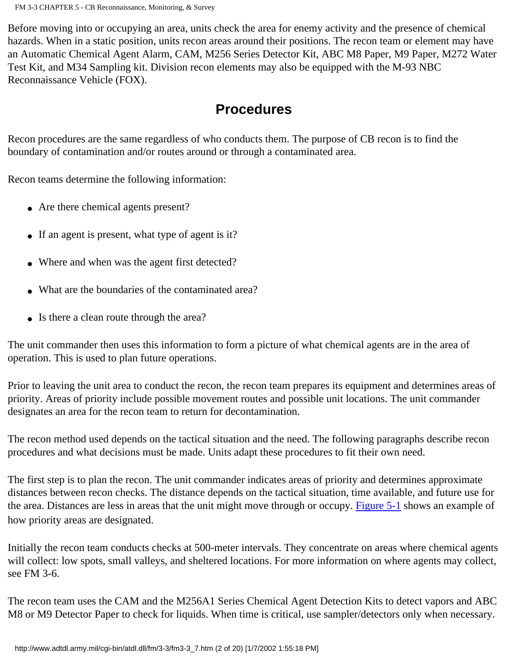Before moving into or occupying an area, units check the area for enemy activity and the presence of chemical hazards. When in a static position, units recon areas around their positions. The recon team or element may have an Automatic Chemical Agent Alarm, CAM, M256 Series Detector Kit, ABC M8 Paper, M9 Paper, M272 Water Test Kit, and M34 Sampling kit. Division recon elements may also be equipped with the M-93 NBC Reconnaissance Vehicle (FOX).

## **Procedures**

Recon procedures are the same regardless of who conducts them. The purpose of CB recon is to find the boundary of contamination and/or routes around or through a contaminated area.

Recon teams determine the following information:

- Are there chemical agents present?
- If an agent is present, what type of agent is it?
- Where and when was the agent first detected?
- What are the boundaries of the contaminated area?
- Is there a clean route through the area?

The unit commander then uses this information to form a picture of what chemical agents are in the area of operation. This is used to plan future operations.

Prior to leaving the unit area to conduct the recon, the recon team prepares its equipment and determines areas of priority. Areas of priority include possible movement routes and possible unit locations. The unit commander designates an area for the recon team to return for decontamination.

The recon method used depends on the tactical situation and the need. The following paragraphs describe recon procedures and what decisions must be made. Units adapt these procedures to fit their own need.

The first step is to plan the recon. The unit commander indicates areas of priority and determines approximate distances between recon checks. The distance depends on the tactical situation, time available, and future use for the area. Distances are less in areas that the unit might move through or occupy. [Figure 5-1](http://www.adtdl.army.mil/cgi-bin/atdl.dll/fm/3-3/fm330067.gif) shows an example of how priority areas are designated.

Initially the recon team conducts checks at 500-meter intervals. They concentrate on areas where chemical agents will collect: low spots, small valleys, and sheltered locations. For more information on where agents may collect, see FM 3-6.

The recon team uses the CAM and the M256A1 Series Chemical Agent Detection Kits to detect vapors and ABC M8 or M9 Detector Paper to check for liquids. When time is critical, use sampler/detectors only when necessary.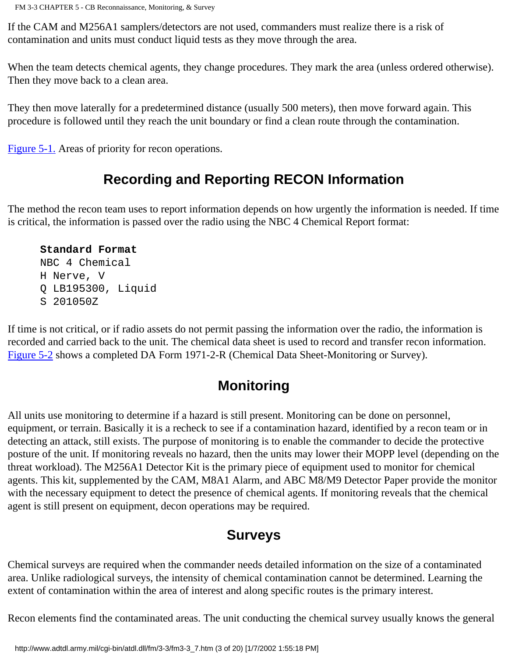If the CAM and M256A1 samplers/detectors are not used, commanders must realize there is a risk of contamination and units must conduct liquid tests as they move through the area.

When the team detects chemical agents, they change procedures. They mark the area (unless ordered otherwise). Then they move back to a clean area.

They then move laterally for a predetermined distance (usually 500 meters), then move forward again. This procedure is followed until they reach the unit boundary or find a clean route through the contamination.

[Figure 5-1.](http://www.adtdl.army.mil/cgi-bin/atdl.dll/fm/3-3/fm330067.gif) Areas of priority for recon operations.

## **Recording and Reporting RECON Information**

The method the recon team uses to report information depends on how urgently the information is needed. If time is critical, the information is passed over the radio using the NBC 4 Chemical Report format:

#### **Standard Format**

 NBC 4 Chemical H Nerve, V Q LB195300, Liquid S 201050Z

If time is not critical, or if radio assets do not permit passing the information over the radio, the information is recorded and carried back to the unit. The chemical data sheet is used to record and transfer recon information. [Figure 5-2](http://www.adtdl.army.mil/cgi-bin/atdl.dll/fm/3-3/fm330068.gif) shows a completed DA Form 1971-2-R (Chemical Data Sheet-Monitoring or Survey).

### **Monitoring**

All units use monitoring to determine if a hazard is still present. Monitoring can be done on personnel, equipment, or terrain. Basically it is a recheck to see if a contamination hazard, identified by a recon team or in detecting an attack, still exists. The purpose of monitoring is to enable the commander to decide the protective posture of the unit. If monitoring reveals no hazard, then the units may lower their MOPP level (depending on the threat workload). The M256A1 Detector Kit is the primary piece of equipment used to monitor for chemical agents. This kit, supplemented by the CAM, M8A1 Alarm, and ABC M8/M9 Detector Paper provide the monitor with the necessary equipment to detect the presence of chemical agents. If monitoring reveals that the chemical agent is still present on equipment, decon operations may be required.

### **Surveys**

Chemical surveys are required when the commander needs detailed information on the size of a contaminated area. Unlike radiological surveys, the intensity of chemical contamination cannot be determined. Learning the extent of contamination within the area of interest and along specific routes is the primary interest.

Recon elements find the contaminated areas. The unit conducting the chemical survey usually knows the general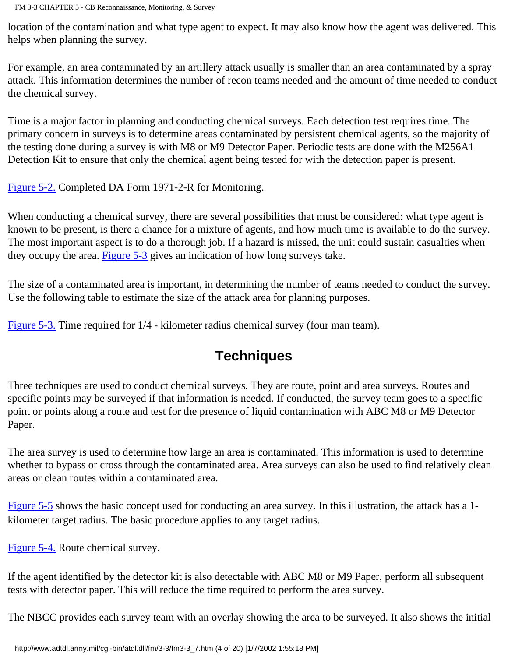location of the contamination and what type agent to expect. It may also know how the agent was delivered. This helps when planning the survey.

For example, an area contaminated by an artillery attack usually is smaller than an area contaminated by a spray attack. This information determines the number of recon teams needed and the amount of time needed to conduct the chemical survey.

Time is a major factor in planning and conducting chemical surveys. Each detection test requires time. The primary concern in surveys is to determine areas contaminated by persistent chemical agents, so the majority of the testing done during a survey is with M8 or M9 Detector Paper. Periodic tests are done with the M256A1 Detection Kit to ensure that only the chemical agent being tested for with the detection paper is present.

[Figure 5-2.](http://www.adtdl.army.mil/cgi-bin/atdl.dll/fm/3-3/fm330068.gif) Completed DA Form 1971-2-R for Monitoring.

When conducting a chemical survey, there are several possibilities that must be considered: what type agent is known to be present, is there a chance for a mixture of agents, and how much time is available to do the survey. The most important aspect is to do a thorough job. If a hazard is missed, the unit could sustain casualties when they occupy the area. [Figure 5-3](http://www.adtdl.army.mil/cgi-bin/atdl.dll/fm/3-3/fm330069.gif) gives an indication of how long surveys take.

The size of a contaminated area is important, in determining the number of teams needed to conduct the survey. Use the following table to estimate the size of the attack area for planning purposes.

[Figure 5-3.](http://www.adtdl.army.mil/cgi-bin/atdl.dll/fm/3-3/fm330069.gif) Time required for 1/4 - kilometer radius chemical survey (four man team).

# **Techniques**

Three techniques are used to conduct chemical surveys. They are route, point and area surveys. Routes and specific points may be surveyed if that information is needed. If conducted, the survey team goes to a specific point or points along a route and test for the presence of liquid contamination with ABC M8 or M9 Detector Paper.

The area survey is used to determine how large an area is contaminated. This information is used to determine whether to bypass or cross through the contaminated area. Area surveys can also be used to find relatively clean areas or clean routes within a contaminated area.

[Figure 5-5](http://www.adtdl.army.mil/cgi-bin/atdl.dll/fm/3-3/fm330071.gif) shows the basic concept used for conducting an area survey. In this illustration, the attack has a 1kilometer target radius. The basic procedure applies to any target radius.

[Figure 5-4.](http://www.adtdl.army.mil/cgi-bin/atdl.dll/fm/3-3/fm330070.gif) Route chemical survey.

If the agent identified by the detector kit is also detectable with ABC M8 or M9 Paper, perform all subsequent tests with detector paper. This will reduce the time required to perform the area survey.

The NBCC provides each survey team with an overlay showing the area to be surveyed. It also shows the initial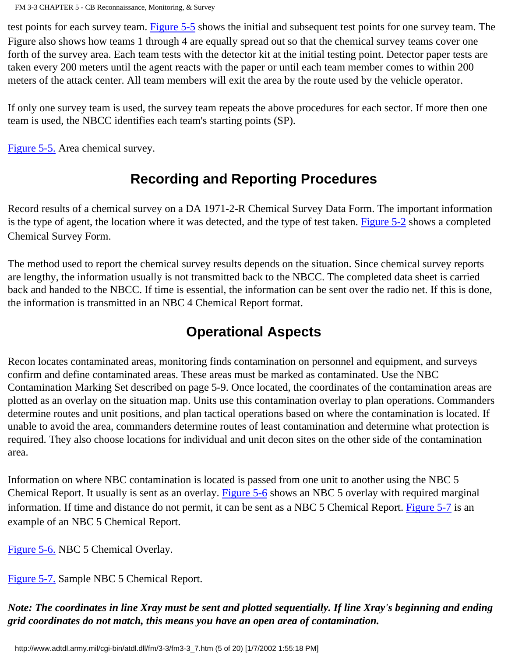test points for each survey team. [Figure 5-5](http://www.adtdl.army.mil/cgi-bin/atdl.dll/fm/3-3/fm330071.gif) shows the initial and subsequent test points for one survey team. The Figure also shows how teams 1 through 4 are equally spread out so that the chemical survey teams cover one forth of the survey area. Each team tests with the detector kit at the initial testing point. Detector paper tests are taken every 200 meters until the agent reacts with the paper or until each team member comes to within 200 meters of the attack center. All team members will exit the area by the route used by the vehicle operator.

If only one survey team is used, the survey team repeats the above procedures for each sector. If more then one team is used, the NBCC identifies each team's starting points (SP).

[Figure 5-5.](http://www.adtdl.army.mil/cgi-bin/atdl.dll/fm/3-3/fm330071.gif) Area chemical survey.

# **Recording and Reporting Procedures**

Record results of a chemical survey on a DA 1971-2-R Chemical Survey Data Form. The important information is the type of agent, the location where it was detected, and the type of test taken. [Figure 5-2](http://www.adtdl.army.mil/cgi-bin/atdl.dll/fm/3-3/fm330068.gif) shows a completed Chemical Survey Form.

The method used to report the chemical survey results depends on the situation. Since chemical survey reports are lengthy, the information usually is not transmitted back to the NBCC. The completed data sheet is carried back and handed to the NBCC. If time is essential, the information can be sent over the radio net. If this is done, the information is transmitted in an NBC 4 Chemical Report format.

# **Operational Aspects**

Recon locates contaminated areas, monitoring finds contamination on personnel and equipment, and surveys confirm and define contaminated areas. These areas must be marked as contaminated. Use the NBC Contamination Marking Set described on page 5-9. Once located, the coordinates of the contamination areas are plotted as an overlay on the situation map. Units use this contamination overlay to plan operations. Commanders determine routes and unit positions, and plan tactical operations based on where the contamination is located. If unable to avoid the area, commanders determine routes of least contamination and determine what protection is required. They also choose locations for individual and unit decon sites on the other side of the contamination area.

Information on where NBC contamination is located is passed from one unit to another using the NBC 5 Chemical Report. It usually is sent as an overlay. [Figure 5-6](http://www.adtdl.army.mil/cgi-bin/atdl.dll/fm/3-3/fm330072.gif) shows an NBC 5 overlay with required marginal information. If time and distance do not permit, it can be sent as a NBC 5 Chemical Report. [Figure 5-7](http://www.adtdl.army.mil/cgi-bin/atdl.dll/fm/3-3/fm330073.gif) is an example of an NBC 5 Chemical Report.

[Figure 5-6.](http://www.adtdl.army.mil/cgi-bin/atdl.dll/fm/3-3/fm330072.gif) NBC 5 Chemical Overlay.

[Figure 5-7.](http://www.adtdl.army.mil/cgi-bin/atdl.dll/fm/3-3/fm330073.gif) Sample NBC 5 Chemical Report.

*Note: The coordinates in line Xray must be sent and plotted sequentially. If line Xray's beginning and ending grid coordinates do not match, this means you have an open area of contamination.*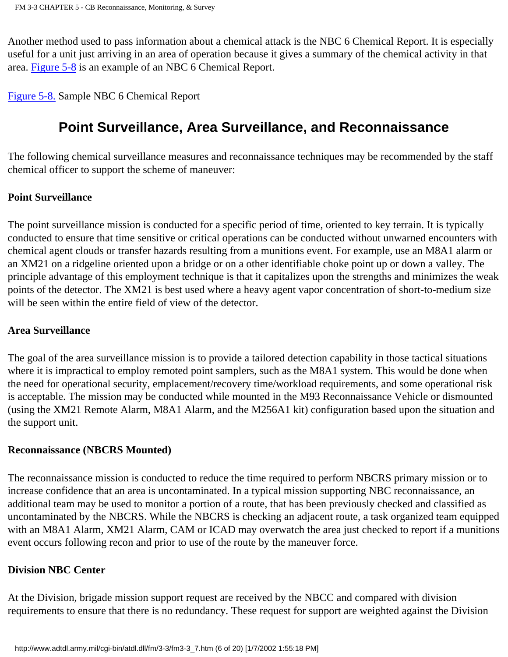Another method used to pass information about a chemical attack is the NBC 6 Chemical Report. It is especially useful for a unit just arriving in an area of operation because it gives a summary of the chemical activity in that area. [Figure 5-8](http://www.adtdl.army.mil/cgi-bin/atdl.dll/fm/3-3/fm330074.gif) is an example of an NBC 6 Chemical Report.

[Figure 5-8.](http://www.adtdl.army.mil/cgi-bin/atdl.dll/fm/3-3/fm330074.gif) Sample NBC 6 Chemical Report

# **Point Surveillance, Area Surveillance, and Reconnaissance**

The following chemical surveillance measures and reconnaissance techniques may be recommended by the staff chemical officer to support the scheme of maneuver:

#### **Point Surveillance**

The point surveillance mission is conducted for a specific period of time, oriented to key terrain. It is typically conducted to ensure that time sensitive or critical operations can be conducted without unwarned encounters with chemical agent clouds or transfer hazards resulting from a munitions event. For example, use an M8A1 alarm or an XM21 on a ridgeline oriented upon a bridge or on a other identifiable choke point up or down a valley. The principle advantage of this employment technique is that it capitalizes upon the strengths and minimizes the weak points of the detector. The XM21 is best used where a heavy agent vapor concentration of short-to-medium size will be seen within the entire field of view of the detector.

#### **Area Surveillance**

The goal of the area surveillance mission is to provide a tailored detection capability in those tactical situations where it is impractical to employ remoted point samplers, such as the M8A1 system. This would be done when the need for operational security, emplacement/recovery time/workload requirements, and some operational risk is acceptable. The mission may be conducted while mounted in the M93 Reconnaissance Vehicle or dismounted (using the XM21 Remote Alarm, M8A1 Alarm, and the M256A1 kit) configuration based upon the situation and the support unit.

#### **Reconnaissance (NBCRS Mounted)**

The reconnaissance mission is conducted to reduce the time required to perform NBCRS primary mission or to increase confidence that an area is uncontaminated. In a typical mission supporting NBC reconnaissance, an additional team may be used to monitor a portion of a route, that has been previously checked and classified as uncontaminated by the NBCRS. While the NBCRS is checking an adjacent route, a task organized team equipped with an M8A1 Alarm, XM21 Alarm, CAM or ICAD may overwatch the area just checked to report if a munitions event occurs following recon and prior to use of the route by the maneuver force.

#### **Division NBC Center**

At the Division, brigade mission support request are received by the NBCC and compared with division requirements to ensure that there is no redundancy. These request for support are weighted against the Division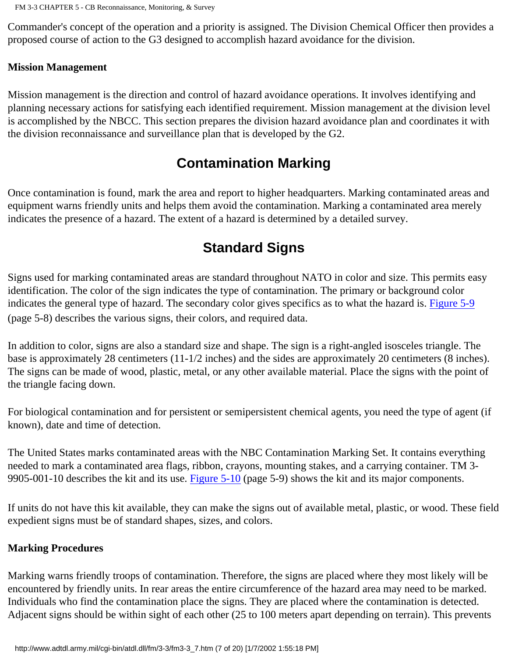Commander's concept of the operation and a priority is assigned. The Division Chemical Officer then provides a proposed course of action to the G3 designed to accomplish hazard avoidance for the division.

#### **Mission Management**

Mission management is the direction and control of hazard avoidance operations. It involves identifying and planning necessary actions for satisfying each identified requirement. Mission management at the division level is accomplished by the NBCC. This section prepares the division hazard avoidance plan and coordinates it with the division reconnaissance and surveillance plan that is developed by the G2.

## **Contamination Marking**

Once contamination is found, mark the area and report to higher headquarters. Marking contaminated areas and equipment warns friendly units and helps them avoid the contamination. Marking a contaminated area merely indicates the presence of a hazard. The extent of a hazard is determined by a detailed survey.

# **Standard Signs**

Signs used for marking contaminated areas are standard throughout NATO in color and size. This permits easy identification. The color of the sign indicates the type of contamination. The primary or background color indicates the general type of hazard. The secondary color gives specifics as to what the hazard is. [Figure 5-9](http://www.adtdl.army.mil/cgi-bin/atdl.dll/fm/3-3/fm330075.gif) (page 5-8) describes the various signs, their colors, and required data.

In addition to color, signs are also a standard size and shape. The sign is a right-angled isosceles triangle. The base is approximately 28 centimeters (11-1/2 inches) and the sides are approximately 20 centimeters (8 inches). The signs can be made of wood, plastic, metal, or any other available material. Place the signs with the point of the triangle facing down.

For biological contamination and for persistent or semipersistent chemical agents, you need the type of agent (if known), date and time of detection.

The United States marks contaminated areas with the NBC Contamination Marking Set. It contains everything needed to mark a contaminated area flags, ribbon, crayons, mounting stakes, and a carrying container. TM 3- 9905-001-10 describes the kit and its use. [Figure 5-10](http://www.adtdl.army.mil/cgi-bin/atdl.dll/fm/3-3/fm330076.gif) (page 5-9) shows the kit and its major components.

If units do not have this kit available, they can make the signs out of available metal, plastic, or wood. These field expedient signs must be of standard shapes, sizes, and colors.

#### **Marking Procedures**

Marking warns friendly troops of contamination. Therefore, the signs are placed where they most likely will be encountered by friendly units. In rear areas the entire circumference of the hazard area may need to be marked. Individuals who find the contamination place the signs. They are placed where the contamination is detected. Adjacent signs should be within sight of each other (25 to 100 meters apart depending on terrain). This prevents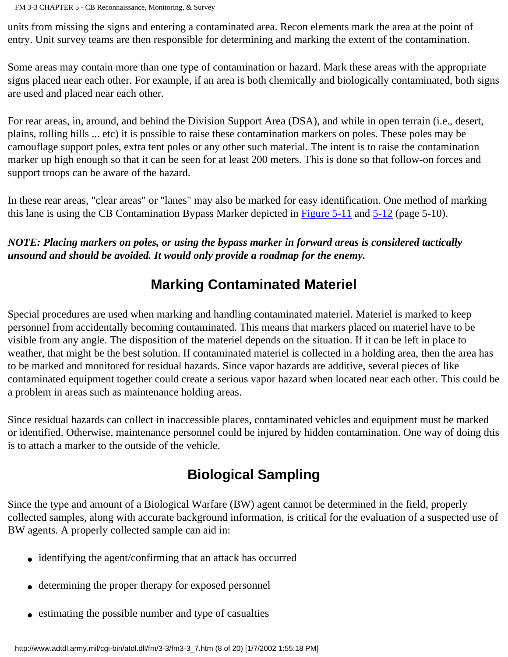FM 3-3 CHAPTER 5 - CB Reconnaissance, Monitoring, & Survey

units from missing the signs and entering a contaminated area. Recon elements mark the area at the point of entry. Unit survey teams are then responsible for determining and marking the extent of the contamination.

Some areas may contain more than one type of contamination or hazard. Mark these areas with the appropriate signs placed near each other. For example, if an area is both chemically and biologically contaminated, both signs are used and placed near each other.

For rear areas, in, around, and behind the Division Support Area (DSA), and while in open terrain (i.e., desert, plains, rolling hills ... etc) it is possible to raise these contamination markers on poles. These poles may be camouflage support poles, extra tent poles or any other such material. The intent is to raise the contamination marker up high enough so that it can be seen for at least 200 meters. This is done so that follow-on forces and support troops can be aware of the hazard.

In these rear areas, "clear areas" or "lanes" may also be marked for easy identification. One method of marking this lane is using the CB Contamination Bypass Marker depicted in [Figure 5-11](http://www.adtdl.army.mil/cgi-bin/atdl.dll/fm/3-3/fm330077.gif) and [5-12](http://www.adtdl.army.mil/cgi-bin/atdl.dll/fm/3-3/fm330078.gif) (page 5-10).

*NOTE: Placing markers on poles, or using the bypass marker in forward areas is considered tactically unsound and should be avoided. It would only provide a roadmap for the enemy.*

# **Marking Contaminated Materiel**

Special procedures are used when marking and handling contaminated materiel. Materiel is marked to keep personnel from accidentally becoming contaminated. This means that markers placed on materiel have to be visible from any angle. The disposition of the materiel depends on the situation. If it can be left in place to weather, that might be the best solution. If contaminated materiel is collected in a holding area, then the area has to be marked and monitored for residual hazards. Since vapor hazards are additive, several pieces of like contaminated equipment together could create a serious vapor hazard when located near each other. This could be a problem in areas such as maintenance holding areas.

Since residual hazards can collect in inaccessible places, contaminated vehicles and equipment must be marked or identified. Otherwise, maintenance personnel could be injured by hidden contamination. One way of doing this is to attach a marker to the outside of the vehicle.

# **Biological Sampling**

Since the type and amount of a Biological Warfare (BW) agent cannot be determined in the field, properly collected samples, along with accurate background information, is critical for the evaluation of a suspected use of BW agents. A properly collected sample can aid in:

- identifying the agent/confirming that an attack has occurred
- determining the proper therapy for exposed personnel
- estimating the possible number and type of casualties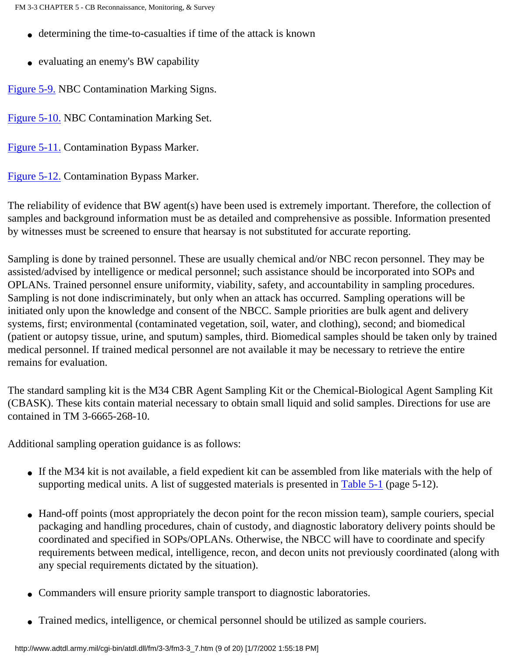- determining the time-to-casualties if time of the attack is known
- evaluating an enemy's BW capability

[Figure 5-9.](http://www.adtdl.army.mil/cgi-bin/atdl.dll/fm/3-3/fm330075.gif) NBC Contamination Marking Signs.

[Figure 5-10.](http://www.adtdl.army.mil/cgi-bin/atdl.dll/fm/3-3/fm330076.gif) NBC Contamination Marking Set.

[Figure 5-11.](http://www.adtdl.army.mil/cgi-bin/atdl.dll/fm/3-3/fm330077.gif) Contamination Bypass Marker.

[Figure 5-12.](http://www.adtdl.army.mil/cgi-bin/atdl.dll/fm/3-3/fm330078.gif) Contamination Bypass Marker.

The reliability of evidence that BW agent(s) have been used is extremely important. Therefore, the collection of samples and background information must be as detailed and comprehensive as possible. Information presented by witnesses must be screened to ensure that hearsay is not substituted for accurate reporting.

Sampling is done by trained personnel. These are usually chemical and/or NBC recon personnel. They may be assisted/advised by intelligence or medical personnel; such assistance should be incorporated into SOPs and OPLANs. Trained personnel ensure uniformity, viability, safety, and accountability in sampling procedures. Sampling is not done indiscriminately, but only when an attack has occurred. Sampling operations will be initiated only upon the knowledge and consent of the NBCC. Sample priorities are bulk agent and delivery systems, first; environmental (contaminated vegetation, soil, water, and clothing), second; and biomedical (patient or autopsy tissue, urine, and sputum) samples, third. Biomedical samples should be taken only by trained medical personnel. If trained medical personnel are not available it may be necessary to retrieve the entire remains for evaluation.

The standard sampling kit is the M34 CBR Agent Sampling Kit or the Chemical-Biological Agent Sampling Kit (CBASK). These kits contain material necessary to obtain small liquid and solid samples. Directions for use are contained in TM 3-6665-268-10.

Additional sampling operation guidance is as follows:

- If the M34 kit is not available, a field expedient kit can be assembled from like materials with the help of supporting medical units. A list of suggested materials is presented in [Table 5-1](http://www.adtdl.army.mil/cgi-bin/atdl.dll/fm/3-3/fm330079.gif) (page 5-12).
- Hand-off points (most appropriately the decon point for the recon mission team), sample couriers, special packaging and handling procedures, chain of custody, and diagnostic laboratory delivery points should be coordinated and specified in SOPs/OPLANs. Otherwise, the NBCC will have to coordinate and specify requirements between medical, intelligence, recon, and decon units not previously coordinated (along with any special requirements dictated by the situation).
- Commanders will ensure priority sample transport to diagnostic laboratories.
- Trained medics, intelligence, or chemical personnel should be utilized as sample couriers.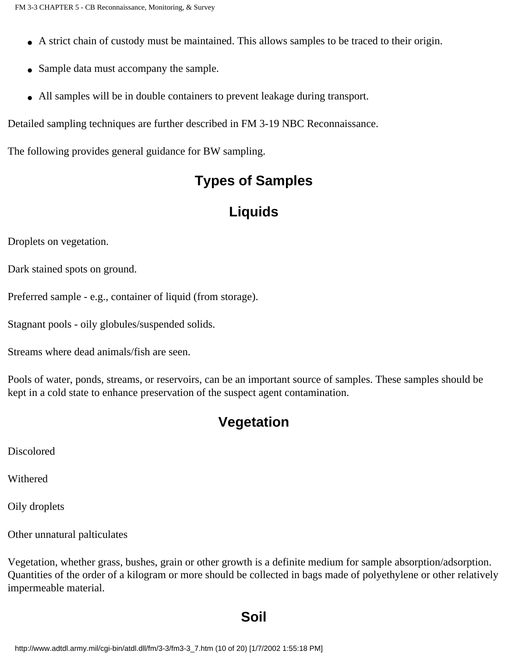- A strict chain of custody must be maintained. This allows samples to be traced to their origin.
- Sample data must accompany the sample.
- All samples will be in double containers to prevent leakage during transport.

Detailed sampling techniques are further described in FM 3-19 NBC Reconnaissance.

The following provides general guidance for BW sampling.

# **Types of Samples**

# **Liquids**

Droplets on vegetation.

Dark stained spots on ground.

Preferred sample - e.g., container of liquid (from storage).

Stagnant pools - oily globules/suspended solids.

Streams where dead animals/fish are seen.

Pools of water, ponds, streams, or reservoirs, can be an important source of samples. These samples should be kept in a cold state to enhance preservation of the suspect agent contamination.

# **Vegetation**

Discolored

Withered

Oily droplets

Other unnatural palticulates

Vegetation, whether grass, bushes, grain or other growth is a definite medium for sample absorption/adsorption. Quantities of the order of a kilogram or more should be collected in bags made of polyethylene or other relatively impermeable material.

## **Soil**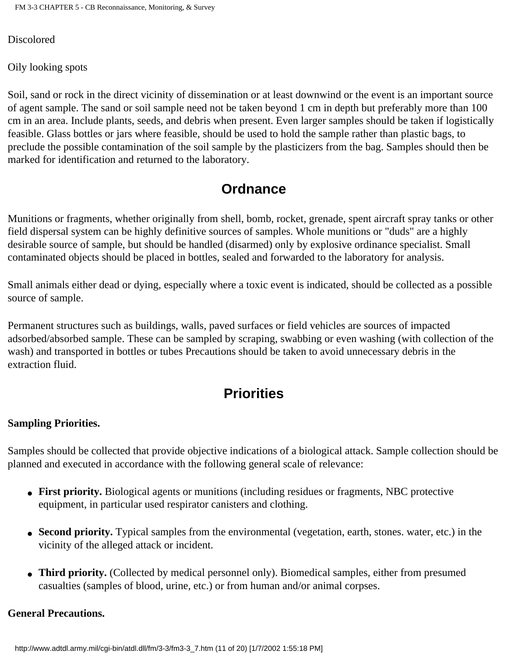FM 3-3 CHAPTER 5 - CB Reconnaissance, Monitoring, & Survey

**Discolored** 

Oily looking spots

Soil, sand or rock in the direct vicinity of dissemination or at least downwind or the event is an important source of agent sample. The sand or soil sample need not be taken beyond 1 cm in depth but preferably more than 100 cm in an area. Include plants, seeds, and debris when present. Even larger samples should be taken if logistically feasible. Glass bottles or jars where feasible, should be used to hold the sample rather than plastic bags, to preclude the possible contamination of the soil sample by the plasticizers from the bag. Samples should then be marked for identification and returned to the laboratory.

# **Ordnance**

Munitions or fragments, whether originally from shell, bomb, rocket, grenade, spent aircraft spray tanks or other field dispersal system can be highly definitive sources of samples. Whole munitions or "duds" are a highly desirable source of sample, but should be handled (disarmed) only by explosive ordinance specialist. Small contaminated objects should be placed in bottles, sealed and forwarded to the laboratory for analysis.

Small animals either dead or dying, especially where a toxic event is indicated, should be collected as a possible source of sample.

Permanent structures such as buildings, walls, paved surfaces or field vehicles are sources of impacted adsorbed/absorbed sample. These can be sampled by scraping, swabbing or even washing (with collection of the wash) and transported in bottles or tubes Precautions should be taken to avoid unnecessary debris in the extraction fluid.

# **Priorities**

#### **Sampling Priorities.**

Samples should be collected that provide objective indications of a biological attack. Sample collection should be planned and executed in accordance with the following general scale of relevance:

- **First priority.** Biological agents or munitions (including residues or fragments, NBC protective equipment, in particular used respirator canisters and clothing.
- **Second priority.** Typical samples from the environmental (vegetation, earth, stones. water, etc.) in the vicinity of the alleged attack or incident.
- **Third priority.** (Collected by medical personnel only). Biomedical samples, either from presumed casualties (samples of blood, urine, etc.) or from human and/or animal corpses.

#### **General Precautions.**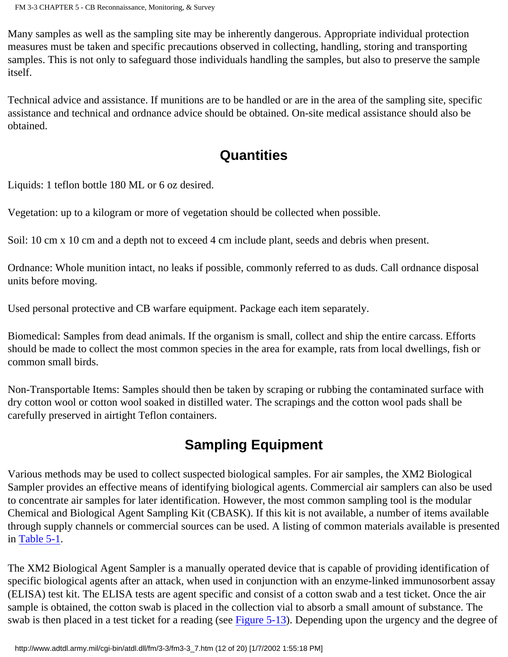Many samples as well as the sampling site may be inherently dangerous. Appropriate individual protection measures must be taken and specific precautions observed in collecting, handling, storing and transporting samples. This is not only to safeguard those individuals handling the samples, but also to preserve the sample itself.

Technical advice and assistance. If munitions are to be handled or are in the area of the sampling site, specific assistance and technical and ordnance advice should be obtained. On-site medical assistance should also be obtained.

# **Quantities**

Liquids: 1 teflon bottle 180 ML or 6 oz desired.

Vegetation: up to a kilogram or more of vegetation should be collected when possible.

Soil: 10 cm x 10 cm and a depth not to exceed 4 cm include plant, seeds and debris when present.

Ordnance: Whole munition intact, no leaks if possible, commonly referred to as duds. Call ordnance disposal units before moving.

Used personal protective and CB warfare equipment. Package each item separately.

Biomedical: Samples from dead animals. If the organism is small, collect and ship the entire carcass. Efforts should be made to collect the most common species in the area for example, rats from local dwellings, fish or common small birds.

Non-Transportable Items: Samples should then be taken by scraping or rubbing the contaminated surface with dry cotton wool or cotton wool soaked in distilled water. The scrapings and the cotton wool pads shall be carefully preserved in airtight Teflon containers.

# **Sampling Equipment**

Various methods may be used to collect suspected biological samples. For air samples, the XM2 Biological Sampler provides an effective means of identifying biological agents. Commercial air samplers can also be used to concentrate air samples for later identification. However, the most common sampling tool is the modular Chemical and Biological Agent Sampling Kit (CBASK). If this kit is not available, a number of items available through supply channels or commercial sources can be used. A listing of common materials available is presented in [Table 5-1.](http://www.adtdl.army.mil/cgi-bin/atdl.dll/fm/3-3/fm330079.gif)

The XM2 Biological Agent Sampler is a manually operated device that is capable of providing identification of specific biological agents after an attack, when used in conjunction with an enzyme-linked immunosorbent assay (ELISA) test kit. The ELISA tests are agent specific and consist of a cotton swab and a test ticket. Once the air sample is obtained, the cotton swab is placed in the collection vial to absorb a small amount of substance. The swab is then placed in a test ticket for a reading (see [Figure 5-13](http://www.adtdl.army.mil/cgi-bin/atdl.dll/fm/3-3/fm330080.gif)). Depending upon the urgency and the degree of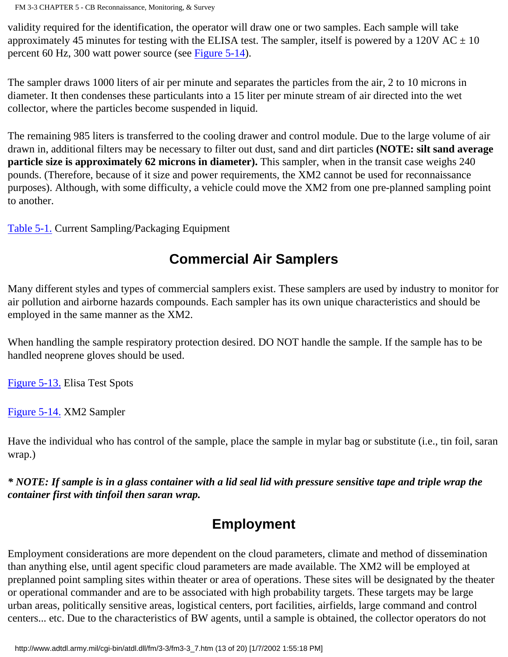FM 3-3 CHAPTER 5 - CB Reconnaissance, Monitoring, & Survey

validity required for the identification, the operator will draw one or two samples. Each sample will take approximately 45 minutes for testing with the ELISA test. The sampler, itself is powered by a 120V AC  $\pm$  10 percent 60 Hz, 300 watt power source (see [Figure 5-14\)](http://www.adtdl.army.mil/cgi-bin/atdl.dll/fm/3-3/fm330081.gif).

The sampler draws 1000 liters of air per minute and separates the particles from the air, 2 to 10 microns in diameter. It then condenses these particulants into a 15 liter per minute stream of air directed into the wet collector, where the particles become suspended in liquid.

The remaining 985 liters is transferred to the cooling drawer and control module. Due to the large volume of air drawn in, additional filters may be necessary to filter out dust, sand and dirt particles **(NOTE: silt sand average particle size is approximately 62 microns in diameter).** This sampler, when in the transit case weighs 240 pounds. (Therefore, because of it size and power requirements, the XM2 cannot be used for reconnaissance purposes). Although, with some difficulty, a vehicle could move the XM2 from one pre-planned sampling point to another.

[Table 5-1.](http://www.adtdl.army.mil/cgi-bin/atdl.dll/fm/3-3/fm330079.gif) Current Sampling/Packaging Equipment

# **Commercial Air Samplers**

Many different styles and types of commercial samplers exist. These samplers are used by industry to monitor for air pollution and airborne hazards compounds. Each sampler has its own unique characteristics and should be employed in the same manner as the XM2.

When handling the sample respiratory protection desired. DO NOT handle the sample. If the sample has to be handled neoprene gloves should be used.

[Figure 5-13.](http://www.adtdl.army.mil/cgi-bin/atdl.dll/fm/3-3/fm330080.gif) Elisa Test Spots

[Figure 5-14.](http://www.adtdl.army.mil/cgi-bin/atdl.dll/fm/3-3/fm330081.gif) XM2 Sampler

Have the individual who has control of the sample, place the sample in mylar bag or substitute (i.e., tin foil, saran wrap.)

*\* NOTE: If sample is in a glass container with a lid seal lid with pressure sensitive tape and triple wrap the container first with tinfoil then saran wrap.*

# **Employment**

Employment considerations are more dependent on the cloud parameters, climate and method of dissemination than anything else, until agent specific cloud parameters are made available. The XM2 will be employed at preplanned point sampling sites within theater or area of operations. These sites will be designated by the theater or operational commander and are to be associated with high probability targets. These targets may be large urban areas, politically sensitive areas, logistical centers, port facilities, airfields, large command and control centers... etc. Due to the characteristics of BW agents, until a sample is obtained, the collector operators do not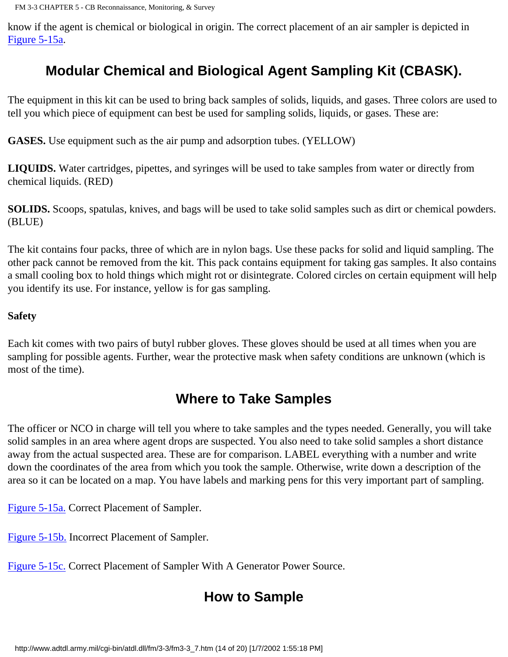know if the agent is chemical or biological in origin. The correct placement of an air sampler is depicted in [Figure 5-15a](http://www.adtdl.army.mil/cgi-bin/atdl.dll/fm/3-3/fm330082.gif).

# **Modular Chemical and Biological Agent Sampling Kit (CBASK).**

The equipment in this kit can be used to bring back samples of solids, liquids, and gases. Three colors are used to tell you which piece of equipment can best be used for sampling solids, liquids, or gases. These are:

**GASES.** Use equipment such as the air pump and adsorption tubes. (YELLOW)

**LIQUIDS.** Water cartridges, pipettes, and syringes will be used to take samples from water or directly from chemical liquids. (RED)

**SOLIDS.** Scoops, spatulas, knives, and bags will be used to take solid samples such as dirt or chemical powders. (BLUE)

The kit contains four packs, three of which are in nylon bags. Use these packs for solid and liquid sampling. The other pack cannot be removed from the kit. This pack contains equipment for taking gas samples. It also contains a small cooling box to hold things which might rot or disintegrate. Colored circles on certain equipment will help you identify its use. For instance, yellow is for gas sampling.

#### **Safety**

Each kit comes with two pairs of butyl rubber gloves. These gloves should be used at all times when you are sampling for possible agents. Further, wear the protective mask when safety conditions are unknown (which is most of the time).

# **Where to Take Samples**

The officer or NCO in charge will tell you where to take samples and the types needed. Generally, you will take solid samples in an area where agent drops are suspected. You also need to take solid samples a short distance away from the actual suspected area. These are for comparison. LABEL everything with a number and write down the coordinates of the area from which you took the sample. Otherwise, write down a description of the area so it can be located on a map. You have labels and marking pens for this very important part of sampling.

[Figure 5-15a.](http://www.adtdl.army.mil/cgi-bin/atdl.dll/fm/3-3/fm330082.gif) Correct Placement of Sampler.

[Figure 5-15b.](http://www.adtdl.army.mil/cgi-bin/atdl.dll/fm/3-3/fm330083.gif) Incorrect Placement of Sampler.

[Figure 5-15c.](http://www.adtdl.army.mil/cgi-bin/atdl.dll/fm/3-3/fm330084.gif) Correct Placement of Sampler With A Generator Power Source.

# **How to Sample**

http://www.adtdl.army.mil/cgi-bin/atdl.dll/fm/3-3/fm3-3\_7.htm (14 of 20) [1/7/2002 1:55:18 PM]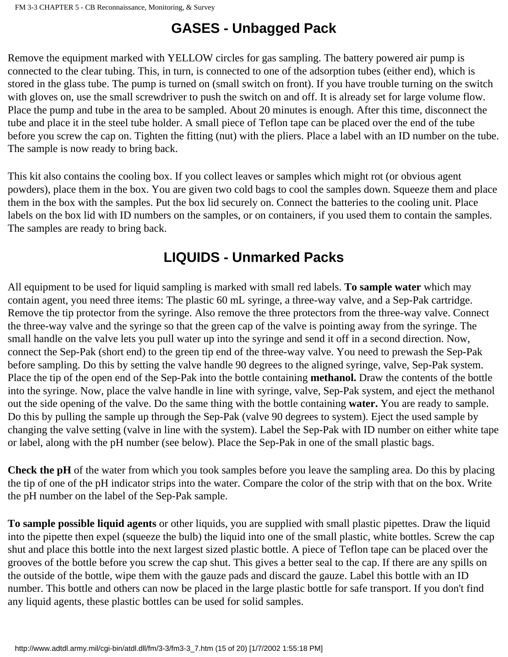# **GASES - Unbagged Pack**

Remove the equipment marked with YELLOW circles for gas sampling. The battery powered air pump is connected to the clear tubing. This, in turn, is connected to one of the adsorption tubes (either end), which is stored in the glass tube. The pump is turned on (small switch on front). If you have trouble turning on the switch with gloves on, use the small screwdriver to push the switch on and off. It is already set for large volume flow. Place the pump and tube in the area to be sampled. About 20 minutes is enough. After this time, disconnect the tube and place it in the steel tube holder. A small piece of Teflon tape can be placed over the end of the tube before you screw the cap on. Tighten the fitting (nut) with the pliers. Place a label with an ID number on the tube. The sample is now ready to bring back.

This kit also contains the cooling box. If you collect leaves or samples which might rot (or obvious agent powders), place them in the box. You are given two cold bags to cool the samples down. Squeeze them and place them in the box with the samples. Put the box lid securely on. Connect the batteries to the cooling unit. Place labels on the box lid with ID numbers on the samples, or on containers, if you used them to contain the samples. The samples are ready to bring back.

# **LIQUIDS - Unmarked Packs**

All equipment to be used for liquid sampling is marked with small red labels. **To sample water** which may contain agent, you need three items: The plastic 60 mL syringe, a three-way valve, and a Sep-Pak cartridge. Remove the tip protector from the syringe. Also remove the three protectors from the three-way valve. Connect the three-way valve and the syringe so that the green cap of the valve is pointing away from the syringe. The small handle on the valve lets you pull water up into the syringe and send it off in a second direction. Now, connect the Sep-Pak (short end) to the green tip end of the three-way valve. You need to prewash the Sep-Pak before sampling. Do this by setting the valve handle 90 degrees to the aligned syringe, valve, Sep-Pak system. Place the tip of the open end of the Sep-Pak into the bottle containing **methanol.** Draw the contents of the bottle into the syringe. Now, place the valve handle in line with syringe, valve, Sep-Pak system, and eject the methanol out the side opening of the valve. Do the same thing with the bottle containing **water.** You are ready to sample. Do this by pulling the sample up through the Sep-Pak (valve 90 degrees to system). Eject the used sample by changing the valve setting (valve in line with the system). Label the Sep-Pak with ID number on either white tape or label, along with the pH number (see below). Place the Sep-Pak in one of the small plastic bags.

**Check the pH** of the water from which you took samples before you leave the sampling area. Do this by placing the tip of one of the pH indicator strips into the water. Compare the color of the strip with that on the box. Write the pH number on the label of the Sep-Pak sample.

**To sample possible liquid agents** or other liquids, you are supplied with small plastic pipettes. Draw the liquid into the pipette then expel (squeeze the bulb) the liquid into one of the small plastic, white bottles. Screw the cap shut and place this bottle into the next largest sized plastic bottle. A piece of Teflon tape can be placed over the grooves of the bottle before you screw the cap shut. This gives a better seal to the cap. If there are any spills on the outside of the bottle, wipe them with the gauze pads and discard the gauze. Label this bottle with an ID number. This bottle and others can now be placed in the large plastic bottle for safe transport. If you don't find any liquid agents, these plastic bottles can be used for solid samples.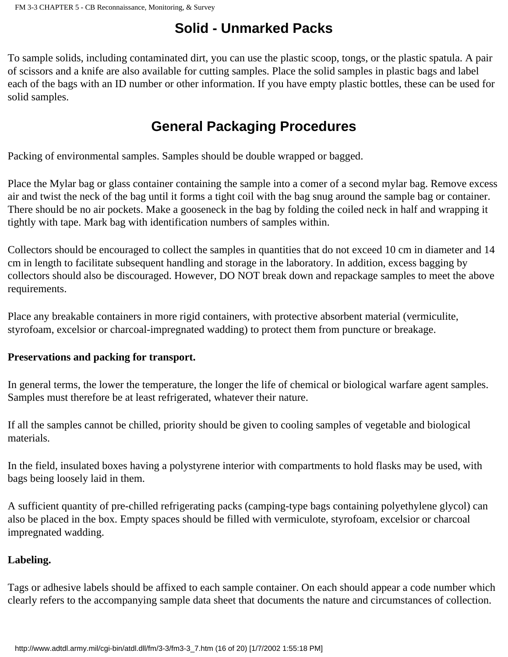# **Solid - Unmarked Packs**

To sample solids, including contaminated dirt, you can use the plastic scoop, tongs, or the plastic spatula. A pair of scissors and a knife are also available for cutting samples. Place the solid samples in plastic bags and label each of the bags with an ID number or other information. If you have empty plastic bottles, these can be used for solid samples.

# **General Packaging Procedures**

Packing of environmental samples. Samples should be double wrapped or bagged.

Place the Mylar bag or glass container containing the sample into a comer of a second mylar bag. Remove excess air and twist the neck of the bag until it forms a tight coil with the bag snug around the sample bag or container. There should be no air pockets. Make a gooseneck in the bag by folding the coiled neck in half and wrapping it tightly with tape. Mark bag with identification numbers of samples within.

Collectors should be encouraged to collect the samples in quantities that do not exceed 10 cm in diameter and 14 cm in length to facilitate subsequent handling and storage in the laboratory. In addition, excess bagging by collectors should also be discouraged. However, DO NOT break down and repackage samples to meet the above requirements.

Place any breakable containers in more rigid containers, with protective absorbent material (vermiculite, styrofoam, excelsior or charcoal-impregnated wadding) to protect them from puncture or breakage.

#### **Preservations and packing for transport.**

In general terms, the lower the temperature, the longer the life of chemical or biological warfare agent samples. Samples must therefore be at least refrigerated, whatever their nature.

If all the samples cannot be chilled, priority should be given to cooling samples of vegetable and biological materials.

In the field, insulated boxes having a polystyrene interior with compartments to hold flasks may be used, with bags being loosely laid in them.

A sufficient quantity of pre-chilled refrigerating packs (camping-type bags containing polyethylene glycol) can also be placed in the box. Empty spaces should be filled with vermiculote, styrofoam, excelsior or charcoal impregnated wadding.

#### **Labeling.**

Tags or adhesive labels should be affixed to each sample container. On each should appear a code number which clearly refers to the accompanying sample data sheet that documents the nature and circumstances of collection.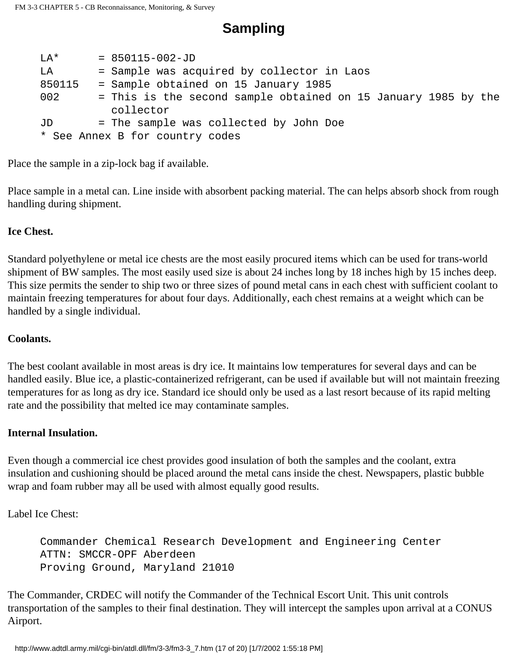$LA* = 850115-002-JD$ LA = Sample was acquired by collector in Laos 850115 = Sample obtained on 15 January 1985 002 = This is the second sample obtained on 15 January 1985 by the collector JD = The sample was collected by John Doe \* See Annex B for country codes

**Sampling**

Place the sample in a zip-lock bag if available.

Place sample in a metal can. Line inside with absorbent packing material. The can helps absorb shock from rough handling during shipment.

#### **Ice Chest.**

Standard polyethylene or metal ice chests are the most easily procured items which can be used for trans-world shipment of BW samples. The most easily used size is about 24 inches long by 18 inches high by 15 inches deep. This size permits the sender to ship two or three sizes of pound metal cans in each chest with sufficient coolant to maintain freezing temperatures for about four days. Additionally, each chest remains at a weight which can be handled by a single individual.

#### **Coolants.**

The best coolant available in most areas is dry ice. It maintains low temperatures for several days and can be handled easily. Blue ice, a plastic-containerized refrigerant, can be used if available but will not maintain freezing temperatures for as long as dry ice. Standard ice should only be used as a last resort because of its rapid melting rate and the possibility that melted ice may contaminate samples.

#### **Internal Insulation.**

Even though a commercial ice chest provides good insulation of both the samples and the coolant, extra insulation and cushioning should be placed around the metal cans inside the chest. Newspapers, plastic bubble wrap and foam rubber may all be used with almost equally good results.

Label Ice Chest:

 Commander Chemical Research Development and Engineering Center ATTN: SMCCR-OPF Aberdeen Proving Ground, Maryland 21010

The Commander, CRDEC will notify the Commander of the Technical Escort Unit. This unit controls transportation of the samples to their final destination. They will intercept the samples upon arrival at a CONUS Airport.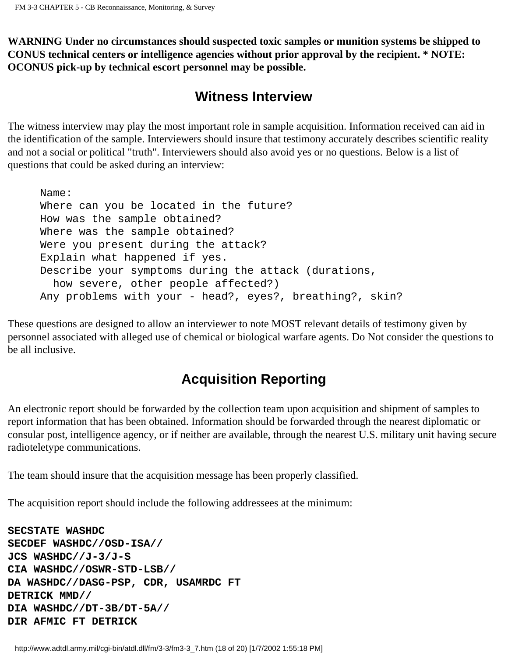**WARNING Under no circumstances should suspected toxic samples or munition systems be shipped to CONUS technical centers or intelligence agencies without prior approval by the recipient. \* NOTE: OCONUS pick-up by technical escort personnel may be possible.**

# **Witness Interview**

The witness interview may play the most important role in sample acquisition. Information received can aid in the identification of the sample. Interviewers should insure that testimony accurately describes scientific reality and not a social or political "truth". Interviewers should also avoid yes or no questions. Below is a list of questions that could be asked during an interview:

```
 Name:
 Where can you be located in the future?
 How was the sample obtained?
 Where was the sample obtained?
 Were you present during the attack?
 Explain what happened if yes.
 Describe your symptoms during the attack (durations,
   how severe, other people affected?)
 Any problems with your - head?, eyes?, breathing?, skin?
```
These questions are designed to allow an interviewer to note MOST relevant details of testimony given by personnel associated with alleged use of chemical or biological warfare agents. Do Not consider the questions to be all inclusive.

# **Acquisition Reporting**

An electronic report should be forwarded by the collection team upon acquisition and shipment of samples to report information that has been obtained. Information should be forwarded through the nearest diplomatic or consular post, intelligence agency, or if neither are available, through the nearest U.S. military unit having secure radioteletype communications.

The team should insure that the acquisition message has been properly classified.

The acquisition report should include the following addressees at the minimum:

```
SECSTATE WASHDC
SECDEF WASHDC//OSD-ISA//
JCS WASHDC//J-3/J-S
CIA WASHDC//OSWR-STD-LSB//
DA WASHDC//DASG-PSP, CDR, USAMRDC FT
DETRICK MMD//
DIA WASHDC//DT-3B/DT-5A//
DIR AFMIC FT DETRICK
```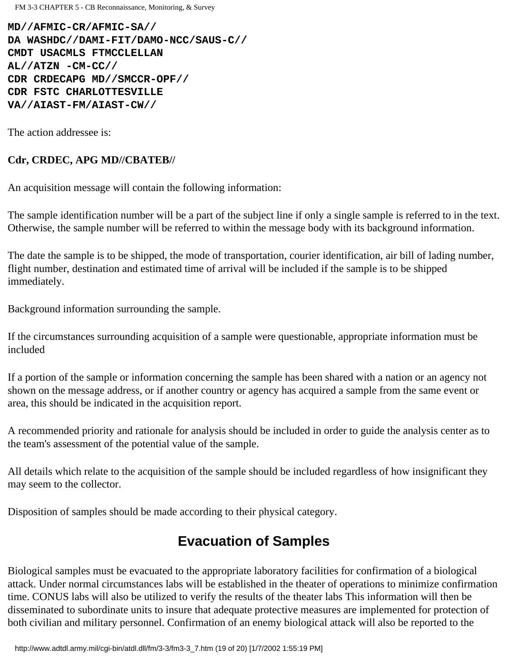FM 3-3 CHAPTER 5 - CB Reconnaissance, Monitoring, & Survey

**MD//AFMIC-CR/AFMIC-SA// DA WASHDC//DAMI-FIT/DAMO-NCC/SAUS-C// CMDT USACMLS FTMCCLELLAN AL//ATZN -CM-CC// CDR CRDECAPG MD//SMCCR-OPF// CDR FSTC CHARLOTTESVILLE VA//AIAST-FM/AIAST-CW//**

The action addressee is:

#### **Cdr, CRDEC, APG MD//CBATEB//**

An acquisition message will contain the following information:

The sample identification number will be a part of the subject line if only a single sample is referred to in the text. Otherwise, the sample number will be referred to within the message body with its background information.

The date the sample is to be shipped, the mode of transportation, courier identification, air bill of lading number, flight number, destination and estimated time of arrival will be included if the sample is to be shipped immediately.

Background information surrounding the sample.

If the circumstances surrounding acquisition of a sample were questionable, appropriate information must be included

If a portion of the sample or information concerning the sample has been shared with a nation or an agency not shown on the message address, or if another country or agency has acquired a sample from the same event or area, this should be indicated in the acquisition report.

A recommended priority and rationale for analysis should be included in order to guide the analysis center as to the team's assessment of the potential value of the sample.

All details which relate to the acquisition of the sample should be included regardless of how insignificant they may seem to the collector.

Disposition of samples should be made according to their physical category.

# **Evacuation of Samples**

Biological samples must be evacuated to the appropriate laboratory facilities for confirmation of a biological attack. Under normal circumstances labs will be established in the theater of operations to minimize confirmation time. CONUS labs will also be utilized to verify the results of the theater labs This information will then be disseminated to subordinate units to insure that adequate protective measures are implemented for protection of both civilian and military personnel. Confirmation of an enemy biological attack will also be reported to the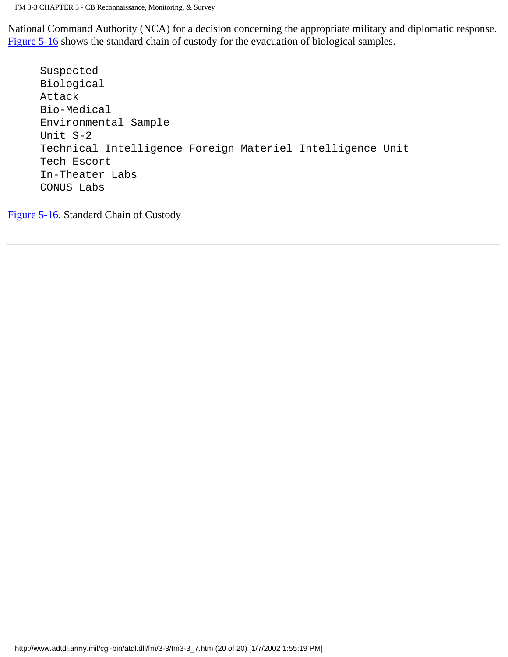National Command Authority (NCA) for a decision concerning the appropriate military and diplomatic response. [Figure 5-16](http://www.adtdl.army.mil/cgi-bin/atdl.dll/fm/3-3/fm330085.gif) shows the standard chain of custody for the evacuation of biological samples.

```
 Suspected
 Biological
 Attack
 Bio-Medical
 Environmental Sample
 Unit S-2
 Technical Intelligence Foreign Materiel Intelligence Unit
 Tech Escort
 In-Theater Labs
 CONUS Labs
```
[Figure 5-16.](http://www.adtdl.army.mil/cgi-bin/atdl.dll/fm/3-3/fm330085.gif) Standard Chain of Custody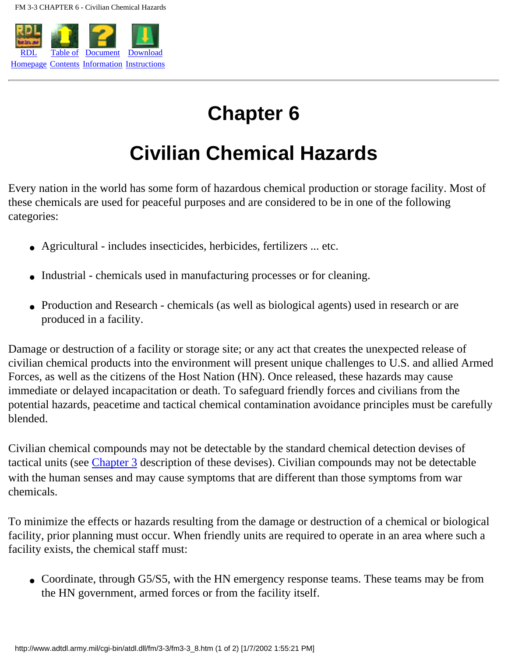

# **Chapter 6**

# **Civilian Chemical Hazards**

Every nation in the world has some form of hazardous chemical production or storage facility. Most of these chemicals are used for peaceful purposes and are considered to be in one of the following categories:

- Agricultural includes insecticides, herbicides, fertilizers ... etc.
- Industrial chemicals used in manufacturing processes or for cleaning.
- Production and Research chemicals (as well as biological agents) used in research or are produced in a facility.

Damage or destruction of a facility or storage site; or any act that creates the unexpected release of civilian chemical products into the environment will present unique challenges to U.S. and allied Armed Forces, as well as the citizens of the Host Nation (HN). Once released, these hazards may cause immediate or delayed incapacitation or death. To safeguard friendly forces and civilians from the potential hazards, peacetime and tactical chemical contamination avoidance principles must be carefully blended.

Civilian chemical compounds may not be detectable by the standard chemical detection devises of tactical units (see [Chapter 3](#page-42-0) description of these devises). Civilian compounds may not be detectable with the human senses and may cause symptoms that are different than those symptoms from war chemicals.

To minimize the effects or hazards resulting from the damage or destruction of a chemical or biological facility, prior planning must occur. When friendly units are required to operate in an area where such a facility exists, the chemical staff must:

• Coordinate, through G5/S5, with the HN emergency response teams. These teams may be from the HN government, armed forces or from the facility itself.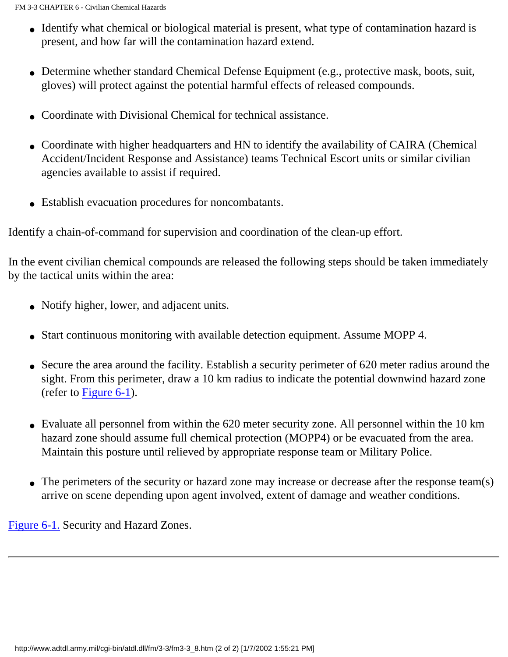- Identify what chemical or biological material is present, what type of contamination hazard is present, and how far will the contamination hazard extend.
- Determine whether standard Chemical Defense Equipment (e.g., protective mask, boots, suit, gloves) will protect against the potential harmful effects of released compounds.
- Coordinate with Divisional Chemical for technical assistance.
- Coordinate with higher headquarters and HN to identify the availability of CAIRA (Chemical Accident/Incident Response and Assistance) teams Technical Escort units or similar civilian agencies available to assist if required.
- Establish evacuation procedures for noncombatants.

Identify a chain-of-command for supervision and coordination of the clean-up effort.

In the event civilian chemical compounds are released the following steps should be taken immediately by the tactical units within the area:

- Notify higher, lower, and adjacent units.
- Start continuous monitoring with available detection equipment. Assume MOPP 4.
- Secure the area around the facility. Establish a security perimeter of 620 meter radius around the sight. From this perimeter, draw a 10 km radius to indicate the potential downwind hazard zone (refer to [Figure 6-1\)](http://www.adtdl.army.mil/cgi-bin/atdl.dll/fm/3-3/fm330086.gif).
- Evaluate all personnel from within the 620 meter security zone. All personnel within the 10 km hazard zone should assume full chemical protection (MOPP4) or be evacuated from the area. Maintain this posture until relieved by appropriate response team or Military Police.
- The perimeters of the security or hazard zone may increase or decrease after the response team(s) arrive on scene depending upon agent involved, extent of damage and weather conditions.

[Figure 6-1.](http://www.adtdl.army.mil/cgi-bin/atdl.dll/fm/3-3/fm330086.gif) Security and Hazard Zones.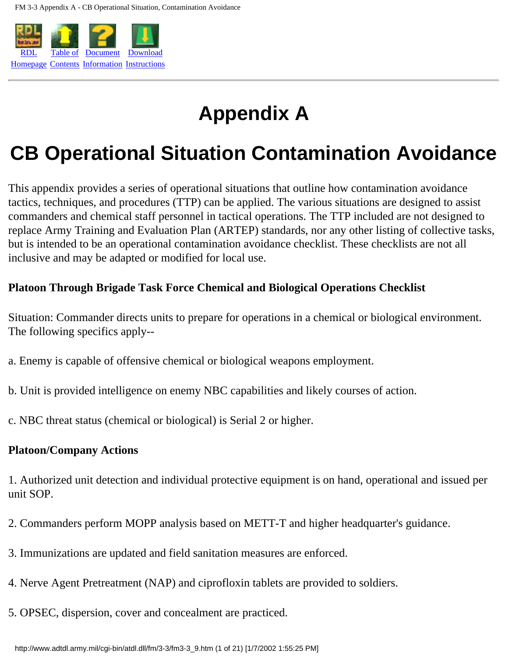

# **Appendix A**

# **CB Operational Situation Contamination Avoidance**

This appendix provides a series of operational situations that outline how contamination avoidance tactics, techniques, and procedures (TTP) can be applied. The various situations are designed to assist commanders and chemical staff personnel in tactical operations. The TTP included are not designed to replace Army Training and Evaluation Plan (ARTEP) standards, nor any other listing of collective tasks, but is intended to be an operational contamination avoidance checklist. These checklists are not all inclusive and may be adapted or modified for local use.

## **Platoon Through Brigade Task Force Chemical and Biological Operations Checklist**

Situation: Commander directs units to prepare for operations in a chemical or biological environment. The following specifics apply--

- a. Enemy is capable of offensive chemical or biological weapons employment.
- b. Unit is provided intelligence on enemy NBC capabilities and likely courses of action.
- c. NBC threat status (chemical or biological) is Serial 2 or higher.

#### **Platoon/Company Actions**

1. Authorized unit detection and individual protective equipment is on hand, operational and issued per unit SOP.

- 2. Commanders perform MOPP analysis based on METT-T and higher headquarter's guidance.
- 3. Immunizations are updated and field sanitation measures are enforced.
- 4. Nerve Agent Pretreatment (NAP) and ciprofloxin tablets are provided to soldiers.
- 5. OPSEC, dispersion, cover and concealment are practiced.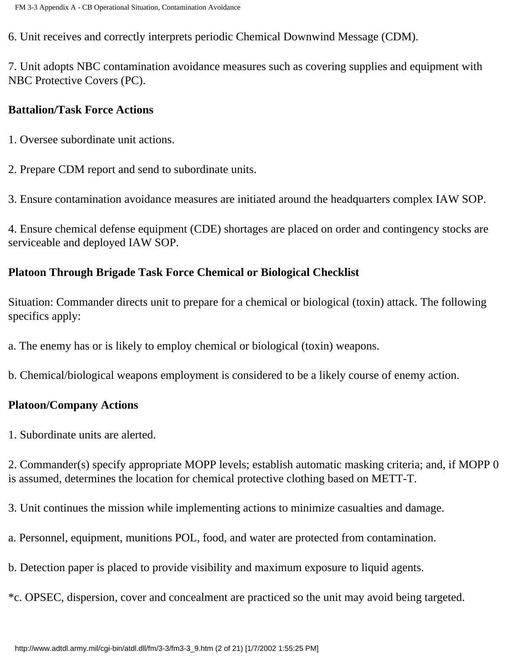6. Unit receives and correctly interprets periodic Chemical Downwind Message (CDM).

7. Unit adopts NBC contamination avoidance measures such as covering supplies and equipment with NBC Protective Covers (PC).

#### **Battalion/Task Force Actions**

- 1. Oversee subordinate unit actions.
- 2. Prepare CDM report and send to subordinate units.
- 3. Ensure contamination avoidance measures are initiated around the headquarters complex IAW SOP.

4. Ensure chemical defense equipment (CDE) shortages are placed on order and contingency stocks are serviceable and deployed IAW SOP.

## **Platoon Through Brigade Task Force Chemical or Biological Checklist**

Situation: Commander directs unit to prepare for a chemical or biological (toxin) attack. The following specifics apply:

- a. The enemy has or is likely to employ chemical or biological (toxin) weapons.
- b. Chemical/biological weapons employment is considered to be a likely course of enemy action.

#### **Platoon/Company Actions**

1. Subordinate units are alerted.

2. Commander(s) specify appropriate MOPP levels; establish automatic masking criteria; and, if MOPP 0 is assumed, determines the location for chemical protective clothing based on METT-T.

- 3. Unit continues the mission while implementing actions to minimize casualties and damage.
- a. Personnel, equipment, munitions POL, food, and water are protected from contamination.
- b. Detection paper is placed to provide visibility and maximum exposure to liquid agents.
- \*c. OPSEC, dispersion, cover and concealment are practiced so the unit may avoid being targeted.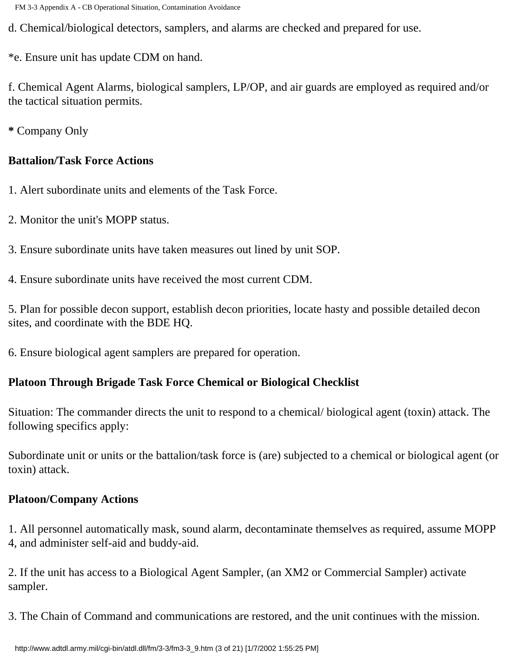d. Chemical/biological detectors, samplers, and alarms are checked and prepared for use.

\*e. Ensure unit has update CDM on hand.

f. Chemical Agent Alarms, biological samplers, LP/OP, and air guards are employed as required and/or the tactical situation permits.

**\*** Company Only

## **Battalion/Task Force Actions**

- 1. Alert subordinate units and elements of the Task Force.
- 2. Monitor the unit's MOPP status.
- 3. Ensure subordinate units have taken measures out lined by unit SOP.
- 4. Ensure subordinate units have received the most current CDM.

5. Plan for possible decon support, establish decon priorities, locate hasty and possible detailed decon sites, and coordinate with the BDE HQ.

6. Ensure biological agent samplers are prepared for operation.

# **Platoon Through Brigade Task Force Chemical or Biological Checklist**

Situation: The commander directs the unit to respond to a chemical/ biological agent (toxin) attack. The following specifics apply:

Subordinate unit or units or the battalion/task force is (are) subjected to a chemical or biological agent (or toxin) attack.

# **Platoon/Company Actions**

1. All personnel automatically mask, sound alarm, decontaminate themselves as required, assume MOPP 4, and administer self-aid and buddy-aid.

2. If the unit has access to a Biological Agent Sampler, (an XM2 or Commercial Sampler) activate sampler.

3. The Chain of Command and communications are restored, and the unit continues with the mission.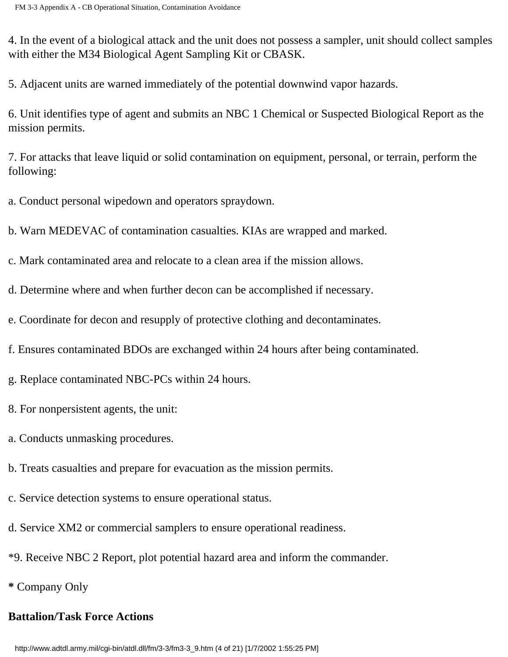4. In the event of a biological attack and the unit does not possess a sampler, unit should collect samples with either the M34 Biological Agent Sampling Kit or CBASK.

5. Adjacent units are warned immediately of the potential downwind vapor hazards.

6. Unit identifies type of agent and submits an NBC 1 Chemical or Suspected Biological Report as the mission permits.

7. For attacks that leave liquid or solid contamination on equipment, personal, or terrain, perform the following:

a. Conduct personal wipedown and operators spraydown.

b. Warn MEDEVAC of contamination casualties. KIAs are wrapped and marked.

c. Mark contaminated area and relocate to a clean area if the mission allows.

d. Determine where and when further decon can be accomplished if necessary.

e. Coordinate for decon and resupply of protective clothing and decontaminates.

f. Ensures contaminated BDOs are exchanged within 24 hours after being contaminated.

g. Replace contaminated NBC-PCs within 24 hours.

8. For nonpersistent agents, the unit:

a. Conducts unmasking procedures.

b. Treats casualties and prepare for evacuation as the mission permits.

c. Service detection systems to ensure operational status.

d. Service XM2 or commercial samplers to ensure operational readiness.

\*9. Receive NBC 2 Report, plot potential hazard area and inform the commander.

**\*** Company Only

# **Battalion/Task Force Actions**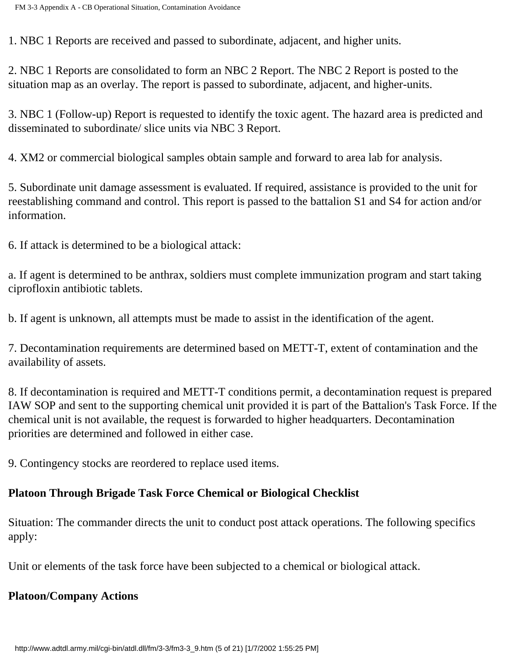1. NBC 1 Reports are received and passed to subordinate, adjacent, and higher units.

2. NBC 1 Reports are consolidated to form an NBC 2 Report. The NBC 2 Report is posted to the situation map as an overlay. The report is passed to subordinate, adjacent, and higher-units.

3. NBC 1 (Follow-up) Report is requested to identify the toxic agent. The hazard area is predicted and disseminated to subordinate/ slice units via NBC 3 Report.

4. XM2 or commercial biological samples obtain sample and forward to area lab for analysis.

5. Subordinate unit damage assessment is evaluated. If required, assistance is provided to the unit for reestablishing command and control. This report is passed to the battalion S1 and S4 for action and/or information.

6. If attack is determined to be a biological attack:

a. If agent is determined to be anthrax, soldiers must complete immunization program and start taking ciprofloxin antibiotic tablets.

b. If agent is unknown, all attempts must be made to assist in the identification of the agent.

7. Decontamination requirements are determined based on METT-T, extent of contamination and the availability of assets.

8. If decontamination is required and METT-T conditions permit, a decontamination request is prepared IAW SOP and sent to the supporting chemical unit provided it is part of the Battalion's Task Force. If the chemical unit is not available, the request is forwarded to higher headquarters. Decontamination priorities are determined and followed in either case.

9. Contingency stocks are reordered to replace used items.

# **Platoon Through Brigade Task Force Chemical or Biological Checklist**

Situation: The commander directs the unit to conduct post attack operations. The following specifics apply:

Unit or elements of the task force have been subjected to a chemical or biological attack.

## **Platoon/Company Actions**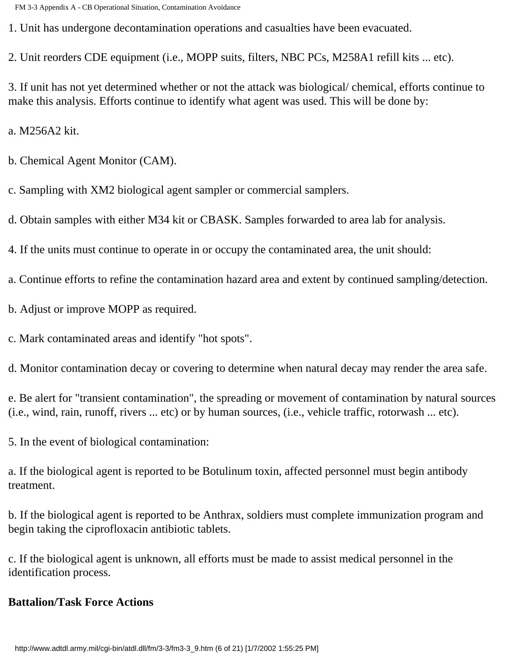1. Unit has undergone decontamination operations and casualties have been evacuated.

2. Unit reorders CDE equipment (i.e., MOPP suits, filters, NBC PCs, M258A1 refill kits ... etc).

3. If unit has not yet determined whether or not the attack was biological/ chemical, efforts continue to make this analysis. Efforts continue to identify what agent was used. This will be done by:

a. M256A2 kit.

- b. Chemical Agent Monitor (CAM).
- c. Sampling with XM2 biological agent sampler or commercial samplers.

d. Obtain samples with either M34 kit or CBASK. Samples forwarded to area lab for analysis.

4. If the units must continue to operate in or occupy the contaminated area, the unit should:

a. Continue efforts to refine the contamination hazard area and extent by continued sampling/detection.

- b. Adjust or improve MOPP as required.
- c. Mark contaminated areas and identify "hot spots".

d. Monitor contamination decay or covering to determine when natural decay may render the area safe.

e. Be alert for "transient contamination", the spreading or movement of contamination by natural sources (i.e., wind, rain, runoff, rivers ... etc) or by human sources, (i.e., vehicle traffic, rotorwash ... etc).

5. In the event of biological contamination:

a. If the biological agent is reported to be Botulinum toxin, affected personnel must begin antibody treatment.

b. If the biological agent is reported to be Anthrax, soldiers must complete immunization program and begin taking the ciprofloxacin antibiotic tablets.

c. If the biological agent is unknown, all efforts must be made to assist medical personnel in the identification process.

## **Battalion/Task Force Actions**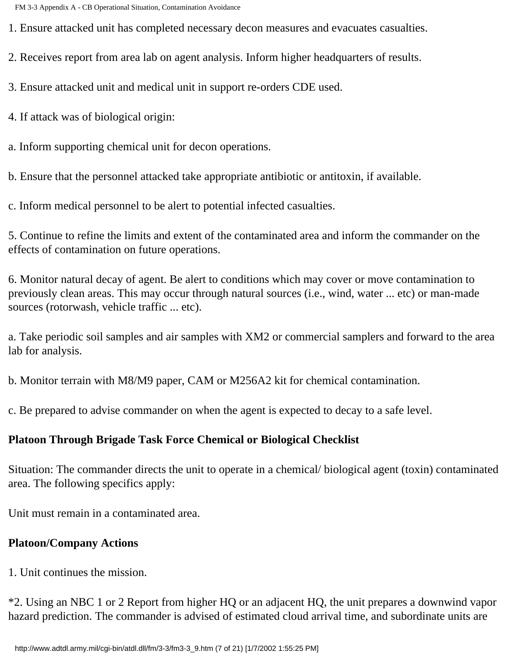1. Ensure attacked unit has completed necessary decon measures and evacuates casualties.

2. Receives report from area lab on agent analysis. Inform higher headquarters of results.

3. Ensure attacked unit and medical unit in support re-orders CDE used.

4. If attack was of biological origin:

a. Inform supporting chemical unit for decon operations.

b. Ensure that the personnel attacked take appropriate antibiotic or antitoxin, if available.

c. Inform medical personnel to be alert to potential infected casualties.

5. Continue to refine the limits and extent of the contaminated area and inform the commander on the effects of contamination on future operations.

6. Monitor natural decay of agent. Be alert to conditions which may cover or move contamination to previously clean areas. This may occur through natural sources (i.e., wind, water ... etc) or man-made sources (rotorwash, vehicle traffic ... etc).

a. Take periodic soil samples and air samples with XM2 or commercial samplers and forward to the area lab for analysis.

b. Monitor terrain with M8/M9 paper, CAM or M256A2 kit for chemical contamination.

c. Be prepared to advise commander on when the agent is expected to decay to a safe level.

## **Platoon Through Brigade Task Force Chemical or Biological Checklist**

Situation: The commander directs the unit to operate in a chemical/ biological agent (toxin) contaminated area. The following specifics apply:

Unit must remain in a contaminated area.

## **Platoon/Company Actions**

1. Unit continues the mission.

\*2. Using an NBC 1 or 2 Report from higher HQ or an adjacent HQ, the unit prepares a downwind vapor hazard prediction. The commander is advised of estimated cloud arrival time, and subordinate units are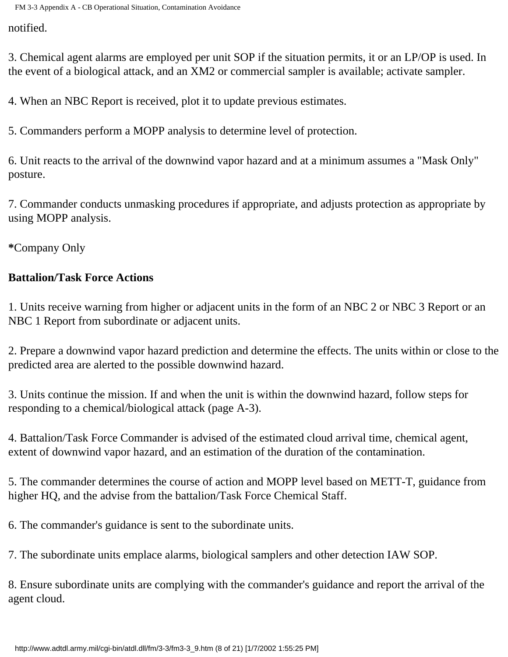notified.

3. Chemical agent alarms are employed per unit SOP if the situation permits, it or an LP/OP is used. In the event of a biological attack, and an XM2 or commercial sampler is available; activate sampler.

4. When an NBC Report is received, plot it to update previous estimates.

5. Commanders perform a MOPP analysis to determine level of protection.

6. Unit reacts to the arrival of the downwind vapor hazard and at a minimum assumes a "Mask Only" posture.

7. Commander conducts unmasking procedures if appropriate, and adjusts protection as appropriate by using MOPP analysis.

**\***Company Only

## **Battalion/Task Force Actions**

1. Units receive warning from higher or adjacent units in the form of an NBC 2 or NBC 3 Report or an NBC 1 Report from subordinate or adjacent units.

2. Prepare a downwind vapor hazard prediction and determine the effects. The units within or close to the predicted area are alerted to the possible downwind hazard.

3. Units continue the mission. If and when the unit is within the downwind hazard, follow steps for responding to a chemical/biological attack (page A-3).

4. Battalion/Task Force Commander is advised of the estimated cloud arrival time, chemical agent, extent of downwind vapor hazard, and an estimation of the duration of the contamination.

5. The commander determines the course of action and MOPP level based on METT-T, guidance from higher HQ, and the advise from the battalion/Task Force Chemical Staff.

6. The commander's guidance is sent to the subordinate units.

7. The subordinate units emplace alarms, biological samplers and other detection IAW SOP.

8. Ensure subordinate units are complying with the commander's guidance and report the arrival of the agent cloud.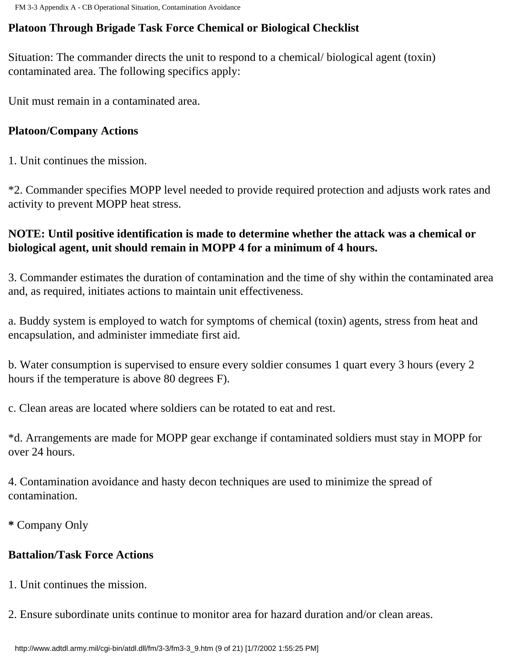## **Platoon Through Brigade Task Force Chemical or Biological Checklist**

Situation: The commander directs the unit to respond to a chemical/ biological agent (toxin) contaminated area. The following specifics apply:

Unit must remain in a contaminated area.

### **Platoon/Company Actions**

1. Unit continues the mission.

\*2. Commander specifies MOPP level needed to provide required protection and adjusts work rates and activity to prevent MOPP heat stress.

## **NOTE: Until positive identification is made to determine whether the attack was a chemical or biological agent, unit should remain in MOPP 4 for a minimum of 4 hours.**

3. Commander estimates the duration of contamination and the time of shy within the contaminated area and, as required, initiates actions to maintain unit effectiveness.

a. Buddy system is employed to watch for symptoms of chemical (toxin) agents, stress from heat and encapsulation, and administer immediate first aid.

b. Water consumption is supervised to ensure every soldier consumes 1 quart every 3 hours (every 2 hours if the temperature is above 80 degrees F).

c. Clean areas are located where soldiers can be rotated to eat and rest.

\*d. Arrangements are made for MOPP gear exchange if contaminated soldiers must stay in MOPP for over 24 hours.

4. Contamination avoidance and hasty decon techniques are used to minimize the spread of contamination.

**\*** Company Only

## **Battalion/Task Force Actions**

- 1. Unit continues the mission.
- 2. Ensure subordinate units continue to monitor area for hazard duration and/or clean areas.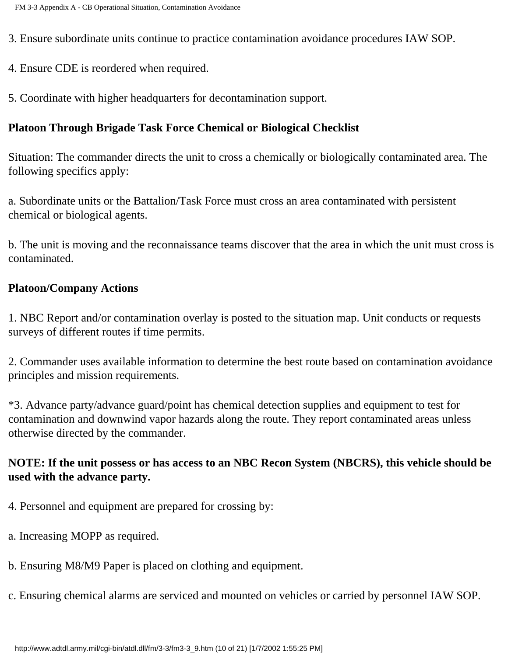3. Ensure subordinate units continue to practice contamination avoidance procedures IAW SOP.

- 4. Ensure CDE is reordered when required.
- 5. Coordinate with higher headquarters for decontamination support.

## **Platoon Through Brigade Task Force Chemical or Biological Checklist**

Situation: The commander directs the unit to cross a chemically or biologically contaminated area. The following specifics apply:

a. Subordinate units or the Battalion/Task Force must cross an area contaminated with persistent chemical or biological agents.

b. The unit is moving and the reconnaissance teams discover that the area in which the unit must cross is contaminated.

#### **Platoon/Company Actions**

1. NBC Report and/or contamination overlay is posted to the situation map. Unit conducts or requests surveys of different routes if time permits.

2. Commander uses available information to determine the best route based on contamination avoidance principles and mission requirements.

\*3. Advance party/advance guard/point has chemical detection supplies and equipment to test for contamination and downwind vapor hazards along the route. They report contaminated areas unless otherwise directed by the commander.

## **NOTE: If the unit possess or has access to an NBC Recon System (NBCRS), this vehicle should be used with the advance party.**

- 4. Personnel and equipment are prepared for crossing by:
- a. Increasing MOPP as required.
- b. Ensuring M8/M9 Paper is placed on clothing and equipment.
- c. Ensuring chemical alarms are serviced and mounted on vehicles or carried by personnel IAW SOP.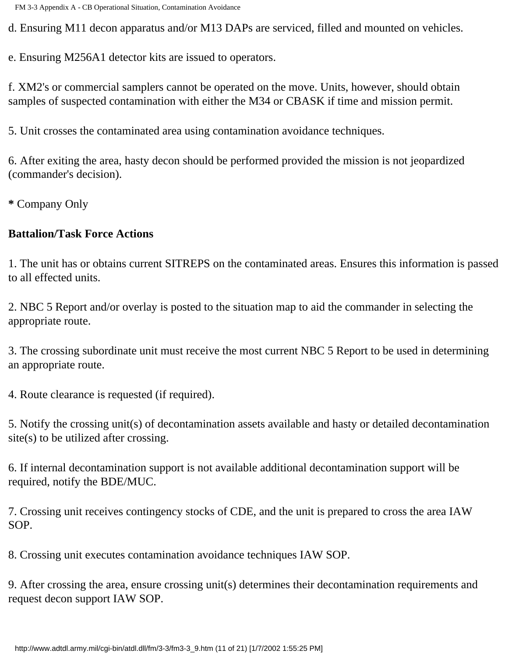d. Ensuring M11 decon apparatus and/or M13 DAPs are serviced, filled and mounted on vehicles.

e. Ensuring M256A1 detector kits are issued to operators.

f. XM2's or commercial samplers cannot be operated on the move. Units, however, should obtain samples of suspected contamination with either the M34 or CBASK if time and mission permit.

5. Unit crosses the contaminated area using contamination avoidance techniques.

6. After exiting the area, hasty decon should be performed provided the mission is not jeopardized (commander's decision).

**\*** Company Only

#### **Battalion/Task Force Actions**

1. The unit has or obtains current SITREPS on the contaminated areas. Ensures this information is passed to all effected units.

2. NBC 5 Report and/or overlay is posted to the situation map to aid the commander in selecting the appropriate route.

3. The crossing subordinate unit must receive the most current NBC 5 Report to be used in determining an appropriate route.

4. Route clearance is requested (if required).

5. Notify the crossing unit(s) of decontamination assets available and hasty or detailed decontamination site(s) to be utilized after crossing.

6. If internal decontamination support is not available additional decontamination support will be required, notify the BDE/MUC.

7. Crossing unit receives contingency stocks of CDE, and the unit is prepared to cross the area IAW SOP.

8. Crossing unit executes contamination avoidance techniques IAW SOP.

9. After crossing the area, ensure crossing unit(s) determines their decontamination requirements and request decon support IAW SOP.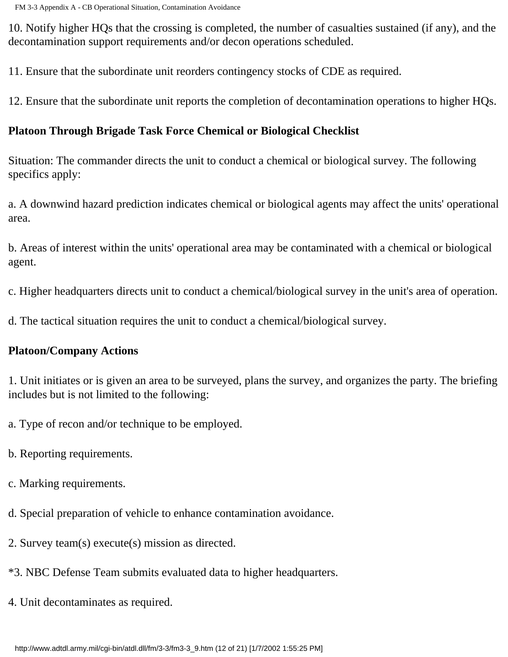10. Notify higher HQs that the crossing is completed, the number of casualties sustained (if any), and the decontamination support requirements and/or decon operations scheduled.

11. Ensure that the subordinate unit reorders contingency stocks of CDE as required.

12. Ensure that the subordinate unit reports the completion of decontamination operations to higher HQs.

#### **Platoon Through Brigade Task Force Chemical or Biological Checklist**

Situation: The commander directs the unit to conduct a chemical or biological survey. The following specifics apply:

a. A downwind hazard prediction indicates chemical or biological agents may affect the units' operational area.

b. Areas of interest within the units' operational area may be contaminated with a chemical or biological agent.

c. Higher headquarters directs unit to conduct a chemical/biological survey in the unit's area of operation.

d. The tactical situation requires the unit to conduct a chemical/biological survey.

#### **Platoon/Company Actions**

1. Unit initiates or is given an area to be surveyed, plans the survey, and organizes the party. The briefing includes but is not limited to the following:

a. Type of recon and/or technique to be employed.

- b. Reporting requirements.
- c. Marking requirements.
- d. Special preparation of vehicle to enhance contamination avoidance.
- 2. Survey team(s) execute(s) mission as directed.
- \*3. NBC Defense Team submits evaluated data to higher headquarters.
- 4. Unit decontaminates as required.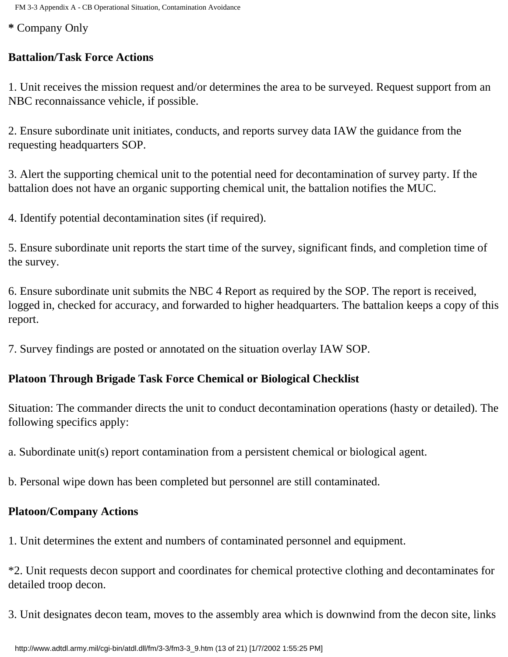FM 3-3 Appendix A - CB Operational Situation, Contamination Avoidance

**\*** Company Only

## **Battalion/Task Force Actions**

1. Unit receives the mission request and/or determines the area to be surveyed. Request support from an NBC reconnaissance vehicle, if possible.

2. Ensure subordinate unit initiates, conducts, and reports survey data IAW the guidance from the requesting headquarters SOP.

3. Alert the supporting chemical unit to the potential need for decontamination of survey party. If the battalion does not have an organic supporting chemical unit, the battalion notifies the MUC.

4. Identify potential decontamination sites (if required).

5. Ensure subordinate unit reports the start time of the survey, significant finds, and completion time of the survey.

6. Ensure subordinate unit submits the NBC 4 Report as required by the SOP. The report is received, logged in, checked for accuracy, and forwarded to higher headquarters. The battalion keeps a copy of this report.

7. Survey findings are posted or annotated on the situation overlay IAW SOP.

# **Platoon Through Brigade Task Force Chemical or Biological Checklist**

Situation: The commander directs the unit to conduct decontamination operations (hasty or detailed). The following specifics apply:

a. Subordinate unit(s) report contamination from a persistent chemical or biological agent.

b. Personal wipe down has been completed but personnel are still contaminated.

## **Platoon/Company Actions**

1. Unit determines the extent and numbers of contaminated personnel and equipment.

\*2. Unit requests decon support and coordinates for chemical protective clothing and decontaminates for detailed troop decon.

3. Unit designates decon team, moves to the assembly area which is downwind from the decon site, links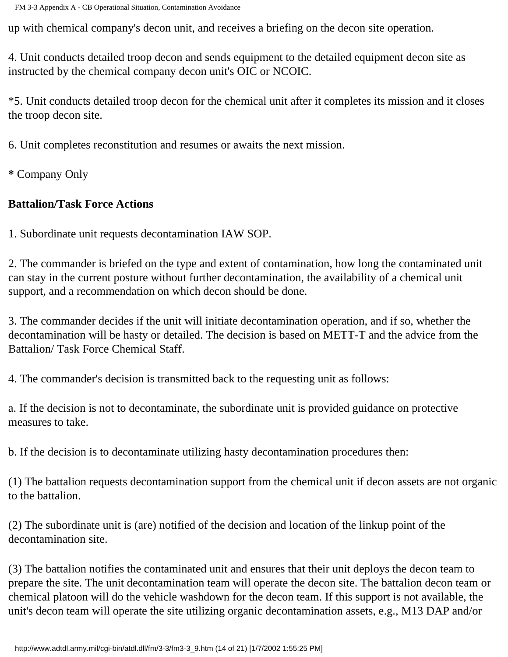up with chemical company's decon unit, and receives a briefing on the decon site operation.

4. Unit conducts detailed troop decon and sends equipment to the detailed equipment decon site as instructed by the chemical company decon unit's OIC or NCOIC.

\*5. Unit conducts detailed troop decon for the chemical unit after it completes its mission and it closes the troop decon site.

6. Unit completes reconstitution and resumes or awaits the next mission.

**\*** Company Only

## **Battalion/Task Force Actions**

1. Subordinate unit requests decontamination IAW SOP.

2. The commander is briefed on the type and extent of contamination, how long the contaminated unit can stay in the current posture without further decontamination, the availability of a chemical unit support, and a recommendation on which decon should be done.

3. The commander decides if the unit will initiate decontamination operation, and if so, whether the decontamination will be hasty or detailed. The decision is based on METT-T and the advice from the Battalion/ Task Force Chemical Staff.

4. The commander's decision is transmitted back to the requesting unit as follows:

a. If the decision is not to decontaminate, the subordinate unit is provided guidance on protective measures to take.

b. If the decision is to decontaminate utilizing hasty decontamination procedures then:

(1) The battalion requests decontamination support from the chemical unit if decon assets are not organic to the battalion.

(2) The subordinate unit is (are) notified of the decision and location of the linkup point of the decontamination site.

(3) The battalion notifies the contaminated unit and ensures that their unit deploys the decon team to prepare the site. The unit decontamination team will operate the decon site. The battalion decon team or chemical platoon will do the vehicle washdown for the decon team. If this support is not available, the unit's decon team will operate the site utilizing organic decontamination assets, e.g., M13 DAP and/or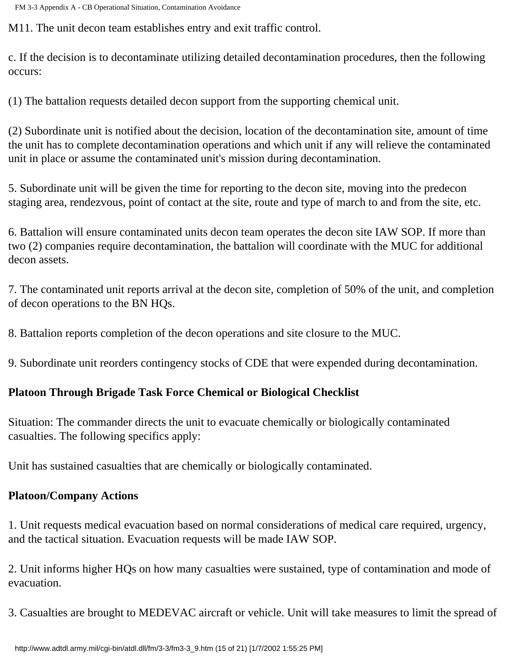M11. The unit decon team establishes entry and exit traffic control.

c. If the decision is to decontaminate utilizing detailed decontamination procedures, then the following occurs:

(1) The battalion requests detailed decon support from the supporting chemical unit.

(2) Subordinate unit is notified about the decision, location of the decontamination site, amount of time the unit has to complete decontamination operations and which unit if any will relieve the contaminated unit in place or assume the contaminated unit's mission during decontamination.

5. Subordinate unit will be given the time for reporting to the decon site, moving into the predecon staging area, rendezvous, point of contact at the site, route and type of march to and from the site, etc.

6. Battalion will ensure contaminated units decon team operates the decon site IAW SOP. If more than two (2) companies require decontamination, the battalion will coordinate with the MUC for additional decon assets.

7. The contaminated unit reports arrival at the decon site, completion of 50% of the unit, and completion of decon operations to the BN HQs.

8. Battalion reports completion of the decon operations and site closure to the MUC.

9. Subordinate unit reorders contingency stocks of CDE that were expended during decontamination.

## **Platoon Through Brigade Task Force Chemical or Biological Checklist**

Situation: The commander directs the unit to evacuate chemically or biologically contaminated casualties. The following specifics apply:

Unit has sustained casualties that are chemically or biologically contaminated.

## **Platoon/Company Actions**

1. Unit requests medical evacuation based on normal considerations of medical care required, urgency, and the tactical situation. Evacuation requests will be made IAW SOP.

2. Unit informs higher HQs on how many casualties were sustained, type of contamination and mode of evacuation.

3. Casualties are brought to MEDEVAC aircraft or vehicle. Unit will take measures to limit the spread of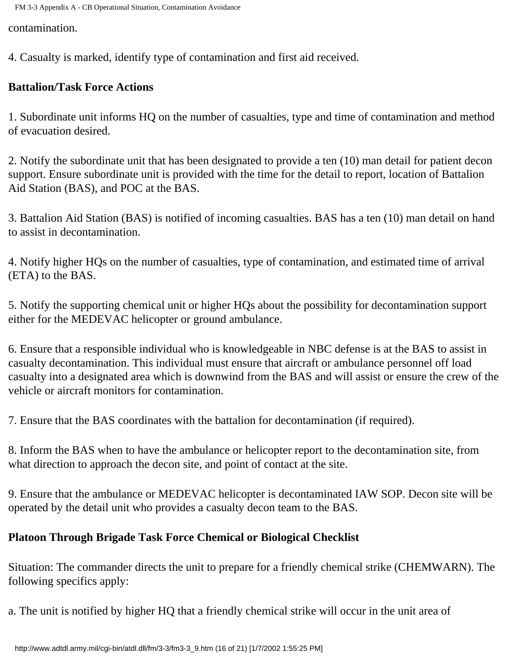contamination.

4. Casualty is marked, identify type of contamination and first aid received.

## **Battalion/Task Force Actions**

1. Subordinate unit informs HQ on the number of casualties, type and time of contamination and method of evacuation desired.

2. Notify the subordinate unit that has been designated to provide a ten (10) man detail for patient decon support. Ensure subordinate unit is provided with the time for the detail to report, location of Battalion Aid Station (BAS), and POC at the BAS.

3. Battalion Aid Station (BAS) is notified of incoming casualties. BAS has a ten (10) man detail on hand to assist in decontamination.

4. Notify higher HQs on the number of casualties, type of contamination, and estimated time of arrival (ETA) to the BAS.

5. Notify the supporting chemical unit or higher HQs about the possibility for decontamination support either for the MEDEVAC helicopter or ground ambulance.

6. Ensure that a responsible individual who is knowledgeable in NBC defense is at the BAS to assist in casualty decontamination. This individual must ensure that aircraft or ambulance personnel off load casualty into a designated area which is downwind from the BAS and will assist or ensure the crew of the vehicle or aircraft monitors for contamination.

7. Ensure that the BAS coordinates with the battalion for decontamination (if required).

8. Inform the BAS when to have the ambulance or helicopter report to the decontamination site, from what direction to approach the decon site, and point of contact at the site.

9. Ensure that the ambulance or MEDEVAC helicopter is decontaminated IAW SOP. Decon site will be operated by the detail unit who provides a casualty decon team to the BAS.

# **Platoon Through Brigade Task Force Chemical or Biological Checklist**

Situation: The commander directs the unit to prepare for a friendly chemical strike (CHEMWARN). The following specifics apply:

a. The unit is notified by higher HQ that a friendly chemical strike will occur in the unit area of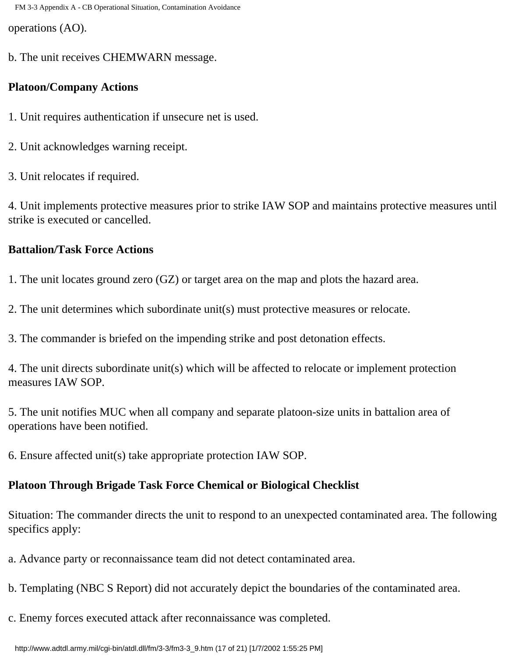operations (AO).

b. The unit receives CHEMWARN message.

#### **Platoon/Company Actions**

- 1. Unit requires authentication if unsecure net is used.
- 2. Unit acknowledges warning receipt.
- 3. Unit relocates if required.

4. Unit implements protective measures prior to strike IAW SOP and maintains protective measures until strike is executed or cancelled.

#### **Battalion/Task Force Actions**

1. The unit locates ground zero (GZ) or target area on the map and plots the hazard area.

2. The unit determines which subordinate unit(s) must protective measures or relocate.

3. The commander is briefed on the impending strike and post detonation effects.

4. The unit directs subordinate unit(s) which will be affected to relocate or implement protection measures IAW SOP.

5. The unit notifies MUC when all company and separate platoon-size units in battalion area of operations have been notified.

6. Ensure affected unit(s) take appropriate protection IAW SOP.

#### **Platoon Through Brigade Task Force Chemical or Biological Checklist**

Situation: The commander directs the unit to respond to an unexpected contaminated area. The following specifics apply:

a. Advance party or reconnaissance team did not detect contaminated area.

- b. Templating (NBC S Report) did not accurately depict the boundaries of the contaminated area.
- c. Enemy forces executed attack after reconnaissance was completed.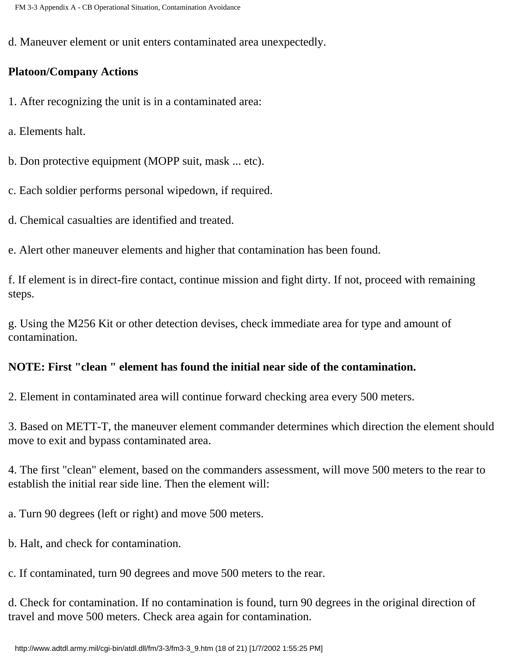d. Maneuver element or unit enters contaminated area unexpectedly.

### **Platoon/Company Actions**

- 1. After recognizing the unit is in a contaminated area:
- a. Elements halt.
- b. Don protective equipment (MOPP suit, mask ... etc).
- c. Each soldier performs personal wipedown, if required.
- d. Chemical casualties are identified and treated.
- e. Alert other maneuver elements and higher that contamination has been found.

f. If element is in direct-fire contact, continue mission and fight dirty. If not, proceed with remaining steps.

g. Using the M256 Kit or other detection devises, check immediate area for type and amount of contamination.

## **NOTE: First "clean " element has found the initial near side of the contamination.**

2. Element in contaminated area will continue forward checking area every 500 meters.

3. Based on METT-T, the maneuver element commander determines which direction the element should move to exit and bypass contaminated area.

4. The first "clean" element, based on the commanders assessment, will move 500 meters to the rear to establish the initial rear side line. Then the element will:

a. Turn 90 degrees (left or right) and move 500 meters.

b. Halt, and check for contamination.

c. If contaminated, turn 90 degrees and move 500 meters to the rear.

d. Check for contamination. If no contamination is found, turn 90 degrees in the original direction of travel and move 500 meters. Check area again for contamination.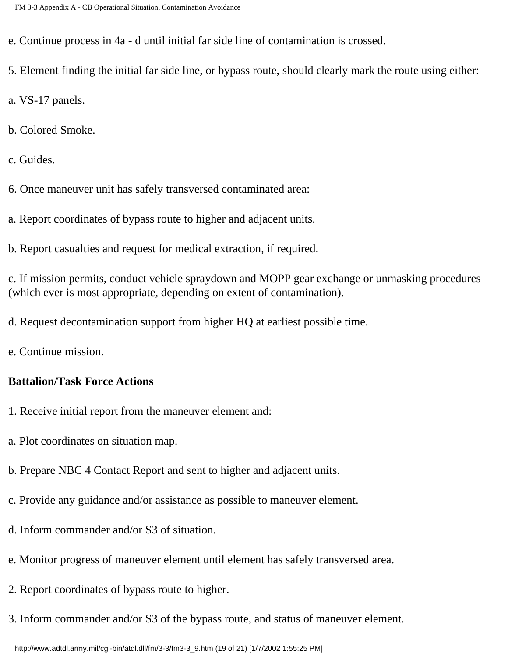e. Continue process in 4a - d until initial far side line of contamination is crossed.

5. Element finding the initial far side line, or bypass route, should clearly mark the route using either:

a. VS-17 panels.

b. Colored Smoke.

c. Guides.

6. Once maneuver unit has safely transversed contaminated area:

a. Report coordinates of bypass route to higher and adjacent units.

b. Report casualties and request for medical extraction, if required.

c. If mission permits, conduct vehicle spraydown and MOPP gear exchange or unmasking procedures (which ever is most appropriate, depending on extent of contamination).

d. Request decontamination support from higher HQ at earliest possible time.

e. Continue mission.

#### **Battalion/Task Force Actions**

- 1. Receive initial report from the maneuver element and:
- a. Plot coordinates on situation map.
- b. Prepare NBC 4 Contact Report and sent to higher and adjacent units.
- c. Provide any guidance and/or assistance as possible to maneuver element.
- d. Inform commander and/or S3 of situation.
- e. Monitor progress of maneuver element until element has safely transversed area.
- 2. Report coordinates of bypass route to higher.
- 3. Inform commander and/or S3 of the bypass route, and status of maneuver element.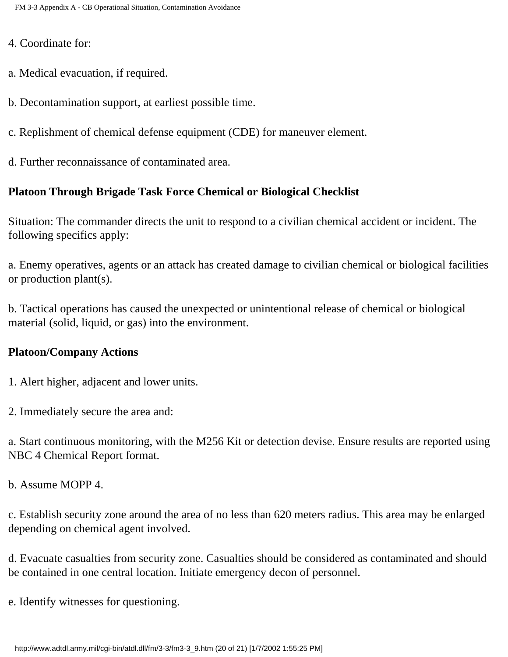4. Coordinate for:

- a. Medical evacuation, if required.
- b. Decontamination support, at earliest possible time.
- c. Replishment of chemical defense equipment (CDE) for maneuver element.
- d. Further reconnaissance of contaminated area.

#### **Platoon Through Brigade Task Force Chemical or Biological Checklist**

Situation: The commander directs the unit to respond to a civilian chemical accident or incident. The following specifics apply:

a. Enemy operatives, agents or an attack has created damage to civilian chemical or biological facilities or production plant(s).

b. Tactical operations has caused the unexpected or unintentional release of chemical or biological material (solid, liquid, or gas) into the environment.

#### **Platoon/Company Actions**

- 1. Alert higher, adjacent and lower units.
- 2. Immediately secure the area and:

a. Start continuous monitoring, with the M256 Kit or detection devise. Ensure results are reported using NBC 4 Chemical Report format.

b. Assume MOPP 4.

c. Establish security zone around the area of no less than 620 meters radius. This area may be enlarged depending on chemical agent involved.

d. Evacuate casualties from security zone. Casualties should be considered as contaminated and should be contained in one central location. Initiate emergency decon of personnel.

e. Identify witnesses for questioning.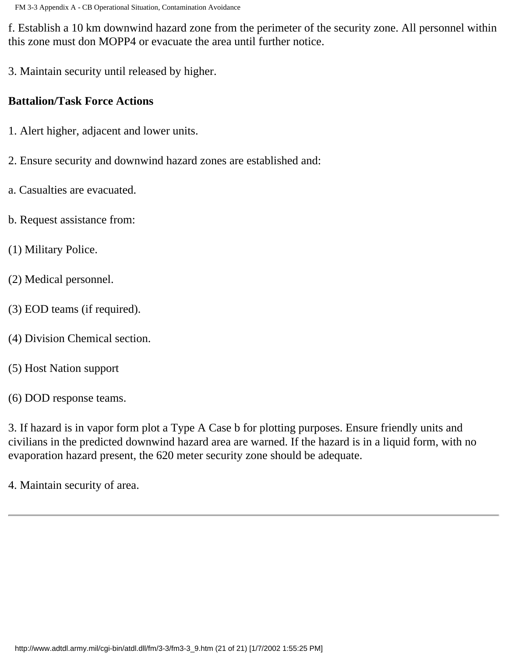f. Establish a 10 km downwind hazard zone from the perimeter of the security zone. All personnel within this zone must don MOPP4 or evacuate the area until further notice.

3. Maintain security until released by higher.

## **Battalion/Task Force Actions**

- 1. Alert higher, adjacent and lower units.
- 2. Ensure security and downwind hazard zones are established and:
- a. Casualties are evacuated.
- b. Request assistance from:
- (1) Military Police.
- (2) Medical personnel.
- (3) EOD teams (if required).
- (4) Division Chemical section.
- (5) Host Nation support
- (6) DOD response teams.

3. If hazard is in vapor form plot a Type A Case b for plotting purposes. Ensure friendly units and civilians in the predicted downwind hazard area are warned. If the hazard is in a liquid form, with no evaporation hazard present, the 620 meter security zone should be adequate.

4. Maintain security of area.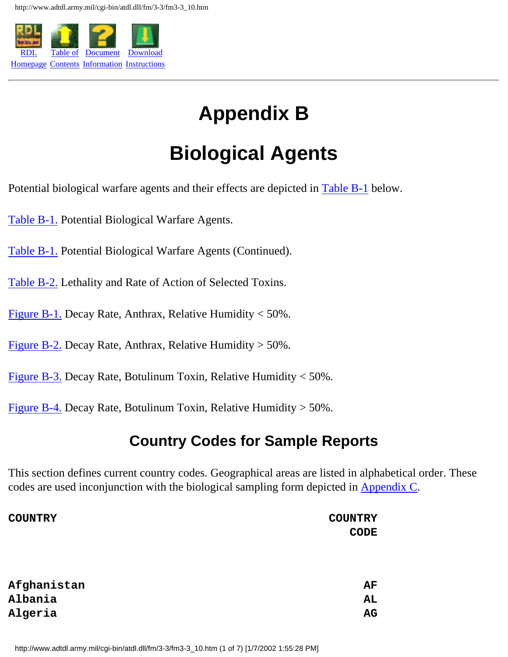

# **Appendix B**

# **Biological Agents**

Potential biological warfare agents and their effects are depicted in [Table B-1](http://www.adtdl.army.mil/cgi-bin/atdl.dll/fm/3-3/fm330087.gif) below.

[Table B-1.](http://www.adtdl.army.mil/cgi-bin/atdl.dll/fm/3-3/fm330087.gif) Potential Biological Warfare Agents.

[Table B-1.](http://www.adtdl.army.mil/cgi-bin/atdl.dll/fm/3-3/fm330088.gif) Potential Biological Warfare Agents (Continued).

[Table B-2.](http://www.adtdl.army.mil/cgi-bin/atdl.dll/fm/3-3/fm330089.gif) Lethality and Rate of Action of Selected Toxins.

[Figure B-1.](http://www.adtdl.army.mil/cgi-bin/atdl.dll/fm/3-3/fm330090.gif) Decay Rate, Anthrax, Relative Humidity < 50%.

[Figure B-2.](http://www.adtdl.army.mil/cgi-bin/atdl.dll/fm/3-3/fm330091.gif) Decay Rate, Anthrax, Relative Humidity  $>$  50%.

[Figure B-3.](http://www.adtdl.army.mil/cgi-bin/atdl.dll/fm/3-3/fm330092.gif) Decay Rate, Botulinum Toxin, Relative Humidity  $<$  50%.

[Figure B-4.](http://www.adtdl.army.mil/cgi-bin/atdl.dll/fm/3-3/fm330093.gif) Decay Rate, Botulinum Toxin, Relative Humidity  $>$  50%.

# **Country Codes for Sample Reports**

This section defines current country codes. Geographical areas are listed in alphabetical order. These codes are used inconjunction with the biological sampling form depicted in Appendix C.

| <b>COUNTRY</b> | <b>COUNTRY</b> |
|----------------|----------------|
|                | <b>CODE</b>    |
|                |                |
|                |                |
| Afghanistan    | AF             |
| Albania        | AL             |
| Algeria        | AG             |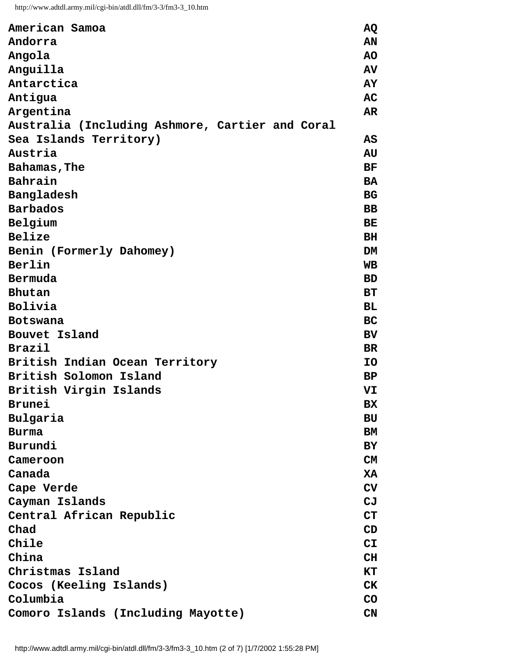| American Samoa                                  | AQ        |
|-------------------------------------------------|-----------|
| Andorra                                         | AN        |
| Angola                                          | <b>AO</b> |
| Anguilla                                        | AV        |
| Antarctica                                      | AY        |
| Antigua                                         | AC        |
| Argentina                                       | AR        |
| Australia (Including Ashmore, Cartier and Coral |           |
| Sea Islands Territory)                          | AS        |
| Austria                                         | AU        |
| Bahamas, The                                    | <b>BF</b> |
| Bahrain                                         | <b>BA</b> |
| Bangladesh                                      | <b>BG</b> |
| <b>Barbados</b>                                 | <b>BB</b> |
| Belgium                                         | <b>BE</b> |
| Belize                                          | <b>BH</b> |
| Benin (Formerly Dahomey)                        | DM        |
| Berlin                                          | <b>WB</b> |
| Bermuda                                         | <b>BD</b> |
| Bhutan                                          | <b>BT</b> |
| Bolivia                                         | <b>BL</b> |
| <b>Botswana</b>                                 | <b>BC</b> |
| Bouvet Island                                   | <b>BV</b> |
| <b>Brazil</b>                                   | <b>BR</b> |
| British Indian Ocean Territory                  | <b>IO</b> |
| British Solomon Island                          | <b>BP</b> |
| British Virgin Islands                          | VI        |
| Brunei                                          | <b>BX</b> |
| Bulgaria                                        | BU        |
| <b>Burma</b>                                    | BM        |
| Burundi                                         | BY        |
| Cameroon                                        | CM        |
| Canada                                          | XA        |
| Cape Verde                                      | CV        |
| Cayman Islands                                  | CJ        |
| Central African Republic                        | CT        |
| Chad                                            | CD        |
| Chile                                           | CL        |
| China                                           | CH        |
| Christmas Island                                | КT        |
| Cocos (Keeling Islands)                         | <b>CK</b> |
| Columbia                                        | CO        |
| Comoro Islands (Including Mayotte)              | CN        |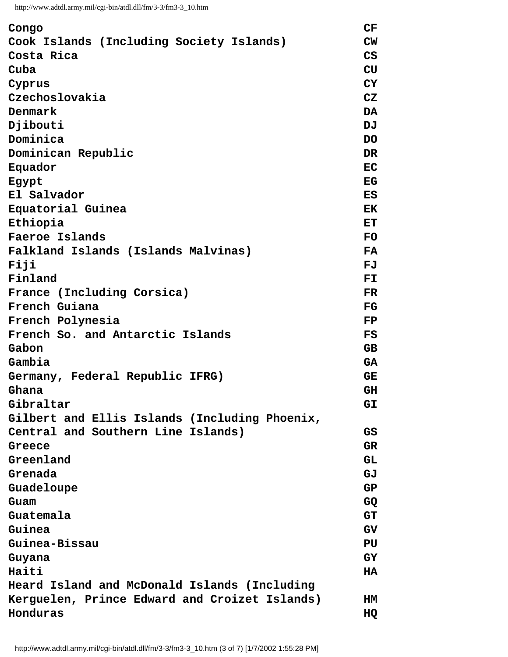| Congo                                         | CF        |
|-----------------------------------------------|-----------|
| Cook Islands (Including Society Islands)      | CW        |
| Costa Rica                                    | CS        |
| Cuba                                          | <b>CU</b> |
| Cyprus                                        | <b>CY</b> |
| Czechoslovakia                                | CZ        |
| Denmark                                       | DA        |
| Djibouti                                      | DJ        |
| Dominica                                      | <b>DO</b> |
| Dominican Republic                            | <b>DR</b> |
| Equador                                       | <b>EC</b> |
| Egypt                                         | EG        |
| El Salvador                                   | ES        |
| Equatorial Guinea                             | EK        |
| Ethiopia                                      | <b>ET</b> |
| Faeroe Islands                                | <b>FO</b> |
| Falkland Islands (Islands Malvinas)           | <b>FA</b> |
| Fiji                                          | FJ        |
| Finland                                       | FL        |
| France (Including Corsica)                    | <b>FR</b> |
| French Guiana                                 | FG        |
| French Polynesia                              | <b>FP</b> |
| French So. and Antarctic Islands              | FS        |
| Gabon                                         | <b>GB</b> |
| Gambia                                        | <b>GA</b> |
| Germany, Federal Republic IFRG)               | <b>GE</b> |
| Ghana                                         | <b>GH</b> |
| Gibraltar                                     | GI        |
| Gilbert and Ellis Islands (Including Phoenix, |           |
| Central and Southern Line Islands)            | GS        |
| Greece                                        | <b>GR</b> |
| Greenland                                     | <b>GL</b> |
| Grenada                                       | GJ        |
| Guadeloupe                                    | <b>GP</b> |
| Guam                                          | GQ        |
| Guatemala                                     | <b>GT</b> |
| Guinea                                        | GV        |
| Guinea-Bissau                                 | PU        |
| Guyana                                        | GY        |
| Haiti                                         | HA        |
| Heard Island and McDonald Islands (Including  |           |
| Kerguelen, Prince Edward and Croizet Islands) | HМ        |
| Honduras                                      | HQ        |
|                                               |           |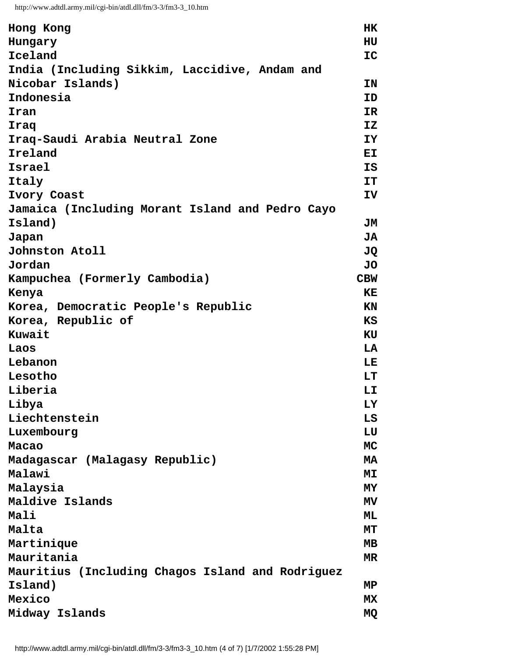```
http://www.adtdl.army.mil/cgi-bin/atdl.dll/fm/3-3/fm3-3_10.htm
```

| Hong Kong                                        | <b>HK</b>      |
|--------------------------------------------------|----------------|
| Hungary                                          | HU             |
| Iceland                                          | ${\tt IC}$     |
| India (Including Sikkim, Laccidive, Andam and    |                |
| Nicobar Islands)                                 | ΙN             |
| Indonesia                                        | ID             |
| Iran                                             | IR             |
| Iraq                                             | <b>IZ</b>      |
| Iraq-Saudi Arabia Neutral Zone                   | IY             |
| Ireland                                          | <b>EI</b>      |
| Israel                                           | IS             |
| Italy                                            | IT             |
| Ivory Coast                                      | IV             |
| Jamaica (Including Morant Island and Pedro Cayo  |                |
| Island)                                          | JМ             |
| Japan                                            | JA             |
| Johnston Atoll                                   | JQ             |
| Jordan                                           | JO             |
| Kampuchea (Formerly Cambodia)                    | <b>CBW</b>     |
| Kenya                                            | ΚE             |
| Korea, Democratic People's Republic              | <b>KN</b>      |
| Korea, Republic of                               | KS             |
| Kuwait                                           | KU             |
| Laos                                             | LA             |
| Lebanon                                          | LE             |
| Lesotho                                          | LT             |
| Liberia                                          | LI             |
| Libya                                            | LY             |
| Liechtenstein                                    | LS             |
| Luxembourg                                       | LU             |
| Macao                                            | <b>MC</b>      |
| Madagascar (Malagasy Republic)                   | <b>MA</b>      |
| Malawi                                           | M <sub>I</sub> |
| Malaysia                                         | MY             |
| Maldive Islands                                  | <b>MV</b>      |
| Mali                                             | ML             |
| Malta                                            | МT             |
| Martinique                                       | MВ             |
| Mauritania                                       | MR             |
| Mauritius (Including Chagos Island and Rodriguez |                |
| Island)                                          | MP             |
| Mexico                                           | MX             |
| Midway Islands                                   | МQ             |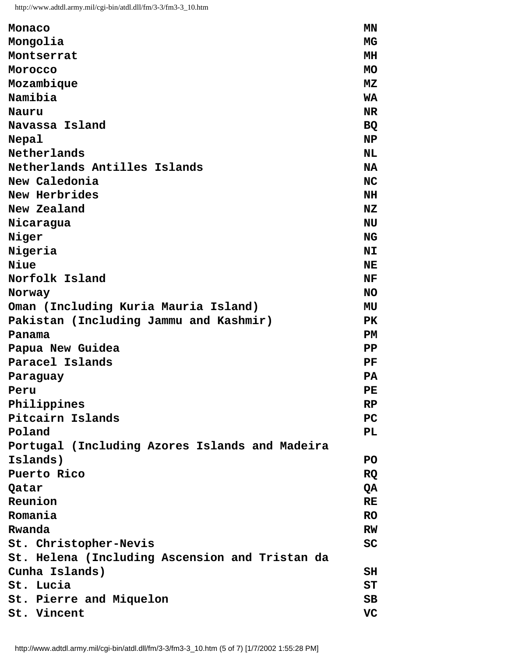| Monaco                                         | MΝ                      |
|------------------------------------------------|-------------------------|
| Mongolia                                       | MG                      |
| Montserrat                                     | MH                      |
| Morocco                                        | <b>MO</b>               |
| Mozambique                                     | <b>MZ</b>               |
| Namibia                                        | <b>WA</b>               |
| Nauru                                          | <b>NR</b>               |
| Navassa Island                                 | <b>BQ</b>               |
| Nepal                                          | NP                      |
| Netherlands                                    | NL                      |
| Netherlands Antilles Islands                   | <b>NA</b>               |
| New Caledonia                                  | <b>NC</b>               |
| New Herbrides                                  | <b>NH</b>               |
| New Zealand                                    | NZ                      |
| Nicaragua                                      | NU                      |
| Niger                                          | <b>NG</b>               |
| Nigeria                                        | N <sub>T</sub>          |
| Niue                                           | NE                      |
| Norfolk Island                                 | NF                      |
| Norway                                         | <b>NO</b>               |
| Oman (Including Kuria Mauria Island)           | MU                      |
| Pakistan (Including Jammu and Kashmir)         | <b>PK</b>               |
| Panama                                         | PM                      |
| Papua New Guidea                               | $\mathbf{P} \mathbf{P}$ |
| Paracel Islands                                | PF                      |
| Paraguay                                       | <b>PA</b>               |
| Peru                                           | PE                      |
| Philippines                                    | RP                      |
| Pitcairn Islands                               | PC                      |
| Poland                                         | PL.                     |
| Portugal (Including Azores Islands and Madeira |                         |
| Islands)                                       | PO.                     |
| Puerto Rico                                    | <b>RQ</b>               |
| Qatar                                          | QA                      |
| Reunion                                        | <b>RE</b>               |
| Romania                                        | <b>RO</b>               |
| Rwanda                                         | <b>RW</b>               |
| St. Christopher-Nevis                          | SC                      |
| St. Helena (Including Ascension and Tristan da |                         |
| Cunha Islands)                                 | SH                      |
| St. Lucia                                      | <b>ST</b>               |
| St. Pierre and Miquelon                        | SB                      |
| St. Vincent                                    | VC                      |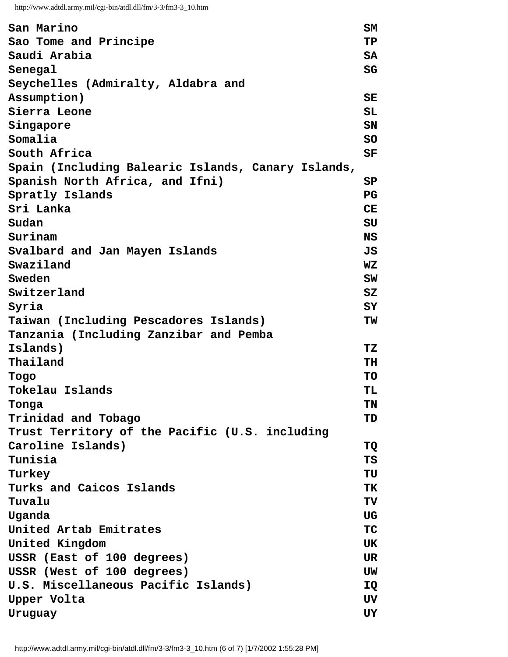```
http://www.adtdl.army.mil/cgi-bin/atdl.dll/fm/3-3/fm3-3_10.htm
```

| San Marino                                         | SM          |
|----------------------------------------------------|-------------|
| Sao Tome and Principe                              | TP          |
| Saudi Arabia                                       | <b>SA</b>   |
| Senegal                                            | SG          |
| Seychelles (Admiralty, Aldabra and                 |             |
| Assumption)                                        | <b>SE</b>   |
| Sierra Leone                                       | <b>SL</b>   |
| Singapore                                          | SN          |
| Somalia                                            | <b>SO</b>   |
| South Africa                                       | SF          |
| Spain (Including Balearic Islands, Canary Islands, |             |
| Spanish North Africa, and Ifni)                    | SP          |
| Spratly Islands                                    | $_{\rm PG}$ |
| Sri Lanka                                          | CE          |
| Sudan                                              | SU          |
| Surinam                                            | <b>NS</b>   |
| Svalbard and Jan Mayen Islands                     | JS          |
| Swaziland                                          | <b>WZ</b>   |
| Sweden                                             | SW          |
| Switzerland                                        | SZ          |
| Syria                                              | SY          |
| Taiwan (Including Pescadores Islands)              | ΤW          |
| Tanzania (Including Zanzibar and Pemba             |             |
| <b>Islands)</b>                                    | TZ          |
| Thailand                                           | TH          |
| Togo                                               | TO          |
| Tokelau Islands                                    | TL          |
| Tonga                                              | TN          |
| Trinidad and Tobago                                | TD          |
| Trust Territory of the Pacific (U.S. including     |             |
| Caroline Islands)                                  | TQ          |
| Tunisia                                            | TS          |
| Turkey                                             | TU          |
| Turks and Caicos Islands                           | ТK          |
| Tuvalu                                             | TV          |
| Uganda                                             | UG          |
| United Artab Emitrates                             | <b>TC</b>   |
| United Kingdom                                     | UK          |
| USSR (East of 100 degrees)                         | UR          |
| USSR (West of 100 degrees)                         | UW          |
| U.S. Miscellaneous Pacific Islands)                | IQ          |
| Upper Volta                                        | UV          |
| Uruguay                                            | UY          |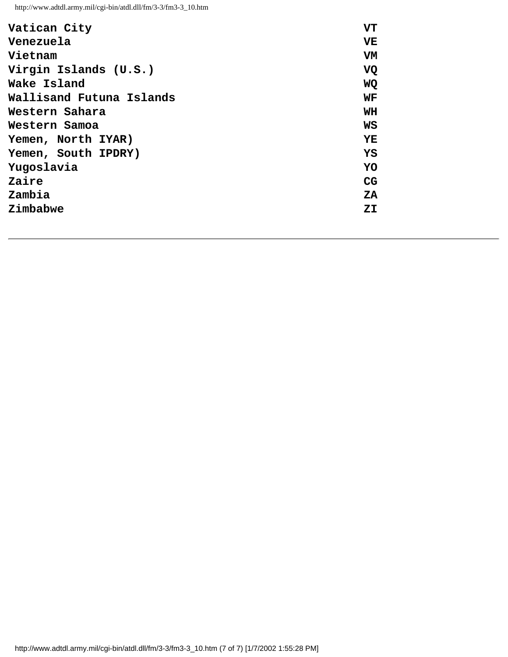| Vatican City             | VT        |
|--------------------------|-----------|
| Venezuela                | VE        |
| Vietnam                  | VM        |
| Virgin Islands (U.S.)    | <b>VQ</b> |
| Wake Island              | <b>WQ</b> |
| Wallisand Futuna Islands | WF        |
| Western Sahara           | WH        |
| Western Samoa            | WS        |
| Yemen, North IYAR)       | YE        |
| Yemen, South IPDRY)      | YS        |
| Yugoslavia               | YO        |
| Zaire                    | <b>CG</b> |
| Zambia                   | ZA        |
| Zimbabwe                 | ZI        |
|                          |           |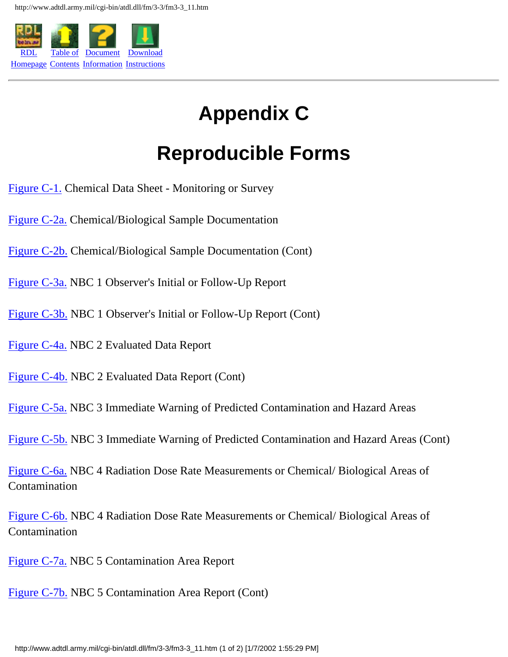

# **Appendix C**

## **Reproducible Forms**

- [Figure C-1.](http://www.adtdl.army.mil/cgi-bin/atdl.dll/fm/3-3/fm330094.gif) Chemical Data Sheet Monitoring or Survey
- [Figure C-2a.](http://www.adtdl.army.mil/cgi-bin/atdl.dll/fm/3-3/fm330095.gif) Chemical/Biological Sample Documentation
- [Figure C-2b.](http://www.adtdl.army.mil/cgi-bin/atdl.dll/fm/3-3/fm330096.gif) Chemical/Biological Sample Documentation (Cont)
- [Figure C-3a.](http://www.adtdl.army.mil/cgi-bin/atdl.dll/fm/3-3/fm330097.gif) NBC 1 Observer's Initial or Follow-Up Report
- [Figure C-3b.](http://www.adtdl.army.mil/cgi-bin/atdl.dll/fm/3-3/fm330098.gif) NBC 1 Observer's Initial or Follow-Up Report (Cont)
- [Figure C-4a.](http://www.adtdl.army.mil/cgi-bin/atdl.dll/fm/3-3/fm330099.gif) NBC 2 Evaluated Data Report
- [Figure C-4b.](http://www.adtdl.army.mil/cgi-bin/atdl.dll/fm/3-3/fm330100.gif) NBC 2 Evaluated Data Report (Cont)
- [Figure C-5a.](http://www.adtdl.army.mil/cgi-bin/atdl.dll/fm/3-3/fm330101.gif) NBC 3 Immediate Warning of Predicted Contamination and Hazard Areas
- [Figure C-5b.](http://www.adtdl.army.mil/cgi-bin/atdl.dll/fm/3-3/fm330102.gif) NBC 3 Immediate Warning of Predicted Contamination and Hazard Areas (Cont)
- [Figure C-6a.](http://www.adtdl.army.mil/cgi-bin/atdl.dll/fm/3-3/fm330103.gif) NBC 4 Radiation Dose Rate Measurements or Chemical/ Biological Areas of Contamination
- [Figure C-6b.](http://www.adtdl.army.mil/cgi-bin/atdl.dll/fm/3-3/fm330104.gif) NBC 4 Radiation Dose Rate Measurements or Chemical/ Biological Areas of Contamination
- [Figure C-7a.](http://www.adtdl.army.mil/cgi-bin/atdl.dll/fm/3-3/fm330105.gif) NBC 5 Contamination Area Report
- [Figure C-7b.](http://www.adtdl.army.mil/cgi-bin/atdl.dll/fm/3-3/fm330106.gif) NBC 5 Contamination Area Report (Cont)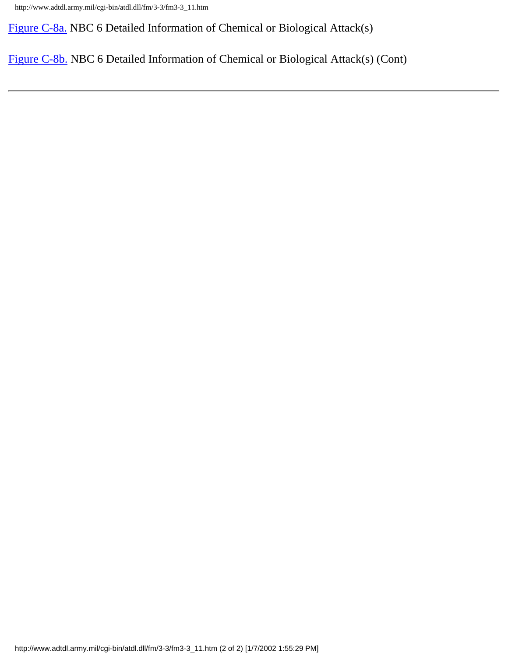http://www.adtdl.army.mil/cgi-bin/atdl.dll/fm/3-3/fm3-3\_11.htm

[Figure C-8a.](http://www.adtdl.army.mil/cgi-bin/atdl.dll/fm/3-3/fm330107.gif) NBC 6 Detailed Information of Chemical or Biological Attack(s)

[Figure C-8b.](http://www.adtdl.army.mil/cgi-bin/atdl.dll/fm/3-3/fm330108.gif) NBC 6 Detailed Information of Chemical or Biological Attack(s) (Cont)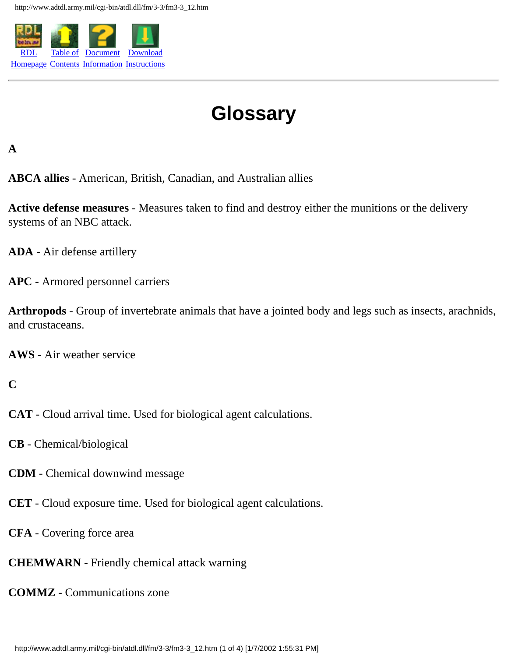

# **Glossary**

### **A**

**ABCA allies** - American, British, Canadian, and Australian allies

**Active defense measures** - Measures taken to find and destroy either the munitions or the delivery systems of an NBC attack.

**ADA** - Air defense artillery

**APC** - Armored personnel carriers

**Arthropods** - Group of invertebrate animals that have a jointed body and legs such as insects, arachnids, and crustaceans.

**AWS** - Air weather service

### **C**

- **CAT** Cloud arrival time. Used for biological agent calculations.
- **CB** Chemical/biological
- **CDM** Chemical downwind message
- **CET** Cloud exposure time. Used for biological agent calculations.
- **CFA** Covering force area
- **CHEMWARN** Friendly chemical attack warning
- **COMMZ** Communications zone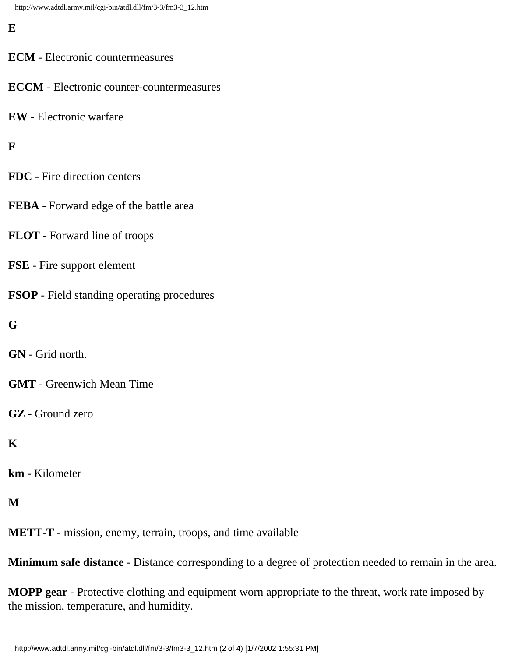**E**

- **ECM** Electronic countermeasures
- **ECCM** Electronic counter-countermeasures
- **EW** Electronic warfare

**F**

- **FDC** Fire direction centers
- **FEBA** Forward edge of the battle area
- **FLOT** Forward line of troops
- **FSE** Fire support element
- **FSOP** Field standing operating procedures
- **G**
- **GN** Grid north.
- **GMT** Greenwich Mean Time
- **GZ** Ground zero

## **K**

**km** - Kilometer

**M**

**METT-T** - mission, enemy, terrain, troops, and time available

**Minimum safe distance** - Distance corresponding to a degree of protection needed to remain in the area.

**MOPP gear** - Protective clothing and equipment worn appropriate to the threat, work rate imposed by the mission, temperature, and humidity.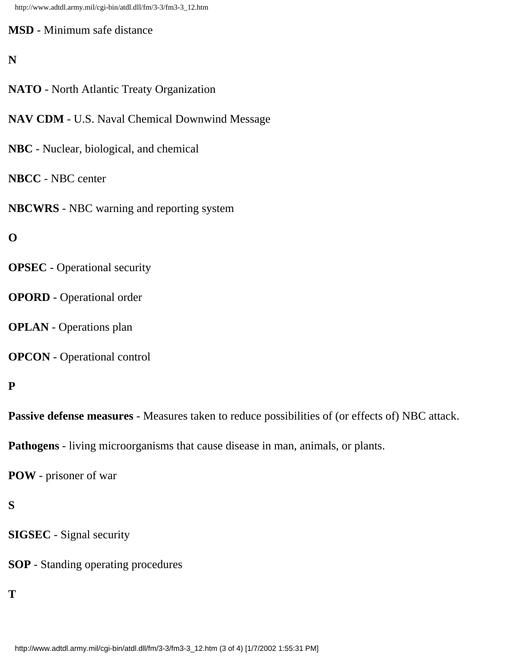http://www.adtdl.army.mil/cgi-bin/atdl.dll/fm/3-3/fm3-3\_12.htm

**MSD** - Minimum safe distance

### **N**

- **NATO** North Atlantic Treaty Organization
- **NAV CDM** U.S. Naval Chemical Downwind Message
- **NBC** Nuclear, biological, and chemical

### **NBCC** - NBC center

**NBCWRS** - NBC warning and reporting system

### **O**

- **OPSEC** Operational security
- **OPORD** Operational order
- **OPLAN** Operations plan
- **OPCON** Operational control

## **P**

**Passive defense measures** - Measures taken to reduce possibilities of (or effects of) NBC attack.

**Pathogens** - living microorganisms that cause disease in man, animals, or plants.

**POW** - prisoner of war

## **S**

- **SIGSEC** Signal security
- **SOP** Standing operating procedures

### **T**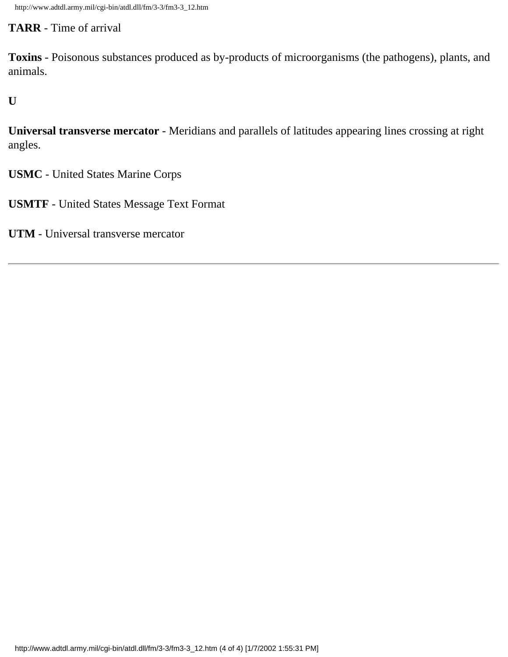### **TARR** - Time of arrival

**Toxins** - Poisonous substances produced as by-products of microorganisms (the pathogens), plants, and animals.

**U**

**Universal transverse mercator** - Meridians and parallels of latitudes appearing lines crossing at right angles.

**USMC** - United States Marine Corps

**USMTF** - United States Message Text Format

**UTM** - Universal transverse mercator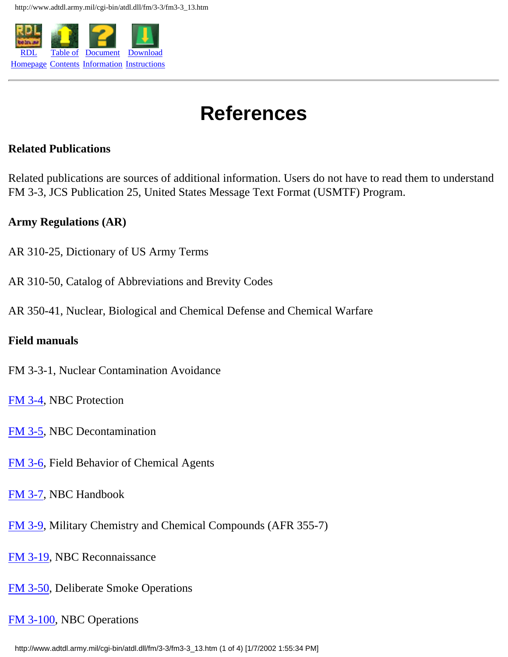

## **References**

#### **Related Publications**

Related publications are sources of additional information. Users do not have to read them to understand FM 3-3, JCS Publication 25, United States Message Text Format (USMTF) Program.

### **Army Regulations (AR)**

- AR 310-25, Dictionary of US Army Terms
- AR 310-50, Catalog of Abbreviations and Brevity Codes
- AR 350-41, Nuclear, Biological and Chemical Defense and Chemical Warfare

#### **Field manuals**

- FM 3-3-1, Nuclear Contamination Avoidance
- [FM 3-4](http://www.adtdl.army.mil/cgi-bin/atdl.dll/fm/3-4/toc.htm), NBC Protection
- [FM 3-5](http://www.adtdl.army.mil/cgi-bin/atdl.dll/fm/3-5/fm3-5.htm), NBC Decontamination
- [FM 3-6](http://www.adtdl.army.mil/cgi-bin/atdl.dll/fm/3-6/toc.htm), Field Behavior of Chemical Agents
- [FM 3-7](http://www.adtdl.army.mil/cgi-bin/atdl.dll/fm/3-7/toc.htm), NBC Handbook
- [FM 3-9](https://hosta.atsc.eustis.army.mil/cgi-bin/atdl.dll/fm/3-9/toc.htm), Military Chemistry and Chemical Compounds (AFR 355-7)
- [FM 3-19](http://www.adtdl.army.mil/cgi-bin/atdl.dll/fm/3-19/toc.htm), NBC Reconnaissance
- [FM 3-50](http://www.adtdl.army.mil/cgi-bin/atdl.dll/fm/3-50/toc.htm), Deliberate Smoke Operations

## [FM 3-100](http://www.adtdl.army.mil/cgi-bin/atdl.dll/fm/3-100/toc.htm), NBC Operations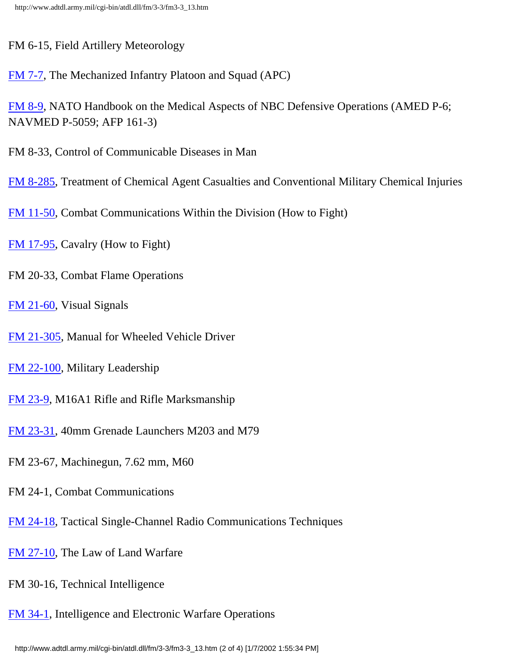FM 6-15, Field Artillery Meteorology

[FM 7-7](http://www.adtdl.army.mil/cgi-bin/atdl.dll/fm/7-7/toc.htm), The Mechanized Infantry Platoon and Squad (APC)

[FM 8-9](https://hosta.atsc.eustis.army.mil/cgi-bin/atdl.dll/fm/8-9/toc.htm), NATO Handbook on the Medical Aspects of NBC Defensive Operations (AMED P-6; NAVMED P-5059; AFP 161-3)

FM 8-33, Control of Communicable Diseases in Man

[FM 8-285](https://hosta.atsc.eustis.army.mil/cgi-bin/atdl.dll/fm/8-285/toc.htm), Treatment of Chemical Agent Casualties and Conventional Military Chemical Injuries

[FM 11-50](http://www.adtdl.army.mil/cgi-bin/atdl.dll/fm/11-50/fm1150.htm), Combat Communications Within the Division (How to Fight)

[FM 17-95](http://www.adtdl.army.mil/cgi-bin/atdl.dll/fm/17-95/cont.htm), Cavalry (How to Fight)

FM 20-33, Combat Flame Operations

[FM 21-60](http://www.adtdl.army.mil/cgi-bin/atdl.dll/fm/21-60/toc.htm), Visual Signals

[FM 21-305](http://www.adtdl.army.mil/cgi-bin/atdl.dll/fm/21-305/toc.htm), Manual for Wheeled Vehicle Driver

[FM 22-100](http://www.adtdl.army.mil/cgi-bin/atdl.dll/fm/22-100/toc.htm), Military Leadership

[FM 23-9](https://hosta.atsc.eustis.army.mil/cgi-bin/atdl.dll/fm/23-9/toc.htm), M16A1 Rifle and Rifle Marksmanship

[FM 23-31](http://www.adtdl.army.mil/cgi-bin/atdl.dll/fm/23-31/f2331.htm), 40mm Grenade Launchers M203 and M79

FM 23-67, Machinegun, 7.62 mm, M60

FM 24-1, Combat Communications

[FM 24-18](http://www.adtdl.army.mil/cgi-bin/atdl.dll/fm/24-18/fm24-18.htm), Tactical Single-Channel Radio Communications Techniques

[FM 27-10](http://www.adtdl.army.mil/cgi-bin/atdl.dll/fm/27-10/toc.htm), The Law of Land Warfare

FM 30-16, Technical Intelligence

[FM 34-1](http://www.adtdl.army.mil/cgi-bin/atdl.dll/fm/34-1/toc.htm), Intelligence and Electronic Warfare Operations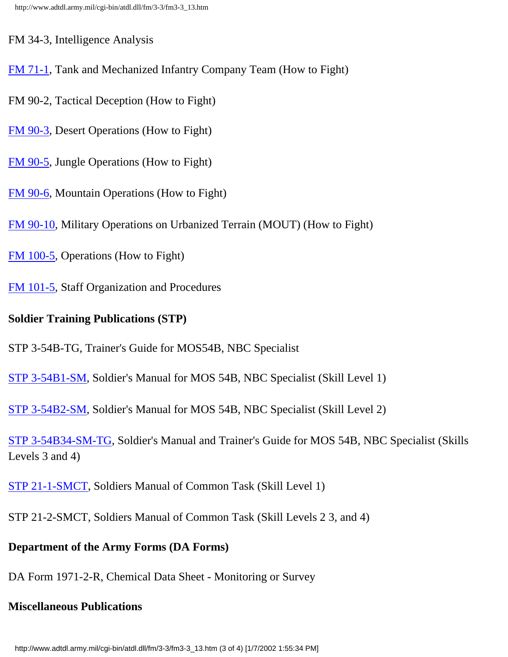FM 34-3, Intelligence Analysis

- [FM 71-1](http://www.adtdl.army.mil/cgi-bin/atdl.dll/fm/71-1/711frntf.htm), Tank and Mechanized Infantry Company Team (How to Fight)
- FM 90-2, Tactical Deception (How to Fight)
- [FM 90-3](http://www.adtdl.army.mil/cgi-bin/atdl.dll/fm/90-3/toc.htm), Desert Operations (How to Fight)
- [FM 90-5](http://www.adtdl.army.mil/cgi-bin/atdl.dll/fm/90-5/toc.htm), Jungle Operations (How to Fight)
- [FM 90-6](http://www.adtdl.army.mil/cgi-bin/atdl.dll/fm/3-97.6/toc.htm), Mountain Operations (How to Fight)
- [FM 90-10](http://www.adtdl.army.mil/cgi-bin/atdl.dll/fm/90-10/toc.htm), Military Operations on Urbanized Terrain (MOUT) (How to Fight)
- [FM 100-5](http://www.adtdl.army.mil/cgi-bin/atdl.dll/fm/3-0/toc.htm), Operations (How to Fight)
- [FM 101-5](http://www.adtdl.army.mil/cgi-bin/atdl.dll/fm/101-5/default.htm), Staff Organization and Procedures

## **Soldier Training Publications (STP)**

- STP 3-54B-TG, Trainer's Guide for MOS54B, NBC Specialist
- [STP 3-54B1-SM,](https://hosta.atsc.eustis.army.mil/cgi-bin/atdl.dll/stp/stp+3-54b1-sm/toc.htm) Soldier's Manual for MOS 54B, NBC Specialist (Skill Level 1)
- [STP 3-54B2-SM,](https://hosta.atsc.eustis.army.mil/cgi-bin/atdl.dll/stp/stp+3-54b2-sm/toc.htm) Soldier's Manual for MOS 54B, NBC Specialist (Skill Level 2)
- [STP 3-54B34-SM-TG,](https://hosta.atsc.eustis.army.mil/cgi-bin/atdl.dll/stp/stp+3-54b34-sm-tg/toc.htm) Soldier's Manual and Trainer's Guide for MOS 54B, NBC Specialist (Skills Levels 3 and 4)
- [STP 21-1-SMCT](https://hosta.atsc.eustis.army.mil/cgi-bin/atdl.dll/stp/stp+21-1-smct/toc.htm), Soldiers Manual of Common Task (Skill Level 1)
- STP 21-2-SMCT, Soldiers Manual of Common Task (Skill Levels 2 3, and 4)

## **Department of the Army Forms (DA Forms)**

DA Form 1971-2-R, Chemical Data Sheet - Monitoring or Survey

## **Miscellaneous Publications**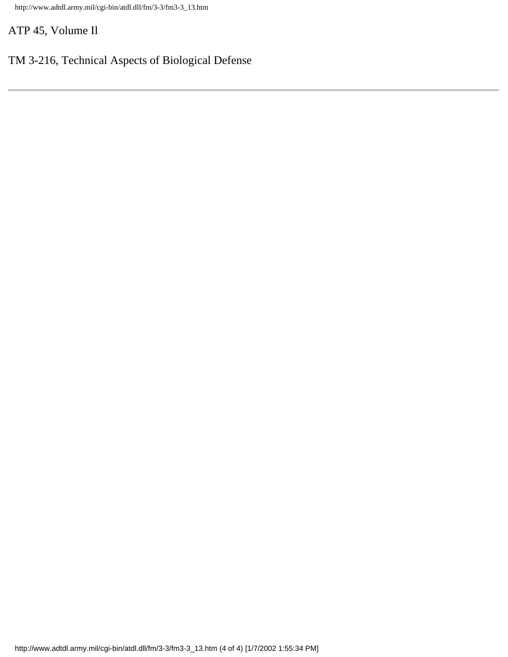http://www.adtdl.army.mil/cgi-bin/atdl.dll/fm/3-3/fm3-3\_13.htm

ATP 45, Volume Il

## TM 3-216, Technical Aspects of Biological Defense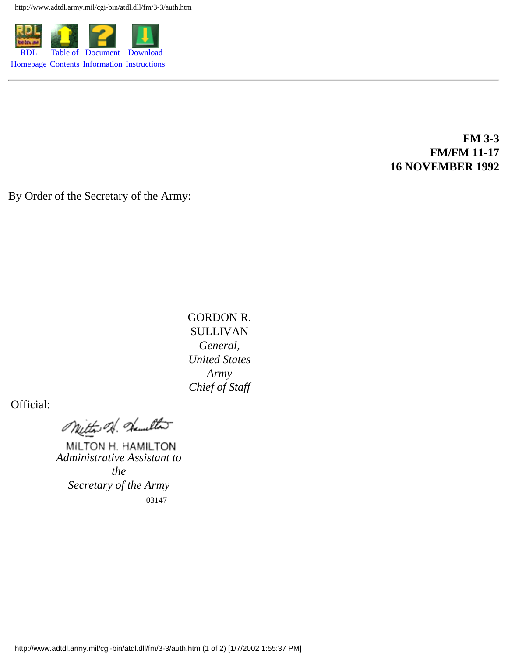http://www.adtdl.army.mil/cgi-bin/atdl.dll/fm/3-3/auth.htm



### **FM 3-3 FM/FM 11-17 16 NOVEMBER 1992**

By Order of the Secretary of the Army:

GORDON R. SULLIVAN *General, United States Army Chief of Staff*

Official:

Witter of damelton

MILTON H. HAMILTON *Administrative Assistant to* 

*the Secretary of the Army* 03147